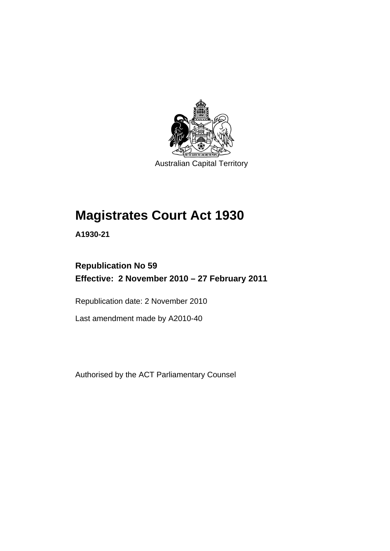

Australian Capital Territory

# **[Magistrates Court Act 1930](#page-16-0)**

**A1930-21** 

### **Republication No 59 Effective: 2 November 2010 – 27 February 2011**

Republication date: 2 November 2010

Last amendment made by A2010-40

Authorised by the ACT Parliamentary Counsel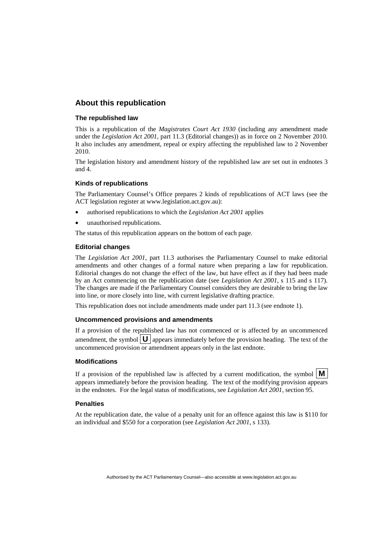### **About this republication**

#### **The republished law**

This is a republication of the *Magistrates Court Act 1930* (including any amendment made under the *Legislation Act 2001*, part 11.3 (Editorial changes)) as in force on 2 November 2010*.*  It also includes any amendment, repeal or expiry affecting the republished law to 2 November 2010.

The legislation history and amendment history of the republished law are set out in endnotes 3 and 4.

#### **Kinds of republications**

The Parliamentary Counsel's Office prepares 2 kinds of republications of ACT laws (see the ACT legislation register at www.legislation.act.gov.au):

- authorised republications to which the *Legislation Act 2001* applies
- unauthorised republications.

The status of this republication appears on the bottom of each page.

#### **Editorial changes**

The *Legislation Act 2001*, part 11.3 authorises the Parliamentary Counsel to make editorial amendments and other changes of a formal nature when preparing a law for republication. Editorial changes do not change the effect of the law, but have effect as if they had been made by an Act commencing on the republication date (see *Legislation Act 2001*, s 115 and s 117). The changes are made if the Parliamentary Counsel considers they are desirable to bring the law into line, or more closely into line, with current legislative drafting practice.

This republication does not include amendments made under part 11.3 (see endnote 1).

#### **Uncommenced provisions and amendments**

If a provision of the republished law has not commenced or is affected by an uncommenced amendment, the symbol  $\mathbf{U}$  appears immediately before the provision heading. The text of the uncommenced provision or amendment appears only in the last endnote.

#### **Modifications**

If a provision of the republished law is affected by a current modification, the symbol  $\mathbf{M}$ appears immediately before the provision heading. The text of the modifying provision appears in the endnotes. For the legal status of modifications, see *Legislation Act 2001*, section 95.

#### **Penalties**

At the republication date, the value of a penalty unit for an offence against this law is \$110 for an individual and \$550 for a corporation (see *Legislation Act 2001*, s 133).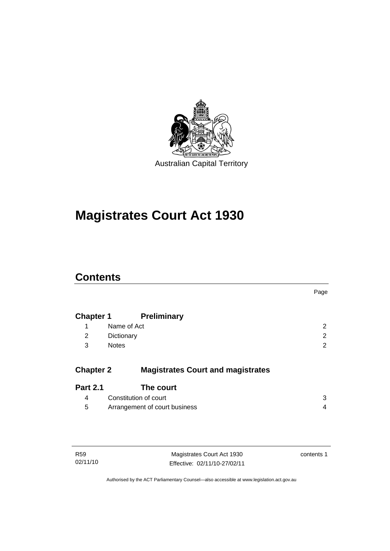

# **[Magistrates Court Act 1930](#page-16-0)**

### **Contents**

|                  |                                          | Page           |
|------------------|------------------------------------------|----------------|
| <b>Chapter 1</b> | <b>Preliminary</b>                       |                |
| 1                | Name of Act                              | $\overline{2}$ |
| 2                | Dictionary                               | 2              |
| 3                | <b>Notes</b>                             | 2              |
|                  |                                          |                |
| <b>Chapter 2</b> | <b>Magistrates Court and magistrates</b> |                |
| <b>Part 2.1</b>  | The court                                |                |
| 4                | Constitution of court                    | 3              |
| 5                | Arrangement of court business            | 4              |
|                  |                                          |                |

| R59      |  |
|----------|--|
| 02/11/10 |  |

Magistrates Court Act 1930 Effective: 02/11/10-27/02/11 contents 1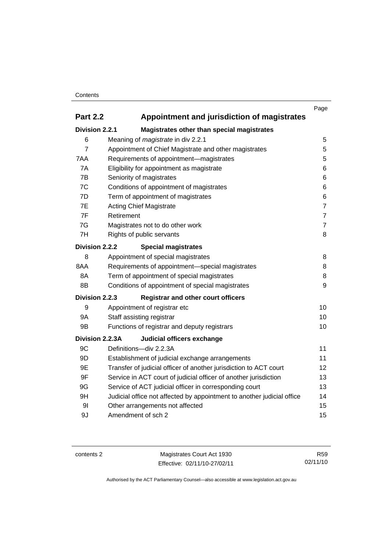### **Contents**

|                 |                                                                        | Page           |
|-----------------|------------------------------------------------------------------------|----------------|
| <b>Part 2.2</b> | Appointment and jurisdiction of magistrates                            |                |
| Division 2.2.1  | Magistrates other than special magistrates                             |                |
| 6               | Meaning of magistrate in div 2.2.1                                     | 5              |
| $\overline{7}$  | Appointment of Chief Magistrate and other magistrates                  | 5              |
| 7AA             | Requirements of appointment-magistrates                                | 5              |
| 7A              | Eligibility for appointment as magistrate                              | 6              |
| 7B              | Seniority of magistrates                                               | 6              |
| 7C              | Conditions of appointment of magistrates                               | 6              |
| 7D              | Term of appointment of magistrates                                     | 6              |
| 7E              | <b>Acting Chief Magistrate</b>                                         | $\overline{7}$ |
| 7F              | Retirement                                                             | $\overline{7}$ |
| 7G              | Magistrates not to do other work                                       | $\overline{7}$ |
| 7H              | Rights of public servants                                              | 8              |
| Division 2.2.2  | <b>Special magistrates</b>                                             |                |
| 8               | Appointment of special magistrates                                     | 8              |
| 8AA             | Requirements of appointment-special magistrates                        | 8              |
| 8A              | Term of appointment of special magistrates                             | 8              |
| 8B              | Conditions of appointment of special magistrates                       | 9              |
| Division 2.2.3  | <b>Registrar and other court officers</b>                              |                |
| 9               | Appointment of registrar etc                                           | 10             |
| <b>9A</b>       | Staff assisting registrar                                              | 10             |
| 9B              | Functions of registrar and deputy registrars                           | 10             |
| Division 2.2.3A | Judicial officers exchange                                             |                |
| 9C              | Definitions-div 2.2.3A                                                 | 11             |
| 9D              | Establishment of judicial exchange arrangements                        | 11             |
| 9E              | Transfer of judicial officer of another jurisdiction to ACT court      | 12             |
| 9F              | Service in ACT court of judicial officer of another jurisdiction       | 13             |
| 9G              | Service of ACT judicial officer in corresponding court                 | 13             |
| 9H              | Judicial office not affected by appointment to another judicial office | 14             |
| 9 <sub>l</sub>  | Other arrangements not affected                                        | 15             |
| 9J              | Amendment of sch 2                                                     | 15             |

contents 2 Magistrates Court Act 1930 Effective: 02/11/10-27/02/11

R59 02/11/10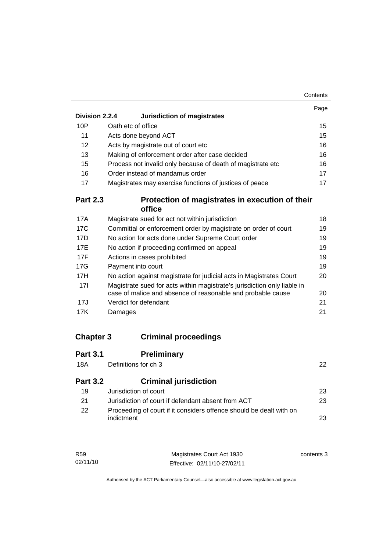| Contents |
|----------|
|----------|

|                 |                                                                          | Page |
|-----------------|--------------------------------------------------------------------------|------|
| Division 2.2.4  | Jurisdiction of magistrates                                              |      |
| 10P             | Oath etc of office                                                       | 15   |
| 11              | Acts done beyond ACT                                                     | 15   |
| 12              | Acts by magistrate out of court etc                                      | 16   |
| 13              | Making of enforcement order after case decided                           | 16   |
| 15              | Process not invalid only because of death of magistrate etc              | 16   |
| 16              | Order instead of mandamus order                                          | 17   |
| 17              | Magistrates may exercise functions of justices of peace                  | 17   |
| <b>Part 2.3</b> | Protection of magistrates in execution of their                          |      |
|                 | office                                                                   |      |
| 17A             | Magistrate sued for act not within jurisdiction                          | 18   |
| 17 <sub>C</sub> | Committal or enforcement order by magistrate on order of court           | 19   |
| 17D             | No action for acts done under Supreme Court order                        | 19   |
| <b>17E</b>      | No action if proceeding confirmed on appeal                              | 19   |
| 17F             | Actions in cases prohibited                                              | 19   |
| 17G             | Payment into court                                                       | 19   |
| 17H             | No action against magistrate for judicial acts in Magistrates Court      | 20   |
| 17I             | Magistrate sued for acts within magistrate's jurisdiction only liable in |      |
|                 | case of malice and absence of reasonable and probable cause              | 20   |
| 17J             | Verdict for defendant                                                    | 21   |
| 17K             | Damages                                                                  | 21   |
|                 |                                                                          |      |
|                 |                                                                          |      |

## **Chapter 3 Criminal proceedings**

| <b>Part 3.1</b><br>18A | <b>Preliminary</b><br>Definitions for ch 3                                        | 22 |
|------------------------|-----------------------------------------------------------------------------------|----|
| <b>Part 3.2</b>        | <b>Criminal jurisdiction</b>                                                      |    |
| 19                     | Jurisdiction of court                                                             | 23 |
| 21                     | Jurisdiction of court if defendant absent from ACT                                | 23 |
| 22                     | Proceeding of court if it considers offence should be dealt with on<br>indictment | 23 |

| R59      | Magistrates Court Act 1930   | contents 3 |
|----------|------------------------------|------------|
| 02/11/10 | Effective: 02/11/10-27/02/11 |            |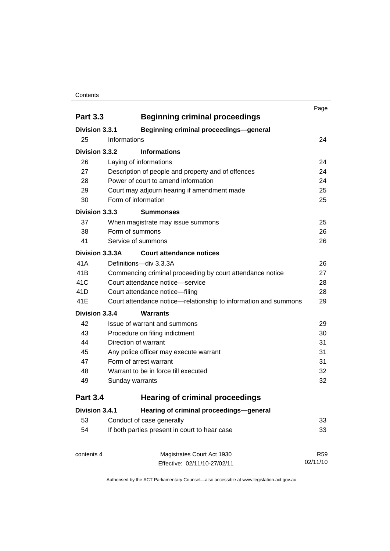#### **Contents**

| <b>Part 3.3</b> | <b>Beginning criminal proceedings</b>                           | Page       |
|-----------------|-----------------------------------------------------------------|------------|
| Division 3.3.1  | <b>Beginning criminal proceedings-general</b>                   |            |
| 25              | Informations                                                    | 24         |
| Division 3.3.2  | <b>Informations</b>                                             |            |
| 26              | Laying of informations                                          | 24         |
| 27              | Description of people and property and of offences              | 24         |
| 28              | Power of court to amend information                             | 24         |
| 29              | Court may adjourn hearing if amendment made                     | 25         |
| 30              | Form of information                                             | 25         |
| Division 3.3.3  | <b>Summonses</b>                                                |            |
| 37              | When magistrate may issue summons                               | 25         |
| 38              | Form of summons                                                 | 26         |
| 41              | Service of summons                                              | 26         |
| Division 3.3.3A | <b>Court attendance notices</b>                                 |            |
| 41A             | Definitions-div 3.3.3A                                          | 26         |
| 41B             | Commencing criminal proceeding by court attendance notice       | 27         |
| 41C             | Court attendance notice—service                                 | 28         |
| 41D             | Court attendance notice-filing                                  | 28         |
| 41E             | Court attendance notice—relationship to information and summons | 29         |
| Division 3.3.4  | <b>Warrants</b>                                                 |            |
| 42              | Issue of warrant and summons                                    | 29         |
| 43              | Procedure on filing indictment                                  | 30         |
| 44              | Direction of warrant                                            | 31         |
| 45              | Any police officer may execute warrant                          | 31         |
| 47              | Form of arrest warrant                                          | 31         |
| 48              | Warrant to be in force till executed                            | 32         |
| 49              | Sunday warrants                                                 | 32         |
| <b>Part 3.4</b> | <b>Hearing of criminal proceedings</b>                          |            |
| Division 3.4.1  | Hearing of criminal proceedings-general                         |            |
| 53              | Conduct of case generally                                       | 33         |
| 54              | If both parties present in court to hear case                   | 33         |
| contents 4      | Magistrates Court Act 1930                                      | <b>R59</b> |
|                 | Effective: 02/11/10-27/02/11                                    | 02/11/10   |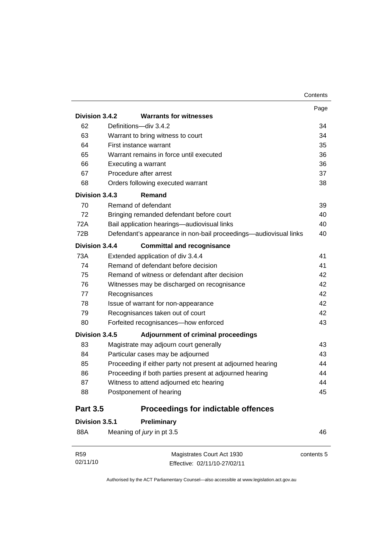|                 |                               |                                                                  | Page |
|-----------------|-------------------------------|------------------------------------------------------------------|------|
| Division 3.4.2  |                               | <b>Warrants for witnesses</b>                                    |      |
| 62              |                               | Definitions-div 3.4.2                                            | 34   |
| 63              |                               | Warrant to bring witness to court                                | 34   |
| 64              |                               | First instance warrant                                           | 35   |
| 65              |                               | Warrant remains in force until executed                          | 36   |
| 66              |                               | Executing a warrant                                              | 36   |
| 67              |                               | Procedure after arrest                                           | 37   |
| 68              |                               | Orders following executed warrant                                | 38   |
| Division 3.4.3  |                               | Remand                                                           |      |
| 70              |                               | Remand of defendant                                              | 39   |
| 72              |                               | Bringing remanded defendant before court                         | 40   |
| 72A             |                               | Bail application hearings-audiovisual links                      | 40   |
| 72B             |                               | Defendant's appearance in non-bail proceedings—audiovisual links | 40   |
| Division 3.4.4  |                               | <b>Committal and recognisance</b>                                |      |
| 73A             |                               | Extended application of div 3.4.4                                | 41   |
| 74              |                               | Remand of defendant before decision                              | 41   |
| 75              |                               | Remand of witness or defendant after decision                    | 42   |
| 76              |                               | Witnesses may be discharged on recognisance                      | 42   |
| 77              | Recognisances                 |                                                                  | 42   |
| 78              |                               | Issue of warrant for non-appearance                              | 42   |
| 79              |                               | Recognisances taken out of court                                 | 42   |
| 80              |                               | Forfeited recognisances-how enforced                             | 43   |
| Division 3.4.5  |                               | <b>Adjournment of criminal proceedings</b>                       |      |
| 83              |                               | Magistrate may adjourn court generally                           | 43   |
| 84              |                               | Particular cases may be adjourned                                | 43   |
| 85              |                               | Proceeding if either party not present at adjourned hearing      | 44   |
| 86              |                               | Proceeding if both parties present at adjourned hearing          | 44   |
| 87              |                               | Witness to attend adjourned etc hearing                          | 44   |
| 88              |                               | Postponement of hearing                                          | 45   |
| <b>Part 3.5</b> |                               | <b>Proceedings for indictable offences</b>                       |      |
|                 | Division 3.5.1<br>Preliminary |                                                                  |      |

| 88A | Meaning of jury in pt 3.5 | 46 |
|-----|---------------------------|----|
|     |                           |    |

| R59      | Magistrates Court Act 1930   | contents 5 |
|----------|------------------------------|------------|
| 02/11/10 | Effective: 02/11/10-27/02/11 |            |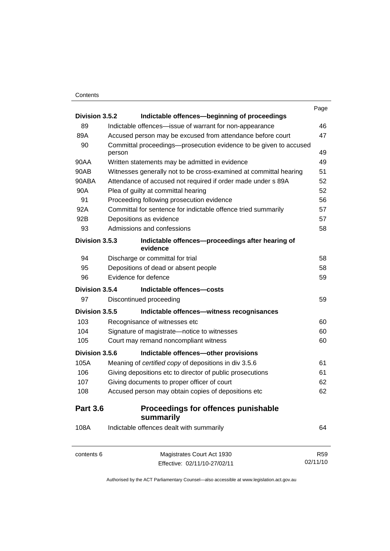### **Contents**

|                 |                                                                             | Page       |
|-----------------|-----------------------------------------------------------------------------|------------|
| Division 3.5.2  | Indictable offences-beginning of proceedings                                |            |
| 89              | Indictable offences-issue of warrant for non-appearance                     | 46         |
| 89A             | Accused person may be excused from attendance before court                  | 47         |
| 90              | Committal proceedings-prosecution evidence to be given to accused<br>person | 49         |
| 90AA            | Written statements may be admitted in evidence                              | 49         |
| 90AB            | Witnesses generally not to be cross-examined at committal hearing           | 51         |
| 90ABA           | Attendance of accused not required if order made under s 89A                | 52         |
| 90A             | Plea of guilty at committal hearing                                         | 52         |
| 91              | Proceeding following prosecution evidence                                   | 56         |
| 92A             | Committal for sentence for indictable offence tried summarily               | 57         |
| 92B             | Depositions as evidence                                                     | 57         |
| 93              | Admissions and confessions                                                  | 58         |
| Division 3.5.3  | Indictable offences-proceedings after hearing of<br>evidence                |            |
| 94              | Discharge or committal for trial                                            | 58         |
| 95              | Depositions of dead or absent people                                        | 58         |
| 96              | Evidence for defence                                                        | 59         |
| Division 3.5.4  | Indictable offences-costs                                                   |            |
| 97              | Discontinued proceeding                                                     | 59         |
| Division 3.5.5  | Indictable offences-witness recognisances                                   |            |
| 103             | Recognisance of witnesses etc                                               | 60         |
| 104             | Signature of magistrate-notice to witnesses                                 | 60         |
| 105             | Court may remand noncompliant witness                                       | 60         |
| Division 3.5.6  | Indictable offences-other provisions                                        |            |
| 105A            | Meaning of certified copy of depositions in div 3.5.6                       | 61         |
| 106             | Giving depositions etc to director of public prosecutions                   | 61         |
| 107             | Giving documents to proper officer of court                                 | 62         |
| 108             | Accused person may obtain copies of depositions etc                         | 62         |
| <b>Part 3.6</b> | <b>Proceedings for offences punishable</b><br>summarily                     |            |
| 108A            | Indictable offences dealt with summarily                                    | 64         |
| contents 6      | Magistrates Court Act 1930                                                  | <b>R59</b> |
|                 | Effective: 02/11/10-27/02/11                                                | 02/11/10   |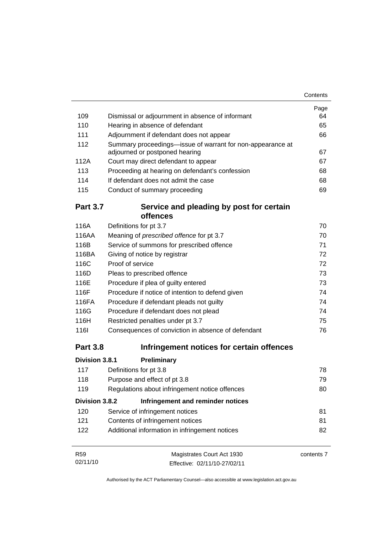|                 |                                                                                              | Page       |
|-----------------|----------------------------------------------------------------------------------------------|------------|
| 109             | Dismissal or adjournment in absence of informant                                             | 64         |
| 110             | Hearing in absence of defendant                                                              | 65         |
| 111             | Adjournment if defendant does not appear                                                     | 66         |
| 112             | Summary proceedings-issue of warrant for non-appearance at<br>adjourned or postponed hearing | 67         |
| 112A            | Court may direct defendant to appear                                                         | 67         |
| 113             | Proceeding at hearing on defendant's confession                                              | 68         |
| 114             | If defendant does not admit the case                                                         | 68         |
| 115             | Conduct of summary proceeding                                                                | 69         |
| <b>Part 3.7</b> | Service and pleading by post for certain                                                     |            |
|                 | offences                                                                                     |            |
| 116A            | Definitions for pt 3.7                                                                       | 70         |
| 116AA           | Meaning of prescribed offence for pt 3.7                                                     | 70         |
| 116B            | Service of summons for prescribed offence                                                    | 71         |
| 116BA           | Giving of notice by registrar                                                                | 72         |
| 116C            | Proof of service                                                                             | 72         |
| 116D            | Pleas to prescribed offence                                                                  | 73         |
| 116E            | Procedure if plea of guilty entered                                                          | 73         |
| 116F            | Procedure if notice of intention to defend given                                             | 74         |
| 116FA           | Procedure if defendant pleads not guilty                                                     | 74         |
| 116G            | Procedure if defendant does not plead                                                        | 74         |
| 116H            | Restricted penalties under pt 3.7                                                            | 75         |
| <b>116l</b>     | Consequences of conviction in absence of defendant                                           | 76         |
| <b>Part 3.8</b> | Infringement notices for certain offences                                                    |            |
| Division 3.8.1  | Preliminary                                                                                  |            |
| 117             | Definitions for pt 3.8                                                                       | 78         |
| 118             | Purpose and effect of pt 3.8                                                                 | 79         |
| 119             | Regulations about infringement notice offences                                               | 80         |
| Division 3.8.2  | Infringement and reminder notices                                                            |            |
| 120             | Service of infringement notices                                                              | 81         |
| 121             | Contents of infringement notices                                                             | 81         |
| 122             | Additional information in infringement notices                                               | 82         |
| <b>R59</b>      | Magistrates Court Act 1930                                                                   | contents 7 |
| 02/11/10        | Effective: 02/11/10-27/02/11                                                                 |            |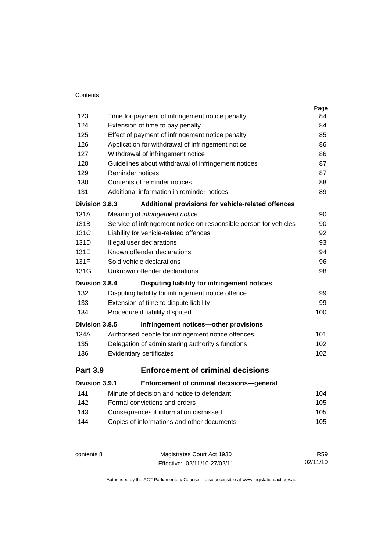### **Contents**

|                 |                                                                   | Page |
|-----------------|-------------------------------------------------------------------|------|
| 123             | Time for payment of infringement notice penalty                   | 84   |
| 124             | Extension of time to pay penalty                                  | 84   |
| 125             | Effect of payment of infringement notice penalty                  | 85   |
| 126             | Application for withdrawal of infringement notice                 | 86   |
| 127             | Withdrawal of infringement notice                                 | 86   |
| 128             | Guidelines about withdrawal of infringement notices               | 87   |
| 129             | Reminder notices                                                  | 87   |
| 130             | Contents of reminder notices                                      | 88   |
| 131             | Additional information in reminder notices                        | 89   |
| Division 3.8.3  | Additional provisions for vehicle-related offences                |      |
| 131A            | Meaning of infringement notice                                    | 90   |
| 131B            | Service of infringement notice on responsible person for vehicles | 90   |
| 131C            | Liability for vehicle-related offences                            | 92   |
| 131D            | Illegal user declarations                                         | 93   |
| 131E            | Known offender declarations                                       | 94   |
| 131F            | Sold vehicle declarations                                         | 96   |
| 131G            | Unknown offender declarations                                     | 98   |
| Division 3.8.4  | Disputing liability for infringement notices                      |      |
| 132             | Disputing liability for infringement notice offence               | 99   |
| 133             | Extension of time to dispute liability                            | 99   |
| 134             | Procedure if liability disputed                                   | 100  |
| Division 3.8.5  | Infringement notices-other provisions                             |      |
| 134A            | Authorised people for infringement notice offences                | 101  |
| 135             | Delegation of administering authority's functions                 | 102  |
| 136             | Evidentiary certificates                                          | 102  |
| <b>Part 3.9</b> | <b>Enforcement of criminal decisions</b>                          |      |
| Division 3.9.1  | Enforcement of criminal decisions-general                         |      |
| 141             | Minute of decision and notice to defendant                        | 104  |
| 142             | Formal convictions and orders                                     | 105  |
| 143             | Consequences if information dismissed                             | 105  |
| 144             | Copies of informations and other documents                        | 105  |
|                 |                                                                   |      |

contents 8 Magistrates Court Act 1930 Effective: 02/11/10-27/02/11 R59 02/11/10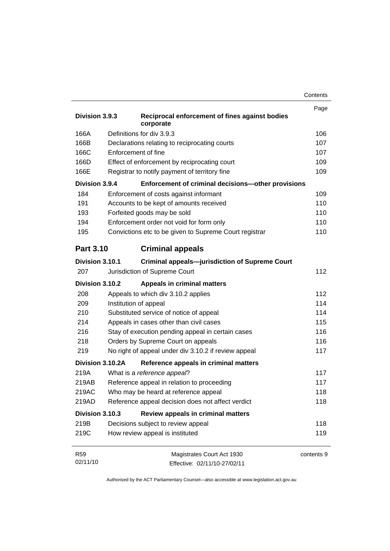|                  |                                                             | Contents |
|------------------|-------------------------------------------------------------|----------|
|                  |                                                             | Page     |
| Division 3.9.3   | Reciprocal enforcement of fines against bodies<br>corporate |          |
| 166A             | Definitions for div 3.9.3                                   | 106      |
| 166B             | Declarations relating to reciprocating courts               | 107      |
| 166C             | Enforcement of fine                                         | 107      |
| 166D             | Effect of enforcement by reciprocating court                | 109      |
| 166E             | Registrar to notify payment of territory fine               | 109      |
| Division 3.9.4   | Enforcement of criminal decisions-other provisions          |          |
| 184              | Enforcement of costs against informant                      | 109      |
| 191              | Accounts to be kept of amounts received                     | 110      |
| 193              | Forfeited goods may be sold                                 | 110      |
| 194              | Enforcement order not void for form only                    | 110      |
| 195              | Convictions etc to be given to Supreme Court registrar      | 110      |
| <b>Part 3.10</b> | <b>Criminal appeals</b>                                     |          |
| Division 3.10.1  | <b>Criminal appeals-jurisdiction of Supreme Court</b>       |          |
| 207              | Jurisdiction of Supreme Court                               | 112      |
| Division 3.10.2  | <b>Appeals in criminal matters</b>                          |          |
| 208              | Appeals to which div 3.10.2 applies                         | 112      |
| 209              | Institution of appeal                                       | 114      |
| 210              | Substituted service of notice of appeal                     | 114      |
| 214              | Appeals in cases other than civil cases                     | 115      |
| 216              | Stay of execution pending appeal in certain cases           | 116      |
| 218              | Orders by Supreme Court on appeals                          | 116      |
| 219              | No right of appeal under div 3.10.2 if review appeal        | 117      |
| Division 3.10.2A | Reference appeals in criminal matters                       |          |
|                  |                                                             |          |

| Division 3.10.2A | Reference appeals in criminal matters             |            |
|------------------|---------------------------------------------------|------------|
| 219A             | What is a reference appeal?                       | 117        |
| 219AB            | Reference appeal in relation to proceeding        | 117        |
| 219AC            | Who may be heard at reference appeal              | 118        |
| 219AD            | Reference appeal decision does not affect verdict | 118        |
| Division 3.10.3  | Review appeals in criminal matters                |            |
| 219B             | Decisions subject to review appeal                | 118        |
| 219C             | How review appeal is instituted                   | 119        |
|                  |                                                   |            |
| <b>R59</b>       | Magistrates Court Act 1930                        | contents 9 |

Effective: 02/11/10-27/02/11

02/11/10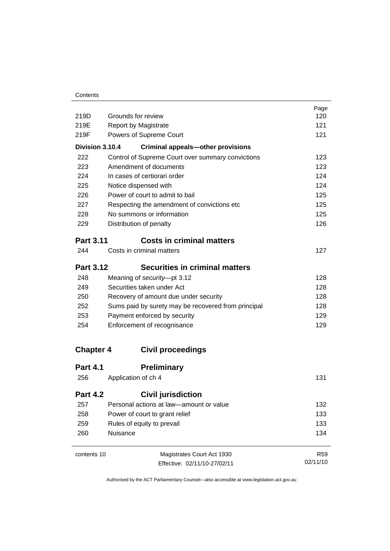| 219D             | Grounds for review                                  | Page<br>120     |
|------------------|-----------------------------------------------------|-----------------|
| 219E             | <b>Report by Magistrate</b>                         | 121             |
| 219F             | Powers of Supreme Court                             | 121             |
|                  |                                                     |                 |
| Division 3.10.4  | <b>Criminal appeals-other provisions</b>            |                 |
| 222              | Control of Supreme Court over summary convictions   | 123             |
| 223              | Amendment of documents                              | 123             |
| 224              | In cases of certiorari order                        | 124             |
| 225              | Notice dispensed with                               | 124             |
| 226              | Power of court to admit to bail                     | 125             |
| 227              | Respecting the amendment of convictions etc         | 125             |
| 228              | No summons or information                           | 125             |
| 229              | Distribution of penalty                             | 126             |
| <b>Part 3.11</b> | <b>Costs in criminal matters</b>                    |                 |
| 244              | Costs in criminal matters                           | 127             |
| <b>Part 3.12</b> | <b>Securities in criminal matters</b>               |                 |
| 248              | Meaning of security-pt 3.12                         | 128             |
| 249              | Securities taken under Act                          | 128             |
| 250              | Recovery of amount due under security               | 128             |
| 252              | Sums paid by surety may be recovered from principal | 128             |
| 253              | Payment enforced by security                        | 129             |
| 254              | Enforcement of recognisance                         | 129             |
| <b>Chapter 4</b> | <b>Civil proceedings</b>                            |                 |
| <b>Part 4.1</b>  | <b>Preliminary</b>                                  |                 |
| 256              | Application of ch 4                                 | 131             |
| <b>Part 4.2</b>  | <b>Civil jurisdiction</b>                           |                 |
| 257              | Personal actions at law-amount or value             | 132             |
| 258              | Power of court to grant relief                      | 133             |
| 259              | Rules of equity to prevail                          | 133             |
| 260              | Nuisance                                            | 134             |
| contents 10      | Magistrates Court Act 1930                          | R <sub>59</sub> |
|                  | Effective: 02/11/10-27/02/11                        | 02/11/10        |
|                  |                                                     |                 |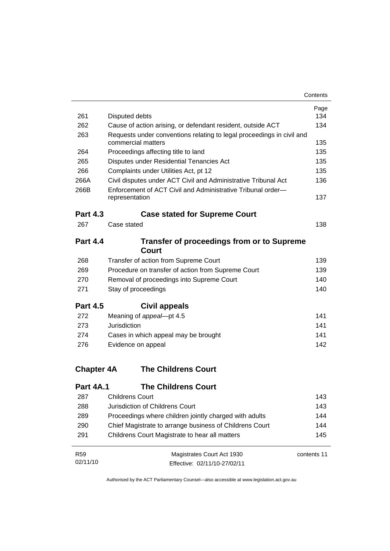| 261               | Disputed debts                                                                | Page<br>134 |
|-------------------|-------------------------------------------------------------------------------|-------------|
| 262               | Cause of action arising, or defendant resident, outside ACT                   | 134         |
| 263               | Requests under conventions relating to legal proceedings in civil and         |             |
|                   | commercial matters                                                            | 135         |
| 264               | Proceedings affecting title to land                                           | 135         |
| 265               | Disputes under Residential Tenancies Act                                      | 135         |
| 266               | Complaints under Utilities Act, pt 12                                         | 135         |
| 266A              | Civil disputes under ACT Civil and Administrative Tribunal Act                | 136         |
| 266B              | Enforcement of ACT Civil and Administrative Tribunal order-<br>representation | 137         |
|                   |                                                                               |             |
| <b>Part 4.3</b>   | <b>Case stated for Supreme Court</b>                                          |             |
| 267               | Case stated                                                                   | 138         |
| <b>Part 4.4</b>   | <b>Transfer of proceedings from or to Supreme</b>                             |             |
|                   | Court                                                                         |             |
| 268               | Transfer of action from Supreme Court                                         | 139         |
| 269               | Procedure on transfer of action from Supreme Court                            | 139         |
| 270               | Removal of proceedings into Supreme Court                                     | 140         |
| 271               | Stay of proceedings                                                           | 140         |
| <b>Part 4.5</b>   | Civil appeals                                                                 |             |
| 272               | Meaning of appeal-pt 4.5                                                      | 141         |
| 273               | Jurisdiction                                                                  | 141         |
| 274               | Cases in which appeal may be brought                                          | 141         |
| 276               | Evidence on appeal                                                            | 142         |
| <b>Chapter 4A</b> | <b>The Childrens Court</b>                                                    |             |
|                   |                                                                               |             |
| <b>Part 4A.1</b>  | <b>The Childrens Court</b>                                                    |             |
| 287               | <b>Childrens Court</b>                                                        | 143         |
| 288               | Jurisdiction of Childrens Court                                               | 143         |
| 289               | Proceedings where children jointly charged with adults                        | 144         |
| 290               | Chief Magistrate to arrange business of Childrens Court                       | 144         |
| 291               | Childrens Court Magistrate to hear all matters                                | 145         |

| R59      | Magistrates Court Act 1930   | contents 11 |
|----------|------------------------------|-------------|
| 02/11/10 | Effective: 02/11/10-27/02/11 |             |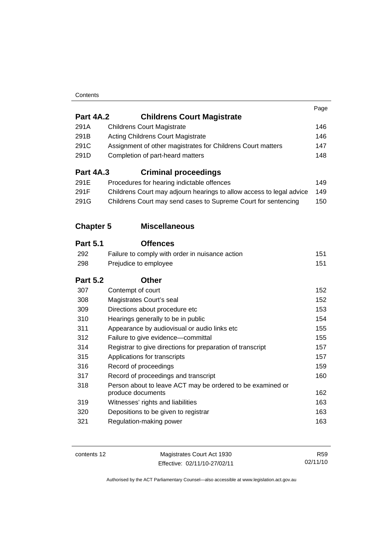### **Contents**

|                  |                                                                                 | Page |
|------------------|---------------------------------------------------------------------------------|------|
| <b>Part 4A.2</b> | <b>Childrens Court Magistrate</b>                                               |      |
| 291A             | <b>Childrens Court Magistrate</b>                                               | 146  |
| 291B             | <b>Acting Childrens Court Magistrate</b>                                        | 146  |
| 291C             | Assignment of other magistrates for Childrens Court matters                     | 147  |
| 291D             | Completion of part-heard matters                                                | 148  |
| <b>Part 4A.3</b> | <b>Criminal proceedings</b>                                                     |      |
| 291E             | Procedures for hearing indictable offences                                      | 149  |
| 291F             | Childrens Court may adjourn hearings to allow access to legal advice            | 149  |
| 291G             | Childrens Court may send cases to Supreme Court for sentencing                  | 150  |
| <b>Chapter 5</b> | <b>Miscellaneous</b>                                                            |      |
| <b>Part 5.1</b>  | <b>Offences</b>                                                                 |      |
| 292              | Failure to comply with order in nuisance action                                 | 151  |
| 298              | Prejudice to employee                                                           | 151  |
| <b>Part 5.2</b>  | <b>Other</b>                                                                    |      |
|                  |                                                                                 |      |
| 307              | Contempt of court                                                               | 152  |
| 308              | Magistrates Court's seal                                                        | 152  |
| 309              | Directions about procedure etc                                                  | 153  |
| 310              | Hearings generally to be in public                                              | 154  |
| 311              | Appearance by audiovisual or audio links etc                                    | 155  |
| 312              | Failure to give evidence-committal                                              | 155  |
| 314              | Registrar to give directions for preparation of transcript                      | 157  |
| 315              | Applications for transcripts                                                    | 157  |
| 316              | Record of proceedings                                                           | 159  |
| 317              | Record of proceedings and transcript                                            | 160  |
| 318              | Person about to leave ACT may be ordered to be examined or<br>produce documents | 162  |
| 319              | Witnesses' rights and liabilities                                               | 163  |
| 320              | Depositions to be given to registrar                                            | 163  |

| contents 12 | Magistrates Court Act 1930   | R <sub>59</sub> |
|-------------|------------------------------|-----------------|
|             | Effective: 02/11/10-27/02/11 | 02/11/10        |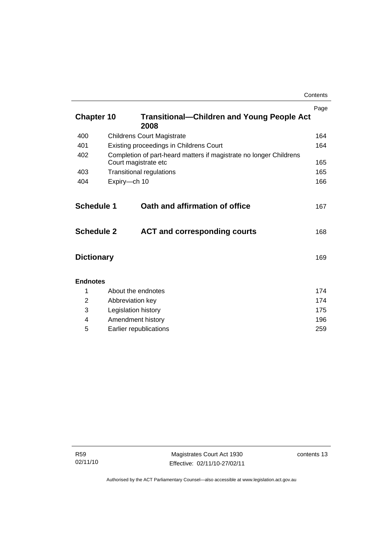|                                        |                                                                                            | Contents   |
|----------------------------------------|--------------------------------------------------------------------------------------------|------------|
| <b>Chapter 10</b>                      | <b>Transitional-Children and Young People Act</b>                                          | Page       |
|                                        | 2008                                                                                       |            |
| 400                                    | <b>Childrens Court Magistrate</b>                                                          | 164        |
| 401                                    | Existing proceedings in Childrens Court                                                    | 164        |
| 402                                    | Completion of part-heard matters if magistrate no longer Childrens<br>Court magistrate etc | 165        |
| 403                                    | <b>Transitional regulations</b>                                                            | 165        |
| 404                                    | Expiry-ch 10                                                                               | 166        |
| <b>Schedule 1</b><br><b>Schedule 2</b> | Oath and affirmation of office<br><b>ACT and corresponding courts</b>                      | 167<br>168 |
| <b>Dictionary</b>                      |                                                                                            | 169        |
| <b>Endnotes</b>                        |                                                                                            |            |
| 1                                      | About the endnotes                                                                         |            |
| 2                                      | Abbreviation key                                                                           |            |
| 3                                      | Legislation history                                                                        |            |
| 4                                      | Amendment history                                                                          |            |
| 5                                      | Earlier republications                                                                     |            |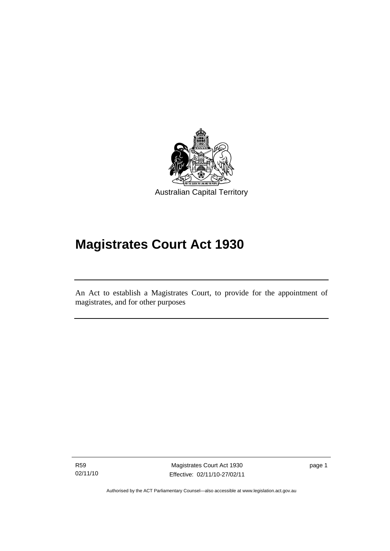<span id="page-16-0"></span>

# **Magistrates Court Act 1930**

An Act to establish a Magistrates Court, to provide for the appointment of magistrates, and for other purposes

R59 02/11/10

l

Magistrates Court Act 1930 Effective: 02/11/10-27/02/11 page 1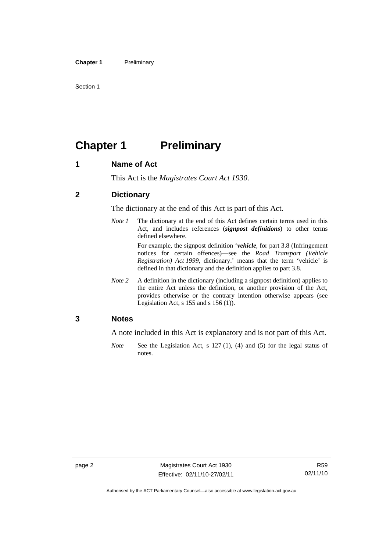<span id="page-17-0"></span>Section 1

## **Chapter 1** Preliminary

### **1 Name of Act**

This Act is the *Magistrates Court Act 1930*.

### **2 Dictionary**

The dictionary at the end of this Act is part of this Act.

*Note 1* The dictionary at the end of this Act defines certain terms used in this Act, and includes references (*signpost definitions*) to other terms defined elsewhere.

> For example, the signpost definition '*vehicle*, for part 3.8 (Infringement notices for certain offences)—see the *Road Transport (Vehicle Registration) Act 1999*, dictionary.' means that the term 'vehicle' is defined in that dictionary and the definition applies to part 3.8.

*Note 2* A definition in the dictionary (including a signpost definition) applies to the entire Act unless the definition, or another provision of the Act, provides otherwise or the contrary intention otherwise appears (see Legislation Act, s 155 and s 156 (1)).

### **3 Notes**

A note included in this Act is explanatory and is not part of this Act.

*Note* See the Legislation Act, s 127 (1), (4) and (5) for the legal status of notes.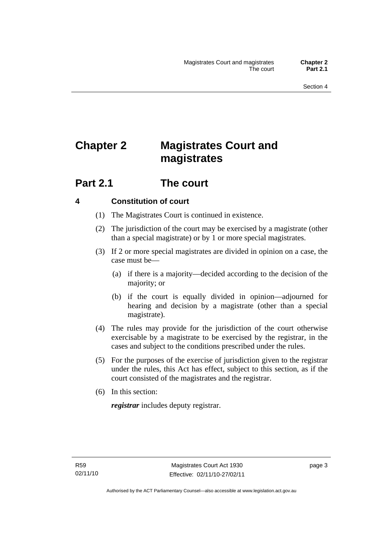## <span id="page-18-0"></span>**Chapter 2 Magistrates Court and magistrates**

### **Part 2.1 The court**

### **4 Constitution of court**

- (1) The Magistrates Court is continued in existence.
- (2) The jurisdiction of the court may be exercised by a magistrate (other than a special magistrate) or by 1 or more special magistrates.
- (3) If 2 or more special magistrates are divided in opinion on a case, the case must be—
	- (a) if there is a majority—decided according to the decision of the majority; or
	- (b) if the court is equally divided in opinion—adjourned for hearing and decision by a magistrate (other than a special magistrate).
- (4) The rules may provide for the jurisdiction of the court otherwise exercisable by a magistrate to be exercised by the registrar, in the cases and subject to the conditions prescribed under the rules.
- (5) For the purposes of the exercise of jurisdiction given to the registrar under the rules, this Act has effect, subject to this section, as if the court consisted of the magistrates and the registrar.
- (6) In this section:

*registrar* includes deputy registrar.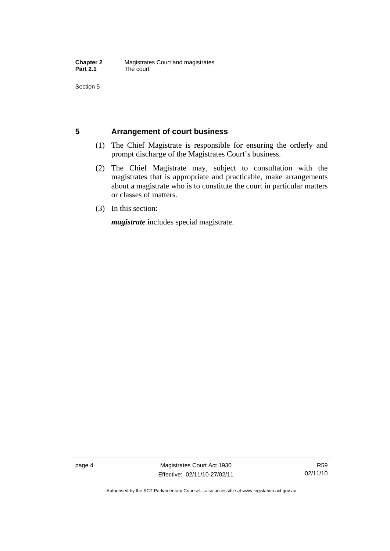<span id="page-19-0"></span>Section 5

### **5 Arrangement of court business**

- (1) The Chief Magistrate is responsible for ensuring the orderly and prompt discharge of the Magistrates Court's business.
- (2) The Chief Magistrate may, subject to consultation with the magistrates that is appropriate and practicable, make arrangements about a magistrate who is to constitute the court in particular matters or classes of matters.
- (3) In this section:

*magistrate* includes special magistrate.

page 4 Magistrates Court Act 1930 Effective: 02/11/10-27/02/11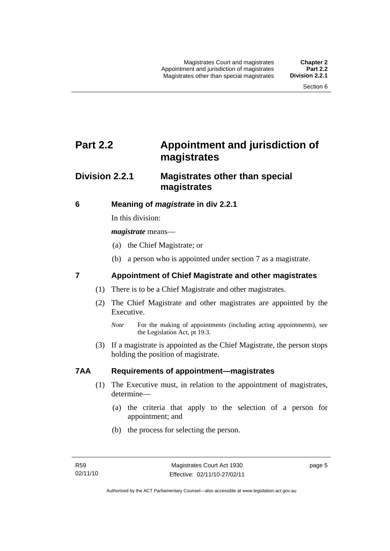### <span id="page-20-0"></span>**Part 2.2 Appointment and jurisdiction of magistrates**

### **Division 2.2.1 Magistrates other than special magistrates**

### **6 Meaning of** *magistrate* **in div 2.2.1**

In this division:

*magistrate* means—

- (a) the Chief Magistrate; or
- (b) a person who is appointed under section 7 as a magistrate.

### **7 Appointment of Chief Magistrate and other magistrates**

- (1) There is to be a Chief Magistrate and other magistrates.
- (2) The Chief Magistrate and other magistrates are appointed by the Executive.

 (3) If a magistrate is appointed as the Chief Magistrate, the person stops holding the position of magistrate.

### **7AA Requirements of appointment—magistrates**

- (1) The Executive must, in relation to the appointment of magistrates, determine—
	- (a) the criteria that apply to the selection of a person for appointment; and
	- (b) the process for selecting the person.

*Note* For the making of appointments (including acting appointments), see the Legislation Act, pt 19.3.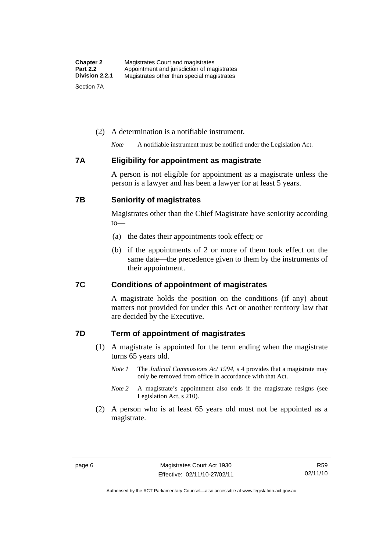### <span id="page-21-0"></span>(2) A determination is a notifiable instrument.

*Note* A notifiable instrument must be notified under the Legislation Act.

### **7A Eligibility for appointment as magistrate**

A person is not eligible for appointment as a magistrate unless the person is a lawyer and has been a lawyer for at least 5 years.

### **7B Seniority of magistrates**

Magistrates other than the Chief Magistrate have seniority according to—

- (a) the dates their appointments took effect; or
- (b) if the appointments of 2 or more of them took effect on the same date—the precedence given to them by the instruments of their appointment.

### **7C Conditions of appointment of magistrates**

A magistrate holds the position on the conditions (if any) about matters not provided for under this Act or another territory law that are decided by the Executive.

### **7D Term of appointment of magistrates**

- (1) A magistrate is appointed for the term ending when the magistrate turns 65 years old.
	- *Note 1* The *Judicial Commissions Act 1994*, s 4 provides that a magistrate may only be removed from office in accordance with that Act.
	- *Note 2* A magistrate's appointment also ends if the magistrate resigns (see Legislation Act, s 210).
- (2) A person who is at least 65 years old must not be appointed as a magistrate.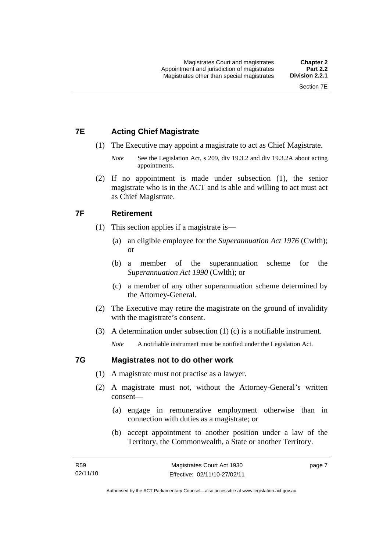### <span id="page-22-0"></span>**7E Acting Chief Magistrate**

- (1) The Executive may appoint a magistrate to act as Chief Magistrate.
	- *Note* See the Legislation Act, s 209, div 19.3.2 and div 19.3.2A about acting appointments.
- (2) If no appointment is made under subsection (1), the senior magistrate who is in the ACT and is able and willing to act must act as Chief Magistrate.

### **7F Retirement**

- (1) This section applies if a magistrate is—
	- (a) an eligible employee for the *Superannuation Act 1976* (Cwlth); or
	- (b) a member of the superannuation scheme for the *Superannuation Act 1990* (Cwlth); or
	- (c) a member of any other superannuation scheme determined by the Attorney-General.
- (2) The Executive may retire the magistrate on the ground of invalidity with the magistrate's consent.
- (3) A determination under subsection (1) (c) is a notifiable instrument.

*Note* A notifiable instrument must be notified under the Legislation Act.

### **7G Magistrates not to do other work**

- (1) A magistrate must not practise as a lawyer.
- (2) A magistrate must not, without the Attorney-General's written consent—
	- (a) engage in remunerative employment otherwise than in connection with duties as a magistrate; or
	- (b) accept appointment to another position under a law of the Territory, the Commonwealth, a State or another Territory.

page 7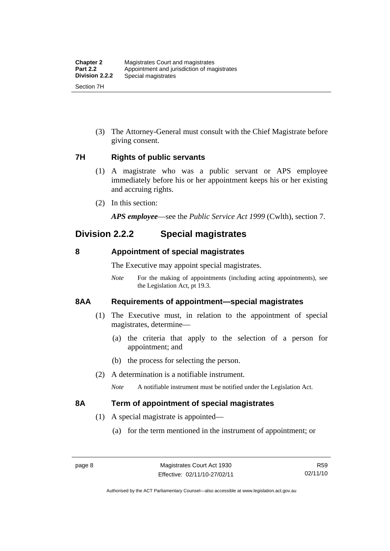<span id="page-23-0"></span> (3) The Attorney-General must consult with the Chief Magistrate before giving consent.

### **7H Rights of public servants**

- (1) A magistrate who was a public servant or APS employee immediately before his or her appointment keeps his or her existing and accruing rights.
- (2) In this section:

*APS employee*—see the *Public Service Act 1999* (Cwlth), section 7.

### **Division 2.2.2 Special magistrates**

### **8 Appointment of special magistrates**

The Executive may appoint special magistrates.

*Note* For the making of appointments (including acting appointments), see the Legislation Act, pt 19.3.

### **8AA Requirements of appointment—special magistrates**

- (1) The Executive must, in relation to the appointment of special magistrates, determine—
	- (a) the criteria that apply to the selection of a person for appointment; and
	- (b) the process for selecting the person.
- (2) A determination is a notifiable instrument.

*Note* A notifiable instrument must be notified under the Legislation Act.

### **8A Term of appointment of special magistrates**

- (1) A special magistrate is appointed—
	- (a) for the term mentioned in the instrument of appointment; or

R59 02/11/10

Authorised by the ACT Parliamentary Counsel—also accessible at www.legislation.act.gov.au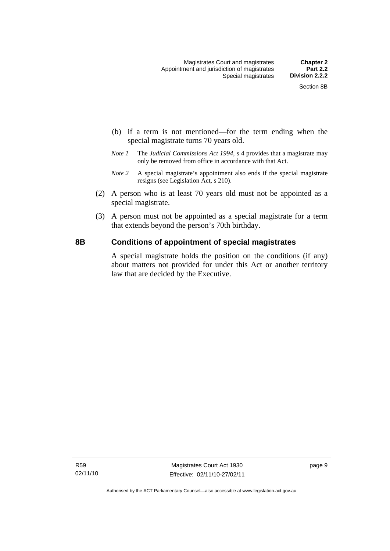- <span id="page-24-0"></span> (b) if a term is not mentioned—for the term ending when the special magistrate turns 70 years old.
- *Note 1* The *Judicial Commissions Act 1994*, s 4 provides that a magistrate may only be removed from office in accordance with that Act.
- *Note 2* A special magistrate's appointment also ends if the special magistrate resigns (see Legislation Act, s 210).
- (2) A person who is at least 70 years old must not be appointed as a special magistrate.
- (3) A person must not be appointed as a special magistrate for a term that extends beyond the person's 70th birthday.

### **8B Conditions of appointment of special magistrates**

A special magistrate holds the position on the conditions (if any) about matters not provided for under this Act or another territory law that are decided by the Executive.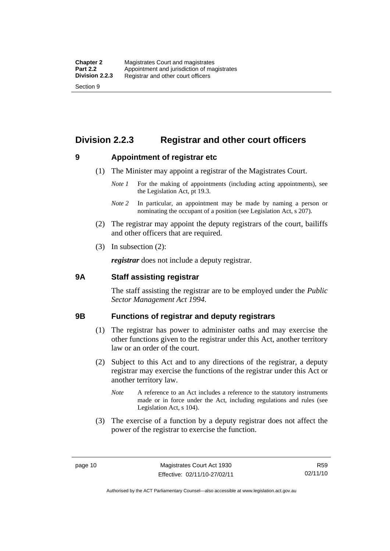### <span id="page-25-0"></span>**Division 2.2.3 Registrar and other court officers**

### **9 Appointment of registrar etc**

- (1) The Minister may appoint a registrar of the Magistrates Court.
	- *Note 1* For the making of appointments (including acting appointments), see the Legislation Act, pt 19.3.
	- *Note 2* In particular, an appointment may be made by naming a person or nominating the occupant of a position (see Legislation Act, s 207).
- (2) The registrar may appoint the deputy registrars of the court, bailiffs and other officers that are required.
- (3) In subsection (2):

*registrar* does not include a deputy registrar.

### **9A Staff assisting registrar**

The staff assisting the registrar are to be employed under the *Public Sector Management Act 1994*.

### **9B Functions of registrar and deputy registrars**

- (1) The registrar has power to administer oaths and may exercise the other functions given to the registrar under this Act, another territory law or an order of the court.
- (2) Subject to this Act and to any directions of the registrar, a deputy registrar may exercise the functions of the registrar under this Act or another territory law.
	- *Note* A reference to an Act includes a reference to the statutory instruments made or in force under the Act, including regulations and rules (see Legislation Act, s 104).
- (3) The exercise of a function by a deputy registrar does not affect the power of the registrar to exercise the function.

R59 02/11/10

Authorised by the ACT Parliamentary Counsel—also accessible at www.legislation.act.gov.au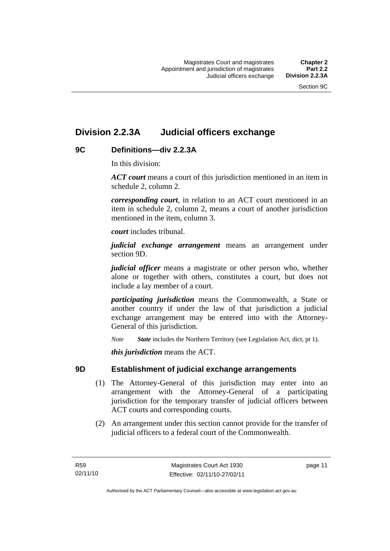### <span id="page-26-0"></span>**Division 2.2.3A Judicial officers exchange**

### **9C Definitions—div 2.2.3A**

In this division:

*ACT court* means a court of this jurisdiction mentioned in an item in schedule 2, column 2.

*corresponding court*, in relation to an ACT court mentioned in an item in schedule 2, column 2, means a court of another jurisdiction mentioned in the item, column 3.

*court* includes tribunal.

*judicial exchange arrangement* means an arrangement under section 9D.

*judicial officer* means a magistrate or other person who, whether alone or together with others, constitutes a court, but does not include a lay member of a court.

*participating jurisdiction* means the Commonwealth, a State or another country if under the law of that jurisdiction a judicial exchange arrangement may be entered into with the Attorney-General of this jurisdiction.

*Note State* includes the Northern Territory (see Legislation Act, dict, pt 1).

*this jurisdiction* means the ACT.

### **9D Establishment of judicial exchange arrangements**

- (1) The Attorney-General of this jurisdiction may enter into an arrangement with the Attorney-General of a participating jurisdiction for the temporary transfer of judicial officers between ACT courts and corresponding courts.
- (2) An arrangement under this section cannot provide for the transfer of judicial officers to a federal court of the Commonwealth.

page 11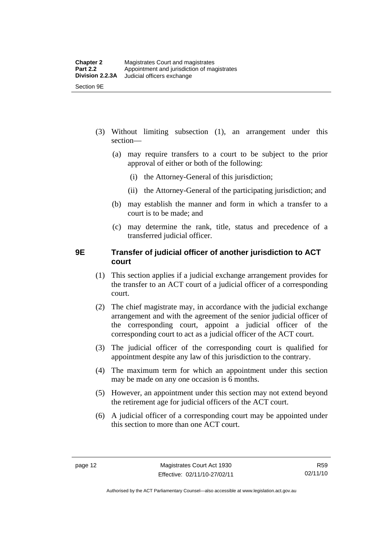- <span id="page-27-0"></span> (3) Without limiting subsection (1), an arrangement under this section—
	- (a) may require transfers to a court to be subject to the prior approval of either or both of the following:
		- (i) the Attorney-General of this jurisdiction;
		- (ii) the Attorney-General of the participating jurisdiction; and
	- (b) may establish the manner and form in which a transfer to a court is to be made; and
	- (c) may determine the rank, title, status and precedence of a transferred judicial officer.

### **9E Transfer of judicial officer of another jurisdiction to ACT court**

- (1) This section applies if a judicial exchange arrangement provides for the transfer to an ACT court of a judicial officer of a corresponding court.
- (2) The chief magistrate may, in accordance with the judicial exchange arrangement and with the agreement of the senior judicial officer of the corresponding court, appoint a judicial officer of the corresponding court to act as a judicial officer of the ACT court.
- (3) The judicial officer of the corresponding court is qualified for appointment despite any law of this jurisdiction to the contrary.
- (4) The maximum term for which an appointment under this section may be made on any one occasion is 6 months.
- (5) However, an appointment under this section may not extend beyond the retirement age for judicial officers of the ACT court.
- (6) A judicial officer of a corresponding court may be appointed under this section to more than one ACT court.

Authorised by the ACT Parliamentary Counsel—also accessible at www.legislation.act.gov.au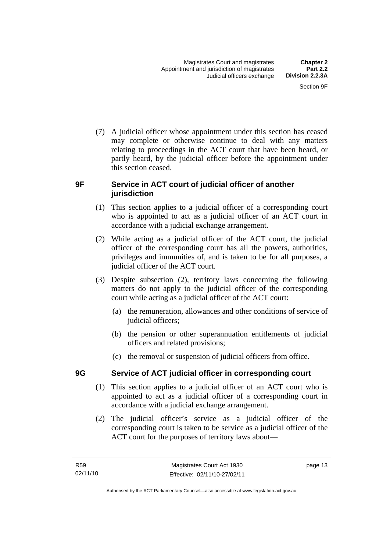<span id="page-28-0"></span> (7) A judicial officer whose appointment under this section has ceased may complete or otherwise continue to deal with any matters relating to proceedings in the ACT court that have been heard, or partly heard, by the judicial officer before the appointment under this section ceased.

### **9F Service in ACT court of judicial officer of another jurisdiction**

- (1) This section applies to a judicial officer of a corresponding court who is appointed to act as a judicial officer of an ACT court in accordance with a judicial exchange arrangement.
- (2) While acting as a judicial officer of the ACT court, the judicial officer of the corresponding court has all the powers, authorities, privileges and immunities of, and is taken to be for all purposes, a judicial officer of the ACT court.
- (3) Despite subsection (2), territory laws concerning the following matters do not apply to the judicial officer of the corresponding court while acting as a judicial officer of the ACT court:
	- (a) the remuneration, allowances and other conditions of service of judicial officers;
	- (b) the pension or other superannuation entitlements of judicial officers and related provisions;
	- (c) the removal or suspension of judicial officers from office.

### **9G Service of ACT judicial officer in corresponding court**

- (1) This section applies to a judicial officer of an ACT court who is appointed to act as a judicial officer of a corresponding court in accordance with a judicial exchange arrangement.
- (2) The judicial officer's service as a judicial officer of the corresponding court is taken to be service as a judicial officer of the ACT court for the purposes of territory laws about—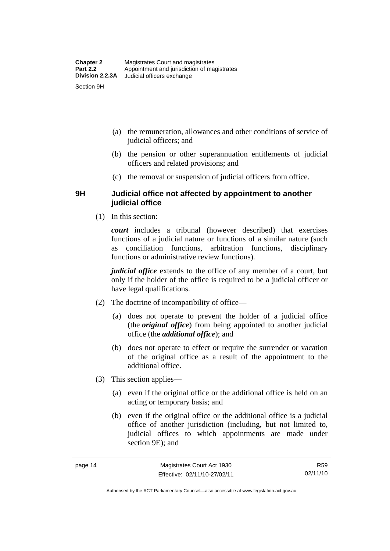- <span id="page-29-0"></span> (a) the remuneration, allowances and other conditions of service of judicial officers; and
- (b) the pension or other superannuation entitlements of judicial officers and related provisions; and
- (c) the removal or suspension of judicial officers from office.

### **9H Judicial office not affected by appointment to another judicial office**

(1) In this section:

*court* includes a tribunal (however described) that exercises functions of a judicial nature or functions of a similar nature (such as conciliation functions, arbitration functions, disciplinary functions or administrative review functions).

*judicial office* extends to the office of any member of a court, but only if the holder of the office is required to be a judicial officer or have legal qualifications.

- (2) The doctrine of incompatibility of office—
	- (a) does not operate to prevent the holder of a judicial office (the *original office*) from being appointed to another judicial office (the *additional office*); and
	- (b) does not operate to effect or require the surrender or vacation of the original office as a result of the appointment to the additional office.
- (3) This section applies—
	- (a) even if the original office or the additional office is held on an acting or temporary basis; and
	- (b) even if the original office or the additional office is a judicial office of another jurisdiction (including, but not limited to, judicial offices to which appointments are made under section 9E); and

Authorised by the ACT Parliamentary Counsel—also accessible at www.legislation.act.gov.au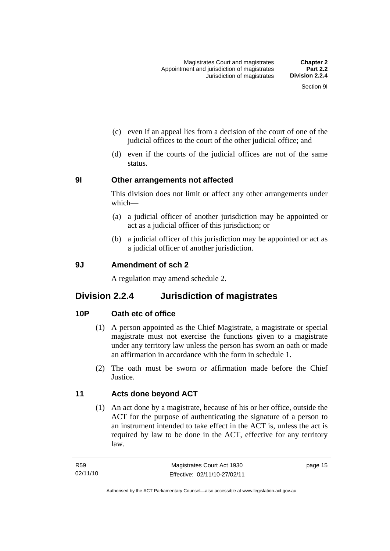- <span id="page-30-0"></span> (c) even if an appeal lies from a decision of the court of one of the judicial offices to the court of the other judicial office; and
- (d) even if the courts of the judicial offices are not of the same status.

### **9I Other arrangements not affected**

This division does not limit or affect any other arrangements under which—

- (a) a judicial officer of another jurisdiction may be appointed or act as a judicial officer of this jurisdiction; or
- (b) a judicial officer of this jurisdiction may be appointed or act as a judicial officer of another jurisdiction.

### **9J Amendment of sch 2**

A regulation may amend schedule 2.

### **Division 2.2.4 Jurisdiction of magistrates**

### **10P Oath etc of office**

- (1) A person appointed as the Chief Magistrate, a magistrate or special magistrate must not exercise the functions given to a magistrate under any territory law unless the person has sworn an oath or made an affirmation in accordance with the form in schedule 1.
- (2) The oath must be sworn or affirmation made before the Chief **Justice**

### **11 Acts done beyond ACT**

 (1) An act done by a magistrate, because of his or her office, outside the ACT for the purpose of authenticating the signature of a person to an instrument intended to take effect in the ACT is, unless the act is required by law to be done in the ACT, effective for any territory law.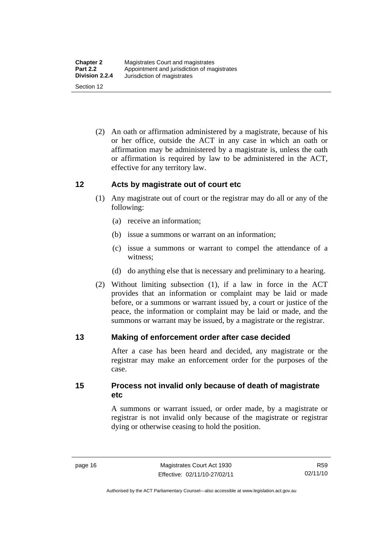<span id="page-31-0"></span> (2) An oath or affirmation administered by a magistrate, because of his or her office, outside the ACT in any case in which an oath or affirmation may be administered by a magistrate is, unless the oath or affirmation is required by law to be administered in the ACT, effective for any territory law.

### **12 Acts by magistrate out of court etc**

- (1) Any magistrate out of court or the registrar may do all or any of the following:
	- (a) receive an information;
	- (b) issue a summons or warrant on an information;
	- (c) issue a summons or warrant to compel the attendance of a witness;
	- (d) do anything else that is necessary and preliminary to a hearing.
- (2) Without limiting subsection (1), if a law in force in the ACT provides that an information or complaint may be laid or made before, or a summons or warrant issued by, a court or justice of the peace, the information or complaint may be laid or made, and the summons or warrant may be issued, by a magistrate or the registrar.

### **13 Making of enforcement order after case decided**

After a case has been heard and decided, any magistrate or the registrar may make an enforcement order for the purposes of the case.

**15 Process not invalid only because of death of magistrate etc** 

> A summons or warrant issued, or order made, by a magistrate or registrar is not invalid only because of the magistrate or registrar dying or otherwise ceasing to hold the position.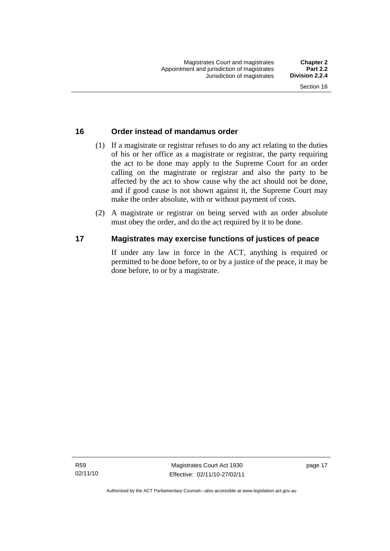### <span id="page-32-0"></span>**16 Order instead of mandamus order**

- (1) If a magistrate or registrar refuses to do any act relating to the duties of his or her office as a magistrate or registrar, the party requiring the act to be done may apply to the Supreme Court for an order calling on the magistrate or registrar and also the party to be affected by the act to show cause why the act should not be done, and if good cause is not shown against it, the Supreme Court may make the order absolute, with or without payment of costs.
- (2) A magistrate or registrar on being served with an order absolute must obey the order, and do the act required by it to be done.

### **17 Magistrates may exercise functions of justices of peace**

If under any law in force in the ACT, anything is required or permitted to be done before, to or by a justice of the peace, it may be done before, to or by a magistrate.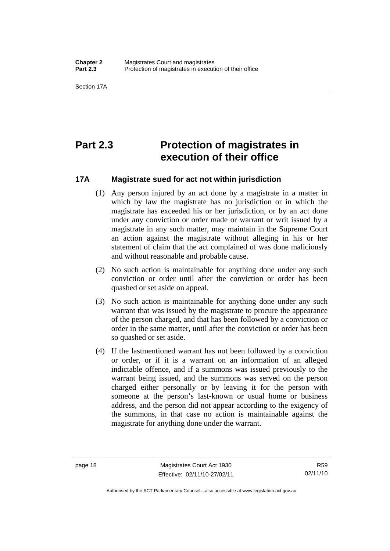<span id="page-33-0"></span>Section 17A

### **Part 2.3 Protection of magistrates in execution of their office**

### **17A Magistrate sued for act not within jurisdiction**

- (1) Any person injured by an act done by a magistrate in a matter in which by law the magistrate has no jurisdiction or in which the magistrate has exceeded his or her jurisdiction, or by an act done under any conviction or order made or warrant or writ issued by a magistrate in any such matter, may maintain in the Supreme Court an action against the magistrate without alleging in his or her statement of claim that the act complained of was done maliciously and without reasonable and probable cause.
- (2) No such action is maintainable for anything done under any such conviction or order until after the conviction or order has been quashed or set aside on appeal.
- (3) No such action is maintainable for anything done under any such warrant that was issued by the magistrate to procure the appearance of the person charged, and that has been followed by a conviction or order in the same matter, until after the conviction or order has been so quashed or set aside.
- (4) If the lastmentioned warrant has not been followed by a conviction or order, or if it is a warrant on an information of an alleged indictable offence, and if a summons was issued previously to the warrant being issued, and the summons was served on the person charged either personally or by leaving it for the person with someone at the person's last-known or usual home or business address, and the person did not appear according to the exigency of the summons, in that case no action is maintainable against the magistrate for anything done under the warrant.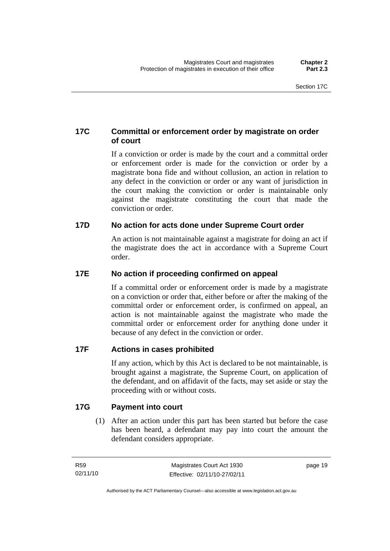### <span id="page-34-0"></span>**17C Committal or enforcement order by magistrate on order of court**

If a conviction or order is made by the court and a committal order or enforcement order is made for the conviction or order by a magistrate bona fide and without collusion, an action in relation to any defect in the conviction or order or any want of jurisdiction in the court making the conviction or order is maintainable only against the magistrate constituting the court that made the conviction or order.

### **17D No action for acts done under Supreme Court order**

An action is not maintainable against a magistrate for doing an act if the magistrate does the act in accordance with a Supreme Court order.

### **17E No action if proceeding confirmed on appeal**

If a committal order or enforcement order is made by a magistrate on a conviction or order that, either before or after the making of the committal order or enforcement order, is confirmed on appeal, an action is not maintainable against the magistrate who made the committal order or enforcement order for anything done under it because of any defect in the conviction or order.

### **17F Actions in cases prohibited**

If any action, which by this Act is declared to be not maintainable, is brought against a magistrate, the Supreme Court, on application of the defendant, and on affidavit of the facts, may set aside or stay the proceeding with or without costs.

### **17G Payment into court**

 (1) After an action under this part has been started but before the case has been heard, a defendant may pay into court the amount the defendant considers appropriate.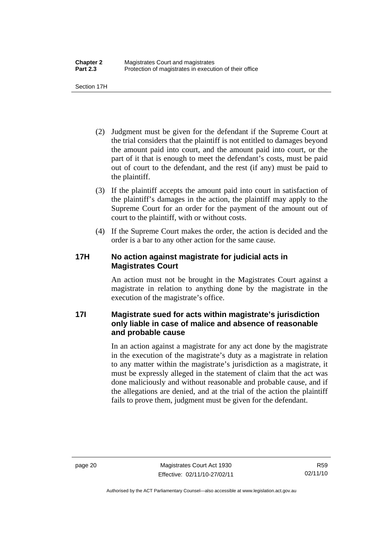<span id="page-35-0"></span>Section 17H

- (2) Judgment must be given for the defendant if the Supreme Court at the trial considers that the plaintiff is not entitled to damages beyond the amount paid into court, and the amount paid into court, or the part of it that is enough to meet the defendant's costs, must be paid out of court to the defendant, and the rest (if any) must be paid to the plaintiff.
- (3) If the plaintiff accepts the amount paid into court in satisfaction of the plaintiff's damages in the action, the plaintiff may apply to the Supreme Court for an order for the payment of the amount out of court to the plaintiff, with or without costs.
- (4) If the Supreme Court makes the order, the action is decided and the order is a bar to any other action for the same cause.

### **17H No action against magistrate for judicial acts in Magistrates Court**

An action must not be brought in the Magistrates Court against a magistrate in relation to anything done by the magistrate in the execution of the magistrate's office.

### **17I Magistrate sued for acts within magistrate's jurisdiction only liable in case of malice and absence of reasonable and probable cause**

In an action against a magistrate for any act done by the magistrate in the execution of the magistrate's duty as a magistrate in relation to any matter within the magistrate's jurisdiction as a magistrate, it must be expressly alleged in the statement of claim that the act was done maliciously and without reasonable and probable cause, and if the allegations are denied, and at the trial of the action the plaintiff fails to prove them, judgment must be given for the defendant.

R59 02/11/10

Authorised by the ACT Parliamentary Counsel—also accessible at www.legislation.act.gov.au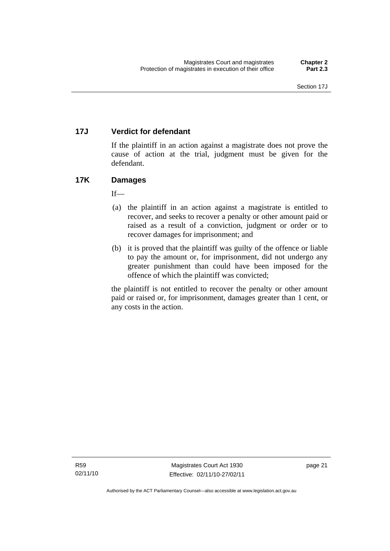# **17J Verdict for defendant**

If the plaintiff in an action against a magistrate does not prove the cause of action at the trial, judgment must be given for the defendant.

# **17K Damages**

 $If$ —

- (a) the plaintiff in an action against a magistrate is entitled to recover, and seeks to recover a penalty or other amount paid or raised as a result of a conviction, judgment or order or to recover damages for imprisonment; and
- (b) it is proved that the plaintiff was guilty of the offence or liable to pay the amount or, for imprisonment, did not undergo any greater punishment than could have been imposed for the offence of which the plaintiff was convicted;

the plaintiff is not entitled to recover the penalty or other amount paid or raised or, for imprisonment, damages greater than 1 cent, or any costs in the action.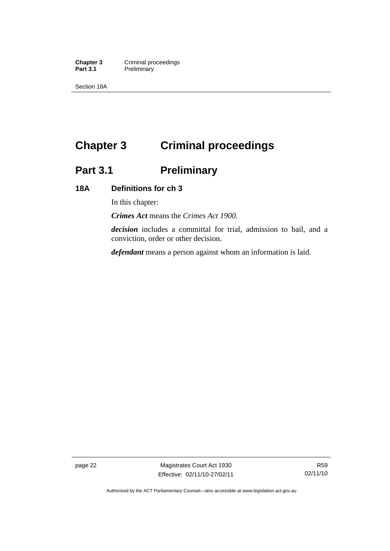**Chapter 3 Criminal proceedings**<br> **Part 3.1 Preliminary Preliminary** 

Section 18A

# **Chapter 3 Criminal proceedings**

# **Part 3.1 Preliminary**

# **18A Definitions for ch 3**

In this chapter:

*Crimes Act* means the *Crimes Act 1900*.

*decision* includes a committal for trial, admission to bail, and a conviction, order or other decision.

*defendant* means a person against whom an information is laid.

page 22 Magistrates Court Act 1930 Effective: 02/11/10-27/02/11

Authorised by the ACT Parliamentary Counsel—also accessible at www.legislation.act.gov.au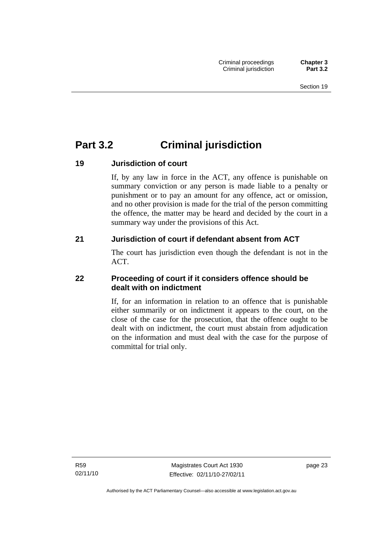# **Part 3.2 Criminal jurisdiction**

# **19 Jurisdiction of court**

If, by any law in force in the ACT, any offence is punishable on summary conviction or any person is made liable to a penalty or punishment or to pay an amount for any offence, act or omission, and no other provision is made for the trial of the person committing the offence, the matter may be heard and decided by the court in a summary way under the provisions of this Act.

# **21 Jurisdiction of court if defendant absent from ACT**

The court has jurisdiction even though the defendant is not in the ACT.

# **22 Proceeding of court if it considers offence should be dealt with on indictment**

If, for an information in relation to an offence that is punishable either summarily or on indictment it appears to the court, on the close of the case for the prosecution, that the offence ought to be dealt with on indictment, the court must abstain from adjudication on the information and must deal with the case for the purpose of committal for trial only.

R59 02/11/10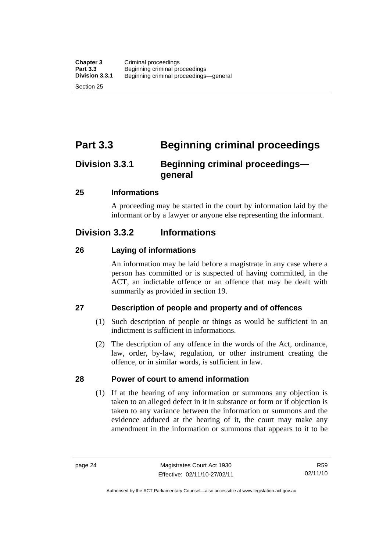Section 25

# **Part 3.3 Beginning criminal proceedings**

# **Division 3.3.1 Beginning criminal proceedings general**

# **25 Informations**

A proceeding may be started in the court by information laid by the informant or by a lawyer or anyone else representing the informant.

# **Division 3.3.2 Informations**

# **26 Laying of informations**

An information may be laid before a magistrate in any case where a person has committed or is suspected of having committed, in the ACT, an indictable offence or an offence that may be dealt with summarily as provided in section 19.

# **27 Description of people and property and of offences**

- (1) Such description of people or things as would be sufficient in an indictment is sufficient in informations.
- (2) The description of any offence in the words of the Act, ordinance, law, order, by-law, regulation, or other instrument creating the offence, or in similar words, is sufficient in law.

# **28 Power of court to amend information**

 (1) If at the hearing of any information or summons any objection is taken to an alleged defect in it in substance or form or if objection is taken to any variance between the information or summons and the evidence adduced at the hearing of it, the court may make any amendment in the information or summons that appears to it to be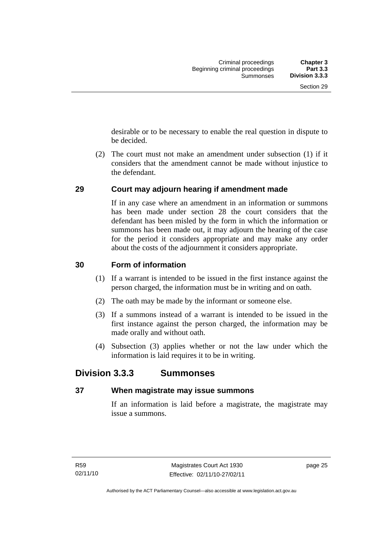desirable or to be necessary to enable the real question in dispute to be decided.

 (2) The court must not make an amendment under subsection (1) if it considers that the amendment cannot be made without injustice to the defendant.

# **29 Court may adjourn hearing if amendment made**

If in any case where an amendment in an information or summons has been made under section 28 the court considers that the defendant has been misled by the form in which the information or summons has been made out, it may adjourn the hearing of the case for the period it considers appropriate and may make any order about the costs of the adjournment it considers appropriate.

# **30 Form of information**

- (1) If a warrant is intended to be issued in the first instance against the person charged, the information must be in writing and on oath.
- (2) The oath may be made by the informant or someone else.
- (3) If a summons instead of a warrant is intended to be issued in the first instance against the person charged, the information may be made orally and without oath.
- (4) Subsection (3) applies whether or not the law under which the information is laid requires it to be in writing.

# **Division 3.3.3 Summonses**

# **37 When magistrate may issue summons**

If an information is laid before a magistrate, the magistrate may issue a summons.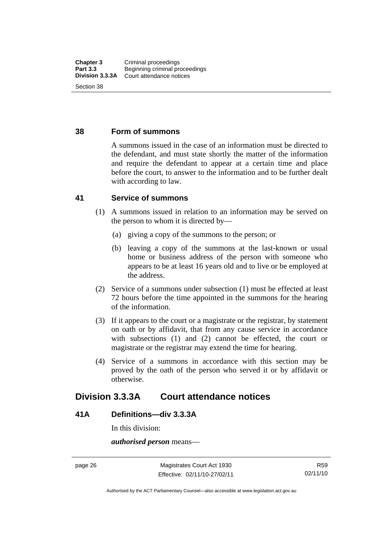### **38 Form of summons**

A summons issued in the case of an information must be directed to the defendant, and must state shortly the matter of the information and require the defendant to appear at a certain time and place before the court, to answer to the information and to be further dealt with according to law.

# **41 Service of summons**

- (1) A summons issued in relation to an information may be served on the person to whom it is directed by—
	- (a) giving a copy of the summons to the person; or
	- (b) leaving a copy of the summons at the last-known or usual home or business address of the person with someone who appears to be at least 16 years old and to live or be employed at the address.
- (2) Service of a summons under subsection (1) must be effected at least 72 hours before the time appointed in the summons for the hearing of the information.
- (3) If it appears to the court or a magistrate or the registrar, by statement on oath or by affidavit, that from any cause service in accordance with subsections (1) and (2) cannot be effected, the court or magistrate or the registrar may extend the time for hearing.
- (4) Service of a summons in accordance with this section may be proved by the oath of the person who served it or by affidavit or otherwise.

# **Division 3.3.3A Court attendance notices**

# **41A Definitions—div 3.3.3A**

In this division:

*authorised person* means—

page 26 Magistrates Court Act 1930 Effective: 02/11/10-27/02/11

Authorised by the ACT Parliamentary Counsel—also accessible at www.legislation.act.gov.au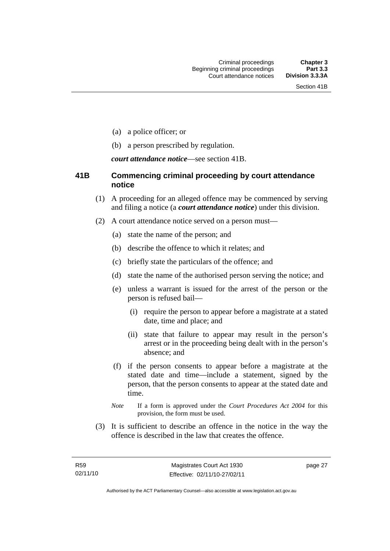- (a) a police officer; or
- (b) a person prescribed by regulation.

*court attendance notice*—see section 41B.

# **41B Commencing criminal proceeding by court attendance notice**

- (1) A proceeding for an alleged offence may be commenced by serving and filing a notice (a *court attendance notice*) under this division.
- (2) A court attendance notice served on a person must––
	- (a) state the name of the person; and
	- (b) describe the offence to which it relates; and
	- (c) briefly state the particulars of the offence; and
	- (d) state the name of the authorised person serving the notice; and
	- (e) unless a warrant is issued for the arrest of the person or the person is refused bail—
		- (i) require the person to appear before a magistrate at a stated date, time and place; and
		- (ii) state that failure to appear may result in the person's arrest or in the proceeding being dealt with in the person's absence; and
	- (f) if the person consents to appear before a magistrate at the stated date and time—include a statement, signed by the person, that the person consents to appear at the stated date and time.
	- *Note* If a form is approved under the *Court Procedures Act 2004* for this provision, the form must be used.
- (3) It is sufficient to describe an offence in the notice in the way the offence is described in the law that creates the offence.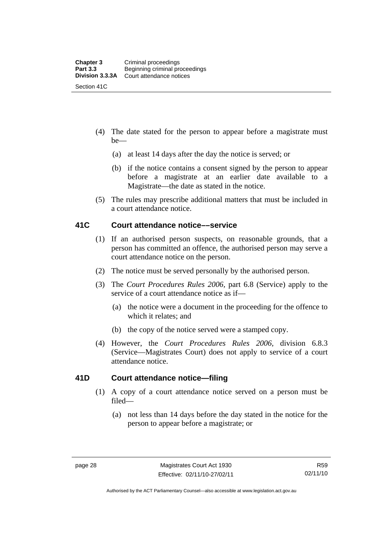- (4) The date stated for the person to appear before a magistrate must be—
	- (a) at least 14 days after the day the notice is served; or
	- (b) if the notice contains a consent signed by the person to appear before a magistrate at an earlier date available to a Magistrate—the date as stated in the notice.
- (5) The rules may prescribe additional matters that must be included in a court attendance notice.

# **41C Court attendance notice––service**

- (1) If an authorised person suspects, on reasonable grounds, that a person has committed an offence, the authorised person may serve a court attendance notice on the person.
- (2) The notice must be served personally by the authorised person.
- (3) The *Court Procedures Rules 2006,* part 6.8 (Service) apply to the service of a court attendance notice as if—
	- (a) the notice were a document in the proceeding for the offence to which it relates; and
	- (b) the copy of the notice served were a stamped copy.
- (4) However, the *Court Procedures Rules 2006,* division 6.8.3 (Service—Magistrates Court) does not apply to service of a court attendance notice.

# **41D Court attendance notice—filing**

- (1) A copy of a court attendance notice served on a person must be filed—
	- (a) not less than 14 days before the day stated in the notice for the person to appear before a magistrate; or

Authorised by the ACT Parliamentary Counsel—also accessible at www.legislation.act.gov.au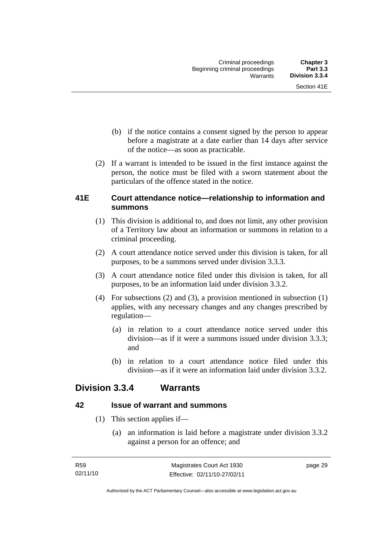- (b) if the notice contains a consent signed by the person to appear before a magistrate at a date earlier than 14 days after service of the notice—as soon as practicable.
- (2) If a warrant is intended to be issued in the first instance against the person, the notice must be filed with a sworn statement about the particulars of the offence stated in the notice.

# **41E Court attendance notice—relationship to information and summons**

- (1) This division is additional to, and does not limit, any other provision of a Territory law about an information or summons in relation to a criminal proceeding.
- (2) A court attendance notice served under this division is taken, for all purposes, to be a summons served under division 3.3.3.
- (3) A court attendance notice filed under this division is taken, for all purposes, to be an information laid under division 3.3.2.
- (4) For subsections (2) and (3), a provision mentioned in subsection (1) applies, with any necessary changes and any changes prescribed by regulation—
	- (a) in relation to a court attendance notice served under this division—as if it were a summons issued under division 3.3.3; and
	- (b) in relation to a court attendance notice filed under this division—as if it were an information laid under division 3.3.2.

# **Division 3.3.4 Warrants**

# **42 Issue of warrant and summons**

- (1) This section applies if—
	- (a) an information is laid before a magistrate under division 3.3.2 against a person for an offence; and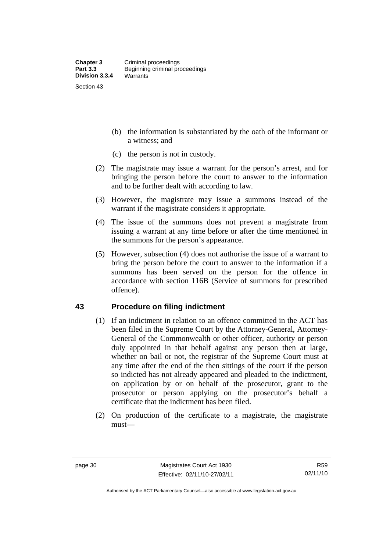- (b) the information is substantiated by the oath of the informant or a witness; and
- (c) the person is not in custody.
- (2) The magistrate may issue a warrant for the person's arrest, and for bringing the person before the court to answer to the information and to be further dealt with according to law.
- (3) However, the magistrate may issue a summons instead of the warrant if the magistrate considers it appropriate.
- (4) The issue of the summons does not prevent a magistrate from issuing a warrant at any time before or after the time mentioned in the summons for the person's appearance.
- (5) However, subsection (4) does not authorise the issue of a warrant to bring the person before the court to answer to the information if a summons has been served on the person for the offence in accordance with section 116B (Service of summons for prescribed offence).

# **43 Procedure on filing indictment**

- (1) If an indictment in relation to an offence committed in the ACT has been filed in the Supreme Court by the Attorney-General, Attorney-General of the Commonwealth or other officer, authority or person duly appointed in that behalf against any person then at large, whether on bail or not, the registrar of the Supreme Court must at any time after the end of the then sittings of the court if the person so indicted has not already appeared and pleaded to the indictment, on application by or on behalf of the prosecutor, grant to the prosecutor or person applying on the prosecutor's behalf a certificate that the indictment has been filed.
- (2) On production of the certificate to a magistrate, the magistrate must—

Authorised by the ACT Parliamentary Counsel—also accessible at www.legislation.act.gov.au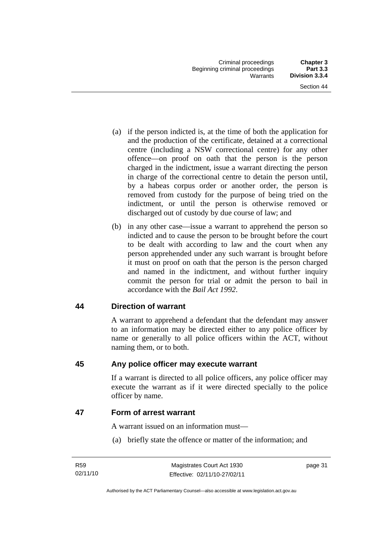- (a) if the person indicted is, at the time of both the application for and the production of the certificate, detained at a correctional centre (including a NSW correctional centre) for any other offence—on proof on oath that the person is the person charged in the indictment, issue a warrant directing the person in charge of the correctional centre to detain the person until, by a habeas corpus order or another order, the person is removed from custody for the purpose of being tried on the indictment, or until the person is otherwise removed or discharged out of custody by due course of law; and
- (b) in any other case—issue a warrant to apprehend the person so indicted and to cause the person to be brought before the court to be dealt with according to law and the court when any person apprehended under any such warrant is brought before it must on proof on oath that the person is the person charged and named in the indictment, and without further inquiry commit the person for trial or admit the person to bail in accordance with the *Bail Act 1992*.

# **44 Direction of warrant**

A warrant to apprehend a defendant that the defendant may answer to an information may be directed either to any police officer by name or generally to all police officers within the ACT, without naming them, or to both.

# **45 Any police officer may execute warrant**

If a warrant is directed to all police officers, any police officer may execute the warrant as if it were directed specially to the police officer by name.

**47 Form of arrest warrant** 

A warrant issued on an information must—

(a) briefly state the offence or matter of the information; and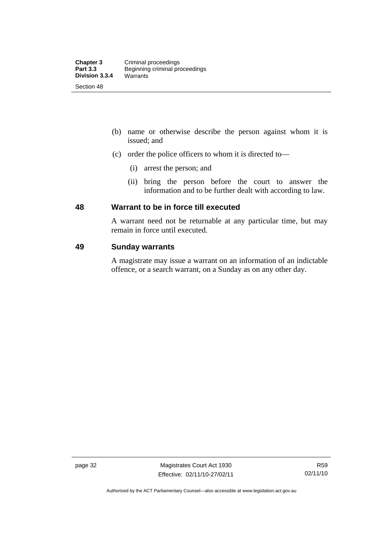- (b) name or otherwise describe the person against whom it is issued; and
- (c) order the police officers to whom it is directed to—
	- (i) arrest the person; and
	- (ii) bring the person before the court to answer the information and to be further dealt with according to law.

# **48 Warrant to be in force till executed**

A warrant need not be returnable at any particular time, but may remain in force until executed.

# **49 Sunday warrants**

A magistrate may issue a warrant on an information of an indictable offence, or a search warrant, on a Sunday as on any other day.

page 32 Magistrates Court Act 1930 Effective: 02/11/10-27/02/11

Authorised by the ACT Parliamentary Counsel—also accessible at www.legislation.act.gov.au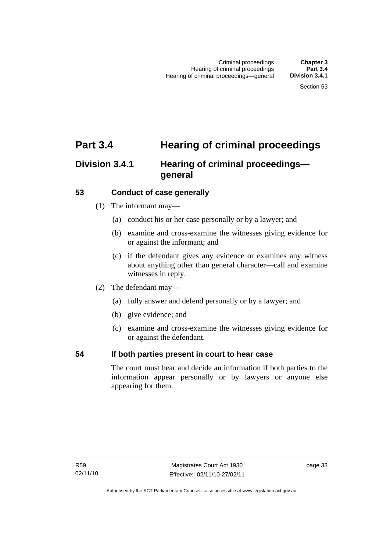# **Part 3.4 Hearing of criminal proceedings**

# **Division 3.4.1 Hearing of criminal proceedings general**

# **53 Conduct of case generally**

- (1) The informant may—
	- (a) conduct his or her case personally or by a lawyer; and
	- (b) examine and cross-examine the witnesses giving evidence for or against the informant; and
	- (c) if the defendant gives any evidence or examines any witness about anything other than general character—call and examine witnesses in reply.
- (2) The defendant may—
	- (a) fully answer and defend personally or by a lawyer; and
	- (b) give evidence; and
	- (c) examine and cross-examine the witnesses giving evidence for or against the defendant.

# **54 If both parties present in court to hear case**

The court must hear and decide an information if both parties to the information appear personally or by lawyers or anyone else appearing for them.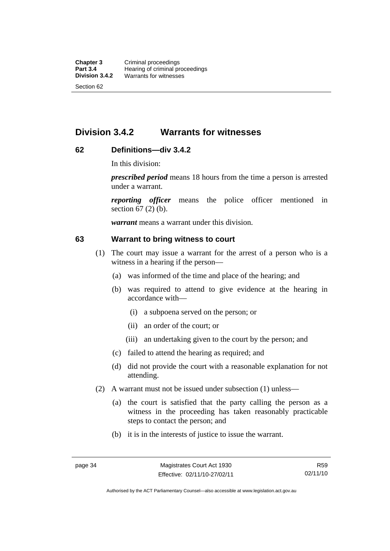# **Division 3.4.2 Warrants for witnesses**

# **62 Definitions—div 3.4.2**

In this division:

*prescribed period* means 18 hours from the time a person is arrested under a warrant.

*reporting officer* means the police officer mentioned in section 67 (2) (b).

*warrant* means a warrant under this division.

### **63 Warrant to bring witness to court**

- (1) The court may issue a warrant for the arrest of a person who is a witness in a hearing if the person—
	- (a) was informed of the time and place of the hearing; and
	- (b) was required to attend to give evidence at the hearing in accordance with—
		- (i) a subpoena served on the person; or
		- (ii) an order of the court; or
		- (iii) an undertaking given to the court by the person; and
	- (c) failed to attend the hearing as required; and
	- (d) did not provide the court with a reasonable explanation for not attending.
- (2) A warrant must not be issued under subsection (1) unless—
	- (a) the court is satisfied that the party calling the person as a witness in the proceeding has taken reasonably practicable steps to contact the person; and
	- (b) it is in the interests of justice to issue the warrant.

Authorised by the ACT Parliamentary Counsel—also accessible at www.legislation.act.gov.au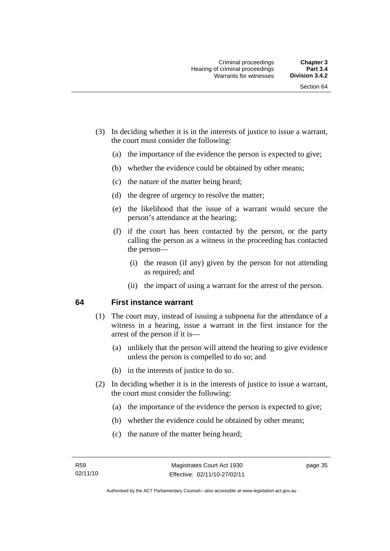- (3) In deciding whether it is in the interests of justice to issue a warrant, the court must consider the following:
	- (a) the importance of the evidence the person is expected to give;
	- (b) whether the evidence could be obtained by other means;
	- (c) the nature of the matter being heard;
	- (d) the degree of urgency to resolve the matter;
	- (e) the likelihood that the issue of a warrant would secure the person's attendance at the hearing;
	- (f) if the court has been contacted by the person, or the party calling the person as a witness in the proceeding has contacted the person—
		- (i) the reason (if any) given by the person for not attending as required; and
		- (ii) the impact of using a warrant for the arrest of the person.

# **64 First instance warrant**

- (1) The court may, instead of issuing a subpoena for the attendance of a witness in a hearing, issue a warrant in the first instance for the arrest of the person if it is—
	- (a) unlikely that the person will attend the hearing to give evidence unless the person is compelled to do so; and
	- (b) in the interests of justice to do so.
- (2) In deciding whether it is in the interests of justice to issue a warrant, the court must consider the following:
	- (a) the importance of the evidence the person is expected to give;
	- (b) whether the evidence could be obtained by other means;
	- (c) the nature of the matter being heard;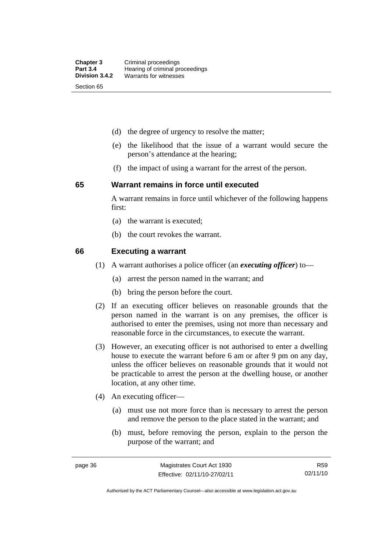- (d) the degree of urgency to resolve the matter;
- (e) the likelihood that the issue of a warrant would secure the person's attendance at the hearing;
- (f) the impact of using a warrant for the arrest of the person.

#### **65 Warrant remains in force until executed**

A warrant remains in force until whichever of the following happens first:

- (a) the warrant is executed;
- (b) the court revokes the warrant.

#### **66 Executing a warrant**

- (1) A warrant authorises a police officer (an *executing officer*) to—
	- (a) arrest the person named in the warrant; and
	- (b) bring the person before the court.
- (2) If an executing officer believes on reasonable grounds that the person named in the warrant is on any premises, the officer is authorised to enter the premises, using not more than necessary and reasonable force in the circumstances, to execute the warrant.
- (3) However, an executing officer is not authorised to enter a dwelling house to execute the warrant before 6 am or after 9 pm on any day, unless the officer believes on reasonable grounds that it would not be practicable to arrest the person at the dwelling house, or another location, at any other time.
- (4) An executing officer—
	- (a) must use not more force than is necessary to arrest the person and remove the person to the place stated in the warrant; and
	- (b) must, before removing the person, explain to the person the purpose of the warrant; and

R59 02/11/10

Authorised by the ACT Parliamentary Counsel—also accessible at www.legislation.act.gov.au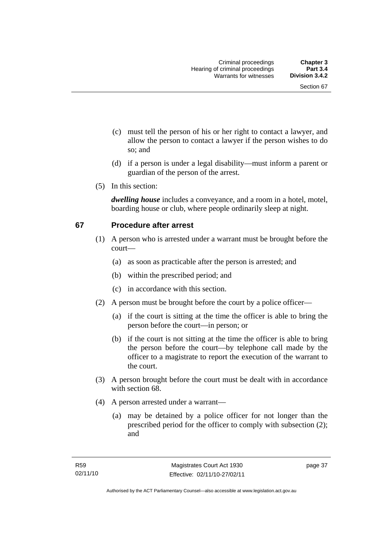- (c) must tell the person of his or her right to contact a lawyer, and allow the person to contact a lawyer if the person wishes to do so; and
- (d) if a person is under a legal disability—must inform a parent or guardian of the person of the arrest.
- (5) In this section:

*dwelling house* includes a conveyance, and a room in a hotel, motel, boarding house or club, where people ordinarily sleep at night.

# **67 Procedure after arrest**

- (1) A person who is arrested under a warrant must be brought before the court—
	- (a) as soon as practicable after the person is arrested; and
	- (b) within the prescribed period; and
	- (c) in accordance with this section.
- (2) A person must be brought before the court by a police officer—
	- (a) if the court is sitting at the time the officer is able to bring the person before the court—in person; or
	- (b) if the court is not sitting at the time the officer is able to bring the person before the court—by telephone call made by the officer to a magistrate to report the execution of the warrant to the court.
- (3) A person brought before the court must be dealt with in accordance with section 68.
- (4) A person arrested under a warrant—
	- (a) may be detained by a police officer for not longer than the prescribed period for the officer to comply with subsection (2); and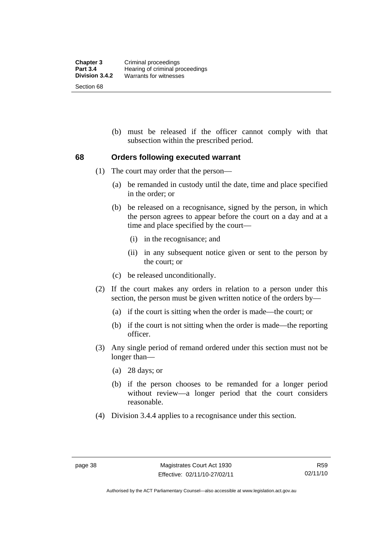(b) must be released if the officer cannot comply with that subsection within the prescribed period.

### **68 Orders following executed warrant**

- (1) The court may order that the person—
	- (a) be remanded in custody until the date, time and place specified in the order; or
	- (b) be released on a recognisance, signed by the person, in which the person agrees to appear before the court on a day and at a time and place specified by the court—
		- (i) in the recognisance; and
		- (ii) in any subsequent notice given or sent to the person by the court; or
	- (c) be released unconditionally.
- (2) If the court makes any orders in relation to a person under this section, the person must be given written notice of the orders by—
	- (a) if the court is sitting when the order is made—the court; or
	- (b) if the court is not sitting when the order is made—the reporting officer.
- (3) Any single period of remand ordered under this section must not be longer than—
	- (a) 28 days; or
	- (b) if the person chooses to be remanded for a longer period without review—a longer period that the court considers reasonable.
- (4) Division 3.4.4 applies to a recognisance under this section.

Authorised by the ACT Parliamentary Counsel—also accessible at www.legislation.act.gov.au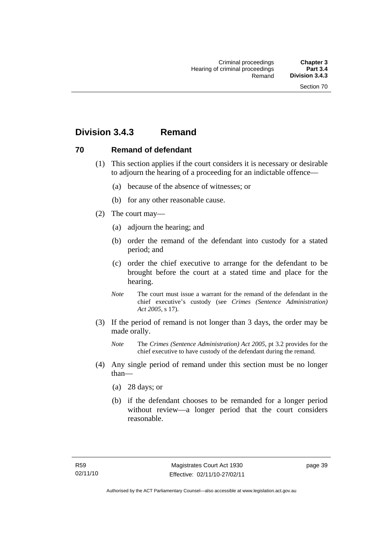# **Division 3.4.3 Remand**

# **70 Remand of defendant**

- (1) This section applies if the court considers it is necessary or desirable to adjourn the hearing of a proceeding for an indictable offence—
	- (a) because of the absence of witnesses; or
	- (b) for any other reasonable cause.
- (2) The court may—
	- (a) adjourn the hearing; and
	- (b) order the remand of the defendant into custody for a stated period; and
	- (c) order the chief executive to arrange for the defendant to be brought before the court at a stated time and place for the hearing.
	- *Note* The court must issue a warrant for the remand of the defendant in the chief executive's custody (see *Crimes (Sentence Administration) Act 2005*, s 17).
- (3) If the period of remand is not longer than 3 days, the order may be made orally.
	- *Note* The *Crimes (Sentence Administration) Act 2005*, pt 3.2 provides for the chief executive to have custody of the defendant during the remand.
- (4) Any single period of remand under this section must be no longer than—
	- (a) 28 days; or
	- (b) if the defendant chooses to be remanded for a longer period without review—a longer period that the court considers reasonable.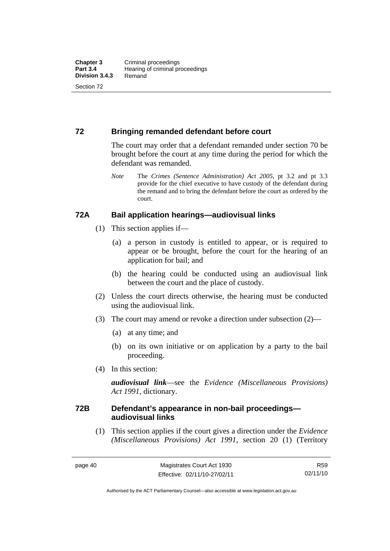# **72 Bringing remanded defendant before court**

The court may order that a defendant remanded under section 70 be brought before the court at any time during the period for which the defendant was remanded.

*Note* The *Crimes (Sentence Administration) Act 2005*, pt 3.2 and pt 3.3 provide for the chief executive to have custody of the defendant during the remand and to bring the defendant before the court as ordered by the court.

# **72A Bail application hearings—audiovisual links**

- (1) This section applies if—
	- (a) a person in custody is entitled to appear, or is required to appear or be brought, before the court for the hearing of an application for bail; and
	- (b) the hearing could be conducted using an audiovisual link between the court and the place of custody.
- (2) Unless the court directs otherwise, the hearing must be conducted using the audiovisual link.
- (3) The court may amend or revoke a direction under subsection (2)—
	- (a) at any time; and
	- (b) on its own initiative or on application by a party to the bail proceeding.
- (4) In this section:

*audiovisual link*—see the *Evidence (Miscellaneous Provisions) Act 1991*, dictionary.

# **72B Defendant's appearance in non-bail proceedings audiovisual links**

 (1) This section applies if the court gives a direction under the *Evidence (Miscellaneous Provisions) Act 1991*, section 20 (1) (Territory

R59 02/11/10

Authorised by the ACT Parliamentary Counsel—also accessible at www.legislation.act.gov.au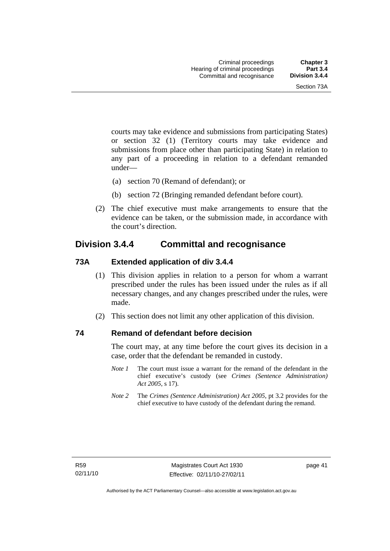courts may take evidence and submissions from participating States) or section 32 (1) (Territory courts may take evidence and submissions from place other than participating State) in relation to any part of a proceeding in relation to a defendant remanded under—

- (a) section 70 (Remand of defendant); or
- (b) section 72 (Bringing remanded defendant before court).
- (2) The chief executive must make arrangements to ensure that the evidence can be taken, or the submission made, in accordance with the court's direction.

# **Division 3.4.4 Committal and recognisance**

# **73A Extended application of div 3.4.4**

- (1) This division applies in relation to a person for whom a warrant prescribed under the rules has been issued under the rules as if all necessary changes, and any changes prescribed under the rules, were made.
- (2) This section does not limit any other application of this division.

# **74 Remand of defendant before decision**

The court may, at any time before the court gives its decision in a case, order that the defendant be remanded in custody.

- *Note 1* The court must issue a warrant for the remand of the defendant in the chief executive's custody (see *Crimes (Sentence Administration) Act 2005*, s 17).
- *Note 2* The *Crimes (Sentence Administration) Act 2005*, pt 3.2 provides for the chief executive to have custody of the defendant during the remand.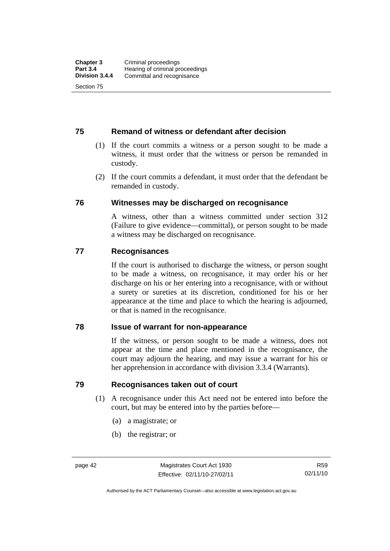# **75 Remand of witness or defendant after decision**

- (1) If the court commits a witness or a person sought to be made a witness, it must order that the witness or person be remanded in custody.
- (2) If the court commits a defendant, it must order that the defendant be remanded in custody.

# **76 Witnesses may be discharged on recognisance**

A witness, other than a witness committed under section 312 (Failure to give evidence—committal), or person sought to be made a witness may be discharged on recognisance.

# **77 Recognisances**

If the court is authorised to discharge the witness, or person sought to be made a witness, on recognisance, it may order his or her discharge on his or her entering into a recognisance, with or without a surety or sureties at its discretion, conditioned for his or her appearance at the time and place to which the hearing is adjourned, or that is named in the recognisance.

# **78 Issue of warrant for non-appearance**

If the witness, or person sought to be made a witness, does not appear at the time and place mentioned in the recognisance, the court may adjourn the hearing, and may issue a warrant for his or her apprehension in accordance with division 3.3.4 (Warrants).

# **79 Recognisances taken out of court**

- (1) A recognisance under this Act need not be entered into before the court, but may be entered into by the parties before—
	- (a) a magistrate; or
	- (b) the registrar; or

Authorised by the ACT Parliamentary Counsel—also accessible at www.legislation.act.gov.au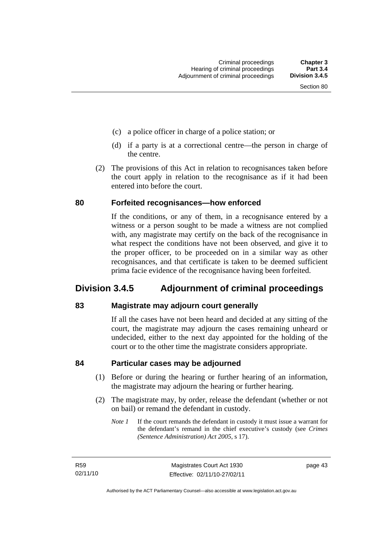- (c) a police officer in charge of a police station; or
- (d) if a party is at a correctional centre—the person in charge of the centre.
- (2) The provisions of this Act in relation to recognisances taken before the court apply in relation to the recognisance as if it had been entered into before the court.

# **80 Forfeited recognisances—how enforced**

If the conditions, or any of them, in a recognisance entered by a witness or a person sought to be made a witness are not complied with, any magistrate may certify on the back of the recognisance in what respect the conditions have not been observed, and give it to the proper officer, to be proceeded on in a similar way as other recognisances, and that certificate is taken to be deemed sufficient prima facie evidence of the recognisance having been forfeited.

# **Division 3.4.5 Adjournment of criminal proceedings**

# **83 Magistrate may adjourn court generally**

If all the cases have not been heard and decided at any sitting of the court, the magistrate may adjourn the cases remaining unheard or undecided, either to the next day appointed for the holding of the court or to the other time the magistrate considers appropriate.

# **84 Particular cases may be adjourned**

- (1) Before or during the hearing or further hearing of an information, the magistrate may adjourn the hearing or further hearing.
- (2) The magistrate may, by order, release the defendant (whether or not on bail) or remand the defendant in custody.
	- *Note 1* If the court remands the defendant in custody it must issue a warrant for the defendant's remand in the chief executive's custody (see *Crimes (Sentence Administration) Act 2005*, s 17).

R59 02/11/10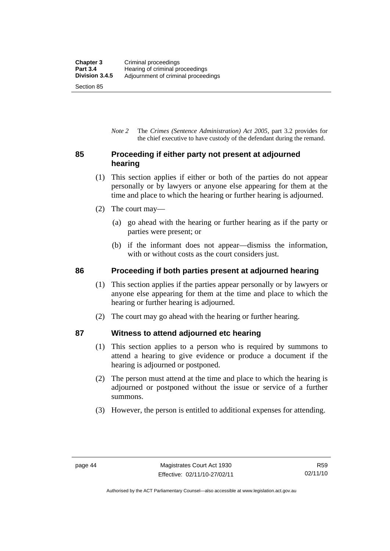*Note 2* The *Crimes (Sentence Administration) Act 2005*, part 3.2 provides for the chief executive to have custody of the defendant during the remand.

# **85 Proceeding if either party not present at adjourned hearing**

- (1) This section applies if either or both of the parties do not appear personally or by lawyers or anyone else appearing for them at the time and place to which the hearing or further hearing is adjourned.
- (2) The court may—
	- (a) go ahead with the hearing or further hearing as if the party or parties were present; or
	- (b) if the informant does not appear—dismiss the information, with or without costs as the court considers just.

# **86 Proceeding if both parties present at adjourned hearing**

- (1) This section applies if the parties appear personally or by lawyers or anyone else appearing for them at the time and place to which the hearing or further hearing is adjourned.
- (2) The court may go ahead with the hearing or further hearing.

# **87 Witness to attend adjourned etc hearing**

- (1) This section applies to a person who is required by summons to attend a hearing to give evidence or produce a document if the hearing is adjourned or postponed.
- (2) The person must attend at the time and place to which the hearing is adjourned or postponed without the issue or service of a further summons.
- (3) However, the person is entitled to additional expenses for attending.

Authorised by the ACT Parliamentary Counsel—also accessible at www.legislation.act.gov.au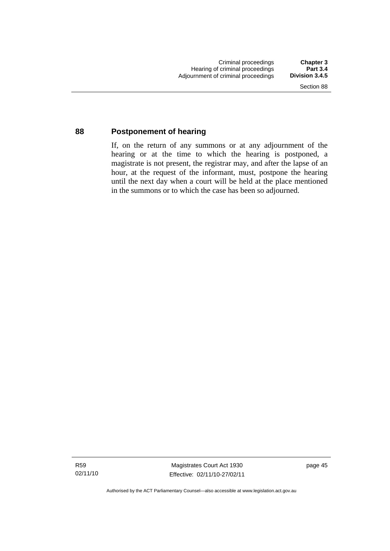# **88 Postponement of hearing**

If, on the return of any summons or at any adjournment of the hearing or at the time to which the hearing is postponed, a magistrate is not present, the registrar may, and after the lapse of an hour, at the request of the informant, must, postpone the hearing until the next day when a court will be held at the place mentioned in the summons or to which the case has been so adjourned.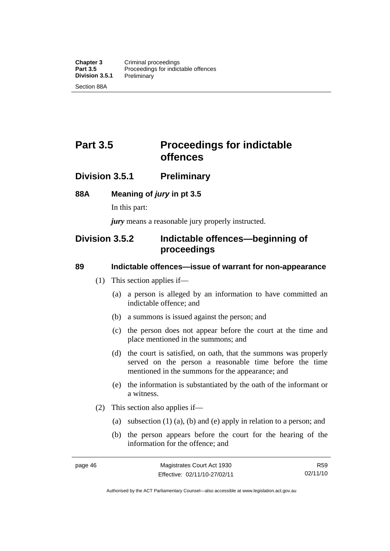# **Part 3.5** Proceedings for indictable **offences**

# **Division 3.5.1 Preliminary**

# **88A Meaning of** *jury* **in pt 3.5**

In this part:

*jury* means a reasonable jury properly instructed.

# **Division 3.5.2 Indictable offences—beginning of proceedings**

### **89 Indictable offences—issue of warrant for non-appearance**

- (1) This section applies if—
	- (a) a person is alleged by an information to have committed an indictable offence; and
	- (b) a summons is issued against the person; and
	- (c) the person does not appear before the court at the time and place mentioned in the summons; and
	- (d) the court is satisfied, on oath, that the summons was properly served on the person a reasonable time before the time mentioned in the summons for the appearance; and
	- (e) the information is substantiated by the oath of the informant or a witness.
- (2) This section also applies if—
	- (a) subsection (1) (a), (b) and (e) apply in relation to a person; and
	- (b) the person appears before the court for the hearing of the information for the offence; and

R59 02/11/10

Authorised by the ACT Parliamentary Counsel—also accessible at www.legislation.act.gov.au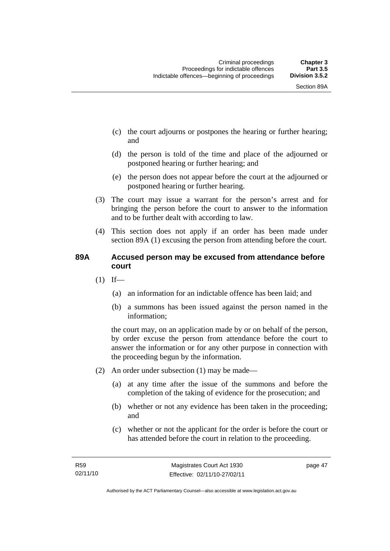- (c) the court adjourns or postpones the hearing or further hearing; and
- (d) the person is told of the time and place of the adjourned or postponed hearing or further hearing; and
- (e) the person does not appear before the court at the adjourned or postponed hearing or further hearing.
- (3) The court may issue a warrant for the person's arrest and for bringing the person before the court to answer to the information and to be further dealt with according to law.
- (4) This section does not apply if an order has been made under section 89A (1) excusing the person from attending before the court.

# **89A Accused person may be excused from attendance before court**

- $(1)$  If—
	- (a) an information for an indictable offence has been laid; and
	- (b) a summons has been issued against the person named in the information;

the court may, on an application made by or on behalf of the person, by order excuse the person from attendance before the court to answer the information or for any other purpose in connection with the proceeding begun by the information.

- (2) An order under subsection (1) may be made—
	- (a) at any time after the issue of the summons and before the completion of the taking of evidence for the prosecution; and
	- (b) whether or not any evidence has been taken in the proceeding; and
	- (c) whether or not the applicant for the order is before the court or has attended before the court in relation to the proceeding.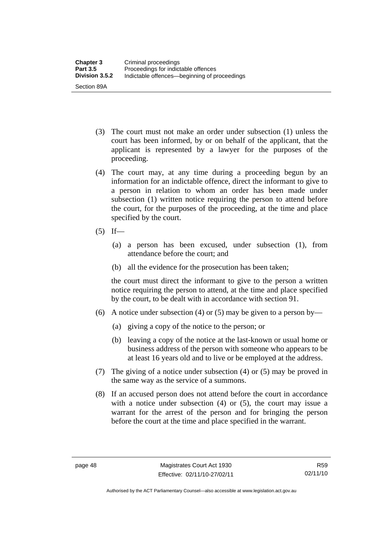- (3) The court must not make an order under subsection (1) unless the court has been informed, by or on behalf of the applicant, that the applicant is represented by a lawyer for the purposes of the proceeding.
- (4) The court may, at any time during a proceeding begun by an information for an indictable offence, direct the informant to give to a person in relation to whom an order has been made under subsection (1) written notice requiring the person to attend before the court, for the purposes of the proceeding, at the time and place specified by the court.
- $(5)$  If—
	- (a) a person has been excused, under subsection (1), from attendance before the court; and
	- (b) all the evidence for the prosecution has been taken;

the court must direct the informant to give to the person a written notice requiring the person to attend, at the time and place specified by the court, to be dealt with in accordance with section 91.

- (6) A notice under subsection (4) or (5) may be given to a person by—
	- (a) giving a copy of the notice to the person; or
	- (b) leaving a copy of the notice at the last-known or usual home or business address of the person with someone who appears to be at least 16 years old and to live or be employed at the address.
- (7) The giving of a notice under subsection (4) or (5) may be proved in the same way as the service of a summons.
- (8) If an accused person does not attend before the court in accordance with a notice under subsection (4) or (5), the court may issue a warrant for the arrest of the person and for bringing the person before the court at the time and place specified in the warrant.

Authorised by the ACT Parliamentary Counsel—also accessible at www.legislation.act.gov.au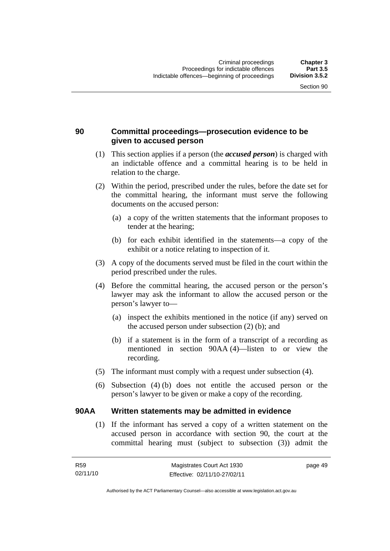# **90 Committal proceedings—prosecution evidence to be given to accused person**

- (1) This section applies if a person (the *accused person*) is charged with an indictable offence and a committal hearing is to be held in relation to the charge.
- (2) Within the period, prescribed under the rules, before the date set for the committal hearing, the informant must serve the following documents on the accused person:
	- (a) a copy of the written statements that the informant proposes to tender at the hearing;
	- (b) for each exhibit identified in the statements—a copy of the exhibit or a notice relating to inspection of it.
- (3) A copy of the documents served must be filed in the court within the period prescribed under the rules.
- (4) Before the committal hearing, the accused person or the person's lawyer may ask the informant to allow the accused person or the person's lawyer to—
	- (a) inspect the exhibits mentioned in the notice (if any) served on the accused person under subsection (2) (b); and
	- (b) if a statement is in the form of a transcript of a recording as mentioned in section 90AA (4)—listen to or view the recording.
- (5) The informant must comply with a request under subsection (4).
- (6) Subsection (4) (b) does not entitle the accused person or the person's lawyer to be given or make a copy of the recording.

# **90AA Written statements may be admitted in evidence**

 (1) If the informant has served a copy of a written statement on the accused person in accordance with section 90, the court at the committal hearing must (subject to subsection (3)) admit the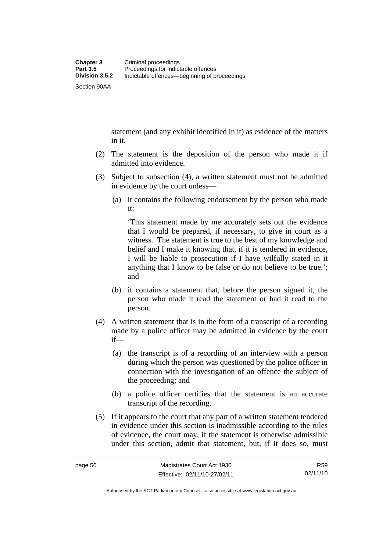Section 90AA

statement (and any exhibit identified in it) as evidence of the matters in it.

- (2) The statement is the deposition of the person who made it if admitted into evidence.
- (3) Subject to subsection (4), a written statement must not be admitted in evidence by the court unless—
	- (a) it contains the following endorsement by the person who made it:

'This statement made by me accurately sets out the evidence that I would be prepared, if necessary, to give in court as a witness. The statement is true to the best of my knowledge and belief and I make it knowing that, if it is tendered in evidence, I will be liable to prosecution if I have wilfully stated in it anything that I know to be false or do not believe to be true.'; and

- (b) it contains a statement that, before the person signed it, the person who made it read the statement or had it read to the person.
- (4) A written statement that is in the form of a transcript of a recording made by a police officer may be admitted in evidence by the court if—
	- (a) the transcript is of a recording of an interview with a person during which the person was questioned by the police officer in connection with the investigation of an offence the subject of the proceeding; and
	- (b) a police officer certifies that the statement is an accurate transcript of the recording.
- (5) If it appears to the court that any part of a written statement tendered in evidence under this section is inadmissible according to the rules of evidence, the court may, if the statement is otherwise admissible under this section, admit that statement, but, if it does so, must

Authorised by the ACT Parliamentary Counsel—also accessible at www.legislation.act.gov.au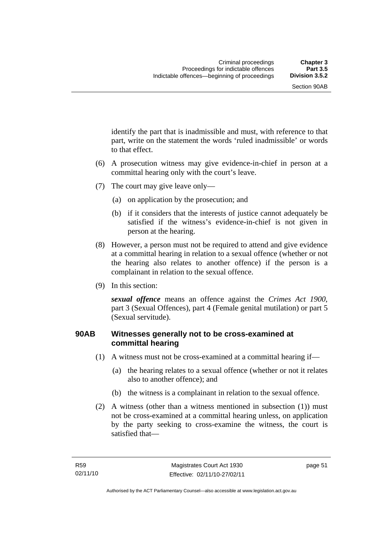identify the part that is inadmissible and must, with reference to that part, write on the statement the words 'ruled inadmissible' or words to that effect.

- (6) A prosecution witness may give evidence-in-chief in person at a committal hearing only with the court's leave.
- (7) The court may give leave only—
	- (a) on application by the prosecution; and
	- (b) if it considers that the interests of justice cannot adequately be satisfied if the witness's evidence-in-chief is not given in person at the hearing.
- (8) However, a person must not be required to attend and give evidence at a committal hearing in relation to a sexual offence (whether or not the hearing also relates to another offence) if the person is a complainant in relation to the sexual offence.
- (9) In this section:

*sexual offence* means an offence against the *Crimes Act 1900*, part 3 (Sexual Offences), part 4 (Female genital mutilation) or part 5 (Sexual servitude).

# **90AB Witnesses generally not to be cross-examined at committal hearing**

- (1) A witness must not be cross-examined at a committal hearing if—
	- (a) the hearing relates to a sexual offence (whether or not it relates also to another offence); and
	- (b) the witness is a complainant in relation to the sexual offence.
- (2) A witness (other than a witness mentioned in subsection (1)) must not be cross-examined at a committal hearing unless, on application by the party seeking to cross-examine the witness, the court is satisfied that—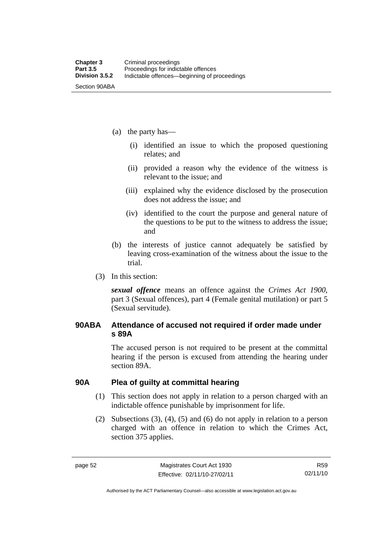- (a) the party has—
	- (i) identified an issue to which the proposed questioning relates; and
	- (ii) provided a reason why the evidence of the witness is relevant to the issue; and
	- (iii) explained why the evidence disclosed by the prosecution does not address the issue; and
	- (iv) identified to the court the purpose and general nature of the questions to be put to the witness to address the issue; and
- (b) the interests of justice cannot adequately be satisfied by leaving cross-examination of the witness about the issue to the trial.
- (3) In this section:

*sexual offence* means an offence against the *Crimes Act 1900*, part 3 (Sexual offences), part 4 (Female genital mutilation) or part 5 (Sexual servitude).

# **90ABA Attendance of accused not required if order made under s 89A**

The accused person is not required to be present at the committal hearing if the person is excused from attending the hearing under section 89A.

### **90A Plea of guilty at committal hearing**

- (1) This section does not apply in relation to a person charged with an indictable offence punishable by imprisonment for life.
- (2) Subsections (3), (4), (5) and (6) do not apply in relation to a person charged with an offence in relation to which the Crimes Act, section 375 applies.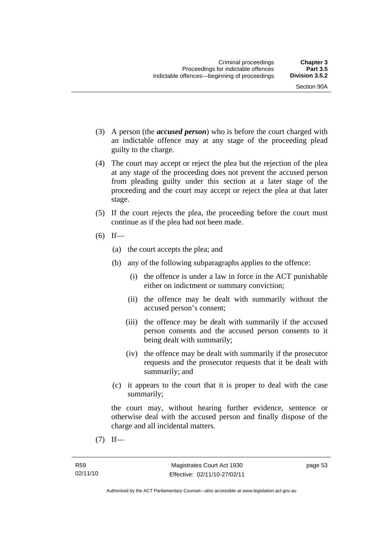- (3) A person (the *accused person*) who is before the court charged with an indictable offence may at any stage of the proceeding plead guilty to the charge.
- (4) The court may accept or reject the plea but the rejection of the plea at any stage of the proceeding does not prevent the accused person from pleading guilty under this section at a later stage of the proceeding and the court may accept or reject the plea at that later stage.
- (5) If the court rejects the plea, the proceeding before the court must continue as if the plea had not been made.
- $(6)$  If—
	- (a) the court accepts the plea; and
	- (b) any of the following subparagraphs applies to the offence:
		- (i) the offence is under a law in force in the ACT punishable either on indictment or summary conviction;
		- (ii) the offence may be dealt with summarily without the accused person's consent;
		- (iii) the offence may be dealt with summarily if the accused person consents and the accused person consents to it being dealt with summarily;
		- (iv) the offence may be dealt with summarily if the prosecutor requests and the prosecutor requests that it be dealt with summarily; and
	- (c) it appears to the court that it is proper to deal with the case summarily;

the court may, without hearing further evidence, sentence or otherwise deal with the accused person and finally dispose of the charge and all incidental matters.

 $(7)$  If—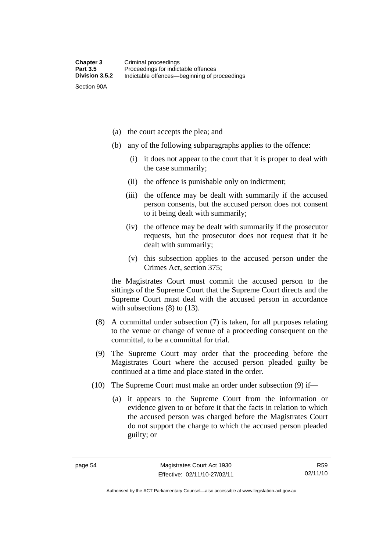Section 90A

(a) the court accepts the plea; and

- (b) any of the following subparagraphs applies to the offence:
	- (i) it does not appear to the court that it is proper to deal with the case summarily;
	- (ii) the offence is punishable only on indictment;
	- (iii) the offence may be dealt with summarily if the accused person consents, but the accused person does not consent to it being dealt with summarily;
	- (iv) the offence may be dealt with summarily if the prosecutor requests, but the prosecutor does not request that it be dealt with summarily;
	- (v) this subsection applies to the accused person under the Crimes Act, section 375;

the Magistrates Court must commit the accused person to the sittings of the Supreme Court that the Supreme Court directs and the Supreme Court must deal with the accused person in accordance with subsections (8) to (13).

- (8) A committal under subsection (7) is taken, for all purposes relating to the venue or change of venue of a proceeding consequent on the committal, to be a committal for trial.
- (9) The Supreme Court may order that the proceeding before the Magistrates Court where the accused person pleaded guilty be continued at a time and place stated in the order.
- (10) The Supreme Court must make an order under subsection (9) if—
	- (a) it appears to the Supreme Court from the information or evidence given to or before it that the facts in relation to which the accused person was charged before the Magistrates Court do not support the charge to which the accused person pleaded guilty; or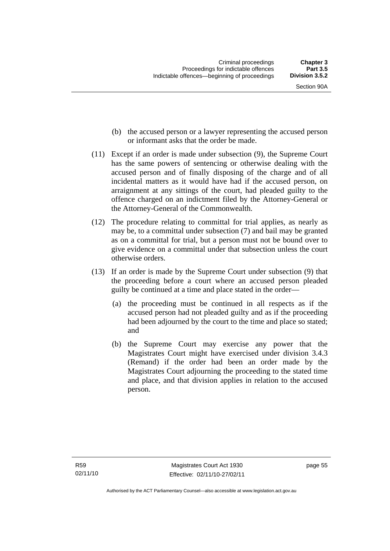- Section 90A
- (b) the accused person or a lawyer representing the accused person or informant asks that the order be made.
- (11) Except if an order is made under subsection (9), the Supreme Court has the same powers of sentencing or otherwise dealing with the accused person and of finally disposing of the charge and of all incidental matters as it would have had if the accused person, on arraignment at any sittings of the court, had pleaded guilty to the offence charged on an indictment filed by the Attorney-General or the Attorney-General of the Commonwealth.
- (12) The procedure relating to committal for trial applies, as nearly as may be, to a committal under subsection (7) and bail may be granted as on a committal for trial, but a person must not be bound over to give evidence on a committal under that subsection unless the court otherwise orders.
- (13) If an order is made by the Supreme Court under subsection (9) that the proceeding before a court where an accused person pleaded guilty be continued at a time and place stated in the order—
	- (a) the proceeding must be continued in all respects as if the accused person had not pleaded guilty and as if the proceeding had been adjourned by the court to the time and place so stated; and
	- (b) the Supreme Court may exercise any power that the Magistrates Court might have exercised under division 3.4.3 (Remand) if the order had been an order made by the Magistrates Court adjourning the proceeding to the stated time and place, and that division applies in relation to the accused person.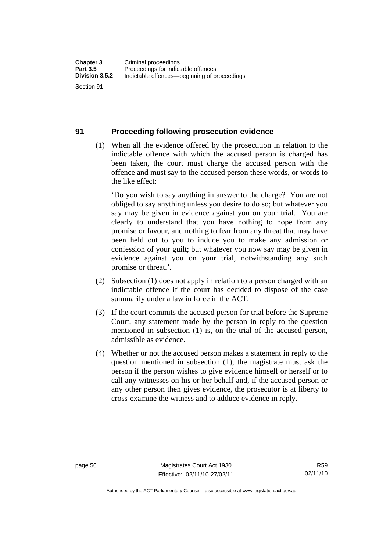# **91 Proceeding following prosecution evidence**

 (1) When all the evidence offered by the prosecution in relation to the indictable offence with which the accused person is charged has been taken, the court must charge the accused person with the offence and must say to the accused person these words, or words to the like effect:

'Do you wish to say anything in answer to the charge? You are not obliged to say anything unless you desire to do so; but whatever you say may be given in evidence against you on your trial. You are clearly to understand that you have nothing to hope from any promise or favour, and nothing to fear from any threat that may have been held out to you to induce you to make any admission or confession of your guilt; but whatever you now say may be given in evidence against you on your trial, notwithstanding any such promise or threat.'.

- (2) Subsection (1) does not apply in relation to a person charged with an indictable offence if the court has decided to dispose of the case summarily under a law in force in the ACT.
- (3) If the court commits the accused person for trial before the Supreme Court, any statement made by the person in reply to the question mentioned in subsection (1) is, on the trial of the accused person, admissible as evidence.
- (4) Whether or not the accused person makes a statement in reply to the question mentioned in subsection (1), the magistrate must ask the person if the person wishes to give evidence himself or herself or to call any witnesses on his or her behalf and, if the accused person or any other person then gives evidence, the prosecutor is at liberty to cross-examine the witness and to adduce evidence in reply.

Authorised by the ACT Parliamentary Counsel—also accessible at www.legislation.act.gov.au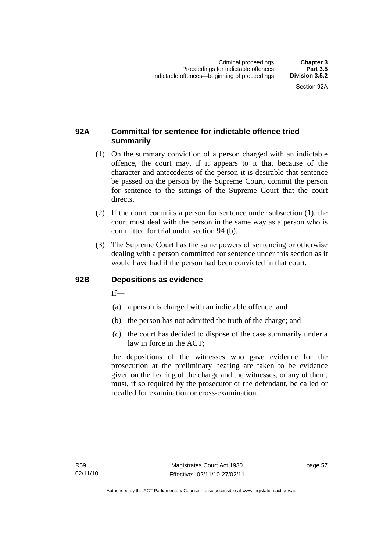### **92A Committal for sentence for indictable offence tried summarily**

- (1) On the summary conviction of a person charged with an indictable offence, the court may, if it appears to it that because of the character and antecedents of the person it is desirable that sentence be passed on the person by the Supreme Court, commit the person for sentence to the sittings of the Supreme Court that the court directs.
- (2) If the court commits a person for sentence under subsection (1), the court must deal with the person in the same way as a person who is committed for trial under section 94 (b).
- (3) The Supreme Court has the same powers of sentencing or otherwise dealing with a person committed for sentence under this section as it would have had if the person had been convicted in that court.

#### **92B Depositions as evidence**

 $If$ <sub>—</sub>

- (a) a person is charged with an indictable offence; and
- (b) the person has not admitted the truth of the charge; and
- (c) the court has decided to dispose of the case summarily under a law in force in the ACT;

the depositions of the witnesses who gave evidence for the prosecution at the preliminary hearing are taken to be evidence given on the hearing of the charge and the witnesses, or any of them, must, if so required by the prosecutor or the defendant, be called or recalled for examination or cross-examination.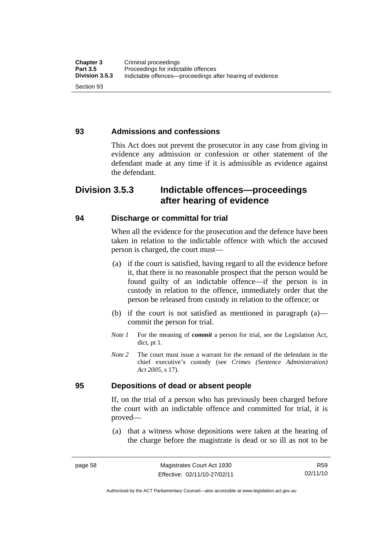#### **93 Admissions and confessions**

This Act does not prevent the prosecutor in any case from giving in evidence any admission or confession or other statement of the defendant made at any time if it is admissible as evidence against the defendant.

# **Division 3.5.3 Indictable offences—proceedings after hearing of evidence**

#### **94 Discharge or committal for trial**

When all the evidence for the prosecution and the defence have been taken in relation to the indictable offence with which the accused person is charged, the court must—

- (a) if the court is satisfied, having regard to all the evidence before it, that there is no reasonable prospect that the person would be found guilty of an indictable offence—if the person is in custody in relation to the offence, immediately order that the person be released from custody in relation to the offence; or
- (b) if the court is not satisfied as mentioned in paragraph (a) commit the person for trial.
- *Note 1* For the meaning of *commit* a person for trial, see the Legislation Act, dict, pt 1.
- *Note* 2 The court must issue a warrant for the remand of the defendant in the chief executive's custody (see *Crimes (Sentence Administration) Act 2005*, s 17).

#### **95 Depositions of dead or absent people**

If, on the trial of a person who has previously been charged before the court with an indictable offence and committed for trial, it is proved—

 (a) that a witness whose depositions were taken at the hearing of the charge before the magistrate is dead or so ill as not to be

Authorised by the ACT Parliamentary Counsel—also accessible at www.legislation.act.gov.au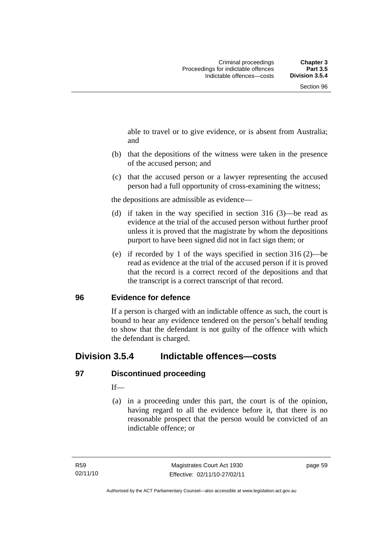able to travel or to give evidence, or is absent from Australia; and

- (b) that the depositions of the witness were taken in the presence of the accused person; and
- (c) that the accused person or a lawyer representing the accused person had a full opportunity of cross-examining the witness;

the depositions are admissible as evidence—

- (d) if taken in the way specified in section 316 (3)—be read as evidence at the trial of the accused person without further proof unless it is proved that the magistrate by whom the depositions purport to have been signed did not in fact sign them; or
- (e) if recorded by 1 of the ways specified in section 316 (2)—be read as evidence at the trial of the accused person if it is proved that the record is a correct record of the depositions and that the transcript is a correct transcript of that record.

#### **96 Evidence for defence**

If a person is charged with an indictable offence as such, the court is bound to hear any evidence tendered on the person's behalf tending to show that the defendant is not guilty of the offence with which the defendant is charged.

# **Division 3.5.4 Indictable offences—costs**

#### **97 Discontinued proceeding**

If—

 (a) in a proceeding under this part, the court is of the opinion, having regard to all the evidence before it, that there is no reasonable prospect that the person would be convicted of an indictable offence; or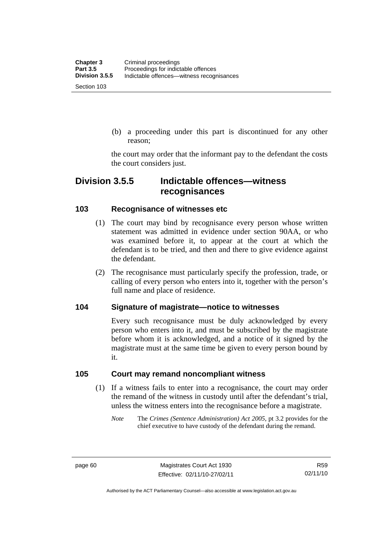(b) a proceeding under this part is discontinued for any other reason;

the court may order that the informant pay to the defendant the costs the court considers just.

# **Division 3.5.5 Indictable offences—witness recognisances**

#### **103 Recognisance of witnesses etc**

- (1) The court may bind by recognisance every person whose written statement was admitted in evidence under section 90AA, or who was examined before it, to appear at the court at which the defendant is to be tried, and then and there to give evidence against the defendant.
- (2) The recognisance must particularly specify the profession, trade, or calling of every person who enters into it, together with the person's full name and place of residence.

#### **104 Signature of magistrate—notice to witnesses**

Every such recognisance must be duly acknowledged by every person who enters into it, and must be subscribed by the magistrate before whom it is acknowledged, and a notice of it signed by the magistrate must at the same time be given to every person bound by it.

#### **105 Court may remand noncompliant witness**

- (1) If a witness fails to enter into a recognisance, the court may order the remand of the witness in custody until after the defendant's trial, unless the witness enters into the recognisance before a magistrate.
	- *Note* The *Crimes (Sentence Administration) Act 2005*, pt 3.2 provides for the chief executive to have custody of the defendant during the remand.

Authorised by the ACT Parliamentary Counsel—also accessible at www.legislation.act.gov.au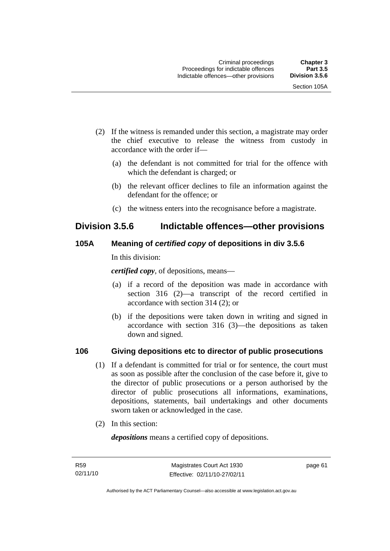- (2) If the witness is remanded under this section, a magistrate may order the chief executive to release the witness from custody in accordance with the order if—
	- (a) the defendant is not committed for trial for the offence with which the defendant is charged; or
	- (b) the relevant officer declines to file an information against the defendant for the offence; or
	- (c) the witness enters into the recognisance before a magistrate.

# **Division 3.5.6 Indictable offences—other provisions**

## **105A Meaning of** *certified copy* **of depositions in div 3.5.6**

In this division:

*certified copy*, of depositions, means—

- (a) if a record of the deposition was made in accordance with section 316 (2)—a transcript of the record certified in accordance with section 314 (2); or
- (b) if the depositions were taken down in writing and signed in accordance with section 316 (3)—the depositions as taken down and signed.

## **106 Giving depositions etc to director of public prosecutions**

- (1) If a defendant is committed for trial or for sentence, the court must as soon as possible after the conclusion of the case before it, give to the director of public prosecutions or a person authorised by the director of public prosecutions all informations, examinations, depositions, statements, bail undertakings and other documents sworn taken or acknowledged in the case.
- (2) In this section:

*depositions* means a certified copy of depositions.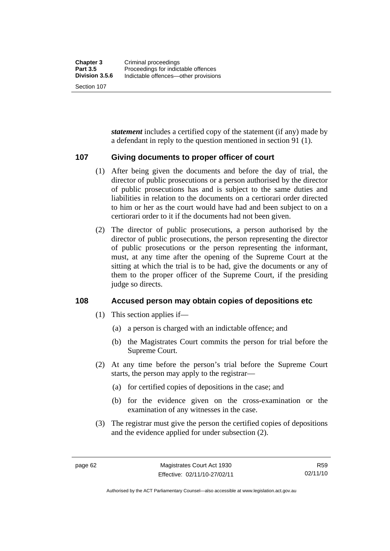Section 107

*statement* includes a certified copy of the statement (if any) made by a defendant in reply to the question mentioned in section 91 (1).

#### **107 Giving documents to proper officer of court**

- (1) After being given the documents and before the day of trial, the director of public prosecutions or a person authorised by the director of public prosecutions has and is subject to the same duties and liabilities in relation to the documents on a certiorari order directed to him or her as the court would have had and been subject to on a certiorari order to it if the documents had not been given.
- (2) The director of public prosecutions, a person authorised by the director of public prosecutions, the person representing the director of public prosecutions or the person representing the informant, must, at any time after the opening of the Supreme Court at the sitting at which the trial is to be had, give the documents or any of them to the proper officer of the Supreme Court, if the presiding judge so directs.

#### **108 Accused person may obtain copies of depositions etc**

- (1) This section applies if—
	- (a) a person is charged with an indictable offence; and
	- (b) the Magistrates Court commits the person for trial before the Supreme Court.
- (2) At any time before the person's trial before the Supreme Court starts, the person may apply to the registrar—
	- (a) for certified copies of depositions in the case; and
	- (b) for the evidence given on the cross-examination or the examination of any witnesses in the case.
- (3) The registrar must give the person the certified copies of depositions and the evidence applied for under subsection (2).

Authorised by the ACT Parliamentary Counsel—also accessible at www.legislation.act.gov.au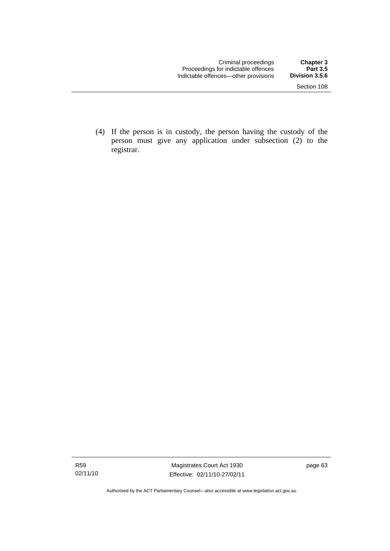(4) If the person is in custody, the person having the custody of the person must give any application under subsection (2) to the registrar.

Authorised by the ACT Parliamentary Counsel—also accessible at www.legislation.act.gov.au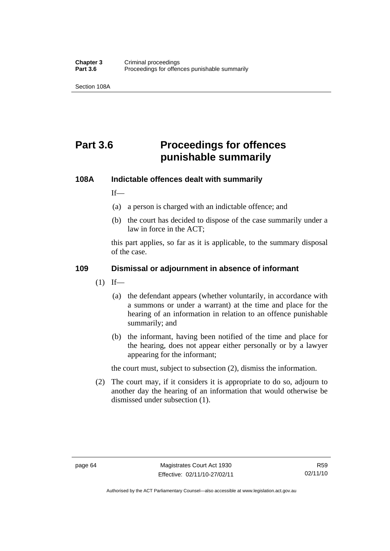Section 108A

# **Part 3.6 Proceedings for offences punishable summarily**

#### **108A Indictable offences dealt with summarily**

 $If$ <sub>—</sub>

- (a) a person is charged with an indictable offence; and
- (b) the court has decided to dispose of the case summarily under a law in force in the ACT;

this part applies, so far as it is applicable, to the summary disposal of the case.

#### **109 Dismissal or adjournment in absence of informant**

- $(1)$  If—
	- (a) the defendant appears (whether voluntarily, in accordance with a summons or under a warrant) at the time and place for the hearing of an information in relation to an offence punishable summarily; and
	- (b) the informant, having been notified of the time and place for the hearing, does not appear either personally or by a lawyer appearing for the informant;

the court must, subject to subsection (2), dismiss the information.

 (2) The court may, if it considers it is appropriate to do so, adjourn to another day the hearing of an information that would otherwise be dismissed under subsection (1).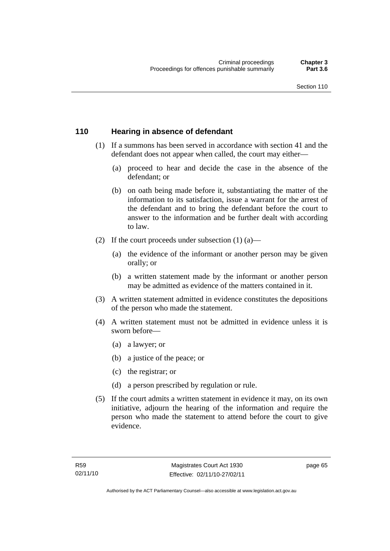#### **110 Hearing in absence of defendant**

- (1) If a summons has been served in accordance with section 41 and the defendant does not appear when called, the court may either—
	- (a) proceed to hear and decide the case in the absence of the defendant; or
	- (b) on oath being made before it, substantiating the matter of the information to its satisfaction, issue a warrant for the arrest of the defendant and to bring the defendant before the court to answer to the information and be further dealt with according to law.
- (2) If the court proceeds under subsection  $(1)$   $(a)$ 
	- (a) the evidence of the informant or another person may be given orally; or
	- (b) a written statement made by the informant or another person may be admitted as evidence of the matters contained in it.
- (3) A written statement admitted in evidence constitutes the depositions of the person who made the statement.
- (4) A written statement must not be admitted in evidence unless it is sworn before—
	- (a) a lawyer; or
	- (b) a justice of the peace; or
	- (c) the registrar; or
	- (d) a person prescribed by regulation or rule.
- (5) If the court admits a written statement in evidence it may, on its own initiative, adjourn the hearing of the information and require the person who made the statement to attend before the court to give evidence.

page 65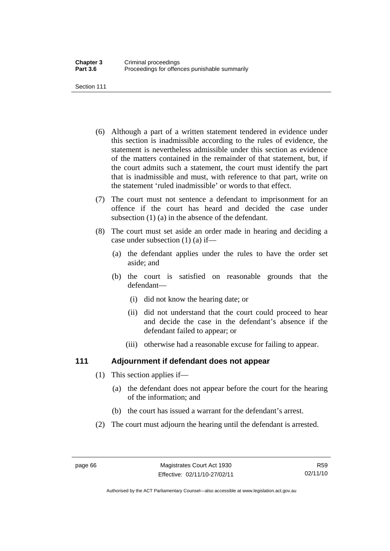Section 111

- (6) Although a part of a written statement tendered in evidence under this section is inadmissible according to the rules of evidence, the statement is nevertheless admissible under this section as evidence of the matters contained in the remainder of that statement, but, if the court admits such a statement, the court must identify the part that is inadmissible and must, with reference to that part, write on the statement 'ruled inadmissible' or words to that effect.
- (7) The court must not sentence a defendant to imprisonment for an offence if the court has heard and decided the case under subsection (1) (a) in the absence of the defendant.
- (8) The court must set aside an order made in hearing and deciding a case under subsection (1) (a) if—
	- (a) the defendant applies under the rules to have the order set aside; and
	- (b) the court is satisfied on reasonable grounds that the defendant—
		- (i) did not know the hearing date; or
		- (ii) did not understand that the court could proceed to hear and decide the case in the defendant's absence if the defendant failed to appear; or
		- (iii) otherwise had a reasonable excuse for failing to appear.

#### **111 Adjournment if defendant does not appear**

- (1) This section applies if—
	- (a) the defendant does not appear before the court for the hearing of the information; and
	- (b) the court has issued a warrant for the defendant's arrest.
- (2) The court must adjourn the hearing until the defendant is arrested.

Authorised by the ACT Parliamentary Counsel—also accessible at www.legislation.act.gov.au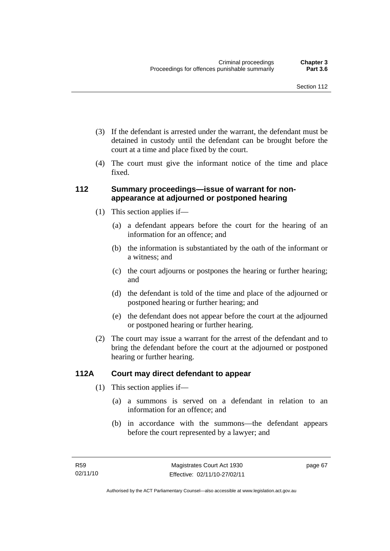- (3) If the defendant is arrested under the warrant, the defendant must be detained in custody until the defendant can be brought before the court at a time and place fixed by the court.
- (4) The court must give the informant notice of the time and place fixed.

#### **112 Summary proceedings—issue of warrant for nonappearance at adjourned or postponed hearing**

- (1) This section applies if—
	- (a) a defendant appears before the court for the hearing of an information for an offence; and
	- (b) the information is substantiated by the oath of the informant or a witness; and
	- (c) the court adjourns or postpones the hearing or further hearing; and
	- (d) the defendant is told of the time and place of the adjourned or postponed hearing or further hearing; and
	- (e) the defendant does not appear before the court at the adjourned or postponed hearing or further hearing.
- (2) The court may issue a warrant for the arrest of the defendant and to bring the defendant before the court at the adjourned or postponed hearing or further hearing.

#### **112A Court may direct defendant to appear**

- (1) This section applies if—
	- (a) a summons is served on a defendant in relation to an information for an offence; and
	- (b) in accordance with the summons—the defendant appears before the court represented by a lawyer; and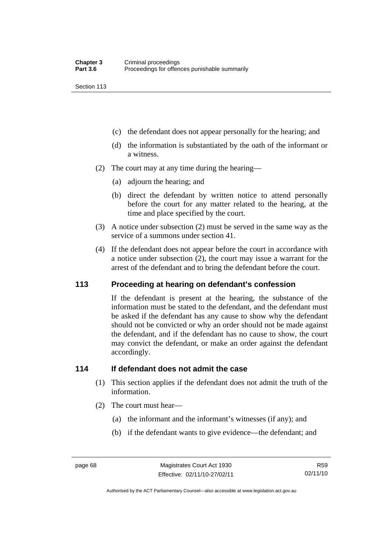Section 113

- (c) the defendant does not appear personally for the hearing; and
- (d) the information is substantiated by the oath of the informant or a witness.
- (2) The court may at any time during the hearing—
	- (a) adjourn the hearing; and
	- (b) direct the defendant by written notice to attend personally before the court for any matter related to the hearing, at the time and place specified by the court.
- (3) A notice under subsection (2) must be served in the same way as the service of a summons under section 41.
- (4) If the defendant does not appear before the court in accordance with a notice under subsection (2), the court may issue a warrant for the arrest of the defendant and to bring the defendant before the court.

#### **113 Proceeding at hearing on defendant's confession**

If the defendant is present at the hearing, the substance of the information must be stated to the defendant, and the defendant must be asked if the defendant has any cause to show why the defendant should not be convicted or why an order should not be made against the defendant, and if the defendant has no cause to show, the court may convict the defendant, or make an order against the defendant accordingly.

#### **114 If defendant does not admit the case**

- (1) This section applies if the defendant does not admit the truth of the information.
- (2) The court must hear—
	- (a) the informant and the informant's witnesses (if any); and
	- (b) if the defendant wants to give evidence—the defendant; and

Authorised by the ACT Parliamentary Counsel—also accessible at www.legislation.act.gov.au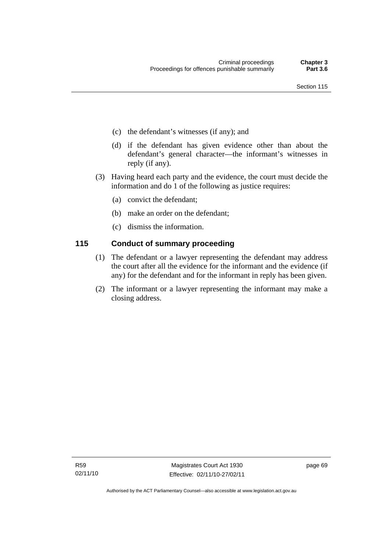- (c) the defendant's witnesses (if any); and
- (d) if the defendant has given evidence other than about the defendant's general character—the informant's witnesses in reply (if any).
- (3) Having heard each party and the evidence, the court must decide the information and do 1 of the following as justice requires:
	- (a) convict the defendant;
	- (b) make an order on the defendant;
	- (c) dismiss the information.

#### **115 Conduct of summary proceeding**

- (1) The defendant or a lawyer representing the defendant may address the court after all the evidence for the informant and the evidence (if any) for the defendant and for the informant in reply has been given.
- (2) The informant or a lawyer representing the informant may make a closing address.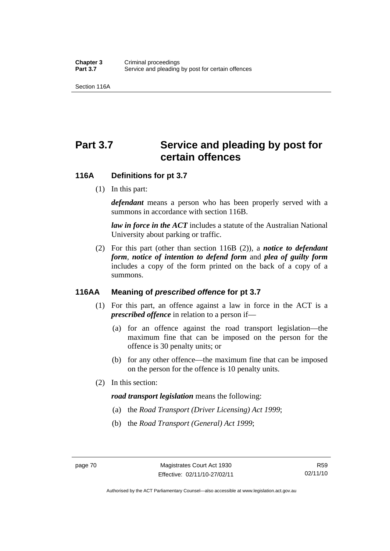Section 116A

# Part 3.7 Service and pleading by post for **certain offences**

#### **116A Definitions for pt 3.7**

(1) In this part:

*defendant* means a person who has been properly served with a summons in accordance with section 116B.

*law in force in the ACT* includes a statute of the Australian National University about parking or traffic.

 (2) For this part (other than section 116B (2)), a *notice to defendant form*, *notice of intention to defend form* and *plea of guilty form* includes a copy of the form printed on the back of a copy of a summons.

#### **116AA Meaning of** *prescribed offence* **for pt 3.7**

- (1) For this part, an offence against a law in force in the ACT is a *prescribed offence* in relation to a person if—
	- (a) for an offence against the road transport legislation—the maximum fine that can be imposed on the person for the offence is 30 penalty units; or
	- (b) for any other offence—the maximum fine that can be imposed on the person for the offence is 10 penalty units.
- (2) In this section:

#### *road transport legislation* means the following:

- (a) the *Road Transport (Driver Licensing) Act 1999*;
- (b) the *Road Transport (General) Act 1999*;

Authorised by the ACT Parliamentary Counsel—also accessible at www.legislation.act.gov.au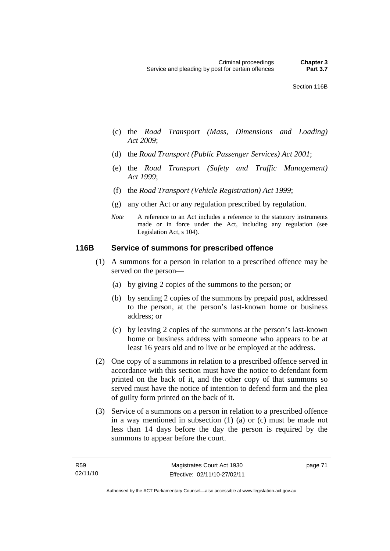- (c) the *Road Transport (Mass, Dimensions and Loading) Act 2009*;
- (d) the *Road Transport (Public Passenger Services) Act 2001*;
- (e) the *Road Transport (Safety and Traffic Management) Act 1999*;
- (f) the *Road Transport (Vehicle Registration) Act 1999*;
- (g) any other Act or any regulation prescribed by regulation.
- *Note* A reference to an Act includes a reference to the statutory instruments made or in force under the Act, including any regulation (see Legislation Act, s 104).

#### **116B Service of summons for prescribed offence**

- (1) A summons for a person in relation to a prescribed offence may be served on the person—
	- (a) by giving 2 copies of the summons to the person; or
	- (b) by sending 2 copies of the summons by prepaid post, addressed to the person, at the person's last-known home or business address; or
	- (c) by leaving 2 copies of the summons at the person's last-known home or business address with someone who appears to be at least 16 years old and to live or be employed at the address.
- (2) One copy of a summons in relation to a prescribed offence served in accordance with this section must have the notice to defendant form printed on the back of it, and the other copy of that summons so served must have the notice of intention to defend form and the plea of guilty form printed on the back of it.
- (3) Service of a summons on a person in relation to a prescribed offence in a way mentioned in subsection (1) (a) or (c) must be made not less than 14 days before the day the person is required by the summons to appear before the court.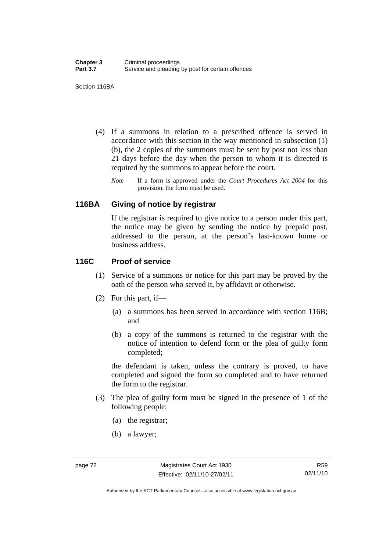Section 116BA

- (4) If a summons in relation to a prescribed offence is served in accordance with this section in the way mentioned in subsection (1) (b), the 2 copies of the summons must be sent by post not less than 21 days before the day when the person to whom it is directed is required by the summons to appear before the court.
	- *Note* If a form is approved under the *Court Procedures Act 2004* for this provision, the form must be used.

#### **116BA Giving of notice by registrar**

If the registrar is required to give notice to a person under this part, the notice may be given by sending the notice by prepaid post, addressed to the person, at the person's last-known home or business address.

#### **116C Proof of service**

- (1) Service of a summons or notice for this part may be proved by the oath of the person who served it, by affidavit or otherwise.
- (2) For this part, if—
	- (a) a summons has been served in accordance with section 116B; and
	- (b) a copy of the summons is returned to the registrar with the notice of intention to defend form or the plea of guilty form completed;

the defendant is taken, unless the contrary is proved, to have completed and signed the form so completed and to have returned the form to the registrar.

- (3) The plea of guilty form must be signed in the presence of 1 of the following people:
	- (a) the registrar;
	- (b) a lawyer;

Authorised by the ACT Parliamentary Counsel—also accessible at www.legislation.act.gov.au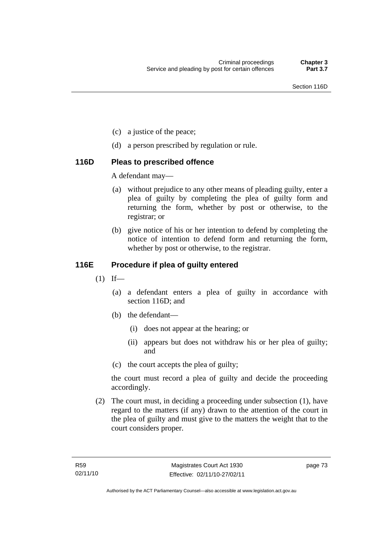- (c) a justice of the peace;
- (d) a person prescribed by regulation or rule.

#### **116D Pleas to prescribed offence**

A defendant may—

- (a) without prejudice to any other means of pleading guilty, enter a plea of guilty by completing the plea of guilty form and returning the form, whether by post or otherwise, to the registrar; or
- (b) give notice of his or her intention to defend by completing the notice of intention to defend form and returning the form, whether by post or otherwise, to the registrar.

### **116E Procedure if plea of guilty entered**

- $(1)$  If—
	- (a) a defendant enters a plea of guilty in accordance with section 116D; and
	- (b) the defendant—
		- (i) does not appear at the hearing; or
		- (ii) appears but does not withdraw his or her plea of guilty; and
	- (c) the court accepts the plea of guilty;

the court must record a plea of guilty and decide the proceeding accordingly.

 (2) The court must, in deciding a proceeding under subsection (1), have regard to the matters (if any) drawn to the attention of the court in the plea of guilty and must give to the matters the weight that to the court considers proper.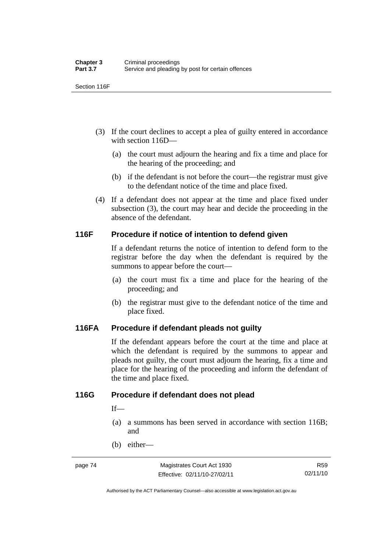Section 116F

- (3) If the court declines to accept a plea of guilty entered in accordance with section 116D—
	- (a) the court must adjourn the hearing and fix a time and place for the hearing of the proceeding; and
	- (b) if the defendant is not before the court—the registrar must give to the defendant notice of the time and place fixed.
- (4) If a defendant does not appear at the time and place fixed under subsection (3), the court may hear and decide the proceeding in the absence of the defendant.

#### **116F Procedure if notice of intention to defend given**

If a defendant returns the notice of intention to defend form to the registrar before the day when the defendant is required by the summons to appear before the court—

- (a) the court must fix a time and place for the hearing of the proceeding; and
- (b) the registrar must give to the defendant notice of the time and place fixed.

#### **116FA Procedure if defendant pleads not guilty**

If the defendant appears before the court at the time and place at which the defendant is required by the summons to appear and pleads not guilty, the court must adjourn the hearing, fix a time and place for the hearing of the proceeding and inform the defendant of the time and place fixed.

#### **116G Procedure if defendant does not plead**

 $If$ —

- (a) a summons has been served in accordance with section 116B; and
- (b) either—

Authorised by the ACT Parliamentary Counsel—also accessible at www.legislation.act.gov.au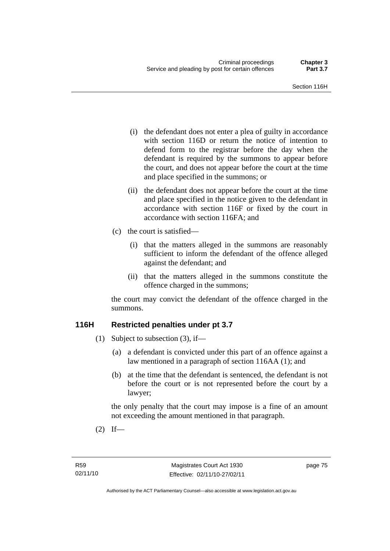- (i) the defendant does not enter a plea of guilty in accordance with section 116D or return the notice of intention to defend form to the registrar before the day when the defendant is required by the summons to appear before the court, and does not appear before the court at the time and place specified in the summons; or
- (ii) the defendant does not appear before the court at the time and place specified in the notice given to the defendant in accordance with section 116F or fixed by the court in accordance with section 116FA; and
- (c) the court is satisfied—
	- (i) that the matters alleged in the summons are reasonably sufficient to inform the defendant of the offence alleged against the defendant; and
	- (ii) that the matters alleged in the summons constitute the offence charged in the summons;

the court may convict the defendant of the offence charged in the summons.

#### **116H Restricted penalties under pt 3.7**

- (1) Subject to subsection (3), if—
	- (a) a defendant is convicted under this part of an offence against a law mentioned in a paragraph of section 116AA (1); and
	- (b) at the time that the defendant is sentenced, the defendant is not before the court or is not represented before the court by a lawyer;

the only penalty that the court may impose is a fine of an amount not exceeding the amount mentioned in that paragraph.

 $(2)$  If—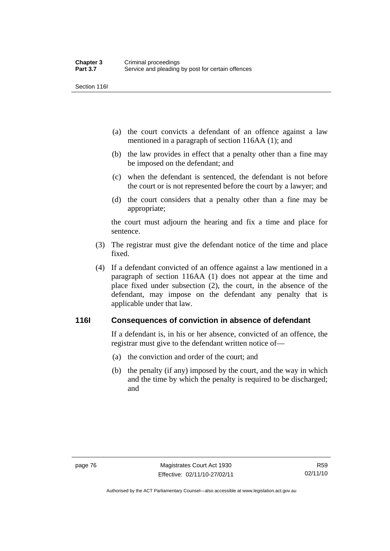Section 116I

- (a) the court convicts a defendant of an offence against a law mentioned in a paragraph of section 116AA (1); and
- (b) the law provides in effect that a penalty other than a fine may be imposed on the defendant; and
- (c) when the defendant is sentenced, the defendant is not before the court or is not represented before the court by a lawyer; and
- (d) the court considers that a penalty other than a fine may be appropriate;

the court must adjourn the hearing and fix a time and place for sentence.

- (3) The registrar must give the defendant notice of the time and place fixed.
- (4) If a defendant convicted of an offence against a law mentioned in a paragraph of section 116AA (1) does not appear at the time and place fixed under subsection (2), the court, in the absence of the defendant, may impose on the defendant any penalty that is applicable under that law.

#### **116I Consequences of conviction in absence of defendant**

If a defendant is, in his or her absence, convicted of an offence, the registrar must give to the defendant written notice of—

- (a) the conviction and order of the court; and
- (b) the penalty (if any) imposed by the court, and the way in which and the time by which the penalty is required to be discharged; and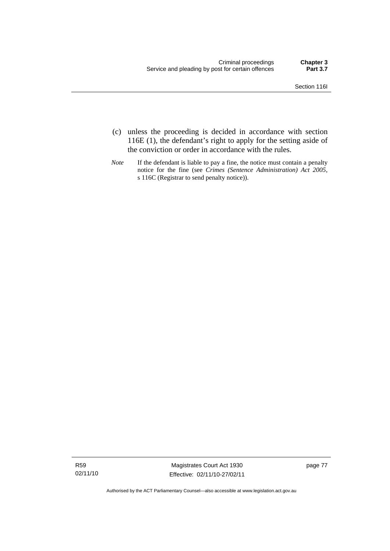- (c) unless the proceeding is decided in accordance with section 116E (1), the defendant's right to apply for the setting aside of the conviction or order in accordance with the rules.
- *Note* If the defendant is liable to pay a fine, the notice must contain a penalty notice for the fine (see *Crimes (Sentence Administration) Act 2005*, s 116C (Registrar to send penalty notice)).

R59 02/11/10

Magistrates Court Act 1930 Effective: 02/11/10-27/02/11 page 77

Authorised by the ACT Parliamentary Counsel—also accessible at www.legislation.act.gov.au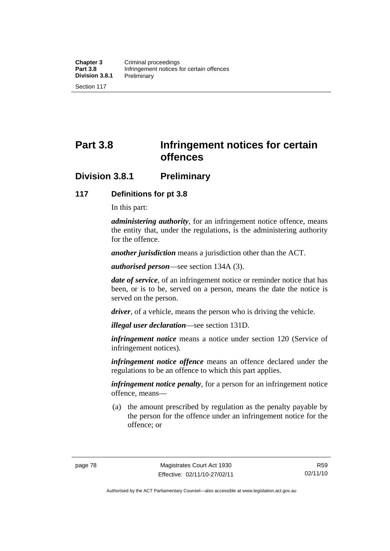**Part 3.8 Infringement notices for certain offences** 

# **Division 3.8.1 Preliminary**

#### **117 Definitions for pt 3.8**

In this part:

*administering authority*, for an infringement notice offence, means the entity that, under the regulations, is the administering authority for the offence.

*another jurisdiction* means a jurisdiction other than the ACT.

*authorised person*—see section 134A (3).

*date of service*, of an infringement notice or reminder notice that has been, or is to be, served on a person, means the date the notice is served on the person.

*driver*, of a vehicle, means the person who is driving the vehicle.

*illegal user declaration*—see section 131D.

*infringement notice* means a notice under section 120 (Service of infringement notices).

*infringement notice offence* means an offence declared under the regulations to be an offence to which this part applies.

*infringement notice penalty*, for a person for an infringement notice offence, means—

 (a) the amount prescribed by regulation as the penalty payable by the person for the offence under an infringement notice for the offence; or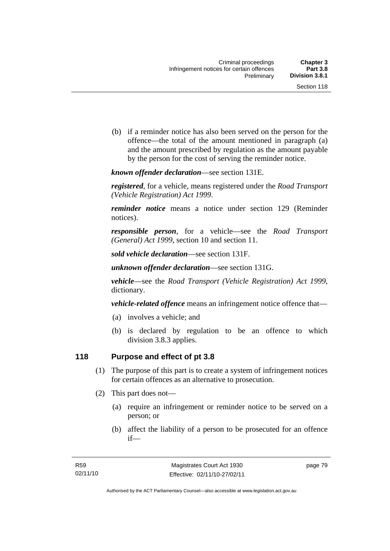(b) if a reminder notice has also been served on the person for the offence—the total of the amount mentioned in paragraph (a) and the amount prescribed by regulation as the amount payable by the person for the cost of serving the reminder notice.

*known offender declaration*—see section 131E.

*registered*, for a vehicle, means registered under the *Road Transport (Vehicle Registration) Act 1999*.

*reminder notice* means a notice under section 129 (Reminder notices).

*responsible person*, for a vehicle—see the *Road Transport (General) Act 1999*, section 10 and section 11.

*sold vehicle declaration*—see section 131F.

*unknown offender declaration*—see section 131G.

*vehicle*—see the *Road Transport (Vehicle Registration) Act 1999*, dictionary.

*vehicle-related offence* means an infringement notice offence that—

- (a) involves a vehicle; and
- (b) is declared by regulation to be an offence to which division 3.8.3 applies.

#### **118 Purpose and effect of pt 3.8**

- (1) The purpose of this part is to create a system of infringement notices for certain offences as an alternative to prosecution.
- (2) This part does not—
	- (a) require an infringement or reminder notice to be served on a person; or
	- (b) affect the liability of a person to be prosecuted for an offence if—

page 79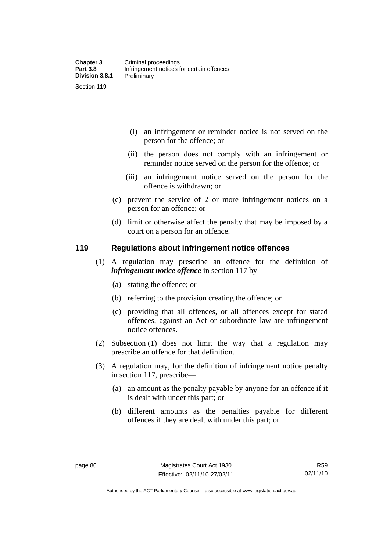- (i) an infringement or reminder notice is not served on the person for the offence; or
- (ii) the person does not comply with an infringement or reminder notice served on the person for the offence; or
- (iii) an infringement notice served on the person for the offence is withdrawn; or
- (c) prevent the service of 2 or more infringement notices on a person for an offence; or
- (d) limit or otherwise affect the penalty that may be imposed by a court on a person for an offence.

#### **119 Regulations about infringement notice offences**

- (1) A regulation may prescribe an offence for the definition of *infringement notice offence* in section 117 by—
	- (a) stating the offence; or
	- (b) referring to the provision creating the offence; or
	- (c) providing that all offences, or all offences except for stated offences, against an Act or subordinate law are infringement notice offences.
- (2) Subsection (1) does not limit the way that a regulation may prescribe an offence for that definition.
- (3) A regulation may, for the definition of infringement notice penalty in section 117, prescribe—
	- (a) an amount as the penalty payable by anyone for an offence if it is dealt with under this part; or
	- (b) different amounts as the penalties payable for different offences if they are dealt with under this part; or

Authorised by the ACT Parliamentary Counsel—also accessible at www.legislation.act.gov.au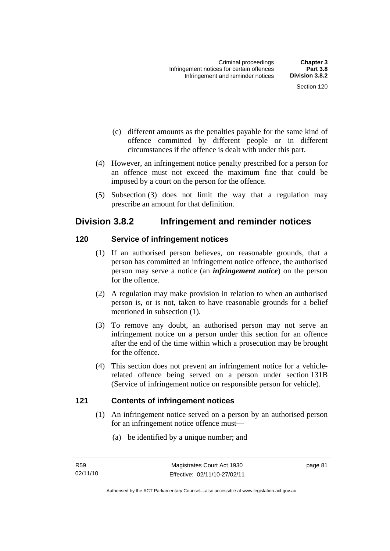- (c) different amounts as the penalties payable for the same kind of offence committed by different people or in different circumstances if the offence is dealt with under this part.
- (4) However, an infringement notice penalty prescribed for a person for an offence must not exceed the maximum fine that could be imposed by a court on the person for the offence.
- (5) Subsection (3) does not limit the way that a regulation may prescribe an amount for that definition.

# **Division 3.8.2 Infringement and reminder notices**

#### **120 Service of infringement notices**

- (1) If an authorised person believes, on reasonable grounds, that a person has committed an infringement notice offence, the authorised person may serve a notice (an *infringement notice*) on the person for the offence.
- (2) A regulation may make provision in relation to when an authorised person is, or is not, taken to have reasonable grounds for a belief mentioned in subsection (1).
- (3) To remove any doubt, an authorised person may not serve an infringement notice on a person under this section for an offence after the end of the time within which a prosecution may be brought for the offence.
- (4) This section does not prevent an infringement notice for a vehiclerelated offence being served on a person under section 131B (Service of infringement notice on responsible person for vehicle).

#### **121 Contents of infringement notices**

- (1) An infringement notice served on a person by an authorised person for an infringement notice offence must—
	- (a) be identified by a unique number; and

page 81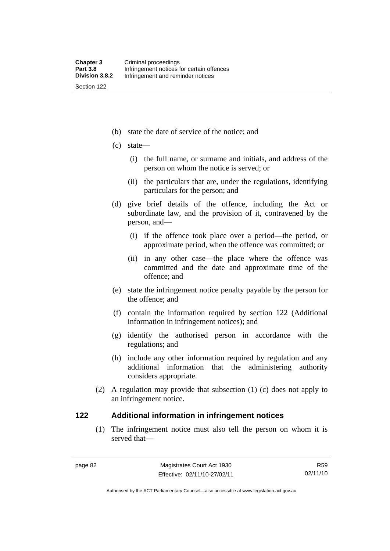(b) state the date of service of the notice; and

- (c) state—
	- (i) the full name, or surname and initials, and address of the person on whom the notice is served; or
	- (ii) the particulars that are, under the regulations, identifying particulars for the person; and
- (d) give brief details of the offence, including the Act or subordinate law, and the provision of it, contravened by the person, and—
	- (i) if the offence took place over a period—the period, or approximate period, when the offence was committed; or
	- (ii) in any other case—the place where the offence was committed and the date and approximate time of the offence; and
- (e) state the infringement notice penalty payable by the person for the offence; and
- (f) contain the information required by section 122 (Additional information in infringement notices); and
- (g) identify the authorised person in accordance with the regulations; and
- (h) include any other information required by regulation and any additional information that the administering authority considers appropriate.
- (2) A regulation may provide that subsection (1) (c) does not apply to an infringement notice.

#### **122 Additional information in infringement notices**

 (1) The infringement notice must also tell the person on whom it is served that—

R59 02/11/10

Authorised by the ACT Parliamentary Counsel—also accessible at www.legislation.act.gov.au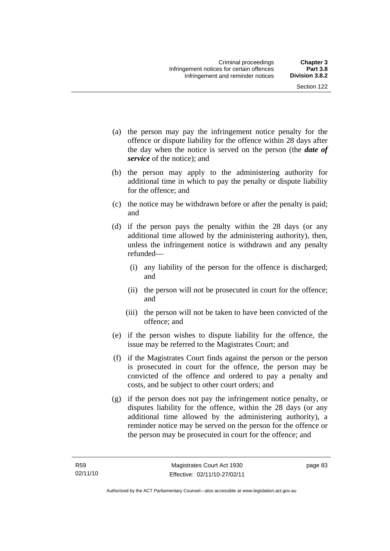- (a) the person may pay the infringement notice penalty for the offence or dispute liability for the offence within 28 days after the day when the notice is served on the person (the *date of service* of the notice); and
- (b) the person may apply to the administering authority for additional time in which to pay the penalty or dispute liability for the offence; and
- (c) the notice may be withdrawn before or after the penalty is paid; and
- (d) if the person pays the penalty within the 28 days (or any additional time allowed by the administering authority), then, unless the infringement notice is withdrawn and any penalty refunded—
	- (i) any liability of the person for the offence is discharged; and
	- (ii) the person will not be prosecuted in court for the offence; and
	- (iii) the person will not be taken to have been convicted of the offence; and
- (e) if the person wishes to dispute liability for the offence, the issue may be referred to the Magistrates Court; and
- (f) if the Magistrates Court finds against the person or the person is prosecuted in court for the offence, the person may be convicted of the offence and ordered to pay a penalty and costs, and be subject to other court orders; and
- (g) if the person does not pay the infringement notice penalty, or disputes liability for the offence, within the 28 days (or any additional time allowed by the administering authority), a reminder notice may be served on the person for the offence or the person may be prosecuted in court for the offence; and

page 83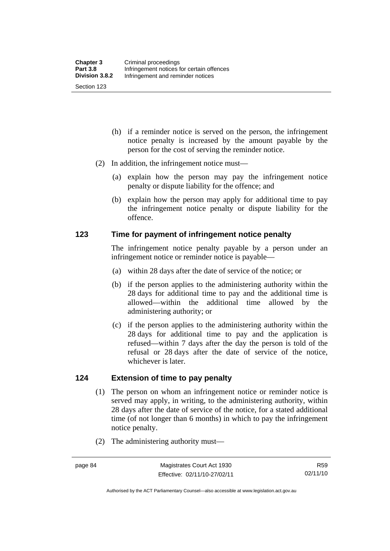- (h) if a reminder notice is served on the person, the infringement notice penalty is increased by the amount payable by the person for the cost of serving the reminder notice.
- (2) In addition, the infringement notice must—
	- (a) explain how the person may pay the infringement notice penalty or dispute liability for the offence; and
	- (b) explain how the person may apply for additional time to pay the infringement notice penalty or dispute liability for the offence.

#### **123 Time for payment of infringement notice penalty**

The infringement notice penalty payable by a person under an infringement notice or reminder notice is payable—

- (a) within 28 days after the date of service of the notice; or
- (b) if the person applies to the administering authority within the 28 days for additional time to pay and the additional time is allowed—within the additional time allowed by the administering authority; or
- (c) if the person applies to the administering authority within the 28 days for additional time to pay and the application is refused—within 7 days after the day the person is told of the refusal or 28 days after the date of service of the notice, whichever is later.

#### **124 Extension of time to pay penalty**

- (1) The person on whom an infringement notice or reminder notice is served may apply, in writing, to the administering authority, within 28 days after the date of service of the notice, for a stated additional time (of not longer than 6 months) in which to pay the infringement notice penalty.
- (2) The administering authority must—

Authorised by the ACT Parliamentary Counsel—also accessible at www.legislation.act.gov.au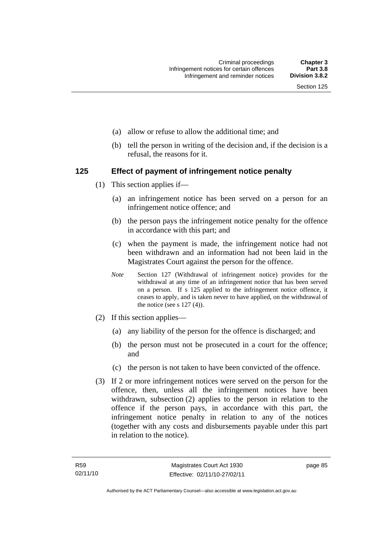- (a) allow or refuse to allow the additional time; and
- (b) tell the person in writing of the decision and, if the decision is a refusal, the reasons for it.

#### **125 Effect of payment of infringement notice penalty**

- (1) This section applies if—
	- (a) an infringement notice has been served on a person for an infringement notice offence; and
	- (b) the person pays the infringement notice penalty for the offence in accordance with this part; and
	- (c) when the payment is made, the infringement notice had not been withdrawn and an information had not been laid in the Magistrates Court against the person for the offence.
	- *Note* Section 127 (Withdrawal of infringement notice) provides for the withdrawal at any time of an infringement notice that has been served on a person. If s 125 applied to the infringement notice offence, it ceases to apply, and is taken never to have applied, on the withdrawal of the notice (see s  $127(4)$ ).
- (2) If this section applies—
	- (a) any liability of the person for the offence is discharged; and
	- (b) the person must not be prosecuted in a court for the offence; and
	- (c) the person is not taken to have been convicted of the offence.
- (3) If 2 or more infringement notices were served on the person for the offence, then, unless all the infringement notices have been withdrawn, subsection (2) applies to the person in relation to the offence if the person pays, in accordance with this part, the infringement notice penalty in relation to any of the notices (together with any costs and disbursements payable under this part in relation to the notice).

page 85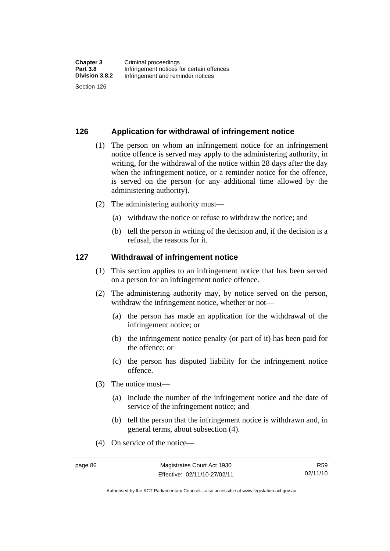#### **126 Application for withdrawal of infringement notice**

- (1) The person on whom an infringement notice for an infringement notice offence is served may apply to the administering authority, in writing, for the withdrawal of the notice within 28 days after the day when the infringement notice, or a reminder notice for the offence, is served on the person (or any additional time allowed by the administering authority).
- (2) The administering authority must—
	- (a) withdraw the notice or refuse to withdraw the notice; and
	- (b) tell the person in writing of the decision and, if the decision is a refusal, the reasons for it.

#### **127 Withdrawal of infringement notice**

- (1) This section applies to an infringement notice that has been served on a person for an infringement notice offence.
- (2) The administering authority may, by notice served on the person, withdraw the infringement notice, whether or not—
	- (a) the person has made an application for the withdrawal of the infringement notice; or
	- (b) the infringement notice penalty (or part of it) has been paid for the offence; or
	- (c) the person has disputed liability for the infringement notice offence.
- (3) The notice must—
	- (a) include the number of the infringement notice and the date of service of the infringement notice; and
	- (b) tell the person that the infringement notice is withdrawn and, in general terms, about subsection (4).
- (4) On service of the notice—

Authorised by the ACT Parliamentary Counsel—also accessible at www.legislation.act.gov.au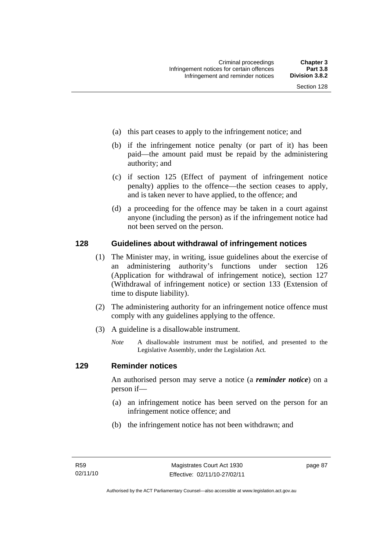- (a) this part ceases to apply to the infringement notice; and
- (b) if the infringement notice penalty (or part of it) has been paid—the amount paid must be repaid by the administering authority; and
- (c) if section 125 (Effect of payment of infringement notice penalty) applies to the offence—the section ceases to apply, and is taken never to have applied, to the offence; and
- (d) a proceeding for the offence may be taken in a court against anyone (including the person) as if the infringement notice had not been served on the person.

#### **128 Guidelines about withdrawal of infringement notices**

- (1) The Minister may, in writing, issue guidelines about the exercise of an administering authority's functions under section 126 (Application for withdrawal of infringement notice), section 127 (Withdrawal of infringement notice) or section 133 (Extension of time to dispute liability).
- (2) The administering authority for an infringement notice offence must comply with any guidelines applying to the offence.
- (3) A guideline is a disallowable instrument.
	- *Note* A disallowable instrument must be notified, and presented to the Legislative Assembly, under the Legislation Act*.*

#### **129 Reminder notices**

An authorised person may serve a notice (a *reminder notice*) on a person if—

- (a) an infringement notice has been served on the person for an infringement notice offence; and
- (b) the infringement notice has not been withdrawn; and

page 87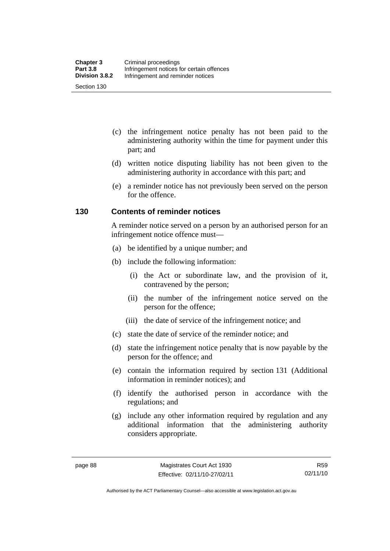- (c) the infringement notice penalty has not been paid to the administering authority within the time for payment under this part; and
- (d) written notice disputing liability has not been given to the administering authority in accordance with this part; and
- (e) a reminder notice has not previously been served on the person for the offence.

#### **130 Contents of reminder notices**

A reminder notice served on a person by an authorised person for an infringement notice offence must—

- (a) be identified by a unique number; and
- (b) include the following information:
	- (i) the Act or subordinate law, and the provision of it, contravened by the person;
	- (ii) the number of the infringement notice served on the person for the offence;
	- (iii) the date of service of the infringement notice; and
- (c) state the date of service of the reminder notice; and
- (d) state the infringement notice penalty that is now payable by the person for the offence; and
- (e) contain the information required by section 131 (Additional information in reminder notices); and
- (f) identify the authorised person in accordance with the regulations; and
- (g) include any other information required by regulation and any additional information that the administering authority considers appropriate.

R59 02/11/10

Authorised by the ACT Parliamentary Counsel—also accessible at www.legislation.act.gov.au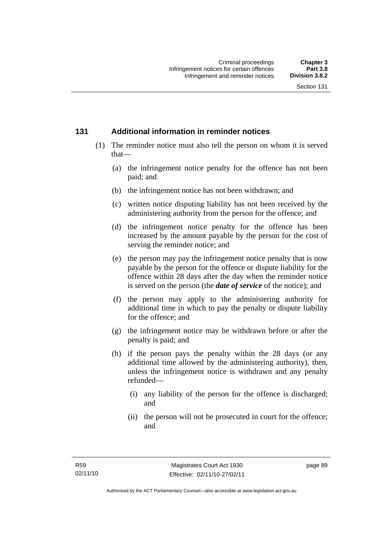#### **131 Additional information in reminder notices**

- (1) The reminder notice must also tell the person on whom it is served that—
	- (a) the infringement notice penalty for the offence has not been paid; and
	- (b) the infringement notice has not been withdrawn; and
	- (c) written notice disputing liability has not been received by the administering authority from the person for the offence; and
	- (d) the infringement notice penalty for the offence has been increased by the amount payable by the person for the cost of serving the reminder notice; and
	- (e) the person may pay the infringement notice penalty that is now payable by the person for the offence or dispute liability for the offence within 28 days after the day when the reminder notice is served on the person (the *date of service* of the notice); and
	- (f) the person may apply to the administering authority for additional time in which to pay the penalty or dispute liability for the offence; and
	- (g) the infringement notice may be withdrawn before or after the penalty is paid; and
	- (h) if the person pays the penalty within the 28 days (or any additional time allowed by the administering authority), then, unless the infringement notice is withdrawn and any penalty refunded—
		- (i) any liability of the person for the offence is discharged; and
		- (ii) the person will not be prosecuted in court for the offence; and

page 89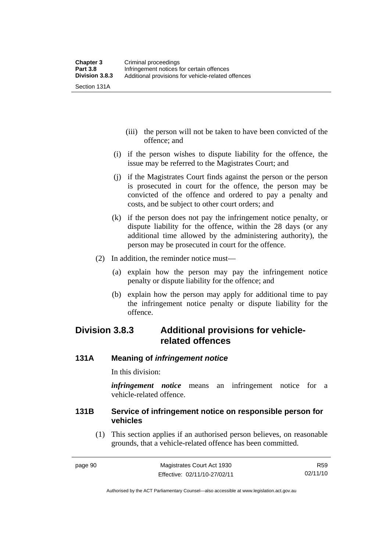- (iii) the person will not be taken to have been convicted of the offence; and
- (i) if the person wishes to dispute liability for the offence, the issue may be referred to the Magistrates Court; and
- (j) if the Magistrates Court finds against the person or the person is prosecuted in court for the offence, the person may be convicted of the offence and ordered to pay a penalty and costs, and be subject to other court orders; and
- (k) if the person does not pay the infringement notice penalty, or dispute liability for the offence, within the 28 days (or any additional time allowed by the administering authority), the person may be prosecuted in court for the offence.
- (2) In addition, the reminder notice must—
	- (a) explain how the person may pay the infringement notice penalty or dispute liability for the offence; and
	- (b) explain how the person may apply for additional time to pay the infringement notice penalty or dispute liability for the offence.

# **Division 3.8.3 Additional provisions for vehiclerelated offences**

#### **131A Meaning of** *infringement notice*

In this division:

*infringement notice* means an infringement notice for a vehicle-related offence.

#### **131B Service of infringement notice on responsible person for vehicles**

 (1) This section applies if an authorised person believes, on reasonable grounds, that a vehicle-related offence has been committed.

R59 02/11/10

Authorised by the ACT Parliamentary Counsel—also accessible at www.legislation.act.gov.au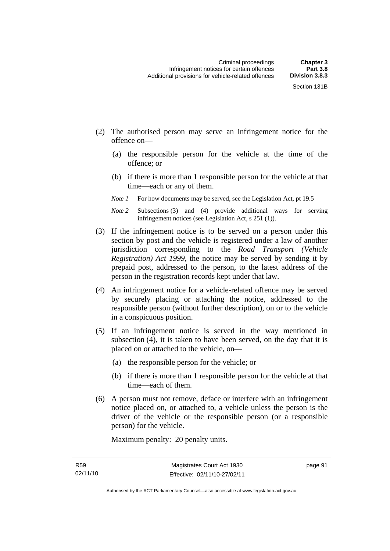- (2) The authorised person may serve an infringement notice for the offence on—
	- (a) the responsible person for the vehicle at the time of the offence; or
	- (b) if there is more than 1 responsible person for the vehicle at that time—each or any of them.
	- *Note 1* For how documents may be served, see the Legislation Act, pt 19.5
	- *Note 2* Subsections (3) and (4) provide additional ways for serving infringement notices (see Legislation Act, s 251 (1)).
- (3) If the infringement notice is to be served on a person under this section by post and the vehicle is registered under a law of another jurisdiction corresponding to the *Road Transport (Vehicle Registration) Act 1999*, the notice may be served by sending it by prepaid post, addressed to the person, to the latest address of the person in the registration records kept under that law.
- (4) An infringement notice for a vehicle-related offence may be served by securely placing or attaching the notice, addressed to the responsible person (without further description), on or to the vehicle in a conspicuous position.
- (5) If an infringement notice is served in the way mentioned in subsection (4), it is taken to have been served, on the day that it is placed on or attached to the vehicle, on—
	- (a) the responsible person for the vehicle; or
	- (b) if there is more than 1 responsible person for the vehicle at that time—each of them.
- (6) A person must not remove, deface or interfere with an infringement notice placed on, or attached to, a vehicle unless the person is the driver of the vehicle or the responsible person (or a responsible person) for the vehicle.

Maximum penalty: 20 penalty units.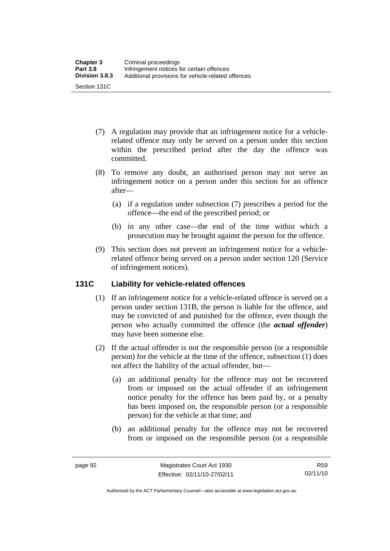- (7) A regulation may provide that an infringement notice for a vehiclerelated offence may only be served on a person under this section within the prescribed period after the day the offence was committed.
- (8) To remove any doubt, an authorised person may not serve an infringement notice on a person under this section for an offence after—
	- (a) if a regulation under subsection (7) prescribes a period for the offence—the end of the prescribed period; or
	- (b) in any other case—the end of the time within which a prosecution may be brought against the person for the offence.
- (9) This section does not prevent an infringement notice for a vehiclerelated offence being served on a person under section 120 (Service of infringement notices).

#### **131C Liability for vehicle-related offences**

- (1) If an infringement notice for a vehicle-related offence is served on a person under section 131B, the person is liable for the offence, and may be convicted of and punished for the offence, even though the person who actually committed the offence (the *actual offender*) may have been someone else.
- (2) If the actual offender is not the responsible person (or a responsible person) for the vehicle at the time of the offence, subsection (1) does not affect the liability of the actual offender, but—
	- (a) an additional penalty for the offence may not be recovered from or imposed on the actual offender if an infringement notice penalty for the offence has been paid by, or a penalty has been imposed on, the responsible person (or a responsible person) for the vehicle at that time; and
	- (b) an additional penalty for the offence may not be recovered from or imposed on the responsible person (or a responsible

Authorised by the ACT Parliamentary Counsel—also accessible at www.legislation.act.gov.au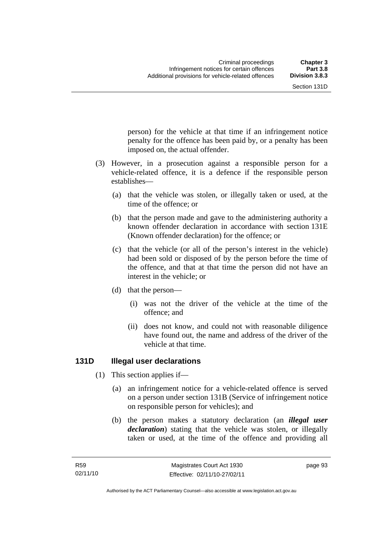person) for the vehicle at that time if an infringement notice penalty for the offence has been paid by, or a penalty has been imposed on, the actual offender.

- (3) However, in a prosecution against a responsible person for a vehicle-related offence, it is a defence if the responsible person establishes—
	- (a) that the vehicle was stolen, or illegally taken or used, at the time of the offence; or
	- (b) that the person made and gave to the administering authority a known offender declaration in accordance with section 131E (Known offender declaration) for the offence; or
	- (c) that the vehicle (or all of the person's interest in the vehicle) had been sold or disposed of by the person before the time of the offence, and that at that time the person did not have an interest in the vehicle; or
	- (d) that the person—
		- (i) was not the driver of the vehicle at the time of the offence; and
		- (ii) does not know, and could not with reasonable diligence have found out, the name and address of the driver of the vehicle at that time.

# **131D Illegal user declarations**

- (1) This section applies if—
	- (a) an infringement notice for a vehicle-related offence is served on a person under section 131B (Service of infringement notice on responsible person for vehicles); and
	- (b) the person makes a statutory declaration (an *illegal user declaration*) stating that the vehicle was stolen, or illegally taken or used, at the time of the offence and providing all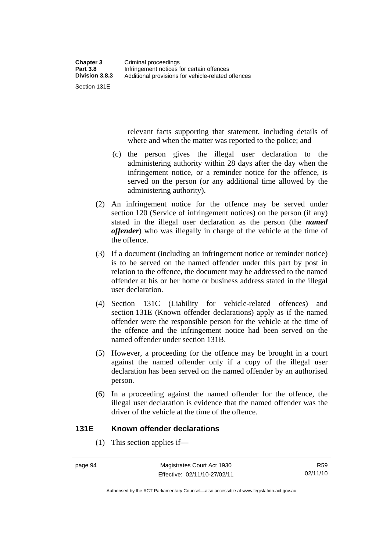Section 131E

relevant facts supporting that statement, including details of where and when the matter was reported to the police; and

- (c) the person gives the illegal user declaration to the administering authority within 28 days after the day when the infringement notice, or a reminder notice for the offence, is served on the person (or any additional time allowed by the administering authority).
- (2) An infringement notice for the offence may be served under section 120 (Service of infringement notices) on the person (if any) stated in the illegal user declaration as the person (the *named offender*) who was illegally in charge of the vehicle at the time of the offence.
- (3) If a document (including an infringement notice or reminder notice) is to be served on the named offender under this part by post in relation to the offence, the document may be addressed to the named offender at his or her home or business address stated in the illegal user declaration.
- (4) Section 131C (Liability for vehicle-related offences) and section 131E (Known offender declarations) apply as if the named offender were the responsible person for the vehicle at the time of the offence and the infringement notice had been served on the named offender under section 131B.
- (5) However, a proceeding for the offence may be brought in a court against the named offender only if a copy of the illegal user declaration has been served on the named offender by an authorised person.
- (6) In a proceeding against the named offender for the offence, the illegal user declaration is evidence that the named offender was the driver of the vehicle at the time of the offence.

# **131E Known offender declarations**

(1) This section applies if—

Authorised by the ACT Parliamentary Counsel—also accessible at www.legislation.act.gov.au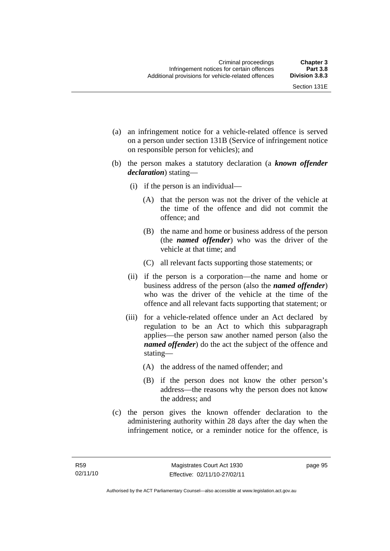- (a) an infringement notice for a vehicle-related offence is served on a person under section 131B (Service of infringement notice on responsible person for vehicles); and
- (b) the person makes a statutory declaration (a *known offender declaration*) stating—
	- (i) if the person is an individual—
		- (A) that the person was not the driver of the vehicle at the time of the offence and did not commit the offence; and
		- (B) the name and home or business address of the person (the *named offender*) who was the driver of the vehicle at that time; and
		- (C) all relevant facts supporting those statements; or
	- (ii) if the person is a corporation—the name and home or business address of the person (also the *named offender*) who was the driver of the vehicle at the time of the offence and all relevant facts supporting that statement; or
	- (iii) for a vehicle-related offence under an Act declared by regulation to be an Act to which this subparagraph applies—the person saw another named person (also the *named offender*) do the act the subject of the offence and stating—
		- (A) the address of the named offender; and
		- (B) if the person does not know the other person's address—the reasons why the person does not know the address; and
- (c) the person gives the known offender declaration to the administering authority within 28 days after the day when the infringement notice, or a reminder notice for the offence, is

page 95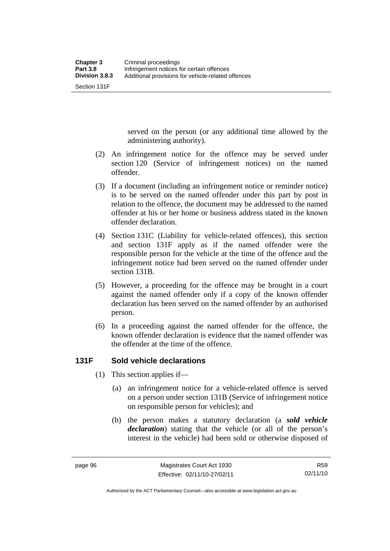Section 131F

served on the person (or any additional time allowed by the administering authority).

- (2) An infringement notice for the offence may be served under section 120 (Service of infringement notices) on the named offender.
- (3) If a document (including an infringement notice or reminder notice) is to be served on the named offender under this part by post in relation to the offence, the document may be addressed to the named offender at his or her home or business address stated in the known offender declaration.
- (4) Section 131C (Liability for vehicle-related offences), this section and section 131F apply as if the named offender were the responsible person for the vehicle at the time of the offence and the infringement notice had been served on the named offender under section 131B.
- (5) However, a proceeding for the offence may be brought in a court against the named offender only if a copy of the known offender declaration has been served on the named offender by an authorised person.
- (6) In a proceeding against the named offender for the offence, the known offender declaration is evidence that the named offender was the offender at the time of the offence.

# **131F Sold vehicle declarations**

- (1) This section applies if—
	- (a) an infringement notice for a vehicle-related offence is served on a person under section 131B (Service of infringement notice on responsible person for vehicles); and
	- (b) the person makes a statutory declaration (a *sold vehicle declaration*) stating that the vehicle (or all of the person's interest in the vehicle) had been sold or otherwise disposed of

Authorised by the ACT Parliamentary Counsel—also accessible at www.legislation.act.gov.au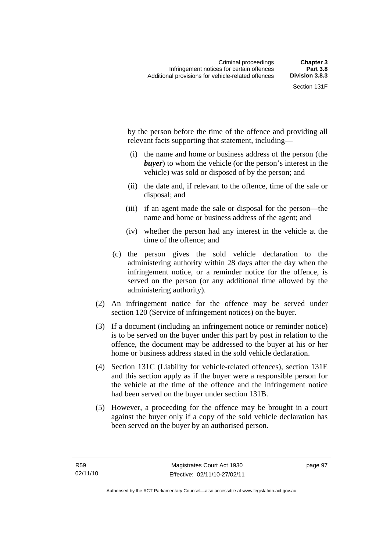by the person before the time of the offence and providing all relevant facts supporting that statement, including—

- (i) the name and home or business address of the person (the *buyer*) to whom the vehicle (or the person's interest in the vehicle) was sold or disposed of by the person; and
- (ii) the date and, if relevant to the offence, time of the sale or disposal; and
- (iii) if an agent made the sale or disposal for the person—the name and home or business address of the agent; and
- (iv) whether the person had any interest in the vehicle at the time of the offence; and
- (c) the person gives the sold vehicle declaration to the administering authority within 28 days after the day when the infringement notice, or a reminder notice for the offence, is served on the person (or any additional time allowed by the administering authority).
- (2) An infringement notice for the offence may be served under section 120 (Service of infringement notices) on the buyer.
- (3) If a document (including an infringement notice or reminder notice) is to be served on the buyer under this part by post in relation to the offence, the document may be addressed to the buyer at his or her home or business address stated in the sold vehicle declaration.
- (4) Section 131C (Liability for vehicle-related offences), section 131E and this section apply as if the buyer were a responsible person for the vehicle at the time of the offence and the infringement notice had been served on the buyer under section 131B.
- (5) However, a proceeding for the offence may be brought in a court against the buyer only if a copy of the sold vehicle declaration has been served on the buyer by an authorised person.

page 97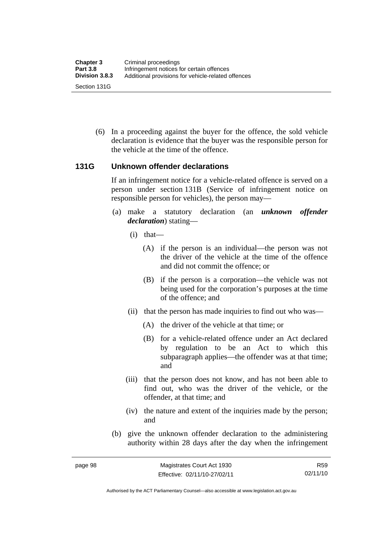(6) In a proceeding against the buyer for the offence, the sold vehicle declaration is evidence that the buyer was the responsible person for the vehicle at the time of the offence.

#### **131G Unknown offender declarations**

If an infringement notice for a vehicle-related offence is served on a person under section 131B (Service of infringement notice on responsible person for vehicles), the person may—

- (a) make a statutory declaration (an *unknown offender declaration*) stating—
	- (i) that—
		- (A) if the person is an individual—the person was not the driver of the vehicle at the time of the offence and did not commit the offence; or
		- (B) if the person is a corporation—the vehicle was not being used for the corporation's purposes at the time of the offence; and
	- (ii) that the person has made inquiries to find out who was—
		- (A) the driver of the vehicle at that time; or
		- (B) for a vehicle-related offence under an Act declared by regulation to be an Act to which this subparagraph applies—the offender was at that time; and
	- (iii) that the person does not know, and has not been able to find out, who was the driver of the vehicle, or the offender, at that time; and
	- (iv) the nature and extent of the inquiries made by the person; and
- (b) give the unknown offender declaration to the administering authority within 28 days after the day when the infringement

R59 02/11/10

Authorised by the ACT Parliamentary Counsel—also accessible at www.legislation.act.gov.au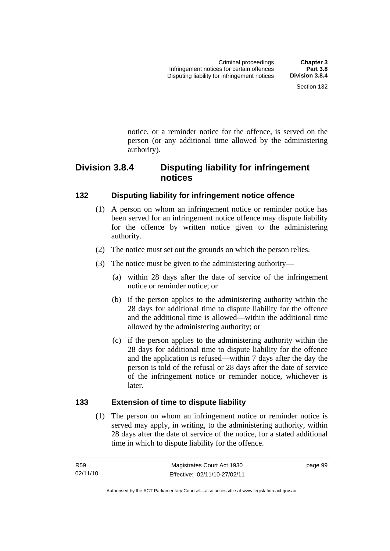notice, or a reminder notice for the offence, is served on the person (or any additional time allowed by the administering

# **Division 3.8.4 Disputing liability for infringement notices**

# **132 Disputing liability for infringement notice offence**

authority).

- (1) A person on whom an infringement notice or reminder notice has been served for an infringement notice offence may dispute liability for the offence by written notice given to the administering authority.
- (2) The notice must set out the grounds on which the person relies.
- (3) The notice must be given to the administering authority—
	- (a) within 28 days after the date of service of the infringement notice or reminder notice; or
	- (b) if the person applies to the administering authority within the 28 days for additional time to dispute liability for the offence and the additional time is allowed—within the additional time allowed by the administering authority; or
	- (c) if the person applies to the administering authority within the 28 days for additional time to dispute liability for the offence and the application is refused—within 7 days after the day the person is told of the refusal or 28 days after the date of service of the infringement notice or reminder notice, whichever is later.

# **133 Extension of time to dispute liability**

 (1) The person on whom an infringement notice or reminder notice is served may apply, in writing, to the administering authority, within 28 days after the date of service of the notice, for a stated additional time in which to dispute liability for the offence.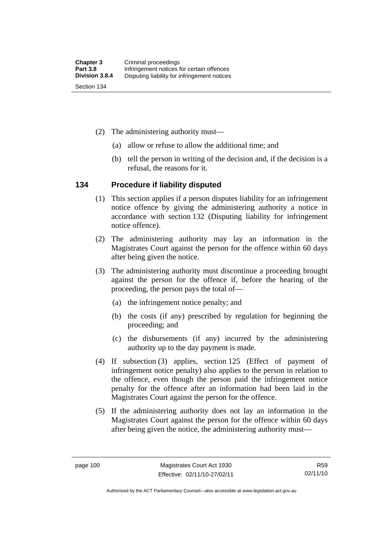- (2) The administering authority must—
	- (a) allow or refuse to allow the additional time; and
	- (b) tell the person in writing of the decision and, if the decision is a refusal, the reasons for it.

#### **134 Procedure if liability disputed**

- (1) This section applies if a person disputes liability for an infringement notice offence by giving the administering authority a notice in accordance with section 132 (Disputing liability for infringement notice offence).
- (2) The administering authority may lay an information in the Magistrates Court against the person for the offence within 60 days after being given the notice.
- (3) The administering authority must discontinue a proceeding brought against the person for the offence if, before the hearing of the proceeding, the person pays the total of—
	- (a) the infringement notice penalty; and
	- (b) the costs (if any) prescribed by regulation for beginning the proceeding; and
	- (c) the disbursements (if any) incurred by the administering authority up to the day payment is made.
- (4) If subsection (3) applies, section 125 (Effect of payment of infringement notice penalty) also applies to the person in relation to the offence, even though the person paid the infringement notice penalty for the offence after an information had been laid in the Magistrates Court against the person for the offence.
- (5) If the administering authority does not lay an information in the Magistrates Court against the person for the offence within 60 days after being given the notice, the administering authority must—

Authorised by the ACT Parliamentary Counsel—also accessible at www.legislation.act.gov.au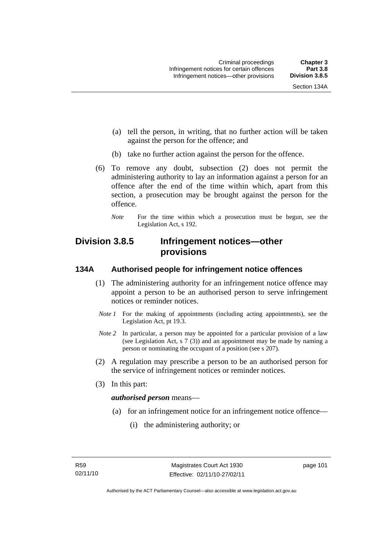- (a) tell the person, in writing, that no further action will be taken against the person for the offence; and
- (b) take no further action against the person for the offence.
- (6) To remove any doubt, subsection (2) does not permit the administering authority to lay an information against a person for an offence after the end of the time within which, apart from this section, a prosecution may be brought against the person for the offence.
	- *Note* For the time within which a prosecution must be begun, see the Legislation Act, s 192.

# **Division 3.8.5 Infringement notices—other provisions**

# **134A Authorised people for infringement notice offences**

- (1) The administering authority for an infringement notice offence may appoint a person to be an authorised person to serve infringement notices or reminder notices.
- *Note 1* For the making of appointments (including acting appointments), see the Legislation Act, pt 19.3.
- *Note 2* In particular, a person may be appointed for a particular provision of a law (see Legislation Act, s 7 (3)) and an appointment may be made by naming a person or nominating the occupant of a position (see s 207).
- (2) A regulation may prescribe a person to be an authorised person for the service of infringement notices or reminder notices.
- (3) In this part:

# *authorised person* means—

- (a) for an infringement notice for an infringement notice offence—
	- (i) the administering authority; or

page 101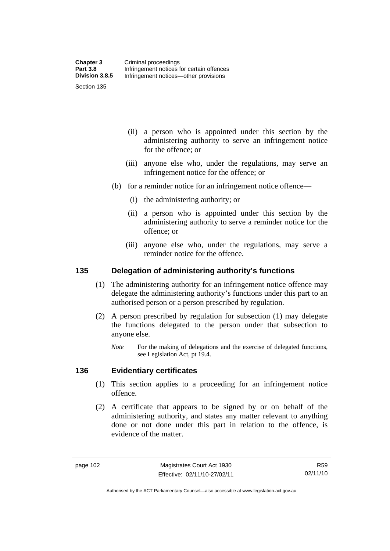Section 135

- (ii) a person who is appointed under this section by the administering authority to serve an infringement notice for the offence; or
- (iii) anyone else who, under the regulations, may serve an infringement notice for the offence; or
- (b) for a reminder notice for an infringement notice offence—
	- (i) the administering authority; or
	- (ii) a person who is appointed under this section by the administering authority to serve a reminder notice for the offence; or
	- (iii) anyone else who, under the regulations, may serve a reminder notice for the offence.

#### **135 Delegation of administering authority's functions**

- (1) The administering authority for an infringement notice offence may delegate the administering authority's functions under this part to an authorised person or a person prescribed by regulation.
- (2) A person prescribed by regulation for subsection (1) may delegate the functions delegated to the person under that subsection to anyone else.
	- *Note* For the making of delegations and the exercise of delegated functions, see Legislation Act, pt 19.4.

#### **136 Evidentiary certificates**

- (1) This section applies to a proceeding for an infringement notice offence.
- (2) A certificate that appears to be signed by or on behalf of the administering authority, and states any matter relevant to anything done or not done under this part in relation to the offence, is evidence of the matter.

Authorised by the ACT Parliamentary Counsel—also accessible at www.legislation.act.gov.au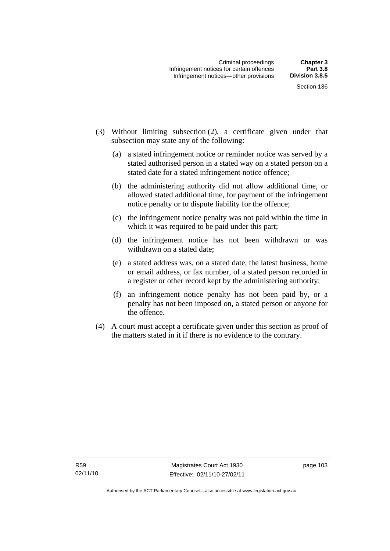- (3) Without limiting subsection (2), a certificate given under that subsection may state any of the following:
	- (a) a stated infringement notice or reminder notice was served by a stated authorised person in a stated way on a stated person on a stated date for a stated infringement notice offence;
	- (b) the administering authority did not allow additional time, or allowed stated additional time, for payment of the infringement notice penalty or to dispute liability for the offence;
	- (c) the infringement notice penalty was not paid within the time in which it was required to be paid under this part;
	- (d) the infringement notice has not been withdrawn or was withdrawn on a stated date;
	- (e) a stated address was, on a stated date, the latest business, home or email address, or fax number, of a stated person recorded in a register or other record kept by the administering authority;
	- (f) an infringement notice penalty has not been paid by, or a penalty has not been imposed on, a stated person or anyone for the offence.
- (4) A court must accept a certificate given under this section as proof of the matters stated in it if there is no evidence to the contrary.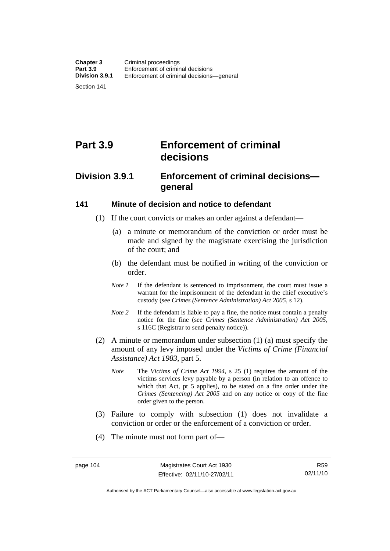Section 141

# **Part 3.9 Enforcement of criminal decisions**

# **Division 3.9.1 Enforcement of criminal decisions general**

#### **141 Minute of decision and notice to defendant**

- (1) If the court convicts or makes an order against a defendant—
	- (a) a minute or memorandum of the conviction or order must be made and signed by the magistrate exercising the jurisdiction of the court; and
	- (b) the defendant must be notified in writing of the conviction or order.
	- *Note 1* If the defendant is sentenced to imprisonment, the court must issue a warrant for the imprisonment of the defendant in the chief executive's custody (see *Crimes (Sentence Administration) Act 2005*, s 12).
	- *Note* 2 If the defendant is liable to pay a fine, the notice must contain a penalty notice for the fine (see *Crimes (Sentence Administration) Act 2005*, s 116C (Registrar to send penalty notice)).
- (2) A minute or memorandum under subsection (1) (a) must specify the amount of any levy imposed under the *Victims of Crime (Financial Assistance) Act 1983*, part 5.
	- *Note* The *Victims of Crime Act 1994*, s 25 (1) requires the amount of the victims services levy payable by a person (in relation to an offence to which that Act, pt 5 applies), to be stated on a fine order under the *Crimes (Sentencing) Act 2005* and on any notice or copy of the fine order given to the person.
- (3) Failure to comply with subsection (1) does not invalidate a conviction or order or the enforcement of a conviction or order.
- (4) The minute must not form part of—

Authorised by the ACT Parliamentary Counsel—also accessible at www.legislation.act.gov.au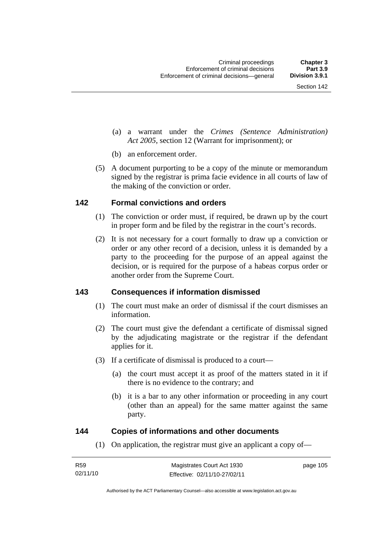- (a) a warrant under the *Crimes (Sentence Administration) Act 2005*, section 12 (Warrant for imprisonment); or
- (b) an enforcement order.
- (5) A document purporting to be a copy of the minute or memorandum signed by the registrar is prima facie evidence in all courts of law of the making of the conviction or order.

#### **142 Formal convictions and orders**

- (1) The conviction or order must, if required, be drawn up by the court in proper form and be filed by the registrar in the court's records.
- (2) It is not necessary for a court formally to draw up a conviction or order or any other record of a decision, unless it is demanded by a party to the proceeding for the purpose of an appeal against the decision, or is required for the purpose of a habeas corpus order or another order from the Supreme Court.

#### **143 Consequences if information dismissed**

- (1) The court must make an order of dismissal if the court dismisses an information.
- (2) The court must give the defendant a certificate of dismissal signed by the adjudicating magistrate or the registrar if the defendant applies for it.
- (3) If a certificate of dismissal is produced to a court—
	- (a) the court must accept it as proof of the matters stated in it if there is no evidence to the contrary; and
	- (b) it is a bar to any other information or proceeding in any court (other than an appeal) for the same matter against the same party.

#### **144 Copies of informations and other documents**

(1) On application, the registrar must give an applicant a copy of—

| R <sub>59</sub> | Magistrates Court Act 1930   | page 105 |
|-----------------|------------------------------|----------|
| 02/11/10        | Effective: 02/11/10-27/02/11 |          |

Authorised by the ACT Parliamentary Counsel—also accessible at www.legislation.act.gov.au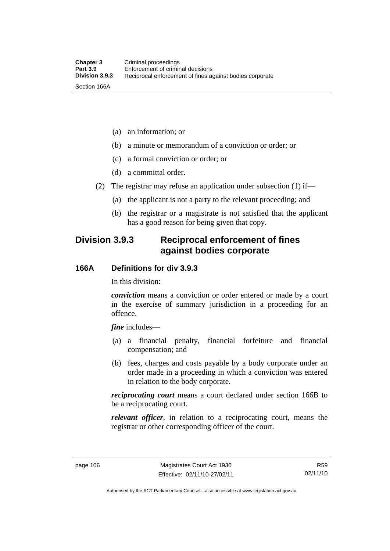- (a) an information; or
- (b) a minute or memorandum of a conviction or order; or
- (c) a formal conviction or order; or
- (d) a committal order.
- (2) The registrar may refuse an application under subsection (1) if—
	- (a) the applicant is not a party to the relevant proceeding; and
	- (b) the registrar or a magistrate is not satisfied that the applicant has a good reason for being given that copy.

# **Division 3.9.3 Reciprocal enforcement of fines against bodies corporate**

#### **166A Definitions for div 3.9.3**

In this division:

*conviction* means a conviction or order entered or made by a court in the exercise of summary jurisdiction in a proceeding for an offence.

*fine* includes—

- (a) a financial penalty, financial forfeiture and financial compensation; and
- (b) fees, charges and costs payable by a body corporate under an order made in a proceeding in which a conviction was entered in relation to the body corporate.

*reciprocating court* means a court declared under section 166B to be a reciprocating court.

*relevant officer*, in relation to a reciprocating court, means the registrar or other corresponding officer of the court.

Authorised by the ACT Parliamentary Counsel—also accessible at www.legislation.act.gov.au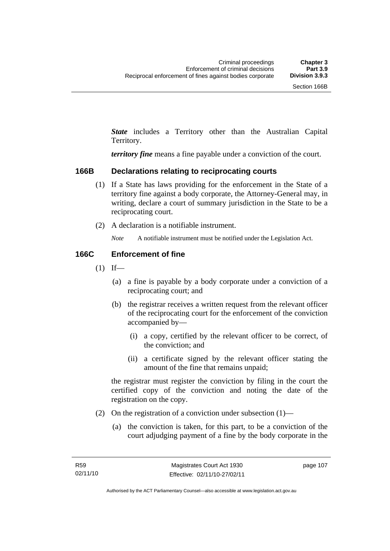*State* includes a Territory other than the Australian Capital Territory.

*territory fine* means a fine payable under a conviction of the court.

#### **166B Declarations relating to reciprocating courts**

- (1) If a State has laws providing for the enforcement in the State of a territory fine against a body corporate, the Attorney-General may, in writing, declare a court of summary jurisdiction in the State to be a reciprocating court.
- (2) A declaration is a notifiable instrument.

*Note* A notifiable instrument must be notified under the Legislation Act.

#### **166C Enforcement of fine**

- $(1)$  If—
	- (a) a fine is payable by a body corporate under a conviction of a reciprocating court; and
	- (b) the registrar receives a written request from the relevant officer of the reciprocating court for the enforcement of the conviction accompanied by—
		- (i) a copy, certified by the relevant officer to be correct, of the conviction; and
		- (ii) a certificate signed by the relevant officer stating the amount of the fine that remains unpaid;

the registrar must register the conviction by filing in the court the certified copy of the conviction and noting the date of the registration on the copy.

- (2) On the registration of a conviction under subsection  $(1)$ 
	- (a) the conviction is taken, for this part, to be a conviction of the court adjudging payment of a fine by the body corporate in the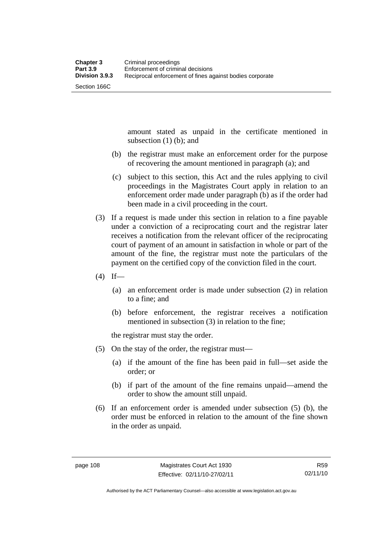amount stated as unpaid in the certificate mentioned in subsection (1) (b); and

- (b) the registrar must make an enforcement order for the purpose of recovering the amount mentioned in paragraph (a); and
- (c) subject to this section, this Act and the rules applying to civil proceedings in the Magistrates Court apply in relation to an enforcement order made under paragraph (b) as if the order had been made in a civil proceeding in the court.
- (3) If a request is made under this section in relation to a fine payable under a conviction of a reciprocating court and the registrar later receives a notification from the relevant officer of the reciprocating court of payment of an amount in satisfaction in whole or part of the amount of the fine, the registrar must note the particulars of the payment on the certified copy of the conviction filed in the court.
- $(4)$  If—
	- (a) an enforcement order is made under subsection (2) in relation to a fine; and
	- (b) before enforcement, the registrar receives a notification mentioned in subsection (3) in relation to the fine;

the registrar must stay the order.

- (5) On the stay of the order, the registrar must—
	- (a) if the amount of the fine has been paid in full—set aside the order; or
	- (b) if part of the amount of the fine remains unpaid—amend the order to show the amount still unpaid.
- (6) If an enforcement order is amended under subsection (5) (b), the order must be enforced in relation to the amount of the fine shown in the order as unpaid.

R59 02/11/10

Authorised by the ACT Parliamentary Counsel—also accessible at www.legislation.act.gov.au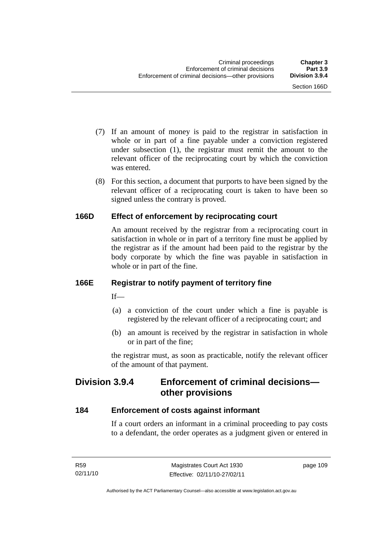- (7) If an amount of money is paid to the registrar in satisfaction in whole or in part of a fine payable under a conviction registered under subsection (1), the registrar must remit the amount to the relevant officer of the reciprocating court by which the conviction was entered.
- (8) For this section, a document that purports to have been signed by the relevant officer of a reciprocating court is taken to have been so signed unless the contrary is proved.

# **166D Effect of enforcement by reciprocating court**

An amount received by the registrar from a reciprocating court in satisfaction in whole or in part of a territory fine must be applied by the registrar as if the amount had been paid to the registrar by the body corporate by which the fine was payable in satisfaction in whole or in part of the fine.

# **166E Registrar to notify payment of territory fine**

 $If$ —

- (a) a conviction of the court under which a fine is payable is registered by the relevant officer of a reciprocating court; and
- (b) an amount is received by the registrar in satisfaction in whole or in part of the fine;

the registrar must, as soon as practicable, notify the relevant officer of the amount of that payment.

# **Division 3.9.4 Enforcement of criminal decisions other provisions**

# **184 Enforcement of costs against informant**

If a court orders an informant in a criminal proceeding to pay costs to a defendant, the order operates as a judgment given or entered in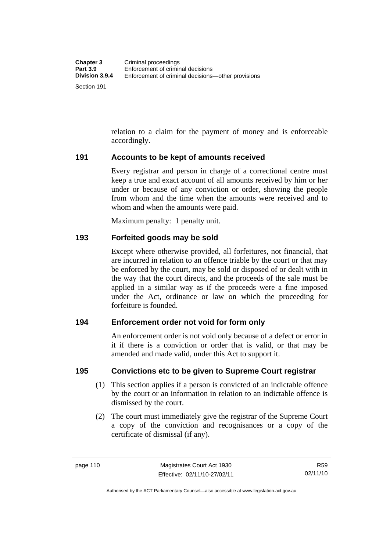relation to a claim for the payment of money and is enforceable accordingly.

#### **191 Accounts to be kept of amounts received**

Every registrar and person in charge of a correctional centre must keep a true and exact account of all amounts received by him or her under or because of any conviction or order, showing the people from whom and the time when the amounts were received and to whom and when the amounts were paid.

Maximum penalty: 1 penalty unit.

#### **193 Forfeited goods may be sold**

Except where otherwise provided, all forfeitures, not financial, that are incurred in relation to an offence triable by the court or that may be enforced by the court, may be sold or disposed of or dealt with in the way that the court directs, and the proceeds of the sale must be applied in a similar way as if the proceeds were a fine imposed under the Act, ordinance or law on which the proceeding for forfeiture is founded.

#### **194 Enforcement order not void for form only**

An enforcement order is not void only because of a defect or error in it if there is a conviction or order that is valid, or that may be amended and made valid, under this Act to support it.

#### **195 Convictions etc to be given to Supreme Court registrar**

- (1) This section applies if a person is convicted of an indictable offence by the court or an information in relation to an indictable offence is dismissed by the court.
- (2) The court must immediately give the registrar of the Supreme Court a copy of the conviction and recognisances or a copy of the certificate of dismissal (if any).

Section 191

Authorised by the ACT Parliamentary Counsel—also accessible at www.legislation.act.gov.au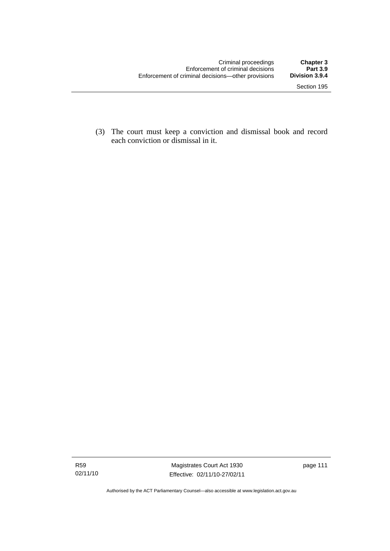(3) The court must keep a conviction and dismissal book and record each conviction or dismissal in it.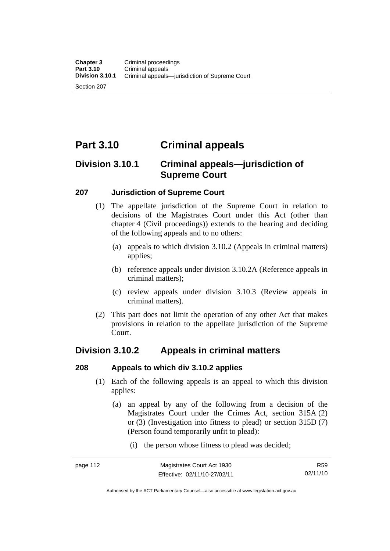Section 207

# **Part 3.10 Criminal appeals**

# **Division 3.10.1 Criminal appeals—jurisdiction of Supreme Court**

#### **207 Jurisdiction of Supreme Court**

- (1) The appellate jurisdiction of the Supreme Court in relation to decisions of the Magistrates Court under this Act (other than chapter 4 (Civil proceedings)) extends to the hearing and deciding of the following appeals and to no others:
	- (a) appeals to which division 3.10.2 (Appeals in criminal matters) applies;
	- (b) reference appeals under division 3.10.2A (Reference appeals in criminal matters);
	- (c) review appeals under division 3.10.3 (Review appeals in criminal matters).
- (2) This part does not limit the operation of any other Act that makes provisions in relation to the appellate jurisdiction of the Supreme Court.

# **Division 3.10.2 Appeals in criminal matters**

# **208 Appeals to which div 3.10.2 applies**

- (1) Each of the following appeals is an appeal to which this division applies:
	- (a) an appeal by any of the following from a decision of the Magistrates Court under the Crimes Act, section 315A (2) or (3) (Investigation into fitness to plead) or section 315D (7) (Person found temporarily unfit to plead):
		- (i) the person whose fitness to plead was decided;

R59 02/11/10

Authorised by the ACT Parliamentary Counsel—also accessible at www.legislation.act.gov.au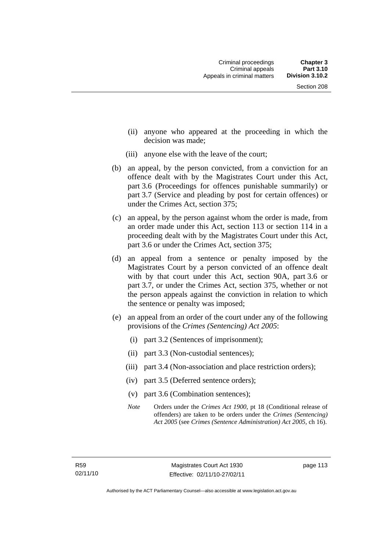- (ii) anyone who appeared at the proceeding in which the decision was made;
- (iii) anyone else with the leave of the court;
- (b) an appeal, by the person convicted, from a conviction for an offence dealt with by the Magistrates Court under this Act, part 3.6 (Proceedings for offences punishable summarily) or part 3.7 (Service and pleading by post for certain offences) or under the Crimes Act, section 375;
- (c) an appeal, by the person against whom the order is made, from an order made under this Act, section 113 or section 114 in a proceeding dealt with by the Magistrates Court under this Act, part 3.6 or under the Crimes Act, section 375;
- (d) an appeal from a sentence or penalty imposed by the Magistrates Court by a person convicted of an offence dealt with by that court under this Act, section 90A, part 3.6 or part 3.7, or under the Crimes Act, section 375, whether or not the person appeals against the conviction in relation to which the sentence or penalty was imposed;
- (e) an appeal from an order of the court under any of the following provisions of the *Crimes (Sentencing) Act 2005*:
	- (i) part 3.2 (Sentences of imprisonment);
	- (ii) part 3.3 (Non-custodial sentences);
	- (iii) part 3.4 (Non-association and place restriction orders);
	- (iv) part 3.5 (Deferred sentence orders);
	- (v) part 3.6 (Combination sentences);
	- *Note* Orders under the *Crimes Act 1900*, pt 18 (Conditional release of offenders) are taken to be orders under the *Crimes (Sentencing) Act 2005* (see *Crimes (Sentence Administration) Act 2005*, ch 16).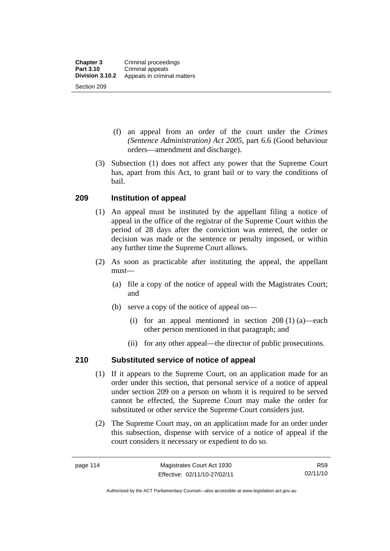- (f) an appeal from an order of the court under the *Crimes (Sentence Administration) Act 2005,* part 6.6 (Good behaviour orders—amendment and discharge).
- (3) Subsection (1) does not affect any power that the Supreme Court has, apart from this Act, to grant bail or to vary the conditions of bail.

# **209 Institution of appeal**

- (1) An appeal must be instituted by the appellant filing a notice of appeal in the office of the registrar of the Supreme Court within the period of 28 days after the conviction was entered, the order or decision was made or the sentence or penalty imposed, or within any further time the Supreme Court allows.
- (2) As soon as practicable after instituting the appeal, the appellant must—
	- (a) file a copy of the notice of appeal with the Magistrates Court; and
	- (b) serve a copy of the notice of appeal on—
		- (i) for an appeal mentioned in section 208 (1) (a)—each other person mentioned in that paragraph; and
		- (ii) for any other appeal—the director of public prosecutions.

# **210 Substituted service of notice of appeal**

- (1) If it appears to the Supreme Court, on an application made for an order under this section, that personal service of a notice of appeal under section 209 on a person on whom it is required to be served cannot be effected, the Supreme Court may make the order for substituted or other service the Supreme Court considers just.
- (2) The Supreme Court may, on an application made for an order under this subsection, dispense with service of a notice of appeal if the court considers it necessary or expedient to do so.

Authorised by the ACT Parliamentary Counsel—also accessible at www.legislation.act.gov.au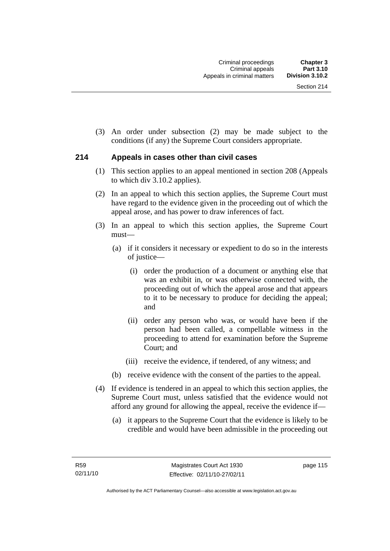(3) An order under subsection (2) may be made subject to the conditions (if any) the Supreme Court considers appropriate.

#### **214 Appeals in cases other than civil cases**

- (1) This section applies to an appeal mentioned in section 208 (Appeals to which div 3.10.2 applies).
- (2) In an appeal to which this section applies, the Supreme Court must have regard to the evidence given in the proceeding out of which the appeal arose, and has power to draw inferences of fact.
- (3) In an appeal to which this section applies, the Supreme Court must—
	- (a) if it considers it necessary or expedient to do so in the interests of justice—
		- (i) order the production of a document or anything else that was an exhibit in, or was otherwise connected with, the proceeding out of which the appeal arose and that appears to it to be necessary to produce for deciding the appeal; and
		- (ii) order any person who was, or would have been if the person had been called, a compellable witness in the proceeding to attend for examination before the Supreme Court; and
		- (iii) receive the evidence, if tendered, of any witness; and
	- (b) receive evidence with the consent of the parties to the appeal.
- (4) If evidence is tendered in an appeal to which this section applies, the Supreme Court must, unless satisfied that the evidence would not afford any ground for allowing the appeal, receive the evidence if—
	- (a) it appears to the Supreme Court that the evidence is likely to be credible and would have been admissible in the proceeding out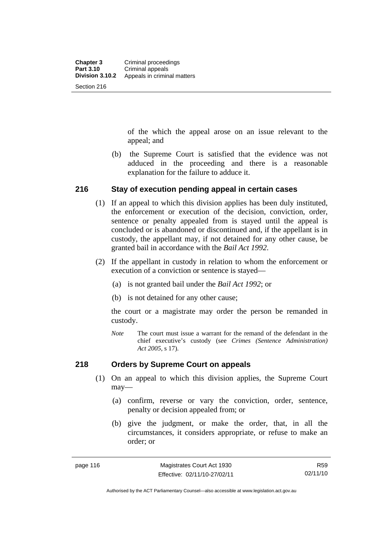of the which the appeal arose on an issue relevant to the appeal; and

 (b) the Supreme Court is satisfied that the evidence was not adduced in the proceeding and there is a reasonable explanation for the failure to adduce it.

#### **216 Stay of execution pending appeal in certain cases**

- (1) If an appeal to which this division applies has been duly instituted, the enforcement or execution of the decision, conviction, order, sentence or penalty appealed from is stayed until the appeal is concluded or is abandoned or discontinued and, if the appellant is in custody, the appellant may, if not detained for any other cause, be granted bail in accordance with the *Bail Act 1992*.
- (2) If the appellant in custody in relation to whom the enforcement or execution of a conviction or sentence is stayed—
	- (a) is not granted bail under the *Bail Act 1992*; or
	- (b) is not detained for any other cause;

the court or a magistrate may order the person be remanded in custody.

*Note* The court must issue a warrant for the remand of the defendant in the chief executive's custody (see *Crimes (Sentence Administration) Act 2005*, s 17).

#### **218 Orders by Supreme Court on appeals**

- (1) On an appeal to which this division applies, the Supreme Court may—
	- (a) confirm, reverse or vary the conviction, order, sentence, penalty or decision appealed from; or
	- (b) give the judgment, or make the order, that, in all the circumstances, it considers appropriate, or refuse to make an order; or

R59 02/11/10

Authorised by the ACT Parliamentary Counsel—also accessible at www.legislation.act.gov.au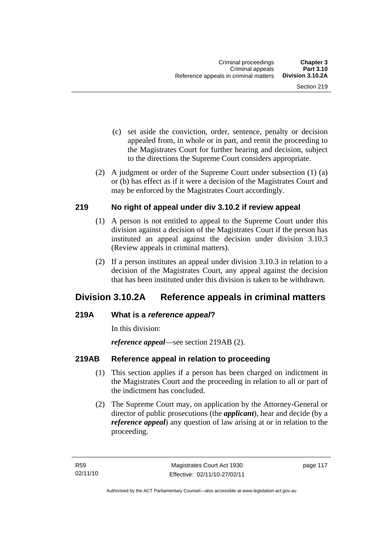- (c) set aside the conviction, order, sentence, penalty or decision appealed from, in whole or in part, and remit the proceeding to the Magistrates Court for further hearing and decision, subject to the directions the Supreme Court considers appropriate.
- (2) A judgment or order of the Supreme Court under subsection (1) (a) or (b) has effect as if it were a decision of the Magistrates Court and may be enforced by the Magistrates Court accordingly.

#### **219 No right of appeal under div 3.10.2 if review appeal**

- (1) A person is not entitled to appeal to the Supreme Court under this division against a decision of the Magistrates Court if the person has instituted an appeal against the decision under division 3.10.3 (Review appeals in criminal matters).
- (2) If a person institutes an appeal under division 3.10.3 in relation to a decision of the Magistrates Court, any appeal against the decision that has been instituted under this division is taken to be withdrawn.

# **Division 3.10.2A Reference appeals in criminal matters**

# **219A What is a** *reference appeal***?**

In this division:

*reference appeal*—see section 219AB (2).

# **219AB Reference appeal in relation to proceeding**

- (1) This section applies if a person has been charged on indictment in the Magistrates Court and the proceeding in relation to all or part of the indictment has concluded.
- (2) The Supreme Court may, on application by the Attorney-General or director of public prosecutions (the *applicant*), hear and decide (by a *reference appeal*) any question of law arising at or in relation to the proceeding.

page 117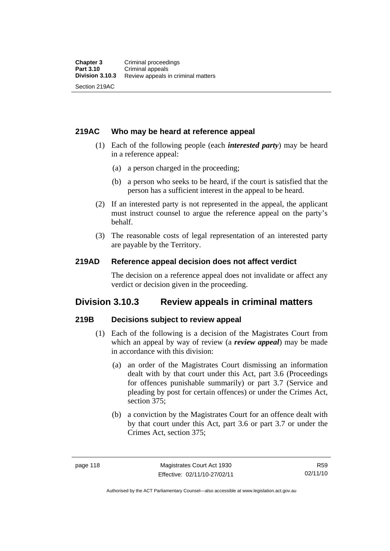#### **219AC Who may be heard at reference appeal**

- (1) Each of the following people (each *interested party*) may be heard in a reference appeal:
	- (a) a person charged in the proceeding;
	- (b) a person who seeks to be heard, if the court is satisfied that the person has a sufficient interest in the appeal to be heard.
- (2) If an interested party is not represented in the appeal, the applicant must instruct counsel to argue the reference appeal on the party's behalf.
- (3) The reasonable costs of legal representation of an interested party are payable by the Territory.

#### **219AD Reference appeal decision does not affect verdict**

The decision on a reference appeal does not invalidate or affect any verdict or decision given in the proceeding.

# **Division 3.10.3 Review appeals in criminal matters**

#### **219B Decisions subject to review appeal**

- (1) Each of the following is a decision of the Magistrates Court from which an appeal by way of review (a *review appeal*) may be made in accordance with this division:
	- (a) an order of the Magistrates Court dismissing an information dealt with by that court under this Act, part 3.6 (Proceedings for offences punishable summarily) or part 3.7 (Service and pleading by post for certain offences) or under the Crimes Act, section 375;
	- (b) a conviction by the Magistrates Court for an offence dealt with by that court under this Act, part 3.6 or part 3.7 or under the Crimes Act, section 375;

R59 02/11/10

Authorised by the ACT Parliamentary Counsel—also accessible at www.legislation.act.gov.au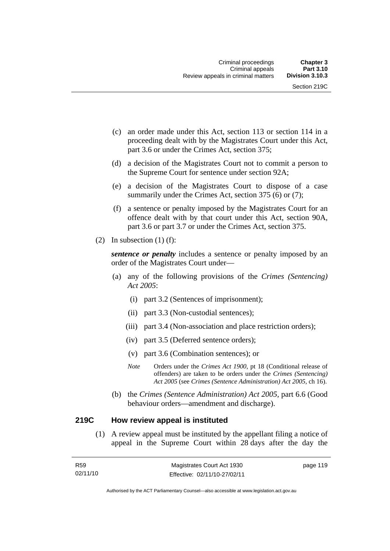- (c) an order made under this Act, section 113 or section 114 in a proceeding dealt with by the Magistrates Court under this Act, part 3.6 or under the Crimes Act, section 375;
- (d) a decision of the Magistrates Court not to commit a person to the Supreme Court for sentence under section 92A;
- (e) a decision of the Magistrates Court to dispose of a case summarily under the Crimes Act, section 375 (6) or (7);
- (f) a sentence or penalty imposed by the Magistrates Court for an offence dealt with by that court under this Act, section 90A, part 3.6 or part 3.7 or under the Crimes Act, section 375.
- (2) In subsection  $(1)$  (f):

*sentence or penalty* includes a sentence or penalty imposed by an order of the Magistrates Court under—

- (a) any of the following provisions of the *Crimes (Sentencing) Act 2005*:
	- (i) part 3.2 (Sentences of imprisonment);
	- (ii) part 3.3 (Non-custodial sentences);
	- (iii) part 3.4 (Non-association and place restriction orders);
	- (iv) part 3.5 (Deferred sentence orders);
	- (v) part 3.6 (Combination sentences); or
	- *Note* Orders under the *Crimes Act 1900*, pt 18 (Conditional release of offenders) are taken to be orders under the *Crimes (Sentencing) Act 2005* (see *Crimes (Sentence Administration) Act 2005*, ch 16).
- (b) the *Crimes (Sentence Administration) Act 2005,* part 6.6 (Good behaviour orders—amendment and discharge).

#### **219C How review appeal is instituted**

 (1) A review appeal must be instituted by the appellant filing a notice of appeal in the Supreme Court within 28 days after the day the

| R59      | Magistrates Court Act 1930   | page 119 |
|----------|------------------------------|----------|
| 02/11/10 | Effective: 02/11/10-27/02/11 |          |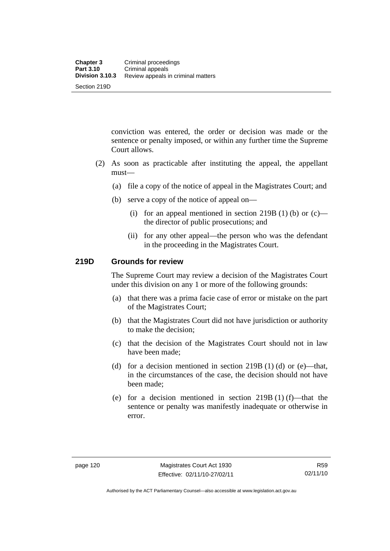conviction was entered, the order or decision was made or the sentence or penalty imposed, or within any further time the Supreme Court allows.

- (2) As soon as practicable after instituting the appeal, the appellant must—
	- (a) file a copy of the notice of appeal in the Magistrates Court; and
	- (b) serve a copy of the notice of appeal on—
		- (i) for an appeal mentioned in section 219B (1) (b) or  $(c)$  the director of public prosecutions; and
		- (ii) for any other appeal—the person who was the defendant in the proceeding in the Magistrates Court.

#### **219D Grounds for review**

The Supreme Court may review a decision of the Magistrates Court under this division on any 1 or more of the following grounds:

- (a) that there was a prima facie case of error or mistake on the part of the Magistrates Court;
- (b) that the Magistrates Court did not have jurisdiction or authority to make the decision;
- (c) that the decision of the Magistrates Court should not in law have been made;
- (d) for a decision mentioned in section  $219B(1)$  (d) or (e)—that, in the circumstances of the case, the decision should not have been made;
- (e) for a decision mentioned in section  $219B(1)$  (f)—that the sentence or penalty was manifestly inadequate or otherwise in error.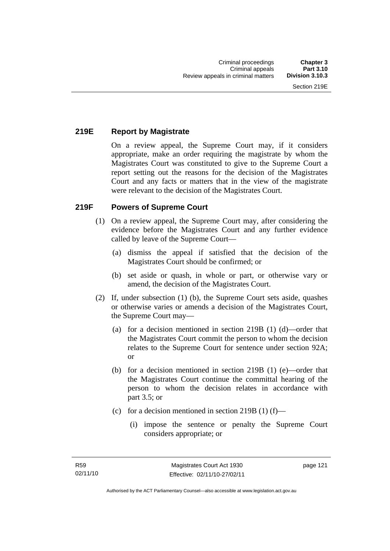# **219E Report by Magistrate**

On a review appeal, the Supreme Court may, if it considers appropriate, make an order requiring the magistrate by whom the Magistrates Court was constituted to give to the Supreme Court a report setting out the reasons for the decision of the Magistrates Court and any facts or matters that in the view of the magistrate were relevant to the decision of the Magistrates Court.

# **219F Powers of Supreme Court**

- (1) On a review appeal, the Supreme Court may, after considering the evidence before the Magistrates Court and any further evidence called by leave of the Supreme Court—
	- (a) dismiss the appeal if satisfied that the decision of the Magistrates Court should be confirmed; or
	- (b) set aside or quash, in whole or part, or otherwise vary or amend, the decision of the Magistrates Court.
- (2) If, under subsection (1) (b), the Supreme Court sets aside, quashes or otherwise varies or amends a decision of the Magistrates Court, the Supreme Court may—
	- (a) for a decision mentioned in section 219B (1) (d)—order that the Magistrates Court commit the person to whom the decision relates to the Supreme Court for sentence under section 92A; or
	- (b) for a decision mentioned in section 219B (1) (e)—order that the Magistrates Court continue the committal hearing of the person to whom the decision relates in accordance with part 3.5; or
	- (c) for a decision mentioned in section 219B (1) (f)—
		- (i) impose the sentence or penalty the Supreme Court considers appropriate; or

page 121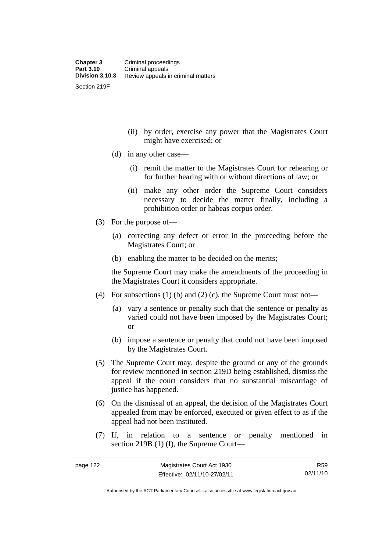(ii) by order, exercise any power that the Magistrates Court might have exercised; or

- (d) in any other case—
	- (i) remit the matter to the Magistrates Court for rehearing or for further hearing with or without directions of law; or
	- (ii) make any other order the Supreme Court considers necessary to decide the matter finally, including a prohibition order or habeas corpus order.
- (3) For the purpose of—
	- (a) correcting any defect or error in the proceeding before the Magistrates Court; or
	- (b) enabling the matter to be decided on the merits;

the Supreme Court may make the amendments of the proceeding in the Magistrates Court it considers appropriate.

- (4) For subsections (1) (b) and (2) (c), the Supreme Court must not—
	- (a) vary a sentence or penalty such that the sentence or penalty as varied could not have been imposed by the Magistrates Court; or
	- (b) impose a sentence or penalty that could not have been imposed by the Magistrates Court.
- (5) The Supreme Court may, despite the ground or any of the grounds for review mentioned in section 219D being established, dismiss the appeal if the court considers that no substantial miscarriage of justice has happened.
- (6) On the dismissal of an appeal, the decision of the Magistrates Court appealed from may be enforced, executed or given effect to as if the appeal had not been instituted.
- (7) If, in relation to a sentence or penalty mentioned in section 219B (1) (f), the Supreme Court—

R59 02/11/10

Authorised by the ACT Parliamentary Counsel—also accessible at www.legislation.act.gov.au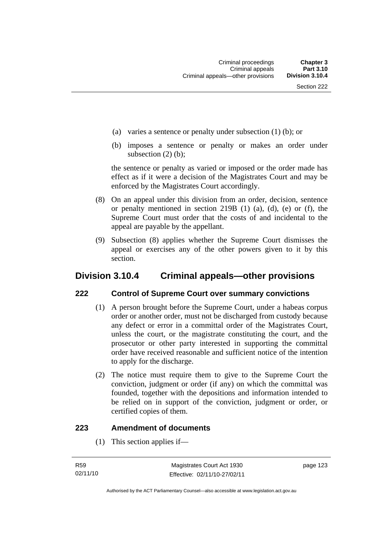- (a) varies a sentence or penalty under subsection (1) (b); or
- (b) imposes a sentence or penalty or makes an order under subsection (2) (b);

the sentence or penalty as varied or imposed or the order made has effect as if it were a decision of the Magistrates Court and may be enforced by the Magistrates Court accordingly.

- (8) On an appeal under this division from an order, decision, sentence or penalty mentioned in section 219B (1) (a), (d), (e) or (f), the Supreme Court must order that the costs of and incidental to the appeal are payable by the appellant.
- (9) Subsection (8) applies whether the Supreme Court dismisses the appeal or exercises any of the other powers given to it by this section.

# **Division 3.10.4 Criminal appeals—other provisions**

#### **222 Control of Supreme Court over summary convictions**

- (1) A person brought before the Supreme Court, under a habeas corpus order or another order, must not be discharged from custody because any defect or error in a committal order of the Magistrates Court, unless the court, or the magistrate constituting the court, and the prosecutor or other party interested in supporting the committal order have received reasonable and sufficient notice of the intention to apply for the discharge.
- (2) The notice must require them to give to the Supreme Court the conviction, judgment or order (if any) on which the committal was founded, together with the depositions and information intended to be relied on in support of the conviction, judgment or order, or certified copies of them.

#### **223 Amendment of documents**

(1) This section applies if—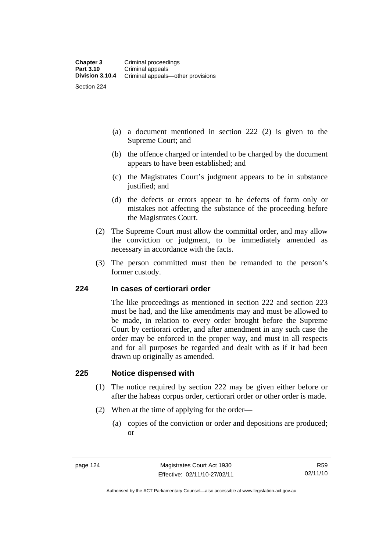- (a) a document mentioned in section 222 (2) is given to the Supreme Court; and
- (b) the offence charged or intended to be charged by the document appears to have been established; and
- (c) the Magistrates Court's judgment appears to be in substance justified; and
- (d) the defects or errors appear to be defects of form only or mistakes not affecting the substance of the proceeding before the Magistrates Court.
- (2) The Supreme Court must allow the committal order, and may allow the conviction or judgment, to be immediately amended as necessary in accordance with the facts.
- (3) The person committed must then be remanded to the person's former custody.

#### **224 In cases of certiorari order**

The like proceedings as mentioned in section 222 and section 223 must be had, and the like amendments may and must be allowed to be made, in relation to every order brought before the Supreme Court by certiorari order, and after amendment in any such case the order may be enforced in the proper way, and must in all respects and for all purposes be regarded and dealt with as if it had been drawn up originally as amended.

#### **225 Notice dispensed with**

- (1) The notice required by section 222 may be given either before or after the habeas corpus order, certiorari order or other order is made.
- (2) When at the time of applying for the order—
	- (a) copies of the conviction or order and depositions are produced; or

R59 02/11/10

Authorised by the ACT Parliamentary Counsel—also accessible at www.legislation.act.gov.au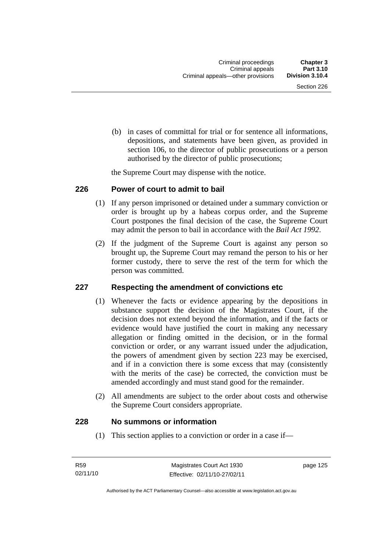(b) in cases of committal for trial or for sentence all informations, depositions, and statements have been given, as provided in section 106, to the director of public prosecutions or a person authorised by the director of public prosecutions;

the Supreme Court may dispense with the notice.

#### **226 Power of court to admit to bail**

- (1) If any person imprisoned or detained under a summary conviction or order is brought up by a habeas corpus order, and the Supreme Court postpones the final decision of the case, the Supreme Court may admit the person to bail in accordance with the *Bail Act 1992*.
- (2) If the judgment of the Supreme Court is against any person so brought up, the Supreme Court may remand the person to his or her former custody, there to serve the rest of the term for which the person was committed.

#### **227 Respecting the amendment of convictions etc**

- (1) Whenever the facts or evidence appearing by the depositions in substance support the decision of the Magistrates Court, if the decision does not extend beyond the information, and if the facts or evidence would have justified the court in making any necessary allegation or finding omitted in the decision, or in the formal conviction or order, or any warrant issued under the adjudication, the powers of amendment given by section 223 may be exercised, and if in a conviction there is some excess that may (consistently with the merits of the case) be corrected, the conviction must be amended accordingly and must stand good for the remainder.
- (2) All amendments are subject to the order about costs and otherwise the Supreme Court considers appropriate.

#### **228 No summons or information**

(1) This section applies to a conviction or order in a case if—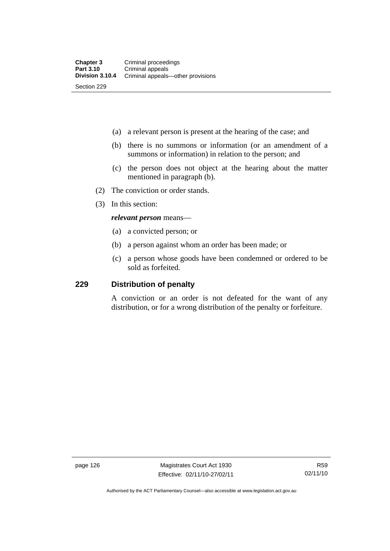- (a) a relevant person is present at the hearing of the case; and
- (b) there is no summons or information (or an amendment of a summons or information) in relation to the person; and
- (c) the person does not object at the hearing about the matter mentioned in paragraph (b).
- (2) The conviction or order stands.
- (3) In this section:

#### *relevant person* means—

- (a) a convicted person; or
- (b) a person against whom an order has been made; or
- (c) a person whose goods have been condemned or ordered to be sold as forfeited.

#### **229 Distribution of penalty**

A conviction or an order is not defeated for the want of any distribution, or for a wrong distribution of the penalty or forfeiture.

page 126 Magistrates Court Act 1930 Effective: 02/11/10-27/02/11

Authorised by the ACT Parliamentary Counsel—also accessible at www.legislation.act.gov.au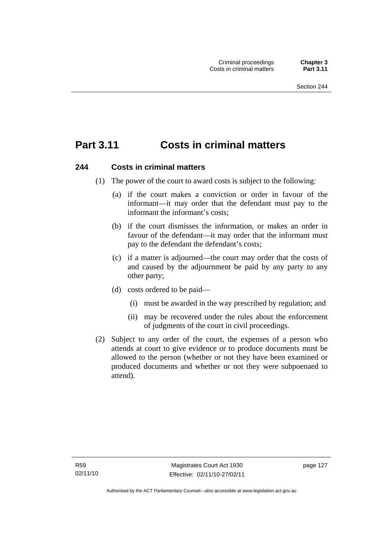# **Part 3.11 Costs in criminal matters**

#### **244 Costs in criminal matters**

- (1) The power of the court to award costs is subject to the following:
	- (a) if the court makes a conviction or order in favour of the informant—it may order that the defendant must pay to the informant the informant's costs;
	- (b) if the court dismisses the information, or makes an order in favour of the defendant—it may order that the informant must pay to the defendant the defendant's costs;
	- (c) if a matter is adjourned—the court may order that the costs of and caused by the adjournment be paid by any party to any other party;
	- (d) costs ordered to be paid—
		- (i) must be awarded in the way prescribed by regulation; and
		- (ii) may be recovered under the rules about the enforcement of judgments of the court in civil proceedings.
- (2) Subject to any order of the court, the expenses of a person who attends at court to give evidence or to produce documents must be allowed to the person (whether or not they have been examined or produced documents and whether or not they were subpoenaed to attend).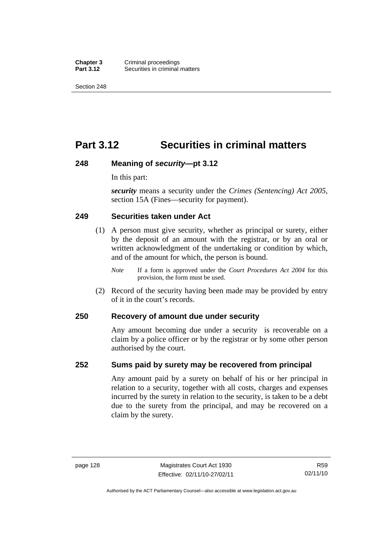**Chapter 3 Criminal proceedings**<br>**Part 3.12 Securities in criminal Securities in criminal matters** 

Section 248

# **Part 3.12 Securities in criminal matters**

#### **248 Meaning of** *security***—pt 3.12**

In this part:

*security* means a security under the *Crimes (Sentencing) Act 2005*, section 15A (Fines—security for payment).

#### **249 Securities taken under Act**

- (1) A person must give security, whether as principal or surety, either by the deposit of an amount with the registrar, or by an oral or written acknowledgment of the undertaking or condition by which, and of the amount for which, the person is bound.
	- *Note* If a form is approved under the *Court Procedures Act 2004* for this provision, the form must be used.
- (2) Record of the security having been made may be provided by entry of it in the court's records.

#### **250 Recovery of amount due under security**

Any amount becoming due under a security is recoverable on a claim by a police officer or by the registrar or by some other person authorised by the court.

#### **252 Sums paid by surety may be recovered from principal**

Any amount paid by a surety on behalf of his or her principal in relation to a security, together with all costs, charges and expenses incurred by the surety in relation to the security, is taken to be a debt due to the surety from the principal, and may be recovered on a claim by the surety.

Authorised by the ACT Parliamentary Counsel—also accessible at www.legislation.act.gov.au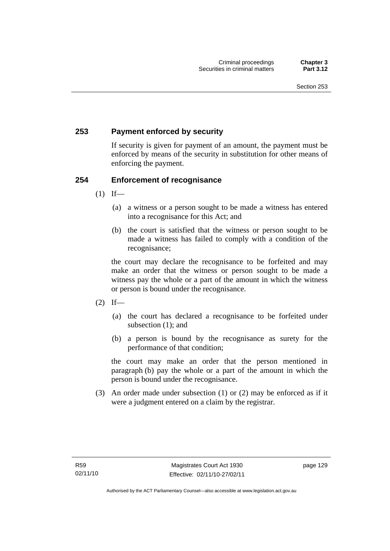#### **253 Payment enforced by security**

If security is given for payment of an amount, the payment must be enforced by means of the security in substitution for other means of enforcing the payment.

#### **254 Enforcement of recognisance**

- $(1)$  If—
	- (a) a witness or a person sought to be made a witness has entered into a recognisance for this Act; and
	- (b) the court is satisfied that the witness or person sought to be made a witness has failed to comply with a condition of the recognisance;

the court may declare the recognisance to be forfeited and may make an order that the witness or person sought to be made a witness pay the whole or a part of the amount in which the witness or person is bound under the recognisance.

- $(2)$  If—
	- (a) the court has declared a recognisance to be forfeited under subsection (1); and
	- (b) a person is bound by the recognisance as surety for the performance of that condition;

the court may make an order that the person mentioned in paragraph (b) pay the whole or a part of the amount in which the person is bound under the recognisance.

 (3) An order made under subsection (1) or (2) may be enforced as if it were a judgment entered on a claim by the registrar.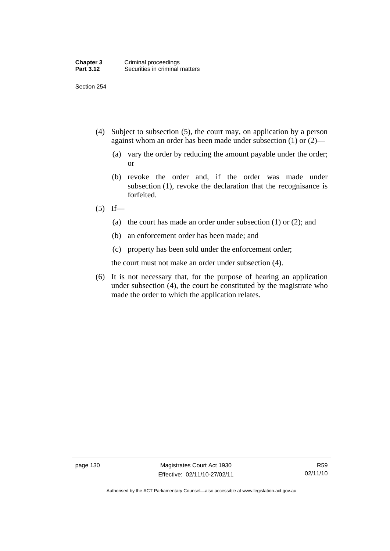- (4) Subject to subsection (5), the court may, on application by a person against whom an order has been made under subsection (1) or (2)—
	- (a) vary the order by reducing the amount payable under the order; or
	- (b) revoke the order and, if the order was made under subsection (1), revoke the declaration that the recognisance is forfeited.
- $(5)$  If—
	- (a) the court has made an order under subsection (1) or (2); and
	- (b) an enforcement order has been made; and
	- (c) property has been sold under the enforcement order;

the court must not make an order under subsection (4).

 (6) It is not necessary that, for the purpose of hearing an application under subsection (4), the court be constituted by the magistrate who made the order to which the application relates.

page 130 Magistrates Court Act 1930 Effective: 02/11/10-27/02/11

Authorised by the ACT Parliamentary Counsel—also accessible at www.legislation.act.gov.au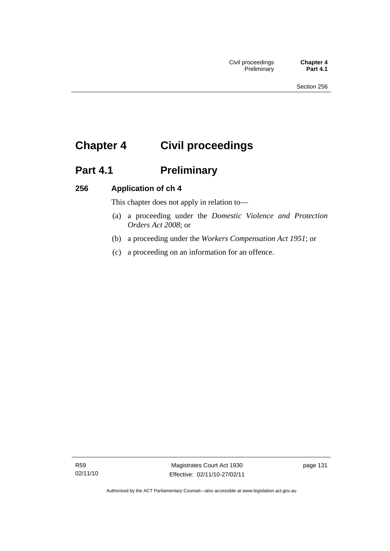# **Chapter 4 Civil proceedings**

# Part 4.1 **Preliminary**

### **256 Application of ch 4**

This chapter does not apply in relation to—

- (a) a proceeding under the *Domestic Violence and Protection Orders Act 2008*; or
- (b) a proceeding under the *Workers Compensation Act 1951*; or
- (c) a proceeding on an information for an offence.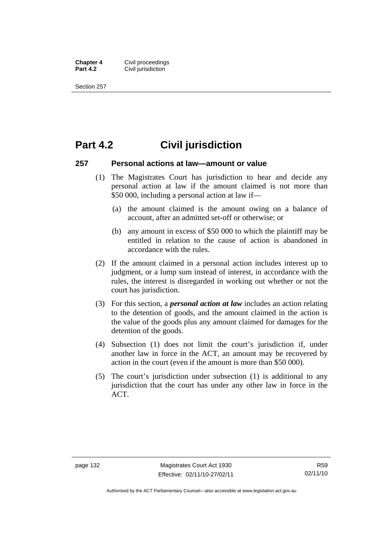**Chapter 4 Civil proceedings**<br>**Part 4.2 Civil iurisdiction Civil jurisdiction** 

Section 257

## **Part 4.2 Civil jurisdiction**

#### **257 Personal actions at law—amount or value**

- (1) The Magistrates Court has jurisdiction to hear and decide any personal action at law if the amount claimed is not more than \$50 000, including a personal action at law if—
	- (a) the amount claimed is the amount owing on a balance of account, after an admitted set-off or otherwise; or
	- (b) any amount in excess of \$50 000 to which the plaintiff may be entitled in relation to the cause of action is abandoned in accordance with the rules.
- (2) If the amount claimed in a personal action includes interest up to judgment, or a lump sum instead of interest, in accordance with the rules, the interest is disregarded in working out whether or not the court has jurisdiction.
- (3) For this section, a *personal action at law* includes an action relating to the detention of goods, and the amount claimed in the action is the value of the goods plus any amount claimed for damages for the detention of the goods.
- (4) Subsection (1) does not limit the court's jurisdiction if, under another law in force in the ACT, an amount may be recovered by action in the court (even if the amount is more than \$50 000).
- (5) The court's jurisdiction under subsection (1) is additional to any jurisdiction that the court has under any other law in force in the ACT.

Authorised by the ACT Parliamentary Counsel—also accessible at www.legislation.act.gov.au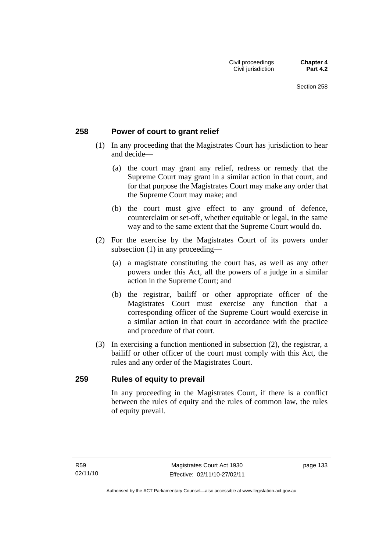#### **258 Power of court to grant relief**

- (1) In any proceeding that the Magistrates Court has jurisdiction to hear and decide—
	- (a) the court may grant any relief, redress or remedy that the Supreme Court may grant in a similar action in that court, and for that purpose the Magistrates Court may make any order that the Supreme Court may make; and
	- (b) the court must give effect to any ground of defence, counterclaim or set-off, whether equitable or legal, in the same way and to the same extent that the Supreme Court would do.
- (2) For the exercise by the Magistrates Court of its powers under subsection (1) in any proceeding—
	- (a) a magistrate constituting the court has, as well as any other powers under this Act, all the powers of a judge in a similar action in the Supreme Court; and
	- (b) the registrar, bailiff or other appropriate officer of the Magistrates Court must exercise any function that a corresponding officer of the Supreme Court would exercise in a similar action in that court in accordance with the practice and procedure of that court.
- (3) In exercising a function mentioned in subsection (2), the registrar, a bailiff or other officer of the court must comply with this Act, the rules and any order of the Magistrates Court.

#### **259 Rules of equity to prevail**

In any proceeding in the Magistrates Court, if there is a conflict between the rules of equity and the rules of common law, the rules of equity prevail.

page 133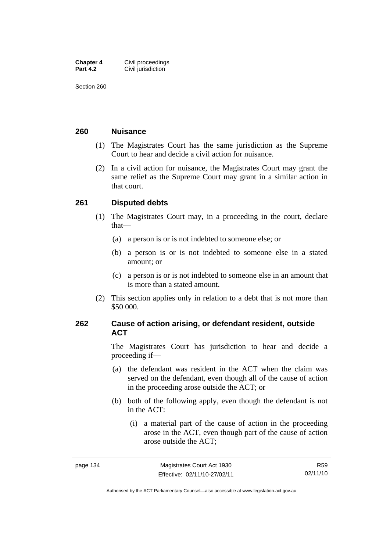| <b>Chapter 4</b> | Civil proceedings  |
|------------------|--------------------|
| <b>Part 4.2</b>  | Civil jurisdiction |

#### **260 Nuisance**

- (1) The Magistrates Court has the same jurisdiction as the Supreme Court to hear and decide a civil action for nuisance.
- (2) In a civil action for nuisance, the Magistrates Court may grant the same relief as the Supreme Court may grant in a similar action in that court.

#### **261 Disputed debts**

- (1) The Magistrates Court may, in a proceeding in the court, declare that—
	- (a) a person is or is not indebted to someone else; or
	- (b) a person is or is not indebted to someone else in a stated amount; or
	- (c) a person is or is not indebted to someone else in an amount that is more than a stated amount.
- (2) This section applies only in relation to a debt that is not more than \$50 000.

#### **262 Cause of action arising, or defendant resident, outside ACT**

The Magistrates Court has jurisdiction to hear and decide a proceeding if—

- (a) the defendant was resident in the ACT when the claim was served on the defendant, even though all of the cause of action in the proceeding arose outside the ACT; or
- (b) both of the following apply, even though the defendant is not in the ACT:
	- (i) a material part of the cause of action in the proceeding arose in the ACT, even though part of the cause of action arose outside the ACT;

Authorised by the ACT Parliamentary Counsel—also accessible at www.legislation.act.gov.au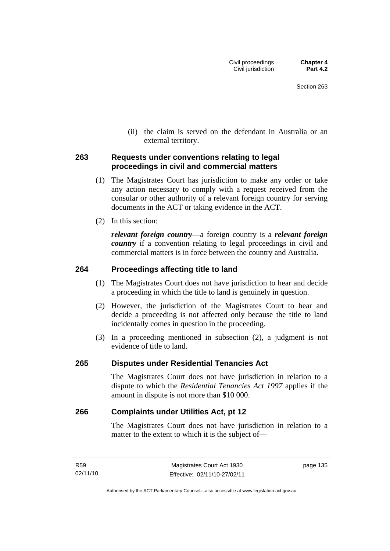(ii) the claim is served on the defendant in Australia or an external territory.

#### **263 Requests under conventions relating to legal proceedings in civil and commercial matters**

- (1) The Magistrates Court has jurisdiction to make any order or take any action necessary to comply with a request received from the consular or other authority of a relevant foreign country for serving documents in the ACT or taking evidence in the ACT.
- (2) In this section:

*relevant foreign country*—a foreign country is a *relevant foreign country* if a convention relating to legal proceedings in civil and commercial matters is in force between the country and Australia.

#### **264 Proceedings affecting title to land**

- (1) The Magistrates Court does not have jurisdiction to hear and decide a proceeding in which the title to land is genuinely in question.
- (2) However, the jurisdiction of the Magistrates Court to hear and decide a proceeding is not affected only because the title to land incidentally comes in question in the proceeding.
- (3) In a proceeding mentioned in subsection (2), a judgment is not evidence of title to land.

#### **265 Disputes under Residential Tenancies Act**

The Magistrates Court does not have jurisdiction in relation to a dispute to which the *Residential Tenancies Act 1997* applies if the amount in dispute is not more than \$10 000.

#### **266 Complaints under Utilities Act, pt 12**

The Magistrates Court does not have jurisdiction in relation to a matter to the extent to which it is the subject of—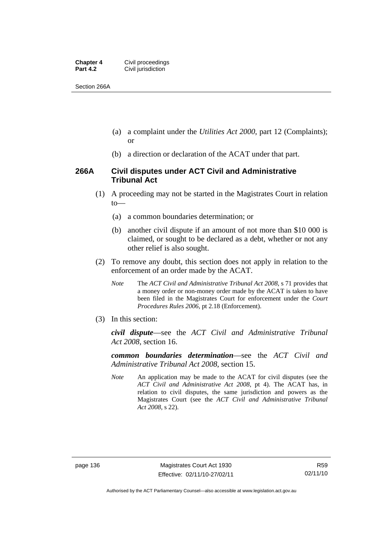| <b>Chapter 4</b> | Civil proceedings  |
|------------------|--------------------|
| <b>Part 4.2</b>  | Civil jurisdiction |

Section 266A

- (a) a complaint under the *Utilities Act 2000*, part 12 (Complaints); or
- (b) a direction or declaration of the ACAT under that part.

#### **266A Civil disputes under ACT Civil and Administrative Tribunal Act**

- (1) A proceeding may not be started in the Magistrates Court in relation to—
	- (a) a common boundaries determination; or
	- (b) another civil dispute if an amount of not more than \$10 000 is claimed, or sought to be declared as a debt, whether or not any other relief is also sought.
- (2) To remove any doubt, this section does not apply in relation to the enforcement of an order made by the ACAT.
	- *Note* The *ACT Civil and Administrative Tribunal Act 2008*, s 71 provides that a money order or non-money order made by the ACAT is taken to have been filed in the Magistrates Court for enforcement under the *Court Procedures Rules 2006*, pt 2.18 (Enforcement).
- (3) In this section:

*civil dispute*—see the *ACT Civil and Administrative Tribunal Act 2008*, section 16.

*common boundaries determination*—see the *ACT Civil and Administrative Tribunal Act 2008*, section 15.

*Note* An application may be made to the ACAT for civil disputes (see the *ACT Civil and Administrative Act 2008*, pt 4). The ACAT has, in relation to civil disputes, the same jurisdiction and powers as the Magistrates Court (see the *ACT Civil and Administrative Tribunal Act 2008*, s 22).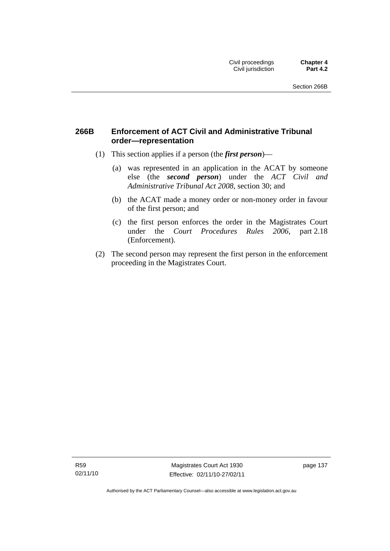#### **266B Enforcement of ACT Civil and Administrative Tribunal order—representation**

- (1) This section applies if a person (the *first person*)—
	- (a) was represented in an application in the ACAT by someone else (the *second person*) under the *ACT Civil and Administrative Tribunal Act 2008*, section 30; and
	- (b) the ACAT made a money order or non-money order in favour of the first person; and
	- (c) the first person enforces the order in the Magistrates Court under the *Court Procedures Rules 2006*, part 2.18 (Enforcement).
- (2) The second person may represent the first person in the enforcement proceeding in the Magistrates Court.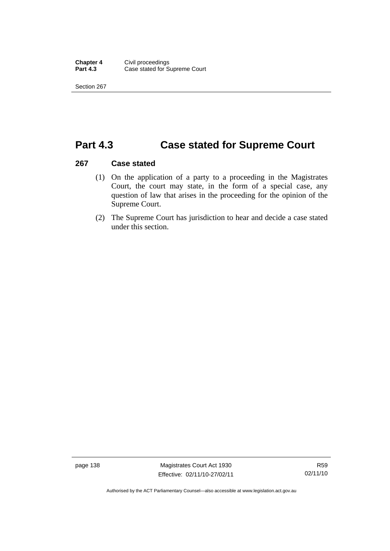## **Part 4.3 Case stated for Supreme Court**

#### **267 Case stated**

- (1) On the application of a party to a proceeding in the Magistrates Court, the court may state, in the form of a special case, any question of law that arises in the proceeding for the opinion of the Supreme Court.
- (2) The Supreme Court has jurisdiction to hear and decide a case stated under this section.

page 138 Magistrates Court Act 1930 Effective: 02/11/10-27/02/11

Authorised by the ACT Parliamentary Counsel—also accessible at www.legislation.act.gov.au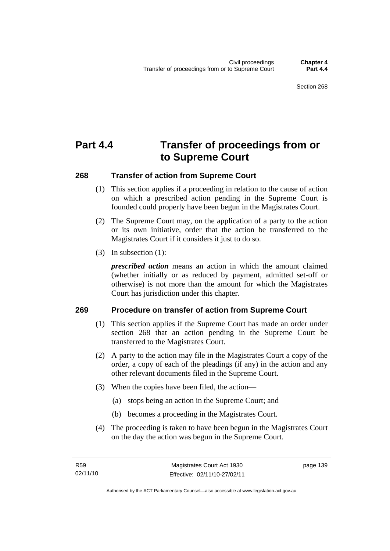# **Part 4.4 Transfer of proceedings from or to Supreme Court**

#### **268 Transfer of action from Supreme Court**

- (1) This section applies if a proceeding in relation to the cause of action on which a prescribed action pending in the Supreme Court is founded could properly have been begun in the Magistrates Court.
- (2) The Supreme Court may, on the application of a party to the action or its own initiative, order that the action be transferred to the Magistrates Court if it considers it just to do so.
- (3) In subsection (1):

*prescribed action* means an action in which the amount claimed (whether initially or as reduced by payment, admitted set-off or otherwise) is not more than the amount for which the Magistrates Court has jurisdiction under this chapter.

#### **269 Procedure on transfer of action from Supreme Court**

- (1) This section applies if the Supreme Court has made an order under section 268 that an action pending in the Supreme Court be transferred to the Magistrates Court.
- (2) A party to the action may file in the Magistrates Court a copy of the order, a copy of each of the pleadings (if any) in the action and any other relevant documents filed in the Supreme Court.
- (3) When the copies have been filed, the action—
	- (a) stops being an action in the Supreme Court; and
	- (b) becomes a proceeding in the Magistrates Court.
- (4) The proceeding is taken to have been begun in the Magistrates Court on the day the action was begun in the Supreme Court.

page 139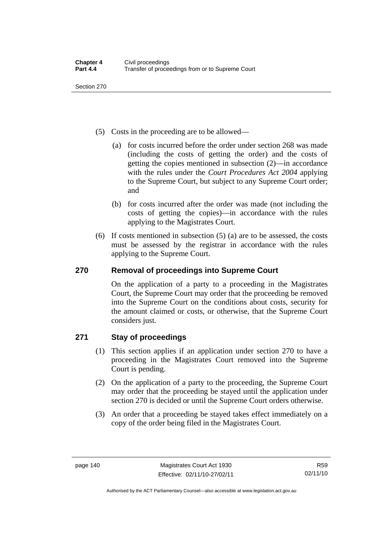- (5) Costs in the proceeding are to be allowed—
	- (a) for costs incurred before the order under section 268 was made (including the costs of getting the order) and the costs of getting the copies mentioned in subsection (2)—in accordance with the rules under the *Court Procedures Act 2004* applying to the Supreme Court, but subject to any Supreme Court order; and
	- (b) for costs incurred after the order was made (not including the costs of getting the copies)—in accordance with the rules applying to the Magistrates Court.
- (6) If costs mentioned in subsection (5) (a) are to be assessed, the costs must be assessed by the registrar in accordance with the rules applying to the Supreme Court.

### **270 Removal of proceedings into Supreme Court**

On the application of a party to a proceeding in the Magistrates Court, the Supreme Court may order that the proceeding be removed into the Supreme Court on the conditions about costs, security for the amount claimed or costs, or otherwise, that the Supreme Court considers just.

### **271 Stay of proceedings**

- (1) This section applies if an application under section 270 to have a proceeding in the Magistrates Court removed into the Supreme Court is pending.
- (2) On the application of a party to the proceeding, the Supreme Court may order that the proceeding be stayed until the application under section 270 is decided or until the Supreme Court orders otherwise.
- (3) An order that a proceeding be stayed takes effect immediately on a copy of the order being filed in the Magistrates Court.

R59 02/11/10

Authorised by the ACT Parliamentary Counsel—also accessible at www.legislation.act.gov.au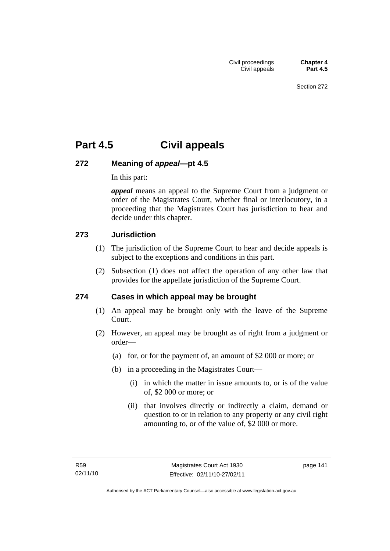## **Part 4.5 Civil appeals**

### **272 Meaning of** *appeal***—pt 4.5**

In this part:

*appeal* means an appeal to the Supreme Court from a judgment or order of the Magistrates Court, whether final or interlocutory, in a proceeding that the Magistrates Court has jurisdiction to hear and decide under this chapter.

#### **273 Jurisdiction**

- (1) The jurisdiction of the Supreme Court to hear and decide appeals is subject to the exceptions and conditions in this part.
- (2) Subsection (1) does not affect the operation of any other law that provides for the appellate jurisdiction of the Supreme Court.

#### **274 Cases in which appeal may be brought**

- (1) An appeal may be brought only with the leave of the Supreme Court.
- (2) However, an appeal may be brought as of right from a judgment or order—
	- (a) for, or for the payment of, an amount of \$2 000 or more; or
	- (b) in a proceeding in the Magistrates Court—
		- (i) in which the matter in issue amounts to, or is of the value of, \$2 000 or more; or
		- (ii) that involves directly or indirectly a claim, demand or question to or in relation to any property or any civil right amounting to, or of the value of, \$2 000 or more.

page 141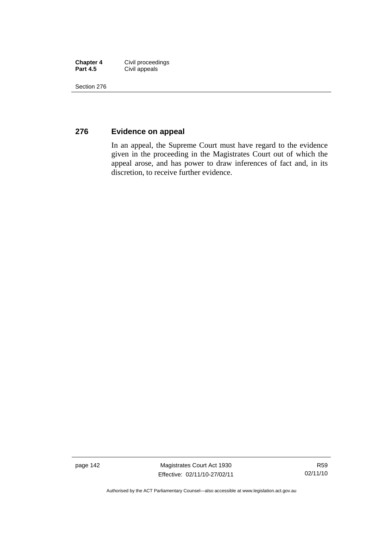| <b>Chapter 4</b> | Civil proceedings |
|------------------|-------------------|
| <b>Part 4.5</b>  | Civil appeals     |

#### **276 Evidence on appeal**

In an appeal, the Supreme Court must have regard to the evidence given in the proceeding in the Magistrates Court out of which the appeal arose, and has power to draw inferences of fact and, in its discretion, to receive further evidence.

page 142 Magistrates Court Act 1930 Effective: 02/11/10-27/02/11

Authorised by the ACT Parliamentary Counsel—also accessible at www.legislation.act.gov.au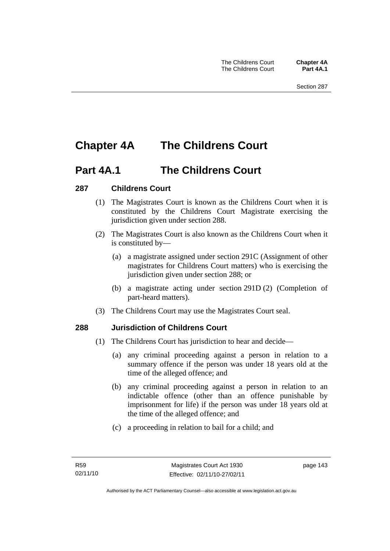# **Chapter 4A The Childrens Court**

## **Part 4A.1 The Childrens Court**

### **287 Childrens Court**

- (1) The Magistrates Court is known as the Childrens Court when it is constituted by the Childrens Court Magistrate exercising the jurisdiction given under section 288.
- (2) The Magistrates Court is also known as the Childrens Court when it is constituted by—
	- (a) a magistrate assigned under section 291C (Assignment of other magistrates for Childrens Court matters) who is exercising the jurisdiction given under section 288; or
	- (b) a magistrate acting under section 291D (2) (Completion of part-heard matters).
- (3) The Childrens Court may use the Magistrates Court seal.

#### **288 Jurisdiction of Childrens Court**

- (1) The Childrens Court has jurisdiction to hear and decide—
	- (a) any criminal proceeding against a person in relation to a summary offence if the person was under 18 years old at the time of the alleged offence; and
	- (b) any criminal proceeding against a person in relation to an indictable offence (other than an offence punishable by imprisonment for life) if the person was under 18 years old at the time of the alleged offence; and
	- (c) a proceeding in relation to bail for a child; and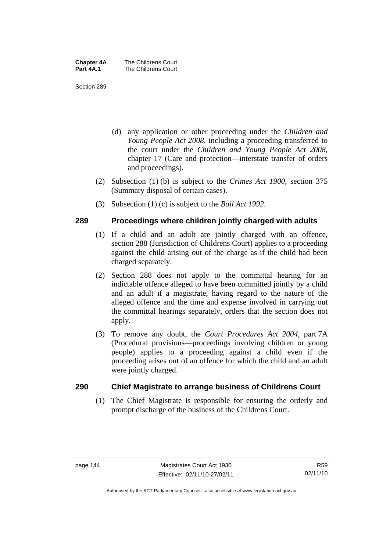| <b>Chapter 4A</b> | The Childrens Court |
|-------------------|---------------------|
| <b>Part 4A.1</b>  | The Childrens Court |

- (d) any application or other proceeding under the *Children and Young People Act 2008*, including a proceeding transferred to the court under the *Children and Young People Act 2008*, chapter 17 (Care and protection—interstate transfer of orders and proceedings).
- (2) Subsection (1) (b) is subject to the *Crimes Act 1900*, section 375 (Summary disposal of certain cases).
- (3) Subsection (1) (c) is subject to the *Bail Act 1992*.

#### **289 Proceedings where children jointly charged with adults**

- (1) If a child and an adult are jointly charged with an offence, section 288 (Jurisdiction of Childrens Court) applies to a proceeding against the child arising out of the charge as if the child had been charged separately.
- (2) Section 288 does not apply to the committal hearing for an indictable offence alleged to have been committed jointly by a child and an adult if a magistrate, having regard to the nature of the alleged offence and the time and expense involved in carrying out the committal hearings separately, orders that the section does not apply.
- (3) To remove any doubt, the *Court Procedures Act 2004*, part 7A (Procedural provisions—proceedings involving children or young people) applies to a proceeding against a child even if the proceeding arises out of an offence for which the child and an adult were jointly charged.

#### **290 Chief Magistrate to arrange business of Childrens Court**

 (1) The Chief Magistrate is responsible for ensuring the orderly and prompt discharge of the business of the Childrens Court.

Authorised by the ACT Parliamentary Counsel—also accessible at www.legislation.act.gov.au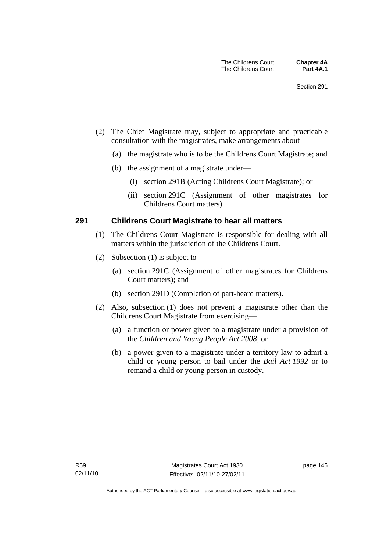- (2) The Chief Magistrate may, subject to appropriate and practicable consultation with the magistrates, make arrangements about—
	- (a) the magistrate who is to be the Childrens Court Magistrate; and
	- (b) the assignment of a magistrate under—
		- (i) section 291B (Acting Childrens Court Magistrate); or
		- (ii) section 291C (Assignment of other magistrates for Childrens Court matters).

#### **291 Childrens Court Magistrate to hear all matters**

- (1) The Childrens Court Magistrate is responsible for dealing with all matters within the jurisdiction of the Childrens Court.
- (2) Subsection (1) is subject to—
	- (a) section 291C (Assignment of other magistrates for Childrens Court matters); and
	- (b) section 291D (Completion of part-heard matters).
- (2) Also, subsection (1) does not prevent a magistrate other than the Childrens Court Magistrate from exercising—
	- (a) a function or power given to a magistrate under a provision of the *Children and Young People Act 2008*; or
	- (b) a power given to a magistrate under a territory law to admit a child or young person to bail under the *Bail Act 1992* or to remand a child or young person in custody.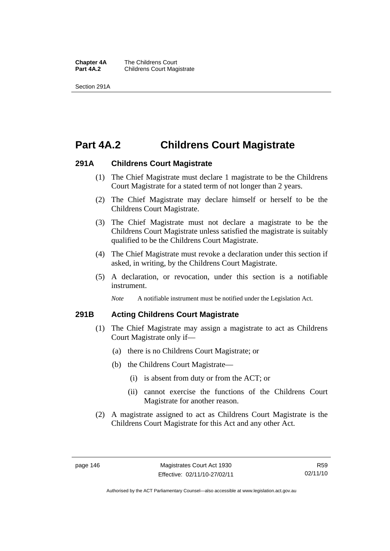**Chapter 4A** The Childrens Court<br>**Part 4A.2** Childrens Court Mag **Childrens Court Magistrate** 

Section 291A

## **Part 4A.2 Childrens Court Magistrate**

#### **291A Childrens Court Magistrate**

- (1) The Chief Magistrate must declare 1 magistrate to be the Childrens Court Magistrate for a stated term of not longer than 2 years.
- (2) The Chief Magistrate may declare himself or herself to be the Childrens Court Magistrate.
- (3) The Chief Magistrate must not declare a magistrate to be the Childrens Court Magistrate unless satisfied the magistrate is suitably qualified to be the Childrens Court Magistrate.
- (4) The Chief Magistrate must revoke a declaration under this section if asked, in writing, by the Childrens Court Magistrate.
- (5) A declaration, or revocation, under this section is a notifiable instrument.

*Note* A notifiable instrument must be notified under the Legislation Act.

#### **291B Acting Childrens Court Magistrate**

- (1) The Chief Magistrate may assign a magistrate to act as Childrens Court Magistrate only if—
	- (a) there is no Childrens Court Magistrate; or
	- (b) the Childrens Court Magistrate—
		- (i) is absent from duty or from the ACT; or
		- (ii) cannot exercise the functions of the Childrens Court Magistrate for another reason.
- (2) A magistrate assigned to act as Childrens Court Magistrate is the Childrens Court Magistrate for this Act and any other Act.

Authorised by the ACT Parliamentary Counsel—also accessible at www.legislation.act.gov.au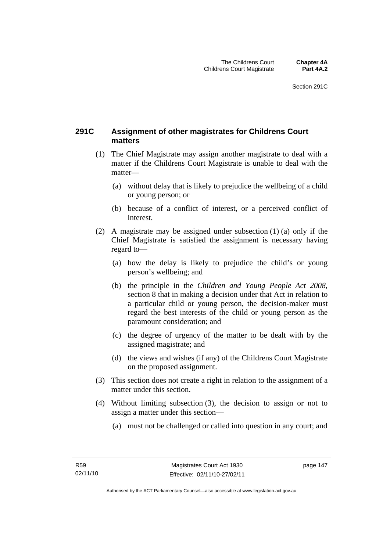#### **291C Assignment of other magistrates for Childrens Court matters**

- (1) The Chief Magistrate may assign another magistrate to deal with a matter if the Childrens Court Magistrate is unable to deal with the matter—
	- (a) without delay that is likely to prejudice the wellbeing of a child or young person; or
	- (b) because of a conflict of interest, or a perceived conflict of interest.
- (2) A magistrate may be assigned under subsection (1) (a) only if the Chief Magistrate is satisfied the assignment is necessary having regard to—
	- (a) how the delay is likely to prejudice the child's or young person's wellbeing; and
	- (b) the principle in the *Children and Young People Act 2008*, section 8 that in making a decision under that Act in relation to a particular child or young person, the decision-maker must regard the best interests of the child or young person as the paramount consideration; and
	- (c) the degree of urgency of the matter to be dealt with by the assigned magistrate; and
	- (d) the views and wishes (if any) of the Childrens Court Magistrate on the proposed assignment.
- (3) This section does not create a right in relation to the assignment of a matter under this section.
- (4) Without limiting subsection (3), the decision to assign or not to assign a matter under this section—
	- (a) must not be challenged or called into question in any court; and

page 147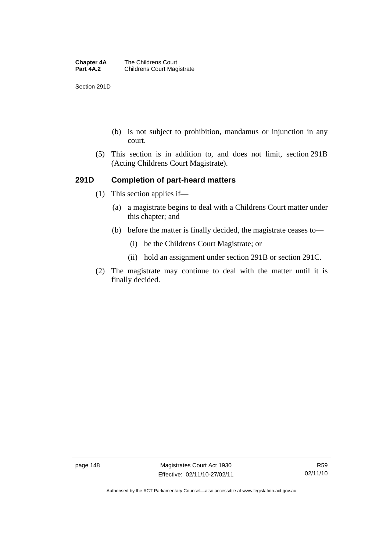Section 291D

- (b) is not subject to prohibition, mandamus or injunction in any court.
- (5) This section is in addition to, and does not limit, section 291B (Acting Childrens Court Magistrate).

#### **291D Completion of part-heard matters**

- (1) This section applies if—
	- (a) a magistrate begins to deal with a Childrens Court matter under this chapter; and
	- (b) before the matter is finally decided, the magistrate ceases to—
		- (i) be the Childrens Court Magistrate; or
		- (ii) hold an assignment under section 291B or section 291C.
- (2) The magistrate may continue to deal with the matter until it is finally decided.

page 148 Magistrates Court Act 1930 Effective: 02/11/10-27/02/11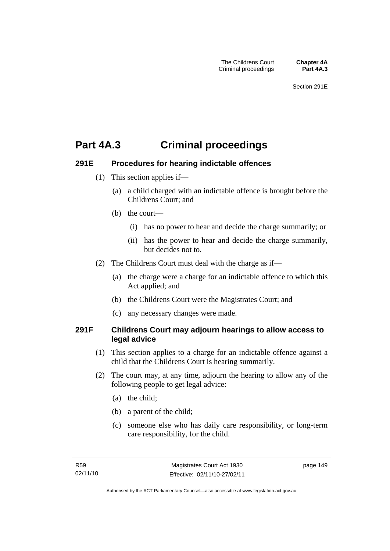## **Part 4A.3 Criminal proceedings**

#### **291E Procedures for hearing indictable offences**

- (1) This section applies if—
	- (a) a child charged with an indictable offence is brought before the Childrens Court; and
	- (b) the court—
		- (i) has no power to hear and decide the charge summarily; or
		- (ii) has the power to hear and decide the charge summarily, but decides not to.
- (2) The Childrens Court must deal with the charge as if—
	- (a) the charge were a charge for an indictable offence to which this Act applied; and
	- (b) the Childrens Court were the Magistrates Court; and
	- (c) any necessary changes were made.

#### **291F Childrens Court may adjourn hearings to allow access to legal advice**

- (1) This section applies to a charge for an indictable offence against a child that the Childrens Court is hearing summarily.
- (2) The court may, at any time, adjourn the hearing to allow any of the following people to get legal advice:
	- (a) the child;
	- (b) a parent of the child;
	- (c) someone else who has daily care responsibility, or long-term care responsibility, for the child.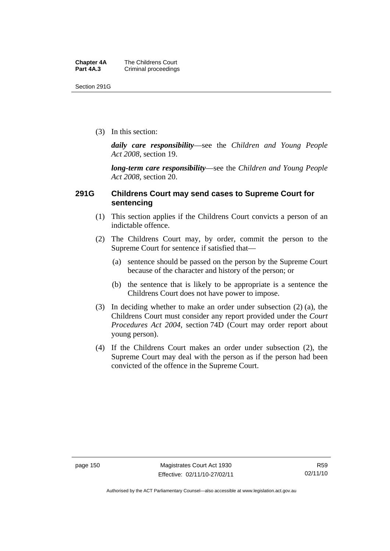Section 291G

(3) In this section:

*daily care responsibility*—see the *Children and Young People Act 2008*, section 19.

*long-term care responsibility*—see the *Children and Young People Act 2008*, section 20.

#### **291G Childrens Court may send cases to Supreme Court for sentencing**

- (1) This section applies if the Childrens Court convicts a person of an indictable offence.
- (2) The Childrens Court may, by order, commit the person to the Supreme Court for sentence if satisfied that—
	- (a) sentence should be passed on the person by the Supreme Court because of the character and history of the person; or
	- (b) the sentence that is likely to be appropriate is a sentence the Childrens Court does not have power to impose.
- (3) In deciding whether to make an order under subsection (2) (a), the Childrens Court must consider any report provided under the *Court Procedures Act 2004*, section 74D (Court may order report about young person).
- (4) If the Childrens Court makes an order under subsection (2), the Supreme Court may deal with the person as if the person had been convicted of the offence in the Supreme Court.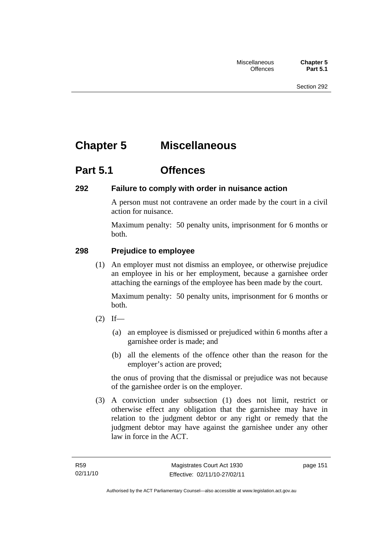# **Chapter 5 Miscellaneous**

## **Part 5.1 Offences**

#### **292 Failure to comply with order in nuisance action**

A person must not contravene an order made by the court in a civil action for nuisance.

Maximum penalty: 50 penalty units, imprisonment for 6 months or both.

### **298 Prejudice to employee**

 (1) An employer must not dismiss an employee, or otherwise prejudice an employee in his or her employment, because a garnishee order attaching the earnings of the employee has been made by the court.

Maximum penalty: 50 penalty units, imprisonment for 6 months or both.

- $(2)$  If—
	- (a) an employee is dismissed or prejudiced within 6 months after a garnishee order is made; and
	- (b) all the elements of the offence other than the reason for the employer's action are proved;

the onus of proving that the dismissal or prejudice was not because of the garnishee order is on the employer.

 (3) A conviction under subsection (1) does not limit, restrict or otherwise effect any obligation that the garnishee may have in relation to the judgment debtor or any right or remedy that the judgment debtor may have against the garnishee under any other law in force in the ACT.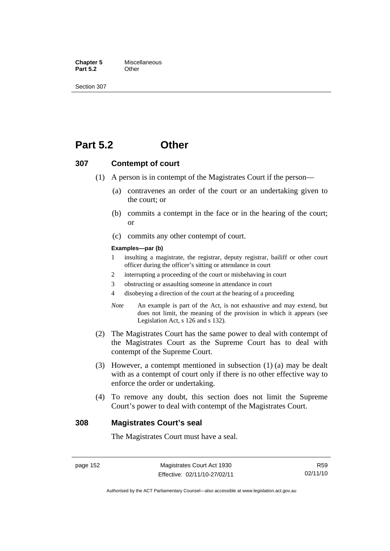**Chapter 5** Miscellaneous<br>**Part 5.2** Other **Part 5.2** 

Section 307

### **Part 5.2 Other**

#### **307 Contempt of court**

- (1) A person is in contempt of the Magistrates Court if the person—
	- (a) contravenes an order of the court or an undertaking given to the court; or
	- (b) commits a contempt in the face or in the hearing of the court; or
	- (c) commits any other contempt of court.

#### **Examples—par (b)**

- 1 insulting a magistrate, the registrar, deputy registrar, bailiff or other court officer during the officer's sitting or attendance in court
- 2 interrupting a proceeding of the court or misbehaving in court
- 3 obstructing or assaulting someone in attendance in court
- 4 disobeying a direction of the court at the hearing of a proceeding
- *Note* An example is part of the Act, is not exhaustive and may extend, but does not limit, the meaning of the provision in which it appears (see Legislation Act, s 126 and s 132).
- (2) The Magistrates Court has the same power to deal with contempt of the Magistrates Court as the Supreme Court has to deal with contempt of the Supreme Court.
- (3) However, a contempt mentioned in subsection (1) (a) may be dealt with as a contempt of court only if there is no other effective way to enforce the order or undertaking.
- (4) To remove any doubt, this section does not limit the Supreme Court's power to deal with contempt of the Magistrates Court.

#### **308 Magistrates Court's seal**

The Magistrates Court must have a seal.

page 152 Magistrates Court Act 1930 Effective: 02/11/10-27/02/11

R59 02/11/10

Authorised by the ACT Parliamentary Counsel—also accessible at www.legislation.act.gov.au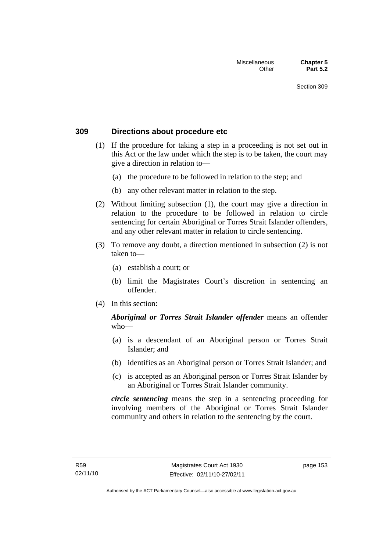#### **309 Directions about procedure etc**

- (1) If the procedure for taking a step in a proceeding is not set out in this Act or the law under which the step is to be taken, the court may give a direction in relation to—
	- (a) the procedure to be followed in relation to the step; and
	- (b) any other relevant matter in relation to the step.
- (2) Without limiting subsection (1), the court may give a direction in relation to the procedure to be followed in relation to circle sentencing for certain Aboriginal or Torres Strait Islander offenders, and any other relevant matter in relation to circle sentencing.
- (3) To remove any doubt, a direction mentioned in subsection (2) is not taken to—
	- (a) establish a court; or
	- (b) limit the Magistrates Court's discretion in sentencing an offender.
- (4) In this section:

#### *Aboriginal or Torres Strait Islander offender* means an offender who—

- (a) is a descendant of an Aboriginal person or Torres Strait Islander; and
- (b) identifies as an Aboriginal person or Torres Strait Islander; and
- (c) is accepted as an Aboriginal person or Torres Strait Islander by an Aboriginal or Torres Strait Islander community.

*circle sentencing* means the step in a sentencing proceeding for involving members of the Aboriginal or Torres Strait Islander community and others in relation to the sentencing by the court.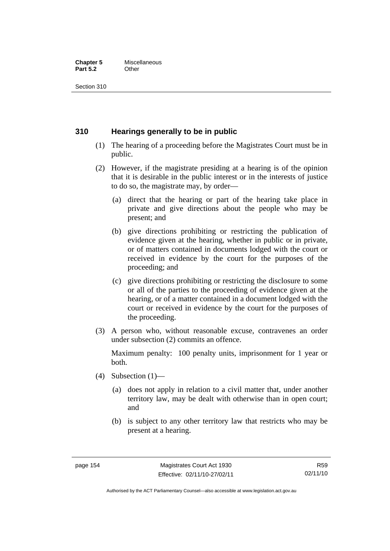#### **Chapter 5** Miscellaneous<br>**Part 5.2** Other **Part 5.2**

Section 310

#### **310 Hearings generally to be in public**

- (1) The hearing of a proceeding before the Magistrates Court must be in public.
- (2) However, if the magistrate presiding at a hearing is of the opinion that it is desirable in the public interest or in the interests of justice to do so, the magistrate may, by order—
	- (a) direct that the hearing or part of the hearing take place in private and give directions about the people who may be present; and
	- (b) give directions prohibiting or restricting the publication of evidence given at the hearing, whether in public or in private, or of matters contained in documents lodged with the court or received in evidence by the court for the purposes of the proceeding; and
	- (c) give directions prohibiting or restricting the disclosure to some or all of the parties to the proceeding of evidence given at the hearing, or of a matter contained in a document lodged with the court or received in evidence by the court for the purposes of the proceeding.
- (3) A person who, without reasonable excuse, contravenes an order under subsection (2) commits an offence.

Maximum penalty: 100 penalty units, imprisonment for 1 year or both.

- (4) Subsection  $(1)$ 
	- (a) does not apply in relation to a civil matter that, under another territory law, may be dealt with otherwise than in open court; and
	- (b) is subject to any other territory law that restricts who may be present at a hearing.

Authorised by the ACT Parliamentary Counsel—also accessible at www.legislation.act.gov.au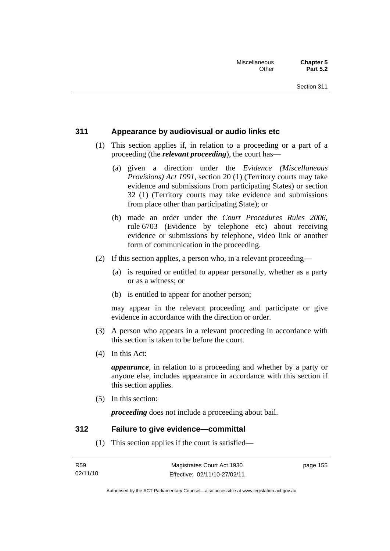#### **311 Appearance by audiovisual or audio links etc**

- (1) This section applies if, in relation to a proceeding or a part of a proceeding (the *relevant proceeding*), the court has—
	- (a) given a direction under the *Evidence (Miscellaneous Provisions) Act 1991*, section 20 (1) (Territory courts may take evidence and submissions from participating States) or section 32 (1) (Territory courts may take evidence and submissions from place other than participating State); or
	- (b) made an order under the *Court Procedures Rules 2006*, rule 6703 (Evidence by telephone etc) about receiving evidence or submissions by telephone, video link or another form of communication in the proceeding.
- (2) If this section applies, a person who, in a relevant proceeding—
	- (a) is required or entitled to appear personally, whether as a party or as a witness; or
	- (b) is entitled to appear for another person;

may appear in the relevant proceeding and participate or give evidence in accordance with the direction or order.

- (3) A person who appears in a relevant proceeding in accordance with this section is taken to be before the court.
- (4) In this Act:

*appearance*, in relation to a proceeding and whether by a party or anyone else, includes appearance in accordance with this section if this section applies.

(5) In this section:

*proceeding* does not include a proceeding about bail.

#### **312 Failure to give evidence—committal**

(1) This section applies if the court is satisfied—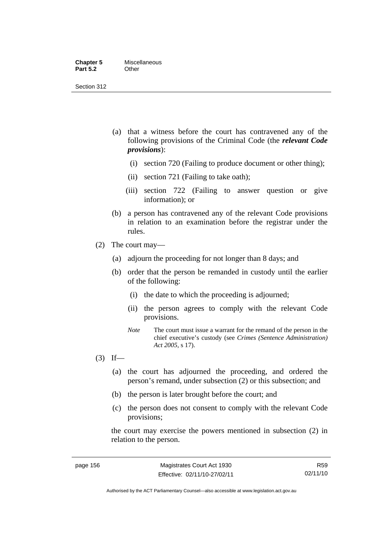- (a) that a witness before the court has contravened any of the following provisions of the Criminal Code (the *relevant Code provisions*):
	- (i) section 720 (Failing to produce document or other thing);
	- (ii) section 721 (Failing to take oath);
	- (iii) section 722 (Failing to answer question or give information); or
- (b) a person has contravened any of the relevant Code provisions in relation to an examination before the registrar under the rules.
- (2) The court may—
	- (a) adjourn the proceeding for not longer than 8 days; and
	- (b) order that the person be remanded in custody until the earlier of the following:
		- (i) the date to which the proceeding is adjourned;
		- (ii) the person agrees to comply with the relevant Code provisions.
		- *Note* The court must issue a warrant for the remand of the person in the chief executive's custody (see *Crimes (Sentence Administration) Act 2005*, s 17).
- $(3)$  If—
	- (a) the court has adjourned the proceeding, and ordered the person's remand, under subsection (2) or this subsection; and
	- (b) the person is later brought before the court; and
	- (c) the person does not consent to comply with the relevant Code provisions;

the court may exercise the powers mentioned in subsection (2) in relation to the person.

R59 02/11/10

Authorised by the ACT Parliamentary Counsel—also accessible at www.legislation.act.gov.au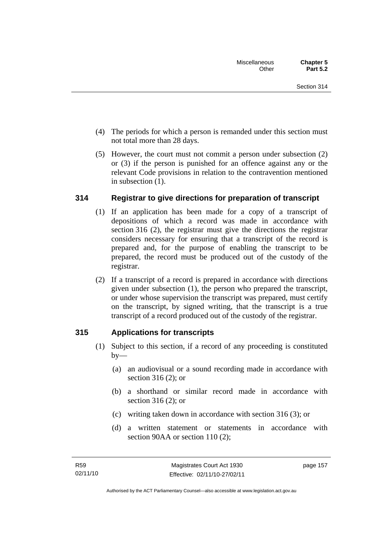- (4) The periods for which a person is remanded under this section must not total more than 28 days.
- (5) However, the court must not commit a person under subsection (2) or (3) if the person is punished for an offence against any or the relevant Code provisions in relation to the contravention mentioned in subsection (1).

#### **314 Registrar to give directions for preparation of transcript**

- (1) If an application has been made for a copy of a transcript of depositions of which a record was made in accordance with section 316 (2), the registrar must give the directions the registrar considers necessary for ensuring that a transcript of the record is prepared and, for the purpose of enabling the transcript to be prepared, the record must be produced out of the custody of the registrar.
- (2) If a transcript of a record is prepared in accordance with directions given under subsection (1), the person who prepared the transcript, or under whose supervision the transcript was prepared, must certify on the transcript, by signed writing, that the transcript is a true transcript of a record produced out of the custody of the registrar.

#### **315 Applications for transcripts**

- (1) Subject to this section, if a record of any proceeding is constituted  $by-$ 
	- (a) an audiovisual or a sound recording made in accordance with section 316 (2); or
	- (b) a shorthand or similar record made in accordance with section 316 (2); or
	- (c) writing taken down in accordance with section 316 (3); or
	- (d) a written statement or statements in accordance with section 90AA or section 110 (2):

page 157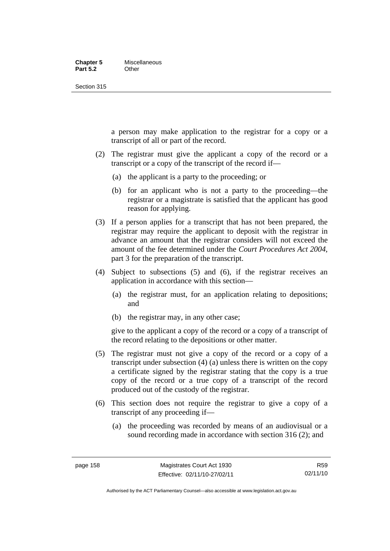#### **Chapter 5** Miscellaneous **Part 5.2** Other

Section 315

a person may make application to the registrar for a copy or a transcript of all or part of the record.

- (2) The registrar must give the applicant a copy of the record or a transcript or a copy of the transcript of the record if—
	- (a) the applicant is a party to the proceeding; or
	- (b) for an applicant who is not a party to the proceeding—the registrar or a magistrate is satisfied that the applicant has good reason for applying.
- (3) If a person applies for a transcript that has not been prepared, the registrar may require the applicant to deposit with the registrar in advance an amount that the registrar considers will not exceed the amount of the fee determined under the *Court Procedures Act 2004*, part 3 for the preparation of the transcript.
- (4) Subject to subsections (5) and (6), if the registrar receives an application in accordance with this section—
	- (a) the registrar must, for an application relating to depositions; and
	- (b) the registrar may, in any other case;

give to the applicant a copy of the record or a copy of a transcript of the record relating to the depositions or other matter.

- (5) The registrar must not give a copy of the record or a copy of a transcript under subsection (4) (a) unless there is written on the copy a certificate signed by the registrar stating that the copy is a true copy of the record or a true copy of a transcript of the record produced out of the custody of the registrar.
- (6) This section does not require the registrar to give a copy of a transcript of any proceeding if—
	- (a) the proceeding was recorded by means of an audiovisual or a sound recording made in accordance with section 316 (2); and

Authorised by the ACT Parliamentary Counsel—also accessible at www.legislation.act.gov.au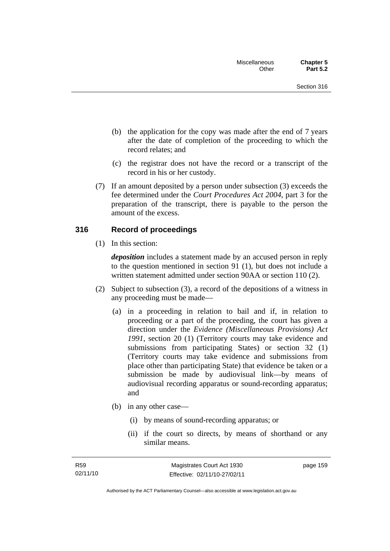- (b) the application for the copy was made after the end of 7 years after the date of completion of the proceeding to which the record relates; and
- (c) the registrar does not have the record or a transcript of the record in his or her custody.
- (7) If an amount deposited by a person under subsection (3) exceeds the fee determined under the *Court Procedures Act 2004*, part 3 for the preparation of the transcript, there is payable to the person the amount of the excess.

#### **316 Record of proceedings**

(1) In this section:

*deposition* includes a statement made by an accused person in reply to the question mentioned in section 91 (1), but does not include a written statement admitted under section 90AA or section 110 (2).

- (2) Subject to subsection (3), a record of the depositions of a witness in any proceeding must be made—
	- (a) in a proceeding in relation to bail and if, in relation to proceeding or a part of the proceeding, the court has given a direction under the *Evidence (Miscellaneous Provisions) Act 1991*, section 20 (1) (Territory courts may take evidence and submissions from participating States) or section 32 (1) (Territory courts may take evidence and submissions from place other than participating State) that evidence be taken or a submission be made by audiovisual link—by means of audiovisual recording apparatus or sound-recording apparatus; and
	- (b) in any other case—
		- (i) by means of sound-recording apparatus; or
		- (ii) if the court so directs, by means of shorthand or any similar means.

page 159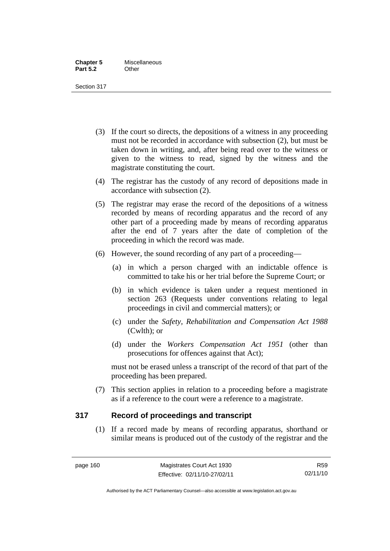- (3) If the court so directs, the depositions of a witness in any proceeding must not be recorded in accordance with subsection (2), but must be taken down in writing, and, after being read over to the witness or given to the witness to read, signed by the witness and the magistrate constituting the court.
- (4) The registrar has the custody of any record of depositions made in accordance with subsection (2).
- (5) The registrar may erase the record of the depositions of a witness recorded by means of recording apparatus and the record of any other part of a proceeding made by means of recording apparatus after the end of 7 years after the date of completion of the proceeding in which the record was made.
- (6) However, the sound recording of any part of a proceeding—
	- (a) in which a person charged with an indictable offence is committed to take his or her trial before the Supreme Court; or
	- (b) in which evidence is taken under a request mentioned in section 263 (Requests under conventions relating to legal proceedings in civil and commercial matters); or
	- (c) under the *Safety, Rehabilitation and Compensation Act 1988* (Cwlth); or
	- (d) under the *Workers Compensation Act 1951* (other than prosecutions for offences against that Act);

must not be erased unless a transcript of the record of that part of the proceeding has been prepared.

 (7) This section applies in relation to a proceeding before a magistrate as if a reference to the court were a reference to a magistrate.

#### **317 Record of proceedings and transcript**

 (1) If a record made by means of recording apparatus, shorthand or similar means is produced out of the custody of the registrar and the

R59 02/11/10

Authorised by the ACT Parliamentary Counsel—also accessible at www.legislation.act.gov.au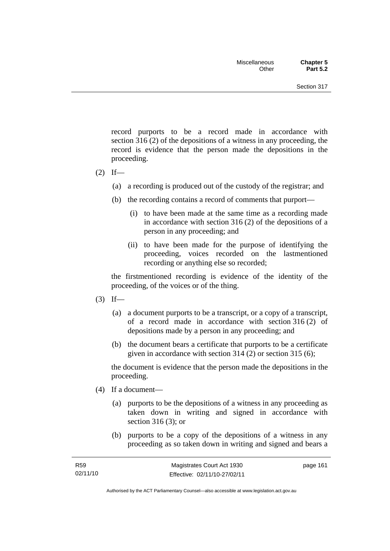record purports to be a record made in accordance with section 316 (2) of the depositions of a witness in any proceeding, the record is evidence that the person made the depositions in the proceeding.

- $(2)$  If—
	- (a) a recording is produced out of the custody of the registrar; and
	- (b) the recording contains a record of comments that purport—
		- (i) to have been made at the same time as a recording made in accordance with section 316 (2) of the depositions of a person in any proceeding; and
		- (ii) to have been made for the purpose of identifying the proceeding, voices recorded on the lastmentioned recording or anything else so recorded;

the firstmentioned recording is evidence of the identity of the proceeding, of the voices or of the thing.

- $(3)$  If—
	- (a) a document purports to be a transcript, or a copy of a transcript, of a record made in accordance with section 316 (2) of depositions made by a person in any proceeding; and
	- (b) the document bears a certificate that purports to be a certificate given in accordance with section 314 (2) or section 315 (6);

the document is evidence that the person made the depositions in the proceeding.

- (4) If a document—
	- (a) purports to be the depositions of a witness in any proceeding as taken down in writing and signed in accordance with section 316 (3); or
	- (b) purports to be a copy of the depositions of a witness in any proceeding as so taken down in writing and signed and bears a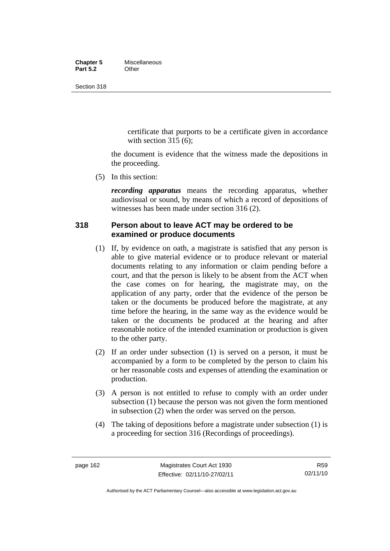#### **Chapter 5** Miscellaneous<br>**Part 5.2** Other **Part 5.2**

Section 318

certificate that purports to be a certificate given in accordance with section  $315(6)$ :

the document is evidence that the witness made the depositions in the proceeding.

(5) In this section:

*recording apparatus* means the recording apparatus, whether audiovisual or sound, by means of which a record of depositions of witnesses has been made under section 316 (2).

#### **318 Person about to leave ACT may be ordered to be examined or produce documents**

- (1) If, by evidence on oath, a magistrate is satisfied that any person is able to give material evidence or to produce relevant or material documents relating to any information or claim pending before a court, and that the person is likely to be absent from the ACT when the case comes on for hearing, the magistrate may, on the application of any party, order that the evidence of the person be taken or the documents be produced before the magistrate, at any time before the hearing, in the same way as the evidence would be taken or the documents be produced at the hearing and after reasonable notice of the intended examination or production is given to the other party.
- (2) If an order under subsection (1) is served on a person, it must be accompanied by a form to be completed by the person to claim his or her reasonable costs and expenses of attending the examination or production.
- (3) A person is not entitled to refuse to comply with an order under subsection (1) because the person was not given the form mentioned in subsection (2) when the order was served on the person.
- (4) The taking of depositions before a magistrate under subsection (1) is a proceeding for section 316 (Recordings of proceedings).

Authorised by the ACT Parliamentary Counsel—also accessible at www.legislation.act.gov.au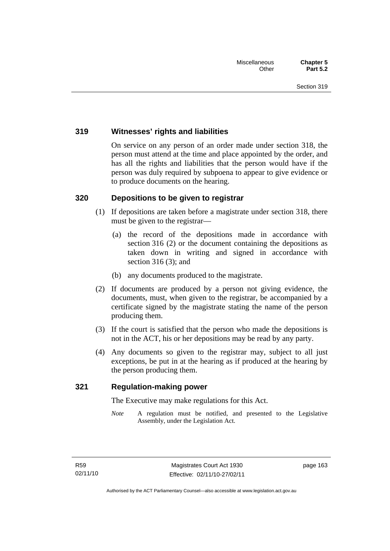#### **319 Witnesses' rights and liabilities**

On service on any person of an order made under section 318, the person must attend at the time and place appointed by the order, and has all the rights and liabilities that the person would have if the person was duly required by subpoena to appear to give evidence or to produce documents on the hearing.

#### **320 Depositions to be given to registrar**

- (1) If depositions are taken before a magistrate under section 318, there must be given to the registrar—
	- (a) the record of the depositions made in accordance with section 316 (2) or the document containing the depositions as taken down in writing and signed in accordance with section 316 (3); and
	- (b) any documents produced to the magistrate.
- (2) If documents are produced by a person not giving evidence, the documents, must, when given to the registrar, be accompanied by a certificate signed by the magistrate stating the name of the person producing them.
- (3) If the court is satisfied that the person who made the depositions is not in the ACT, his or her depositions may be read by any party.
- (4) Any documents so given to the registrar may, subject to all just exceptions, be put in at the hearing as if produced at the hearing by the person producing them.

#### **321 Regulation-making power**

The Executive may make regulations for this Act.

*Note* A regulation must be notified, and presented to the Legislative Assembly, under the Legislation Act.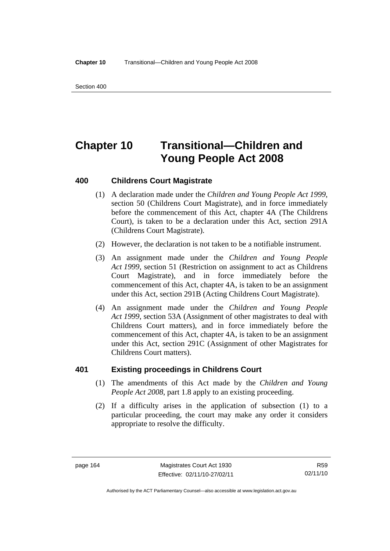# **Chapter 10 Transitional—Children and Young People Act 2008**

#### **400 Childrens Court Magistrate**

- (1) A declaration made under the *Children and Young People Act 1999*, section 50 (Childrens Court Magistrate), and in force immediately before the commencement of this Act, chapter 4A (The Childrens Court), is taken to be a declaration under this Act, section 291A (Childrens Court Magistrate).
- (2) However, the declaration is not taken to be a notifiable instrument.
- (3) An assignment made under the *Children and Young People Act 1999*, section 51 (Restriction on assignment to act as Childrens Court Magistrate), and in force immediately before the commencement of this Act, chapter 4A, is taken to be an assignment under this Act, section 291B (Acting Childrens Court Magistrate).
- (4) An assignment made under the *Children and Young People Act 1999*, section 53A (Assignment of other magistrates to deal with Childrens Court matters), and in force immediately before the commencement of this Act, chapter 4A, is taken to be an assignment under this Act, section 291C (Assignment of other Magistrates for Childrens Court matters).

#### **401 Existing proceedings in Childrens Court**

- (1) The amendments of this Act made by the *Children and Young People Act 2008*, part 1.8 apply to an existing proceeding.
- (2) If a difficulty arises in the application of subsection (1) to a particular proceeding, the court may make any order it considers appropriate to resolve the difficulty.

Authorised by the ACT Parliamentary Counsel—also accessible at www.legislation.act.gov.au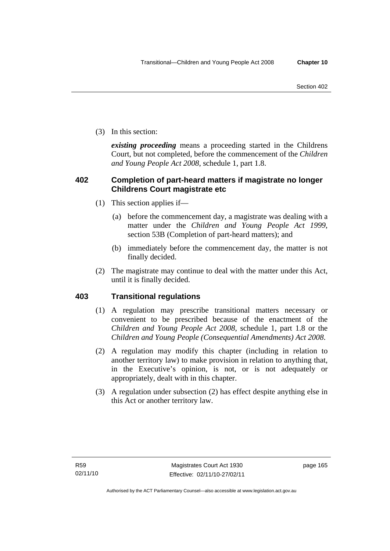(3) In this section:

*existing proceeding* means a proceeding started in the Childrens Court, but not completed, before the commencement of the *Children and Young People Act 2008*, schedule 1, part 1.8.

# **402 Completion of part-heard matters if magistrate no longer Childrens Court magistrate etc**

- (1) This section applies if—
	- (a) before the commencement day, a magistrate was dealing with a matter under the *Children and Young People Act 1999*, section 53B (Completion of part-heard matters); and
	- (b) immediately before the commencement day, the matter is not finally decided.
- (2) The magistrate may continue to deal with the matter under this Act, until it is finally decided.

# **403 Transitional regulations**

- (1) A regulation may prescribe transitional matters necessary or convenient to be prescribed because of the enactment of the *Children and Young People Act 2008*, schedule 1, part 1.8 or the *Children and Young People (Consequential Amendments) Act 2008*.
- (2) A regulation may modify this chapter (including in relation to another territory law) to make provision in relation to anything that, in the Executive's opinion, is not, or is not adequately or appropriately, dealt with in this chapter.
- (3) A regulation under subsection (2) has effect despite anything else in this Act or another territory law.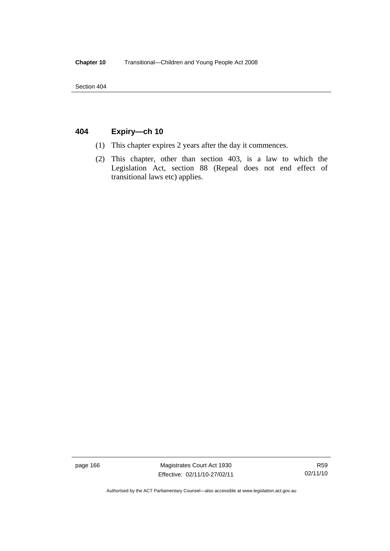Section 404

# **404 Expiry—ch 10**

- (1) This chapter expires 2 years after the day it commences.
- (2) This chapter, other than section 403, is a law to which the Legislation Act, section 88 (Repeal does not end effect of transitional laws etc) applies.

page 166 Magistrates Court Act 1930 Effective: 02/11/10-27/02/11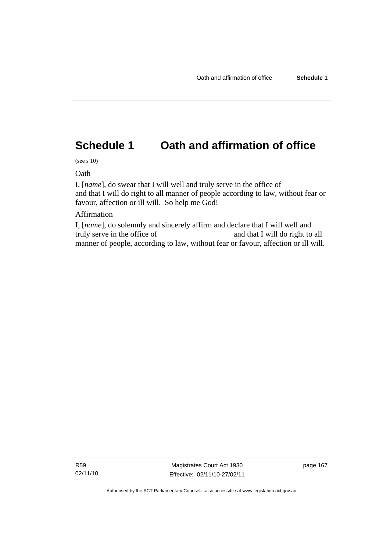# **Schedule 1 Oath and affirmation of office**

(see s 10)

Oath

I, [*name*], do swear that I will well and truly serve in the office of and that I will do right to all manner of people according to law, without fear or favour, affection or ill will. So help me God!

## Affirmation

I, [*name*], do solemnly and sincerely affirm and declare that I will well and truly serve in the office of and that I will do right to all manner of people, according to law, without fear or favour, affection or ill will.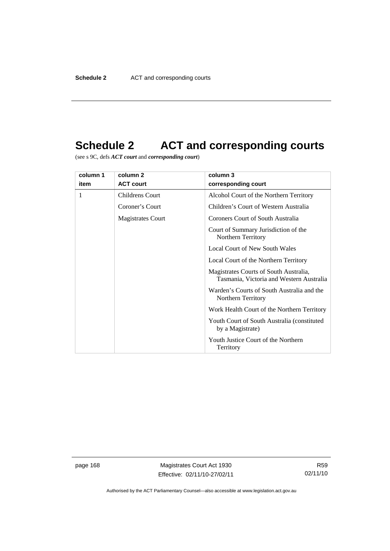# **Schedule 2 ACT and corresponding courts**

(see s 9C, defs *ACT court* and *corresponding court*)

| column 1 | column 2                 | column 3                                                                           |
|----------|--------------------------|------------------------------------------------------------------------------------|
| item     | <b>ACT court</b>         | corresponding court                                                                |
| 1        | <b>Childrens Court</b>   | Alcohol Court of the Northern Territory                                            |
|          | Coroner's Court          | Children's Court of Western Australia                                              |
|          | <b>Magistrates Court</b> | Coroners Court of South Australia                                                  |
|          |                          | Court of Summary Jurisdiction of the<br>Northern Territory                         |
|          |                          | <b>Local Court of New South Wales</b>                                              |
|          |                          | Local Court of the Northern Territory                                              |
|          |                          | Magistrates Courts of South Australia,<br>Tasmania, Victoria and Western Australia |
|          |                          | Warden's Courts of South Australia and the<br>Northern Territory                   |
|          |                          | Work Health Court of the Northern Territory                                        |
|          |                          | Youth Court of South Australia (constituted)<br>by a Magistrate)                   |
|          |                          | Youth Justice Court of the Northern<br>Territory                                   |

page 168 Magistrates Court Act 1930 Effective: 02/11/10-27/02/11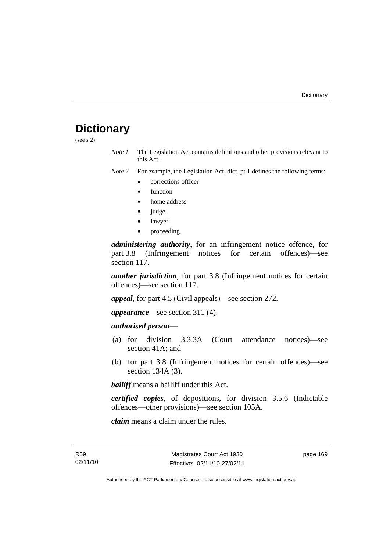# **Dictionary**

(see s 2)

*Note 1* The Legislation Act contains definitions and other provisions relevant to this Act.

*Note 2* For example, the Legislation Act, dict, pt 1 defines the following terms:

- corrections officer
- **function**
- home address
- judge
- lawyer
- proceeding.

*administering authority*, for an infringement notice offence, for part 3.8 (Infringement notices for certain offences)—see section 117.

*another jurisdiction*, for part 3.8 (Infringement notices for certain offences)—see section 117.

*appeal*, for part 4.5 (Civil appeals)—see section 272.

*appearance*—see section 311 (4).

# *authorised person*—

- (a) for division 3.3.3A (Court attendance notices)—see section 41A; and
- (b) for part 3.8 (Infringement notices for certain offences)—see section 134A (3).

*bailiff* means a bailiff under this Act.

*certified copies*, of depositions, for division 3.5.6 (Indictable offences—other provisions)—see section 105A.

*claim* means a claim under the rules.

R59 02/11/10 page 169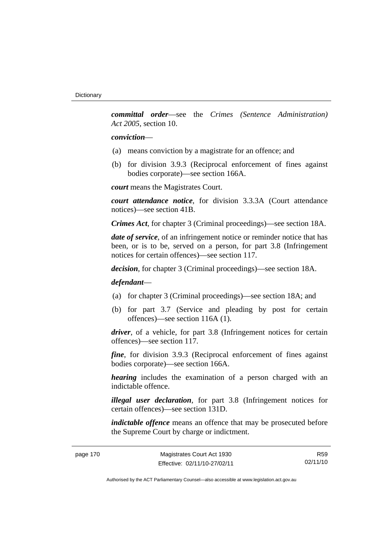*committal order*—see the *Crimes (Sentence Administration) Act 2005*, section 10.

#### *conviction*—

- (a) means conviction by a magistrate for an offence; and
- (b) for division 3.9.3 (Reciprocal enforcement of fines against bodies corporate)—see section 166A.

*court* means the Magistrates Court.

*court attendance notice*, for division 3.3.3A (Court attendance notices)—see section 41B.

*Crimes Act*, for chapter 3 (Criminal proceedings)—see section 18A.

*date of service*, of an infringement notice or reminder notice that has been, or is to be, served on a person, for part 3.8 (Infringement notices for certain offences)—see section 117.

*decision*, for chapter 3 (Criminal proceedings)—see section 18A.

## *defendant*—

- (a) for chapter 3 (Criminal proceedings)—see section 18A; and
- (b) for part 3.7 (Service and pleading by post for certain offences)—see section 116A (1).

*driver*, of a vehicle, for part 3.8 (Infringement notices for certain offences)—see section 117.

*fine*, for division 3.9.3 (Reciprocal enforcement of fines against bodies corporate)—see section 166A.

*hearing* includes the examination of a person charged with an indictable offence.

*illegal user declaration*, for part 3.8 (Infringement notices for certain offences)—see section 131D.

*indictable offence* means an offence that may be prosecuted before the Supreme Court by charge or indictment.

| page 170 |  |
|----------|--|
|----------|--|

R59 02/11/10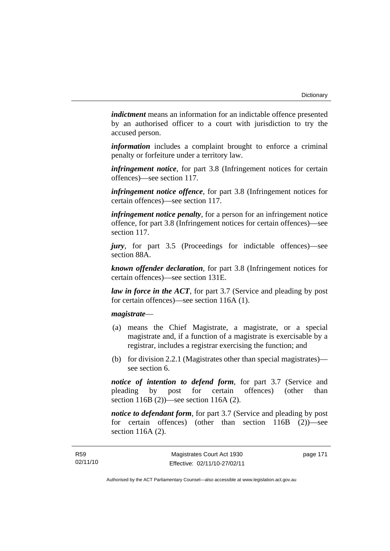*indictment* means an information for an indictable offence presented by an authorised officer to a court with jurisdiction to try the accused person.

*information* includes a complaint brought to enforce a criminal penalty or forfeiture under a territory law.

*infringement notice*, for part 3.8 (Infringement notices for certain offences)—see section 117.

*infringement notice offence*, for part 3.8 (Infringement notices for certain offences)—see section 117.

*infringement notice penalty*, for a person for an infringement notice offence, for part 3.8 (Infringement notices for certain offences)—see section 117.

*jury*, for part 3.5 (Proceedings for indictable offences)—see section 88A.

*known offender declaration*, for part 3.8 (Infringement notices for certain offences)—see section 131E.

*law in force in the ACT*, for part 3.7 (Service and pleading by post for certain offences)—see section 116A (1).

## *magistrate*—

- (a) means the Chief Magistrate, a magistrate, or a special magistrate and, if a function of a magistrate is exercisable by a registrar, includes a registrar exercising the function; and
- (b) for division 2.2.1 (Magistrates other than special magistrates) see section 6.

*notice of intention to defend form*, for part 3.7 (Service and pleading by post for certain offences) (other than section 116B (2))—see section 116A (2).

*notice to defendant form*, for part 3.7 (Service and pleading by post) for certain offences) (other than section 116B (2))—see section 116A (2).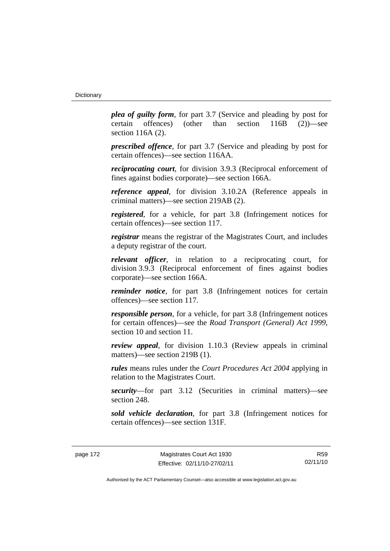*plea of guilty form*, for part 3.7 (Service and pleading by post for certain offences) (other than section 116B (2))—see section 116A (2).

*prescribed offence*, for part 3.7 (Service and pleading by post for certain offences)—see section 116AA.

*reciprocating court*, for division 3.9.3 (Reciprocal enforcement of fines against bodies corporate)—see section 166A.

*reference appeal*, for division 3.10.2A (Reference appeals in criminal matters)—see section 219AB (2).

*registered*, for a vehicle, for part 3.8 (Infringement notices for certain offences)—see section 117.

*registrar* means the registrar of the Magistrates Court, and includes a deputy registrar of the court.

*relevant officer*, in relation to a reciprocating court, for division 3.9.3 (Reciprocal enforcement of fines against bodies corporate)—see section 166A.

*reminder notice*, for part 3.8 (Infringement notices for certain offences)—see section 117.

*responsible person*, for a vehicle, for part 3.8 (Infringement notices for certain offences)—see the *Road Transport (General) Act 1999*, section 10 and section 11.

*review appeal*, for division 1.10.3 (Review appeals in criminal matters)—see section 219B (1).

*rules* means rules under the *Court Procedures Act 2004* applying in relation to the Magistrates Court.

*security*—for part 3.12 (Securities in criminal matters)—see section 248.

*sold vehicle declaration*, for part 3.8 (Infringement notices for certain offences)—see section 131F.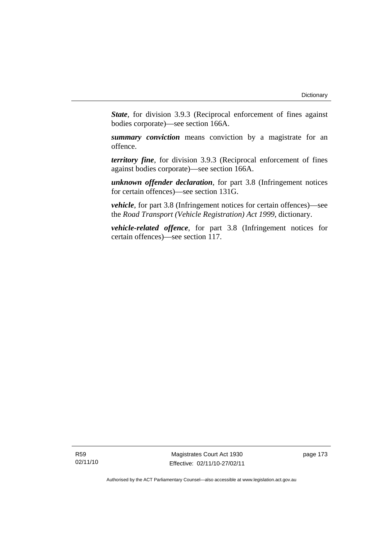*State*, for division 3.9.3 (Reciprocal enforcement of fines against bodies corporate)—see section 166A.

*summary conviction* means conviction by a magistrate for an offence.

*territory fine*, for division 3.9.3 (Reciprocal enforcement of fines against bodies corporate)—see section 166A.

*unknown offender declaration*, for part 3.8 (Infringement notices for certain offences)—see section 131G.

*vehicle*, for part 3.8 (Infringement notices for certain offences)—see the *Road Transport (Vehicle Registration) Act 1999*, dictionary.

*vehicle-related offence*, for part 3.8 (Infringement notices for certain offences)—see section 117.

R59 02/11/10

Magistrates Court Act 1930 Effective: 02/11/10-27/02/11 page 173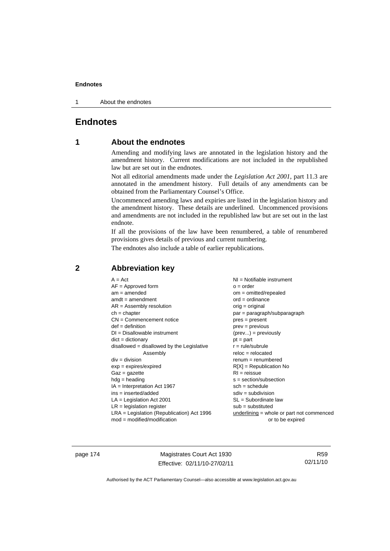1 About the endnotes

# **Endnotes**

# **1 About the endnotes**

Amending and modifying laws are annotated in the legislation history and the amendment history. Current modifications are not included in the republished law but are set out in the endnotes.

Not all editorial amendments made under the *Legislation Act 2001*, part 11.3 are annotated in the amendment history. Full details of any amendments can be obtained from the Parliamentary Counsel's Office.

Uncommenced amending laws and expiries are listed in the legislation history and the amendment history. These details are underlined. Uncommenced provisions and amendments are not included in the republished law but are set out in the last endnote.

If all the provisions of the law have been renumbered, a table of renumbered provisions gives details of previous and current numbering.

The endnotes also include a table of earlier republications.

| $A = Act$                                    | NI = Notifiable instrument                |
|----------------------------------------------|-------------------------------------------|
| $AF =$ Approved form                         | $o = order$                               |
| $am = amended$                               | $om = omitted/report)$                    |
| $amdt = amendment$                           | $ord = ordinance$                         |
| $AR = Assembly resolution$                   | $orig = original$                         |
| $ch = chapter$                               | par = paragraph/subparagraph              |
| $CN =$ Commencement notice                   | $pres = present$                          |
| $def = definition$                           | $prev = previous$                         |
| $DI = Disallowable instrument$               | $(\text{prev}) = \text{previously}$       |
| $dict = dictionary$                          | $pt = part$                               |
| disallowed = disallowed by the Legislative   | $r = rule/subrule$                        |
| Assembly                                     | $reloc = relocated$                       |
| $div = division$                             | $remum = renumbered$                      |
| $exp = expires/expired$                      | $R[X]$ = Republication No                 |
| $Gaz = gazette$                              | $RI = reissue$                            |
| $hdg =$ heading                              | $s = section/subsection$                  |
| $IA = Interpretation Act 1967$               | $sch = schedule$                          |
| $ins = inserted/added$                       | $sdiv = subdivision$                      |
| $LA =$ Legislation Act 2001                  | $SL = Subordinate$ law                    |
| $LR =$ legislation register                  | $sub =$ substituted                       |
| $LRA =$ Legislation (Republication) Act 1996 | underlining = whole or part not commenced |
| $mod = modified/modification$                | or to be expired                          |

# **2 Abbreviation key**

page 174 Magistrates Court Act 1930 Effective: 02/11/10-27/02/11

R59 02/11/10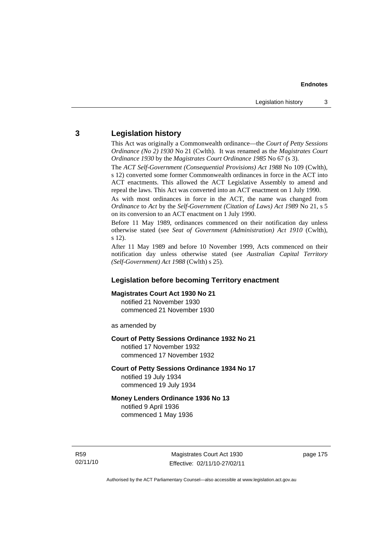# **3 Legislation history**

This Act was originally a Commonwealth ordinance—the *Court of Petty Sessions Ordinance (No 2) 1930* No 21 (Cwlth). It was renamed as the *Magistrates Court Ordinance 1930* by the *Magistrates Court Ordinance 1985* No 67 (s 3).

The *ACT Self-Government (Consequential Provisions) Act 1988* No 109 (Cwlth), s 12) converted some former Commonwealth ordinances in force in the ACT into ACT enactments. This allowed the ACT Legislative Assembly to amend and repeal the laws. This Act was converted into an ACT enactment on 1 July 1990.

As with most ordinances in force in the ACT, the name was changed from *Ordinance* to *Act* by the *Self-Government (Citation of Laws) Act 1989* No 21, s 5 on its conversion to an ACT enactment on 1 July 1990.

Before 11 May 1989, ordinances commenced on their notification day unless otherwise stated (see *Seat of Government (Administration) Act 1910* (Cwlth), s 12).

After 11 May 1989 and before 10 November 1999, Acts commenced on their notification day unless otherwise stated (see *Australian Capital Territory (Self-Government) Act 1988* (Cwlth) s 25).

# **Legislation before becoming Territory enactment**

#### **Magistrates Court Act 1930 No 21**

notified 21 November 1930 commenced 21 November 1930

as amended by

#### **Court of Petty Sessions Ordinance 1932 No 21**

notified 17 November 1932 commenced 17 November 1932

#### **Court of Petty Sessions Ordinance 1934 No 17**

notified 19 July 1934 commenced 19 July 1934

## **Money Lenders Ordinance 1936 No 13**  notified 9 April 1936

commenced 1 May 1936

R59 02/11/10

Magistrates Court Act 1930 Effective: 02/11/10-27/02/11 page 175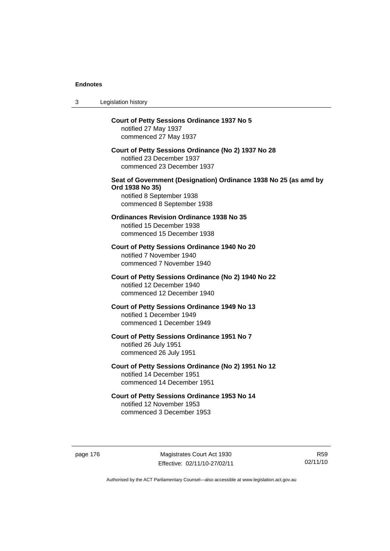| 3 | Legislation history                                                                                                                            |
|---|------------------------------------------------------------------------------------------------------------------------------------------------|
|   | <b>Court of Petty Sessions Ordinance 1937 No 5</b><br>notified 27 May 1937<br>commenced 27 May 1937                                            |
|   | Court of Petty Sessions Ordinance (No 2) 1937 No 28<br>notified 23 December 1937<br>commenced 23 December 1937                                 |
|   | Seat of Government (Designation) Ordinance 1938 No 25 (as amd by<br>Ord 1938 No 35)<br>notified 8 September 1938<br>commenced 8 September 1938 |
|   | <b>Ordinances Revision Ordinance 1938 No 35</b><br>notified 15 December 1938<br>commenced 15 December 1938                                     |
|   | Court of Petty Sessions Ordinance 1940 No 20<br>notified 7 November 1940<br>commenced 7 November 1940                                          |
|   | Court of Petty Sessions Ordinance (No 2) 1940 No 22<br>notified 12 December 1940<br>commenced 12 December 1940                                 |
|   | <b>Court of Petty Sessions Ordinance 1949 No 13</b><br>notified 1 December 1949<br>commenced 1 December 1949                                   |
|   | Court of Petty Sessions Ordinance 1951 No 7<br>notified 26 July 1951<br>commenced 26 July 1951                                                 |
|   | Court of Petty Sessions Ordinance (No 2) 1951 No 12<br>notified 14 December 1951<br>commenced 14 December 1951                                 |
|   | Court of Petty Sessions Ordinance 1953 No 14<br>notified 12 November 1953<br>commenced 3 December 1953                                         |

page 176 Magistrates Court Act 1930 Effective: 02/11/10-27/02/11

R59 02/11/10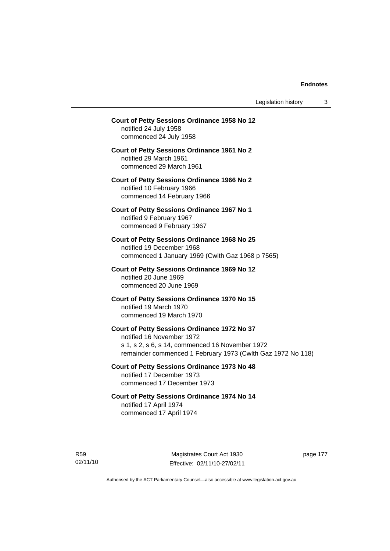Legislation history 3

# **Court of Petty Sessions Ordinance 1958 No 12**  notified 24 July 1958 commenced 24 July 1958 **Court of Petty Sessions Ordinance 1961 No 2**  notified 29 March 1961 commenced 29 March 1961 **Court of Petty Sessions Ordinance 1966 No 2**  notified 10 February 1966 commenced 14 February 1966 **Court of Petty Sessions Ordinance 1967 No 1**  notified 9 February 1967 commenced 9 February 1967 **Court of Petty Sessions Ordinance 1968 No 25**  notified 19 December 1968 commenced 1 January 1969 (Cwlth Gaz 1968 p 7565) **Court of Petty Sessions Ordinance 1969 No 12**  notified 20 June 1969 commenced 20 June 1969 **Court of Petty Sessions Ordinance 1970 No 15**  notified 19 March 1970 commenced 19 March 1970 **Court of Petty Sessions Ordinance 1972 No 37**  notified 16 November 1972 s 1, s 2, s 6, s 14, commenced 16 November 1972 remainder commenced 1 February 1973 (Cwlth Gaz 1972 No 118) **Court of Petty Sessions Ordinance 1973 No 48**  notified 17 December 1973 commenced 17 December 1973 **Court of Petty Sessions Ordinance 1974 No 14**  notified 17 April 1974 commenced 17 April 1974

R59 02/11/10

Magistrates Court Act 1930 Effective: 02/11/10-27/02/11 page 177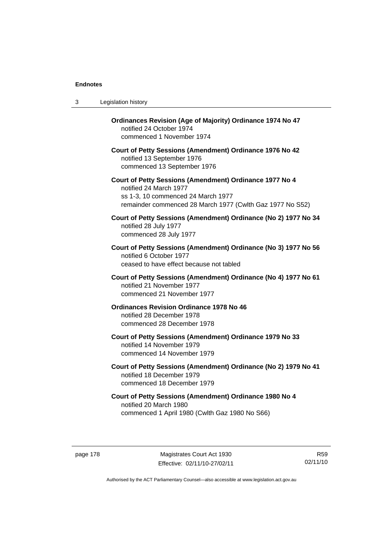| 3 | Legislation history                                                                                                                                                                  |
|---|--------------------------------------------------------------------------------------------------------------------------------------------------------------------------------------|
|   | Ordinances Revision (Age of Majority) Ordinance 1974 No 47<br>notified 24 October 1974<br>commenced 1 November 1974                                                                  |
|   | Court of Petty Sessions (Amendment) Ordinance 1976 No 42<br>notified 13 September 1976<br>commenced 13 September 1976                                                                |
|   | Court of Petty Sessions (Amendment) Ordinance 1977 No 4<br>notified 24 March 1977<br>ss 1-3, 10 commenced 24 March 1977<br>remainder commenced 28 March 1977 (Cwlth Gaz 1977 No S52) |
|   | Court of Petty Sessions (Amendment) Ordinance (No 2) 1977 No 34<br>notified 28 July 1977<br>commenced 28 July 1977                                                                   |
|   | Court of Petty Sessions (Amendment) Ordinance (No 3) 1977 No 56<br>notified 6 October 1977<br>ceased to have effect because not tabled                                               |
|   | Court of Petty Sessions (Amendment) Ordinance (No 4) 1977 No 61<br>notified 21 November 1977<br>commenced 21 November 1977                                                           |
|   | <b>Ordinances Revision Ordinance 1978 No 46</b><br>notified 28 December 1978<br>commenced 28 December 1978                                                                           |
|   | Court of Petty Sessions (Amendment) Ordinance 1979 No 33<br>notified 14 November 1979<br>commenced 14 November 1979                                                                  |
|   | Court of Petty Sessions (Amendment) Ordinance (No 2) 1979 No 41<br>notified 18 December 1979<br>commenced 18 December 1979                                                           |
|   | Court of Petty Sessions (Amendment) Ordinance 1980 No 4<br>notified 20 March 1980<br>commenced 1 April 1980 (Cwlth Gaz 1980 No S66)                                                  |

page 178 Magistrates Court Act 1930 Effective: 02/11/10-27/02/11

R59 02/11/10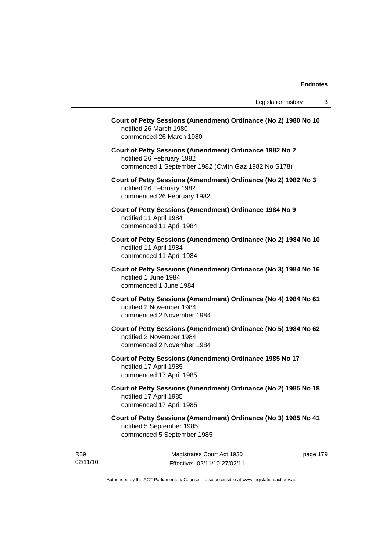| Court of Petty Sessions (Amendment) Ordinance (No 2) 1980 No 10<br>notified 26 March 1980<br>commenced 26 March 1980                        |         |
|---------------------------------------------------------------------------------------------------------------------------------------------|---------|
| Court of Petty Sessions (Amendment) Ordinance 1982 No 2<br>notified 26 February 1982<br>commenced 1 September 1982 (Cwlth Gaz 1982 No S178) |         |
| Court of Petty Sessions (Amendment) Ordinance (No 2) 1982 No 3<br>notified 26 February 1982<br>commenced 26 February 1982                   |         |
| Court of Petty Sessions (Amendment) Ordinance 1984 No 9<br>notified 11 April 1984<br>commenced 11 April 1984                                |         |
| Court of Petty Sessions (Amendment) Ordinance (No 2) 1984 No 10<br>notified 11 April 1984<br>commenced 11 April 1984                        |         |
| Court of Petty Sessions (Amendment) Ordinance (No 3) 1984 No 16<br>notified 1 June 1984<br>commenced 1 June 1984                            |         |
| Court of Petty Sessions (Amendment) Ordinance (No 4) 1984 No 61<br>notified 2 November 1984<br>commenced 2 November 1984                    |         |
| Court of Petty Sessions (Amendment) Ordinance (No 5) 1984 No 62<br>notified 2 November 1984<br>commenced 2 November 1984                    |         |
| Court of Petty Sessions (Amendment) Ordinance 1985 No 17<br>notified 17 April 1985<br>commenced 17 April 1985                               |         |
| Court of Petty Sessions (Amendment) Ordinance (No 2) 1985 No 18<br>notified 17 April 1985<br>commenced 17 April 1985                        |         |
| Court of Petty Sessions (Amendment) Ordinance (No 3) 1985 No 41<br>notified 5 September 1985<br>commenced 5 September 1985                  |         |
| Magistrates Court Act 1930                                                                                                                  | page 17 |

R59 02/11/10

Effective: 02/11/10-27/02/11

page 179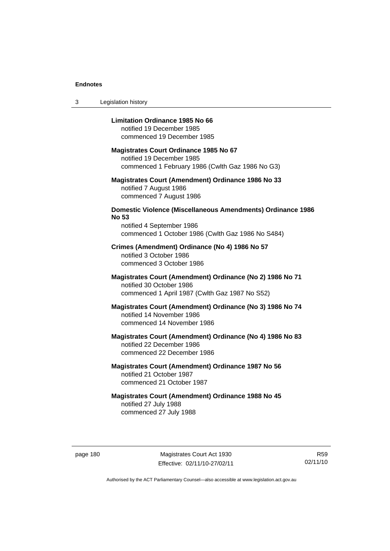3 Legislation history

#### **Limitation Ordinance 1985 No 66**

notified 19 December 1985 commenced 19 December 1985

#### **Magistrates Court Ordinance 1985 No 67**

notified 19 December 1985 commenced 1 February 1986 (Cwlth Gaz 1986 No G3)

#### **Magistrates Court (Amendment) Ordinance 1986 No 33**  notified 7 August 1986 commenced 7 August 1986

# **Domestic Violence (Miscellaneous Amendments) Ordinance 1986 No 53**

notified 4 September 1986 commenced 1 October 1986 (Cwlth Gaz 1986 No S484)

## **Crimes (Amendment) Ordinance (No 4) 1986 No 57**  notified 3 October 1986 commenced 3 October 1986

## **Magistrates Court (Amendment) Ordinance (No 2) 1986 No 71**  notified 30 October 1986 commenced 1 April 1987 (Cwlth Gaz 1987 No S52)

## **Magistrates Court (Amendment) Ordinance (No 3) 1986 No 74**  notified 14 November 1986 commenced 14 November 1986

# **Magistrates Court (Amendment) Ordinance (No 4) 1986 No 83**  notified 22 December 1986 commenced 22 December 1986

# **Magistrates Court (Amendment) Ordinance 1987 No 56**  notified 21 October 1987 commenced 21 October 1987

# **Magistrates Court (Amendment) Ordinance 1988 No 45**  notified 27 July 1988 commenced 27 July 1988

page 180 Magistrates Court Act 1930 Effective: 02/11/10-27/02/11

R59 02/11/10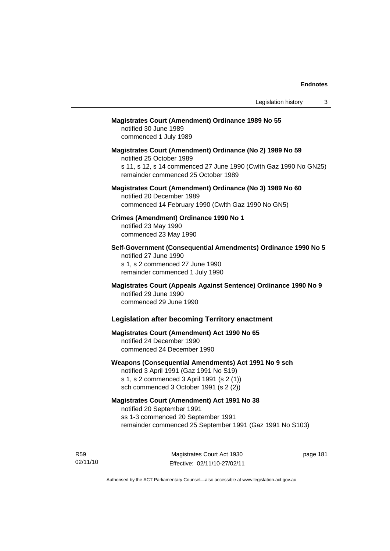# **Magistrates Court (Amendment) Ordinance 1989 No 55**

notified 30 June 1989 commenced 1 July 1989

**Magistrates Court (Amendment) Ordinance (No 2) 1989 No 59**  notified 25 October 1989 s 11, s 12, s 14 commenced 27 June 1990 (Cwlth Gaz 1990 No GN25) remainder commenced 25 October 1989

## **Magistrates Court (Amendment) Ordinance (No 3) 1989 No 60**  notified 20 December 1989 commenced 14 February 1990 (Cwlth Gaz 1990 No GN5)

**Crimes (Amendment) Ordinance 1990 No 1**  notified 23 May 1990

commenced 23 May 1990

**Self-Government (Consequential Amendments) Ordinance 1990 No 5**  notified 27 June 1990 s 1, s 2 commenced 27 June 1990 remainder commenced 1 July 1990

**Magistrates Court (Appeals Against Sentence) Ordinance 1990 No 9**  notified 29 June 1990 commenced 29 June 1990

## **Legislation after becoming Territory enactment**

# **Magistrates Court (Amendment) Act 1990 No 65**  notified 24 December 1990 commenced 24 December 1990

#### **Weapons (Consequential Amendments) Act 1991 No 9 sch**

notified 3 April 1991 (Gaz 1991 No S19) s 1, s 2 commenced 3 April 1991 (s 2 (1)) sch commenced 3 October 1991 (s 2 (2))

## **Magistrates Court (Amendment) Act 1991 No 38**

notified 20 September 1991 ss 1-3 commenced 20 September 1991 remainder commenced 25 September 1991 (Gaz 1991 No S103)

R59 02/11/10

Magistrates Court Act 1930 Effective: 02/11/10-27/02/11 page 181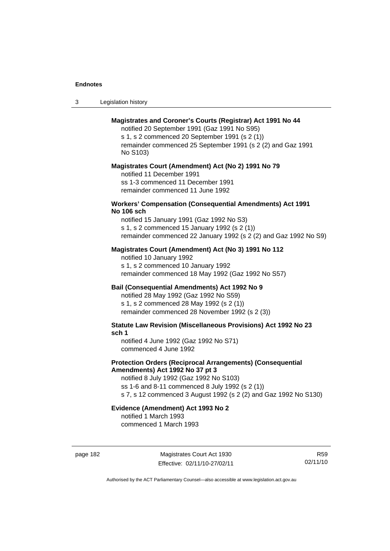| -3 | Legislation history |  |
|----|---------------------|--|
|----|---------------------|--|

## **Magistrates and Coroner's Courts (Registrar) Act 1991 No 44**

notified 20 September 1991 (Gaz 1991 No S95) s 1, s 2 commenced 20 September 1991 (s 2 (1)) remainder commenced 25 September 1991 (s 2 (2) and Gaz 1991 No S103)

#### **Magistrates Court (Amendment) Act (No 2) 1991 No 79**

notified 11 December 1991 ss 1-3 commenced 11 December 1991 remainder commenced 11 June 1992

#### **Workers' Compensation (Consequential Amendments) Act 1991 No 106 sch**

notified 15 January 1991 (Gaz 1992 No S3) s 1, s 2 commenced 15 January 1992 (s 2 (1)) remainder commenced 22 January 1992 (s 2 (2) and Gaz 1992 No S9)

#### **Magistrates Court (Amendment) Act (No 3) 1991 No 112**

notified 10 January 1992 s 1, s 2 commenced 10 January 1992 remainder commenced 18 May 1992 (Gaz 1992 No S57)

## **Bail (Consequential Amendments) Act 1992 No 9**

notified 28 May 1992 (Gaz 1992 No S59) s 1, s 2 commenced 28 May 1992 (s 2 (1)) remainder commenced 28 November 1992 (s 2 (3))

**Statute Law Revision (Miscellaneous Provisions) Act 1992 No 23 sch 1** 

notified 4 June 1992 (Gaz 1992 No S71) commenced 4 June 1992

#### **Protection Orders (Reciprocal Arrangements) (Consequential Amendments) Act 1992 No 37 pt 3**

notified 8 July 1992 (Gaz 1992 No S103) ss 1-6 and 8-11 commenced 8 July 1992 (s 2 (1)) s 7, s 12 commenced 3 August 1992 (s 2 (2) and Gaz 1992 No S130)

# **Evidence (Amendment) Act 1993 No 2**

notified 1 March 1993 commenced 1 March 1993

page 182 Magistrates Court Act 1930 Effective: 02/11/10-27/02/11

R59 02/11/10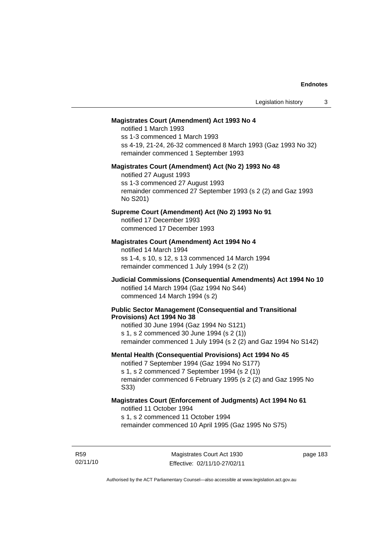#### **Magistrates Court (Amendment) Act 1993 No 4**

notified 1 March 1993 ss 1-3 commenced 1 March 1993 ss 4-19, 21-24, 26-32 commenced 8 March 1993 (Gaz 1993 No 32) remainder commenced 1 September 1993

#### **Magistrates Court (Amendment) Act (No 2) 1993 No 48**

notified 27 August 1993 ss 1-3 commenced 27 August 1993 remainder commenced 27 September 1993 (s 2 (2) and Gaz 1993 No S201)

#### **Supreme Court (Amendment) Act (No 2) 1993 No 91**

notified 17 December 1993 commenced 17 December 1993

#### **Magistrates Court (Amendment) Act 1994 No 4**

notified 14 March 1994 ss 1-4, s 10, s 12, s 13 commenced 14 March 1994 remainder commenced 1 July 1994 (s 2 (2))

## **Judicial Commissions (Consequential Amendments) Act 1994 No 10**  notified 14 March 1994 (Gaz 1994 No S44) commenced 14 March 1994 (s 2)

#### **Public Sector Management (Consequential and Transitional Provisions) Act 1994 No 38**

notified 30 June 1994 (Gaz 1994 No S121) s 1, s 2 commenced 30 June 1994 (s 2 (1)) remainder commenced 1 July 1994 (s 2 (2) and Gaz 1994 No S142)

#### **Mental Health (Consequential Provisions) Act 1994 No 45**

notified 7 September 1994 (Gaz 1994 No S177) s 1, s 2 commenced 7 September 1994 (s 2 (1)) remainder commenced 6 February 1995 (s 2 (2) and Gaz 1995 No S33)

#### **Magistrates Court (Enforcement of Judgments) Act 1994 No 61**  notified 11 October 1994

s 1, s 2 commenced 11 October 1994

remainder commenced 10 April 1995 (Gaz 1995 No S75)

R59 02/11/10 page 183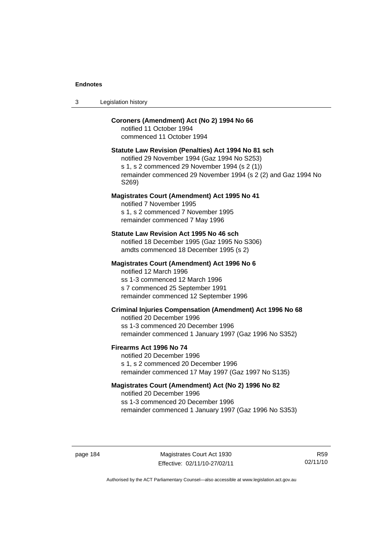## **Coroners (Amendment) Act (No 2) 1994 No 66**

notified 11 October 1994 commenced 11 October 1994

## **Statute Law Revision (Penalties) Act 1994 No 81 sch**

notified 29 November 1994 (Gaz 1994 No S253) s 1, s 2 commenced 29 November 1994 (s 2 (1)) remainder commenced 29 November 1994 (s 2 (2) and Gaz 1994 No S269)

#### **Magistrates Court (Amendment) Act 1995 No 41**

notified 7 November 1995 s 1, s 2 commenced 7 November 1995 remainder commenced 7 May 1996

#### **Statute Law Revision Act 1995 No 46 sch**

notified 18 December 1995 (Gaz 1995 No S306) amdts commenced 18 December 1995 (s 2)

#### **Magistrates Court (Amendment) Act 1996 No 6**

notified 12 March 1996 ss 1-3 commenced 12 March 1996 s 7 commenced 25 September 1991 remainder commenced 12 September 1996

## **Criminal Injuries Compensation (Amendment) Act 1996 No 68**

notified 20 December 1996 ss 1-3 commenced 20 December 1996 remainder commenced 1 January 1997 (Gaz 1996 No S352)

#### **Firearms Act 1996 No 74**

notified 20 December 1996 s 1, s 2 commenced 20 December 1996 remainder commenced 17 May 1997 (Gaz 1997 No S135)

#### **Magistrates Court (Amendment) Act (No 2) 1996 No 82**

notified 20 December 1996 ss 1-3 commenced 20 December 1996 remainder commenced 1 January 1997 (Gaz 1996 No S353)

page 184 Magistrates Court Act 1930 Effective: 02/11/10-27/02/11

R59 02/11/10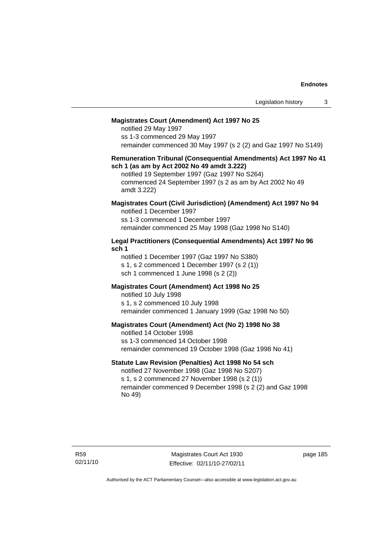#### **Magistrates Court (Amendment) Act 1997 No 25**

notified 29 May 1997 ss 1-3 commenced 29 May 1997 remainder commenced 30 May 1997 (s 2 (2) and Gaz 1997 No S149)

#### **Remuneration Tribunal (Consequential Amendments) Act 1997 No 41 sch 1 (as am by Act 2002 No 49 amdt 3.222)**

notified 19 September 1997 (Gaz 1997 No S264) commenced 24 September 1997 (s 2 as am by Act 2002 No 49 amdt 3.222)

# **Magistrates Court (Civil Jurisdiction) (Amendment) Act 1997 No 94**

notified 1 December 1997 ss 1-3 commenced 1 December 1997 remainder commenced 25 May 1998 (Gaz 1998 No S140)

#### **Legal Practitioners (Consequential Amendments) Act 1997 No 96 sch 1**

notified 1 December 1997 (Gaz 1997 No S380) s 1, s 2 commenced 1 December 1997 (s 2 (1)) sch 1 commenced 1 June 1998 (s 2 (2))

## **Magistrates Court (Amendment) Act 1998 No 25**

notified 10 July 1998 s 1, s 2 commenced 10 July 1998 remainder commenced 1 January 1999 (Gaz 1998 No 50)

#### **Magistrates Court (Amendment) Act (No 2) 1998 No 38**

notified 14 October 1998 ss 1-3 commenced 14 October 1998 remainder commenced 19 October 1998 (Gaz 1998 No 41)

#### **Statute Law Revision (Penalties) Act 1998 No 54 sch**

notified 27 November 1998 (Gaz 1998 No S207) s 1, s 2 commenced 27 November 1998 (s 2 (1)) remainder commenced 9 December 1998 (s 2 (2) and Gaz 1998 No 49)

Magistrates Court Act 1930 Effective: 02/11/10-27/02/11 page 185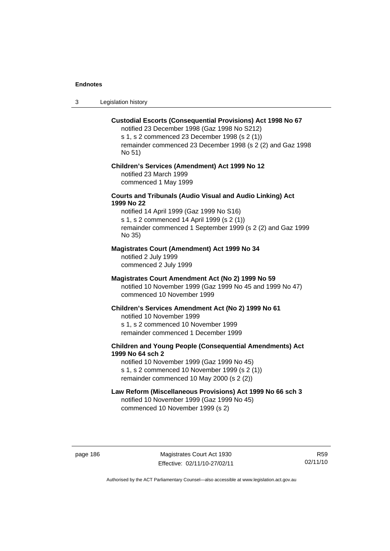3 Legislation history

#### **Custodial Escorts (Consequential Provisions) Act 1998 No 67**

notified 23 December 1998 (Gaz 1998 No S212) s 1, s 2 commenced 23 December 1998 (s 2 (1)) remainder commenced 23 December 1998 (s 2 (2) and Gaz 1998 No 51)

# **Children's Services (Amendment) Act 1999 No 12**  notified 23 March 1999

commenced 1 May 1999

## **Courts and Tribunals (Audio Visual and Audio Linking) Act 1999 No 22**

notified 14 April 1999 (Gaz 1999 No S16) s 1, s 2 commenced 14 April 1999 (s 2 (1)) remainder commenced 1 September 1999 (s 2 (2) and Gaz 1999 No 35)

# **Magistrates Court (Amendment) Act 1999 No 34**

notified 2 July 1999 commenced 2 July 1999

#### **Magistrates Court Amendment Act (No 2) 1999 No 59**

notified 10 November 1999 (Gaz 1999 No 45 and 1999 No 47) commenced 10 November 1999

#### **Children's Services Amendment Act (No 2) 1999 No 61**

notified 10 November 1999 s 1, s 2 commenced 10 November 1999 remainder commenced 1 December 1999

## **Children and Young People (Consequential Amendments) Act 1999 No 64 sch 2**

notified 10 November 1999 (Gaz 1999 No 45) s 1, s 2 commenced 10 November 1999 (s 2 (1)) remainder commenced 10 May 2000 (s 2 (2))

# **Law Reform (Miscellaneous Provisions) Act 1999 No 66 sch 3**

notified 10 November 1999 (Gaz 1999 No 45) commenced 10 November 1999 (s 2)

page 186 Magistrates Court Act 1930 Effective: 02/11/10-27/02/11

R59 02/11/10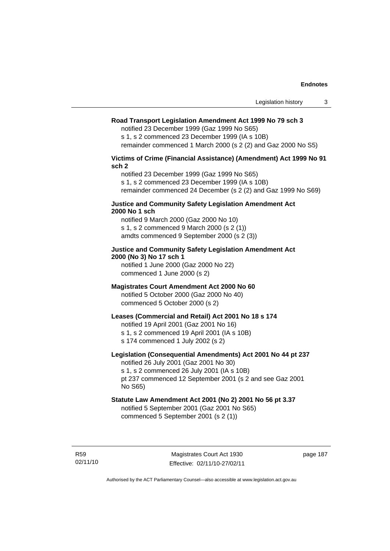#### **Road Transport Legislation Amendment Act 1999 No 79 sch 3**

notified 23 December 1999 (Gaz 1999 No S65)

s 1, s 2 commenced 23 December 1999 (IA s 10B) remainder commenced 1 March 2000 (s 2 (2) and Gaz 2000 No S5)

**Victims of Crime (Financial Assistance) (Amendment) Act 1999 No 91 sch 2** 

notified 23 December 1999 (Gaz 1999 No S65) s 1, s 2 commenced 23 December 1999 (IA s 10B) remainder commenced 24 December (s 2 (2) and Gaz 1999 No S69)

#### **Justice and Community Safety Legislation Amendment Act 2000 No 1 sch**

notified 9 March 2000 (Gaz 2000 No 10) s 1, s 2 commenced 9 March 2000 (s 2 (1)) amdts commenced 9 September 2000 (s 2 (3))

## **Justice and Community Safety Legislation Amendment Act 2000 (No 3) No 17 sch 1**

notified 1 June 2000 (Gaz 2000 No 22) commenced 1 June 2000 (s 2)

# **Magistrates Court Amendment Act 2000 No 60**

notified 5 October 2000 (Gaz 2000 No 40) commenced 5 October 2000 (s 2)

## **Leases (Commercial and Retail) Act 2001 No 18 s 174**

notified 19 April 2001 (Gaz 2001 No 16)

s 1, s 2 commenced 19 April 2001 (IA s 10B)

s 174 commenced 1 July 2002 (s 2)

## **Legislation (Consequential Amendments) Act 2001 No 44 pt 237**

notified 26 July 2001 (Gaz 2001 No 30) s 1, s 2 commenced 26 July 2001 (IA s 10B) pt 237 commenced 12 September 2001 (s 2 and see Gaz 2001

No S65)

# **Statute Law Amendment Act 2001 (No 2) 2001 No 56 pt 3.37**

notified 5 September 2001 (Gaz 2001 No S65) commenced 5 September 2001 (s 2 (1))

R59 02/11/10 page 187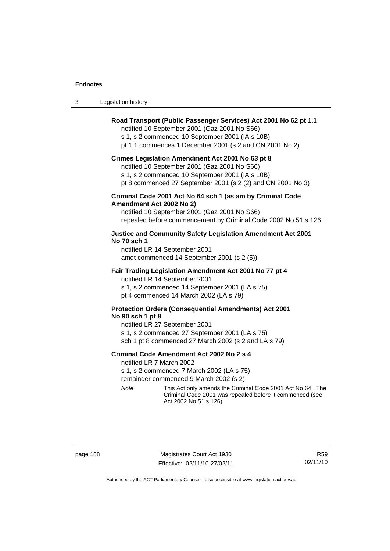| Legislation history<br>3 |
|--------------------------|
|--------------------------|

## **Road Transport (Public Passenger Services) Act 2001 No 62 pt 1.1**

notified 10 September 2001 (Gaz 2001 No S66)

s 1, s 2 commenced 10 September 2001 (IA s 10B)

pt 1.1 commences 1 December 2001 (s 2 and CN 2001 No 2)

#### **Crimes Legislation Amendment Act 2001 No 63 pt 8**

notified 10 September 2001 (Gaz 2001 No S66)

s 1, s 2 commenced 10 September 2001 (IA s 10B)

pt 8 commenced 27 September 2001 (s 2 (2) and CN 2001 No 3)

#### **Criminal Code 2001 Act No 64 sch 1 (as am by Criminal Code Amendment Act 2002 No 2)**

notified 10 September 2001 (Gaz 2001 No S66) repealed before commencement by Criminal Code 2002 No 51 s 126

#### **Justice and Community Safety Legislation Amendment Act 2001 No 70 sch 1**

notified LR 14 September 2001 amdt commenced 14 September 2001 (s 2 (5))

#### **Fair Trading Legislation Amendment Act 2001 No 77 pt 4**

notified LR 14 September 2001 s 1, s 2 commenced 14 September 2001 (LA s 75) pt 4 commenced 14 March 2002 (LA s 79)

## **Protection Orders (Consequential Amendments) Act 2001 No 90 sch 1 pt 8**

notified LR 27 September 2001 s 1, s 2 commenced 27 September 2001 (LA s 75) sch 1 pt 8 commenced 27 March 2002 (s 2 and LA s 79)

#### **Criminal Code Amendment Act 2002 No 2 s 4**

notified LR 7 March 2002

s 1, s 2 commenced 7 March 2002 (LA s 75)

remainder commenced 9 March 2002 (s 2)

*Note* This Act only amends the Criminal Code 2001 Act No 64. The Criminal Code 2001 was repealed before it commenced (see Act 2002 No 51 s 126)

page 188 Magistrates Court Act 1930 Effective: 02/11/10-27/02/11

R59 02/11/10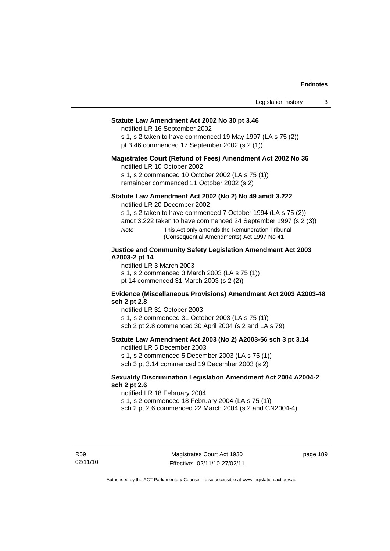#### **Statute Law Amendment Act 2002 No 30 pt 3.46**

notified LR 16 September 2002

s 1, s 2 taken to have commenced 19 May 1997 (LA s 75 (2)) pt 3.46 commenced 17 September 2002 (s 2 (1))

#### **Magistrates Court (Refund of Fees) Amendment Act 2002 No 36**

notified LR 10 October 2002

s 1, s 2 commenced 10 October 2002 (LA s 75 (1)) remainder commenced 11 October 2002 (s 2)

#### **Statute Law Amendment Act 2002 (No 2) No 49 amdt 3.222**

notified LR 20 December 2002

s 1, s 2 taken to have commenced 7 October 1994 (LA s 75 (2))

amdt 3.222 taken to have commenced 24 September 1997 (s 2 (3))

*Note* This Act only amends the Remuneration Tribunal (Consequential Amendments) Act 1997 No 41.

## **Justice and Community Safety Legislation Amendment Act 2003 A2003-2 pt 14**

notified LR 3 March 2003

s 1, s 2 commenced 3 March 2003 (LA s 75 (1))

pt 14 commenced 31 March 2003 (s 2 (2))

#### **Evidence (Miscellaneous Provisions) Amendment Act 2003 A2003-48 sch 2 pt 2.8**

notified LR 31 October 2003

s 1, s 2 commenced 31 October 2003 (LA s 75 (1)) sch 2 pt 2.8 commenced 30 April 2004 (s 2 and LA s 79)

## **Statute Law Amendment Act 2003 (No 2) A2003-56 sch 3 pt 3.14**

notified LR 5 December 2003

s 1, s 2 commenced 5 December 2003 (LA s 75 (1)) sch 3 pt 3.14 commenced 19 December 2003 (s 2)

#### **Sexuality Discrimination Legislation Amendment Act 2004 A2004-2 sch 2 pt 2.6**

notified LR 18 February 2004

s 1, s 2 commenced 18 February 2004 (LA s 75 (1))

sch 2 pt 2.6 commenced 22 March 2004 (s 2 and CN2004-4)

R59 02/11/10 page 189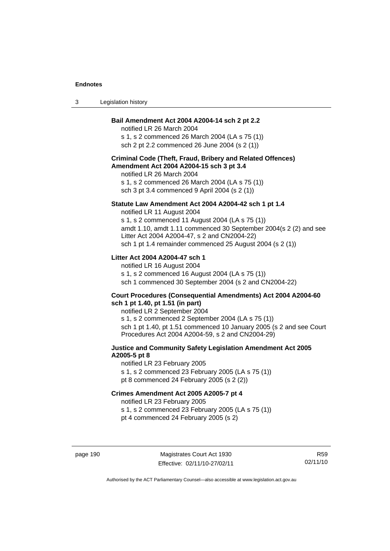| Legislation history<br>-3 |  |
|---------------------------|--|
|---------------------------|--|

## **Bail Amendment Act 2004 A2004-14 sch 2 pt 2.2**

notified LR 26 March 2004 s 1, s 2 commenced 26 March 2004 (LA s 75 (1)) sch 2 pt 2.2 commenced 26 June 2004 (s 2 (1))

## **Criminal Code (Theft, Fraud, Bribery and Related Offences) Amendment Act 2004 A2004-15 sch 3 pt 3.4**

notified LR 26 March 2004 s 1, s 2 commenced 26 March 2004 (LA s 75 (1)) sch 3 pt 3.4 commenced 9 April 2004 (s 2 (1))

#### **Statute Law Amendment Act 2004 A2004-42 sch 1 pt 1.4**

notified LR 11 August 2004 s 1, s 2 commenced 11 August 2004 (LA s 75 (1)) amdt 1.10, amdt 1.11 commenced 30 September 2004(s 2 (2) and see Litter Act 2004 A2004-47, s 2 and CN2004-22) sch 1 pt 1.4 remainder commenced 25 August 2004 (s 2 (1))

## **Litter Act 2004 A2004-47 sch 1**

notified LR 16 August 2004 s 1, s 2 commenced 16 August 2004 (LA s 75 (1)) sch 1 commenced 30 September 2004 (s 2 and CN2004-22)

#### **Court Procedures (Consequential Amendments) Act 2004 A2004-60 sch 1 pt 1.40, pt 1.51 (in part)**

notified LR 2 September 2004 s 1, s 2 commenced 2 September 2004 (LA s 75 (1)) sch 1 pt 1.40, pt 1.51 commenced 10 January 2005 (s 2 and see Court Procedures Act 2004 A2004-59, s 2 and CN2004-29)

## **Justice and Community Safety Legislation Amendment Act 2005 A2005-5 pt 8**

notified LR 23 February 2005 s 1, s 2 commenced 23 February 2005 (LA s 75 (1)) pt 8 commenced 24 February 2005 (s 2 (2))

#### **Crimes Amendment Act 2005 A2005-7 pt 4**

notified LR 23 February 2005

s 1, s 2 commenced 23 February 2005 (LA s 75 (1))

pt 4 commenced 24 February 2005 (s 2)

page 190 Magistrates Court Act 1930 Effective: 02/11/10-27/02/11

R59 02/11/10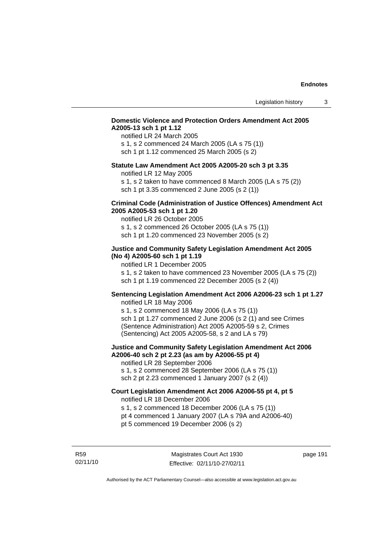## **Domestic Violence and Protection Orders Amendment Act 2005 A2005-13 sch 1 pt 1.12**

notified LR 24 March 2005 s 1, s 2 commenced 24 March 2005 (LA s 75 (1)) sch 1 pt 1.12 commenced 25 March 2005 (s 2)

#### **Statute Law Amendment Act 2005 A2005-20 sch 3 pt 3.35**

notified LR 12 May 2005

s 1, s 2 taken to have commenced 8 March 2005 (LA s 75 (2)) sch 1 pt 3.35 commenced 2 June 2005 (s 2 (1))

#### **Criminal Code (Administration of Justice Offences) Amendment Act 2005 A2005-53 sch 1 pt 1.20**

notified LR 26 October 2005 s 1, s 2 commenced 26 October 2005 (LA s 75 (1)) sch 1 pt 1.20 commenced 23 November 2005 (s 2)

## **Justice and Community Safety Legislation Amendment Act 2005 (No 4) A2005-60 sch 1 pt 1.19**

notified LR 1 December 2005

s 1, s 2 taken to have commenced 23 November 2005 (LA s 75 (2)) sch 1 pt 1.19 commenced 22 December 2005 (s 2 (4))

## **Sentencing Legislation Amendment Act 2006 A2006-23 sch 1 pt 1.27**  notified LR 18 May 2006

s 1, s 2 commenced 18 May 2006 (LA s 75 (1)) sch 1 pt 1.27 commenced 2 June 2006 (s 2 (1) and see Crimes (Sentence Administration) Act 2005 A2005-59 s 2, Crimes (Sentencing) Act 2005 A2005-58, s 2 and LA s 79)

#### **Justice and Community Safety Legislation Amendment Act 2006 A2006-40 sch 2 pt 2.23 (as am by A2006-55 pt 4)**  notified LR 28 September 2006

s 1, s 2 commenced 28 September 2006 (LA s 75 (1)) sch 2 pt 2.23 commenced 1 January 2007 (s 2 (4))

# **Court Legislation Amendment Act 2006 A2006-55 pt 4, pt 5**  notified LR 18 December 2006

s 1, s 2 commenced 18 December 2006 (LA s 75 (1))

- pt 4 commenced 1 January 2007 (LA s 79A and A2006-40)
- pt 5 commenced 19 December 2006 (s 2)

R59 02/11/10 page 191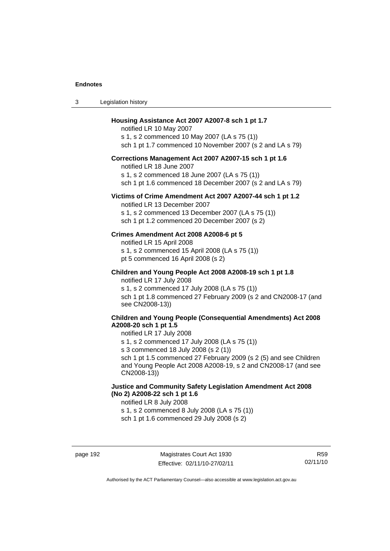| -3 | Legislation history |
|----|---------------------|
|----|---------------------|

#### **Housing Assistance Act 2007 A2007-8 sch 1 pt 1.7**

notified LR 10 May 2007 s 1, s 2 commenced 10 May 2007 (LA s 75 (1)) sch 1 pt 1.7 commenced 10 November 2007 (s 2 and LA s 79)

## **Corrections Management Act 2007 A2007-15 sch 1 pt 1.6**

notified LR 18 June 2007

s 1, s 2 commenced 18 June 2007 (LA s 75 (1))

sch 1 pt 1.6 commenced 18 December 2007 (s 2 and LA s 79)

#### **Victims of Crime Amendment Act 2007 A2007-44 sch 1 pt 1.2**

notified LR 13 December 2007 s 1, s 2 commenced 13 December 2007 (LA s 75 (1)) sch 1 pt 1.2 commenced 20 December 2007 (s 2)

#### **Crimes Amendment Act 2008 A2008-6 pt 5**

notified LR 15 April 2008 s 1, s 2 commenced 15 April 2008 (LA s 75 (1)) pt 5 commenced 16 April 2008 (s 2)

**Children and Young People Act 2008 A2008-19 sch 1 pt 1.8**  notified LR 17 July 2008

s 1, s 2 commenced 17 July 2008 (LA s 75 (1)) sch 1 pt 1.8 commenced 27 February 2009 (s 2 and CN2008-17 (and see CN2008-13))

## **Children and Young People (Consequential Amendments) Act 2008 A2008-20 sch 1 pt 1.5**

## notified LR 17 July 2008

s 1, s 2 commenced 17 July 2008 (LA s 75 (1))

s 3 commenced 18 July 2008 (s 2 (1))

sch 1 pt 1.5 commenced 27 February 2009 (s 2 (5) and see Children and Young People Act 2008 A2008-19, s 2 and CN2008-17 (and see CN2008-13))

# **Justice and Community Safety Legislation Amendment Act 2008 (No 2) A2008-22 sch 1 pt 1.6**

notified LR 8 July 2008

s 1, s 2 commenced 8 July 2008 (LA s 75 (1))

sch 1 pt 1.6 commenced 29 July 2008 (s 2)

R59 02/11/10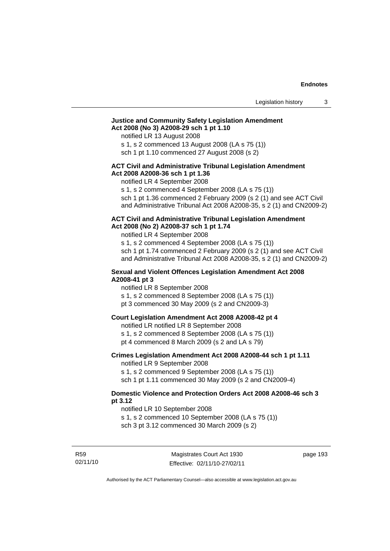#### **Justice and Community Safety Legislation Amendment Act 2008 (No 3) A2008-29 sch 1 pt 1.10**

notified LR 13 August 2008

s 1, s 2 commenced 13 August 2008 (LA s 75 (1))

sch 1 pt 1.10 commenced 27 August 2008 (s 2)

#### **ACT Civil and Administrative Tribunal Legislation Amendment Act 2008 A2008-36 sch 1 pt 1.36**

notified LR 4 September 2008

s 1, s 2 commenced 4 September 2008 (LA s 75 (1))

sch 1 pt 1.36 commenced 2 February 2009 (s 2 (1) and see ACT Civil and Administrative Tribunal Act 2008 A2008-35, s 2 (1) and CN2009-2)

#### **ACT Civil and Administrative Tribunal Legislation Amendment Act 2008 (No 2) A2008-37 sch 1 pt 1.74**

notified LR 4 September 2008

s 1, s 2 commenced 4 September 2008 (LA s 75 (1)) sch 1 pt 1.74 commenced 2 February 2009 (s 2 (1) and see ACT Civil and Administrative Tribunal Act 2008 A2008-35, s 2 (1) and CN2009-2)

#### **Sexual and Violent Offences Legislation Amendment Act 2008 A2008-41 pt 3**

notified LR 8 September 2008

s 1, s 2 commenced 8 September 2008 (LA s 75 (1))

pt 3 commenced 30 May 2009 (s 2 and CN2009-3)

#### **Court Legislation Amendment Act 2008 A2008-42 pt 4**

notified LR notified LR 8 September 2008

s 1, s 2 commenced 8 September 2008 (LA s 75 (1))

pt 4 commenced 8 March 2009 (s 2 and LA s 79)

# **Crimes Legislation Amendment Act 2008 A2008-44 sch 1 pt 1.11**

notified LR 9 September 2008

s 1, s 2 commenced 9 September 2008 (LA s 75 (1))

sch 1 pt 1.11 commenced 30 May 2009 (s 2 and CN2009-4)

## **Domestic Violence and Protection Orders Act 2008 A2008-46 sch 3 pt 3.12**

notified LR 10 September 2008

s 1, s 2 commenced 10 September 2008 (LA s 75 (1))

sch 3 pt 3.12 commenced 30 March 2009 (s 2)

R59 02/11/10 page 193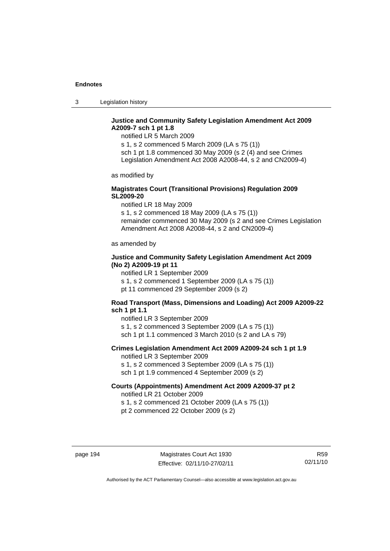3 Legislation history

# **Justice and Community Safety Legislation Amendment Act 2009 A2009-7 sch 1 pt 1.8**

notified LR 5 March 2009

s 1, s 2 commenced 5 March 2009 (LA s 75 (1)) sch 1 pt 1.8 commenced 30 May 2009 (s 2 (4) and see Crimes Legislation Amendment Act 2008 A2008-44, s 2 and CN2009-4)

as modified by

## **Magistrates Court (Transitional Provisions) Regulation 2009 SL2009-20**

notified LR 18 May 2009

s 1, s 2 commenced 18 May 2009 (LA s 75 (1)) remainder commenced 30 May 2009 (s 2 and see Crimes Legislation Amendment Act 2008 A2008-44, s 2 and CN2009-4)

as amended by

## **Justice and Community Safety Legislation Amendment Act 2009 (No 2) A2009-19 pt 11**

notified LR 1 September 2009

s 1, s 2 commenced 1 September 2009 (LA s 75 (1))

pt 11 commenced 29 September 2009 (s 2)

## **Road Transport (Mass, Dimensions and Loading) Act 2009 A2009-22 sch 1 pt 1.1**

notified LR 3 September 2009 s 1, s 2 commenced 3 September 2009 (LA s 75 (1)) sch 1 pt 1.1 commenced 3 March 2010 (s 2 and LA s 79)

## **Crimes Legislation Amendment Act 2009 A2009-24 sch 1 pt 1.9**

notified LR 3 September 2009

s 1, s 2 commenced 3 September 2009 (LA s 75 (1))

sch 1 pt 1.9 commenced 4 September 2009 (s 2)

#### **Courts (Appointments) Amendment Act 2009 A2009-37 pt 2**  notified LR 21 October 2009

s 1, s 2 commenced 21 October 2009 (LA s 75 (1)) pt 2 commenced 22 October 2009 (s 2)

R59 02/11/10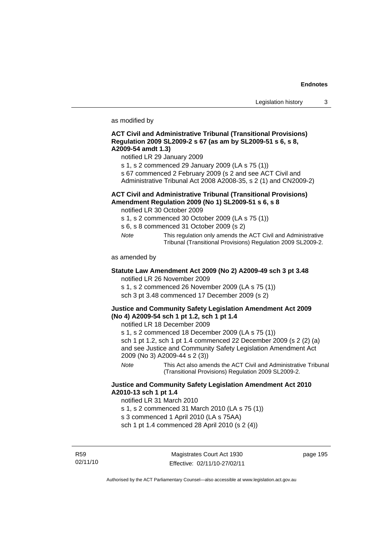as modified by

#### **ACT Civil and Administrative Tribunal (Transitional Provisions) Regulation 2009 SL2009-2 s 67 (as am by SL2009-51 s 6, s 8, A2009-54 amdt 1.3)**

notified LR 29 January 2009

- s 1, s 2 commenced 29 January 2009 (LA s 75 (1))
- s 67 commenced 2 February 2009 (s 2 and see ACT Civil and
- Administrative Tribunal Act 2008 A2008-35, s 2 (1) and CN2009-2)

# **ACT Civil and Administrative Tribunal (Transitional Provisions) Amendment Regulation 2009 (No 1) SL2009-51 s 6, s 8**

notified LR 30 October 2009

- s 1, s 2 commenced 30 October 2009 (LA s 75 (1))
- s 6, s 8 commenced 31 October 2009 (s 2)
- *Note* This regulation only amends the ACT Civil and Administrative Tribunal (Transitional Provisions) Regulation 2009 SL2009-2.

as amended by

#### **Statute Law Amendment Act 2009 (No 2) A2009-49 sch 3 pt 3.48**  notified LR 26 November 2009

s 1, s 2 commenced 26 November 2009 (LA s 75 (1))

sch 3 pt 3.48 commenced 17 December 2009 (s 2)

## **Justice and Community Safety Legislation Amendment Act 2009 (No 4) A2009-54 sch 1 pt 1.2, sch 1 pt 1.4**

notified LR 18 December 2009

s 1, s 2 commenced 18 December 2009 (LA s 75 (1))

sch 1 pt 1.2, sch 1 pt 1.4 commenced 22 December 2009 (s 2 (2) (a) and see Justice and Community Safety Legislation Amendment Act 2009 (No 3) A2009-44 s 2 (3))

*Note* This Act also amends the ACT Civil and Administrative Tribunal (Transitional Provisions) Regulation 2009 SL2009-2.

## **Justice and Community Safety Legislation Amendment Act 2010 A2010-13 sch 1 pt 1.4**

notified LR 31 March 2010

s 1, s 2 commenced 31 March 2010 (LA s 75 (1))

s 3 commenced 1 April 2010 (LA s 75AA)

sch 1 pt 1.4 commenced 28 April 2010 (s 2 (4))

R59 02/11/10

Magistrates Court Act 1930 Effective: 02/11/10-27/02/11 page 195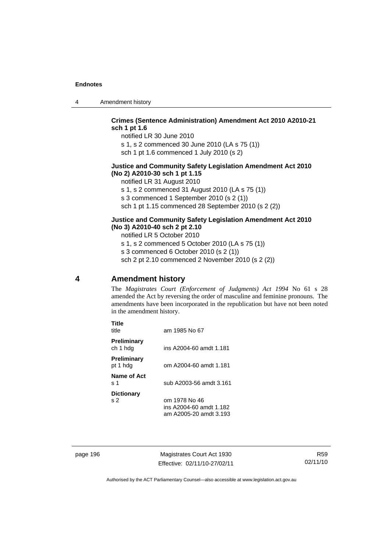4 Amendment history

## **Crimes (Sentence Administration) Amendment Act 2010 A2010-21 sch 1 pt 1.6**

notified LR 30 June 2010 s 1, s 2 commenced 30 June 2010 (LA s 75 (1)) sch 1 pt 1.6 commenced 1 July 2010 (s 2)

### **Justice and Community Safety Legislation Amendment Act 2010 (No 2) A2010-30 sch 1 pt 1.15**

notified LR 31 August 2010

s 1, s 2 commenced 31 August 2010 (LA s 75 (1))

s 3 commenced 1 September 2010 (s 2 (1))

sch 1 pt 1.15 commenced 28 September 2010 (s 2 (2))

#### **Justice and Community Safety Legislation Amendment Act 2010 (No 3) A2010-40 sch 2 pt 2.10**

notified LR 5 October 2010

s 1, s 2 commenced 5 October 2010 (LA s 75 (1)) s 3 commenced 6 October 2010 (s 2 (1))

sch 2 pt 2.10 commenced 2 November 2010 (s 2 (2))

# **4 Amendment history**

The *Magistrates Court (Enforcement of Judgments) Act 1994* No 61 s 28 amended the Act by reversing the order of masculine and feminine pronouns. The amendments have been incorporated in the republication but have not been noted in the amendment history.

| am 1985 No 67                                                      |
|--------------------------------------------------------------------|
| ins A2004-60 amdt 1.181                                            |
| om A2004-60 amdt 1.181                                             |
| sub A2003-56 amdt 3.161                                            |
| om 1978 No 46<br>ins A2004-60 amdt 1.182<br>am A2005-20 amdt 3.193 |
|                                                                    |

page 196 Magistrates Court Act 1930 Effective: 02/11/10-27/02/11

R59 02/11/10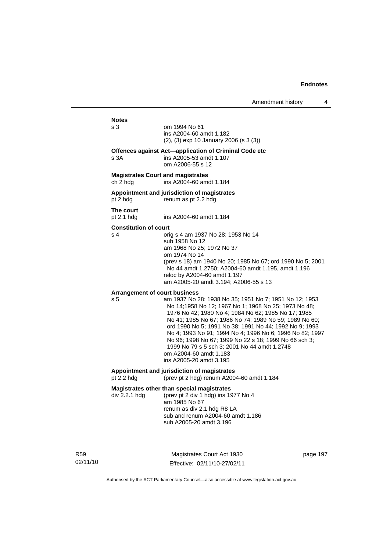# **Notes**  s 3 om 1994 No 61 ins A2004-60 amdt 1.182 (2), (3) exp 10 January 2006 (s 3 (3)) **Offences against Act—application of Criminal Code etc**  s 3A ins A2005-53 amdt 1.107 om A2006-55 s 12 **Magistrates Court and magistrates**  ch 2 hdg ins A2004-60 amdt 1.184 **Appointment and jurisdiction of magistrates**  pt 2 hdg renum as pt 2.2 hdg **The court**  pt 2.1 hdg ins A2004-60 amdt 1.184 **Constitution of court**  s 4 orig s 4 am 1937 No 28; 1953 No 14 sub 1958 No 12 am 1968 No 25; 1972 No 37 om 1974 No 14 (prev s 18) am 1940 No 20; 1985 No 67; ord 1990 No 5; 2001 No 44 amdt 1.2750; A2004-60 amdt 1.195, amdt 1.196 reloc by A2004-60 amdt 1.197 am A2005-20 amdt 3.194; A2006-55 s 13 **Arrangement of court business**  s 5 am 1937 No 28; 1938 No 35; 1951 No 7; 1951 No 12; 1953 No 14;1958 No 12; 1967 No 1; 1968 No 25; 1973 No 48; 1976 No 42; 1980 No 4; 1984 No 62; 1985 No 17; 1985 No 41; 1985 No 67; 1986 No 74; 1989 No 59; 1989 No 60; ord 1990 No 5; 1991 No 38; 1991 No 44; 1992 No 9; 1993 No 4; 1993 No 91; 1994 No 4; 1996 No 6; 1996 No 82; 1997 No 96; 1998 No 67; 1999 No 22 s 18; 1999 No 66 sch 3; 1999 No 79 s 5 sch 3; 2001 No 44 amdt 1.2748 om A2004-60 amdt 1.183 ins A2005-20 amdt 3.195 **Appointment and jurisdiction of magistrates**  pt 2.2 hdg (prev pt 2 hdg) renum A2004-60 amdt 1.184 **Magistrates other than special magistrates**  div 2.2.1 hdg (prev pt 2 div 1 hdg) ins 1977 No 4 am 1985 No 67 renum as div 2.1 hdg R8 LA sub and renum A2004-60 amdt 1.186 sub A2005-20 amdt 3.196

R59 02/11/10

Magistrates Court Act 1930 Effective: 02/11/10-27/02/11 page 197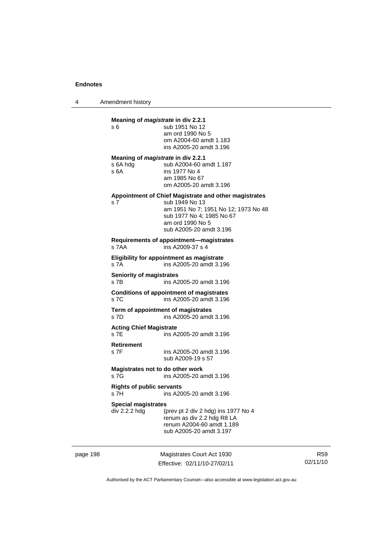4 Amendment history

|          | Meaning of <i>magistrate</i> in div 2.2.1<br>s 6                     | sub 1951 No 12<br>am ord 1990 No 5<br>om A2004-60 amdt 1.183<br>ins A2005-20 amdt 3.196                                                                                                     |  |
|----------|----------------------------------------------------------------------|---------------------------------------------------------------------------------------------------------------------------------------------------------------------------------------------|--|
|          | Meaning of <i>magistrate</i> in div 2.2.1<br>s 6A hdg<br>s 6A        | sub A2004-60 amdt 1.187<br>ins 1977 No 4<br>am 1985 No 67<br>om A2005-20 amdt 3.196                                                                                                         |  |
|          | s 7                                                                  | Appointment of Chief Magistrate and other magistrates<br>sub 1949 No 13<br>am 1951 No 7; 1951 No 12; 1973 No 48<br>sub 1977 No 4: 1985 No 67<br>am ord 1990 No 5<br>sub A2005-20 amdt 3.196 |  |
|          | Requirements of appointment—magistrates<br>s 7AA<br>ins A2009-37 s 4 |                                                                                                                                                                                             |  |
|          | s 7A                                                                 | Eligibility for appointment as magistrate<br>ins A2005-20 amdt 3.196                                                                                                                        |  |
|          | <b>Seniority of magistrates</b><br>s 7B                              | ins A2005-20 amdt 3.196                                                                                                                                                                     |  |
|          | s 7C                                                                 | <b>Conditions of appointment of magistrates</b><br>ins A2005-20 amdt 3.196                                                                                                                  |  |
|          | s 7D                                                                 | Term of appointment of magistrates<br>ins A2005-20 amdt 3.196                                                                                                                               |  |
|          | <b>Acting Chief Magistrate</b><br>s 7E                               | ins A2005-20 amdt 3.196                                                                                                                                                                     |  |
|          | <b>Retirement</b><br>s 7F                                            | ins A2005-20 amdt 3.196<br>sub A2009-19 s 57                                                                                                                                                |  |
|          | Magistrates not to do other work<br>s 7G                             | ins A2005-20 amdt 3.196                                                                                                                                                                     |  |
|          | <b>Rights of public servants</b><br>s 7H<br>ins A2005-20 amdt 3.196  |                                                                                                                                                                                             |  |
|          | <b>Special magistrates</b><br>div 2.2.2 hdg                          | (prev pt 2 div 2 hdg) ins 1977 No 4<br>renum as div 2.2 hdg R8 LA<br>renum A2004-60 amdt 1.189<br>sub A2005-20 amdt 3.197                                                                   |  |
| page 198 |                                                                      | Magistrates Court Act 1930                                                                                                                                                                  |  |

Effective: 02/11/10-27/02/11

R59 02/11/10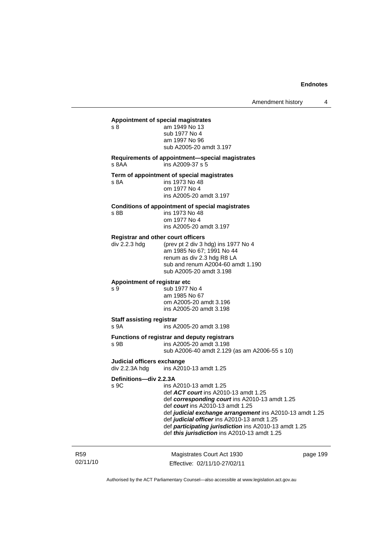Amendment history 4

#### **Appointment of special magistrates**

s 8 am 1949 No 13 sub 1977 No 4 am 1997 No 96 sub A2005-20 amdt 3.197

#### **Requirements of appointment—special magistrates**  s 8AA ins A2009-37 s 5

#### **Term of appointment of special magistrates**

s 8A ins 1973 No 48 om 1977 No 4 ins A2005-20 amdt 3.197

#### **Conditions of appointment of special magistrates**

s 8B ins 1973 No 48 om 1977 No 4 ins A2005-20 amdt 3.197

#### **Registrar and other court officers**

div 2.2.3 hdg (prev pt 2 div 3 hdg) ins 1977 No 4 am 1985 No 67; 1991 No 44 renum as div 2.3 hdg R8 LA sub and renum A2004-60 amdt 1.190 sub A2005-20 amdt 3.198

## **Appointment of registrar etc**

s 9 sub 1977 No 4 am 1985 No 67 om A2005-20 amdt 3.196 ins A2005-20 amdt 3.198

#### **Staff assisting registrar**

s 9A ins A2005-20 amdt 3.198

#### **Functions of registrar and deputy registrars**

s 9B ins A2005-20 amdt 3.198

sub A2006-40 amdt 2.129 (as am A2006-55 s 10)

#### **Judicial officers exchange**

div 2.2.3A hdg ins A2010-13 amdt 1.25

## **Definitions—div 2.2.3A**

s 9C ins A2010-13 amdt 1.25 def *ACT court* ins A2010-13 amdt 1.25 def *corresponding court* ins A2010-13 amdt 1.25 def *court* ins A2010-13 amdt 1.25 def *judicial exchange arrangement* ins A2010-13 amdt 1.25 def *judicial officer* ins A2010-13 amdt 1.25 def *participating jurisdiction* ins A2010-13 amdt 1.25 def *this jurisdiction* ins A2010-13 amdt 1.25

| R <sub>59</sub> | Magistrates Court Act 1930   | page 199 |
|-----------------|------------------------------|----------|
| 02/11/10        | Effective: 02/11/10-27/02/11 |          |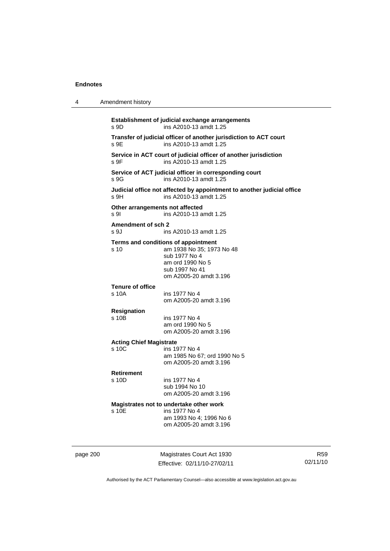| 4 | Amendment history                                                                 |                                                                                                            |
|---|-----------------------------------------------------------------------------------|------------------------------------------------------------------------------------------------------------|
|   | Establishment of judicial exchange arrangements<br>ins A2010-13 amdt 1.25<br>s 9D |                                                                                                            |
|   | s 9E                                                                              | Transfer of judicial officer of another jurisdiction to ACT court<br>ins A2010-13 amdt 1.25                |
|   | s 9F                                                                              | Service in ACT court of judicial officer of another jurisdiction<br>ins A2010-13 amdt 1.25                 |
|   | s 9G                                                                              | Service of ACT judicial officer in corresponding court<br>ins A2010-13 amdt 1.25                           |
|   | s 9H                                                                              | Judicial office not affected by appointment to another judicial office<br>ins A2010-13 amdt 1.25           |
|   | Other arrangements not affected<br>s 9l                                           | ins A2010-13 amdt 1.25                                                                                     |
|   | Amendment of sch 2<br>s 9J                                                        | ins A2010-13 amdt 1.25                                                                                     |
|   | Terms and conditions of appointment<br>s 10                                       | am 1938 No 35; 1973 No 48<br>sub 1977 No 4<br>am ord 1990 No 5<br>sub 1997 No 41<br>om A2005-20 amdt 3.196 |
|   | <b>Tenure of office</b><br>s 10A                                                  | ins 1977 No 4<br>om A2005-20 amdt 3.196                                                                    |
|   | <b>Resignation</b><br>s 10B                                                       | ins 1977 No 4<br>am ord 1990 No 5<br>om A2005-20 amdt 3.196                                                |
|   | <b>Acting Chief Magistrate</b><br>s 10C                                           | ins 1977 No 4<br>am 1985 No 67; ord 1990 No 5<br>om A2005-20 amdt 3.196                                    |
|   | <b>Retirement</b><br>s 10D                                                        | ins 1977 No 4<br>sub 1994 No 10<br>om A2005-20 amdt 3.196                                                  |
|   | Magistrates not to undertake other work<br>s 10E                                  | ins 1977 No 4<br>am 1993 No 4: 1996 No 6<br>om A2005-20 amdt 3.196                                         |

page 200 Magistrates Court Act 1930 Effective: 02/11/10-27/02/11

R59 02/11/10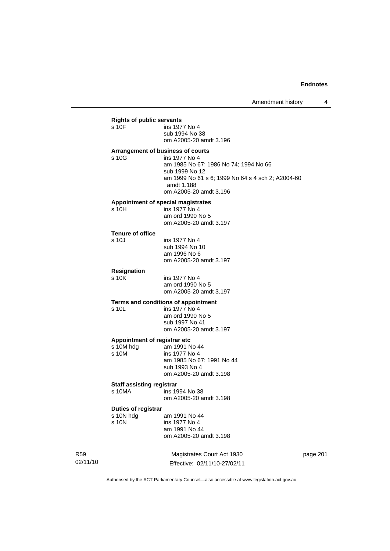### **Rights of public servants**

| s 10F | ins 1977 No 4          |
|-------|------------------------|
|       | sub 1994 No 38         |
|       | om A2005-20 amdt 3.196 |

#### **Arrangement of business of courts**

s 10G ins 1977 No 4 am 1985 No 67; 1986 No 74; 1994 No 66 sub 1999 No 12 am 1999 No 61 s 6; 1999 No 64 s 4 sch 2; A2004-60 amdt 1.188 om A2005-20 amdt 3.196

### **Appointment of special magistrates**

| s 10H | ins 1977 No 4          |
|-------|------------------------|
|       | am ord 1990 No 5       |
|       | om A2005-20 amdt 3.197 |

### **Tenure of office**

| s 10J | ins 1977 No 4          |
|-------|------------------------|
|       | sub 1994 No 10         |
|       | am 1996 No 6           |
|       | om A2005-20 amdt 3.197 |

# **Resignation**

ins 1977 No 4 am ord 1990 No 5 om A2005-20 amdt 3.197

#### **Terms and conditions of appointment**  s 10L

| s 10L | ins 1977 No 4          |
|-------|------------------------|
|       | am ord 1990 No 5       |
|       | sub 1997 No 41         |
|       | om A2005-20 amdt 3.197 |
|       |                        |

### **Appointment of registrar etc**

| s 10M hdg | am 1991 No 44             |
|-----------|---------------------------|
| s 10M     | ins 1977 No 4             |
|           | am 1985 No 67; 1991 No 44 |
|           | sub 1993 No 4             |
|           | om A2005-20 amdt 3.198    |
|           |                           |

# **Staff assisting registrar**<br>**s 10MA** ins 19

ins 1994 No 38 om A2005-20 amdt 3.198

# **Duties of registrar**

 $\begin{array}{ccc} \text{s} & 10\text{N} & \text{hdg} \\ \text{s} & 10\text{N} & \text{in} & 1991 & \text{No} & 44 \\ \end{array}$ ins 1977 No 4 am 1991 No 44 om A2005-20 amdt 3.198

R59 02/11/10

Magistrates Court Act 1930 Effective: 02/11/10-27/02/11 page 201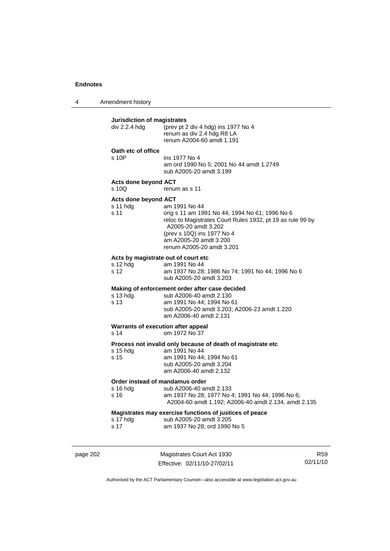4 Amendment history

### **Jurisdiction of magistrates**

| div 2.2.4 hdg                                           | (prev pt 2 div 4 hdg) ins 1977 No 4<br>renum as div 2.4 hdg R8 LA<br>renum A2004-60 amdt 1.191                                                                                                                                            |
|---------------------------------------------------------|-------------------------------------------------------------------------------------------------------------------------------------------------------------------------------------------------------------------------------------------|
| Oath etc of office<br>s 10P                             | ins 1977 No 4<br>am ord 1990 No 5; 2001 No 44 amdt 1.2749<br>sub A2005-20 amdt 3.199                                                                                                                                                      |
| Acts done beyond ACT<br>s 10Q                           | renum as s 11                                                                                                                                                                                                                             |
| Acts done beyond ACT<br>s 11 hdg<br>s 11                | am 1991 No 44<br>orig s 11 am 1991 No 44; 1994 No 61; 1996 No 6<br>reloc to Magistrates Court Rules 1932, pt 19 as rule 99 by<br>A2005-20 amdt 3.202<br>(prev s 10Q) ins 1977 No 4<br>am A2005-20 amdt 3.200<br>renum A2005-20 amdt 3.201 |
| Acts by magistrate out of court etc<br>s 12 hdg<br>s 12 | am 1991 No 44<br>am 1937 No 28; 1986 No 74; 1991 No 44; 1996 No 6<br>sub A2005-20 amdt 3.203                                                                                                                                              |
| s 13 hdg<br>s 13                                        | Making of enforcement order after case decided<br>sub A2006-40 amdt 2.130<br>am 1991 No 44; 1994 No 61<br>sub A2005-20 amdt 3.203; A2006-23 amdt 1.220<br>am A2006-40 amdt 2.131                                                          |
| Warrants of execution after appeal<br>s 14              | om 1972 No 37                                                                                                                                                                                                                             |
| s 15 hdg<br>s 15                                        | Process not invalid only because of death of magistrate etc<br>am 1991 No 44<br>am 1991 No 44; 1994 No 61<br>sub A2005-20 amdt 3.204<br>am A2006-40 amdt 2.132                                                                            |
| Order instead of mandamus order<br>s 16 hdg<br>s 16     | sub A2006-40 amdt 2.133<br>am 1937 No 28; 1977 No 4; 1991 No 44; 1996 No 6;<br>A2004-60 amdt 1.192; A2006-40 amdt 2.134, amdt 2.135                                                                                                       |
| s 17 hdg<br>s 17                                        | Magistrates may exercise functions of justices of peace<br>sub A2005-20 amdt 3.205<br>am 1937 No 28; ord 1990 No 5                                                                                                                        |
|                                                         |                                                                                                                                                                                                                                           |

page 202 Magistrates Court Act 1930 Effective: 02/11/10-27/02/11

R59 02/11/10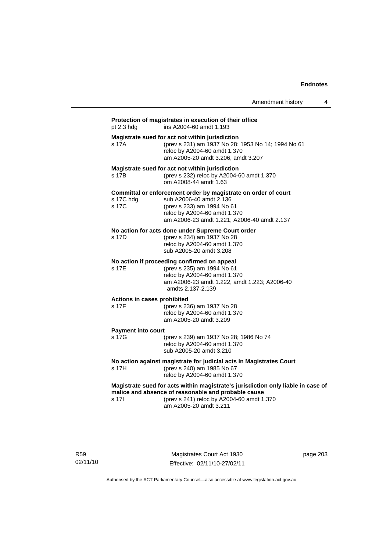|                                         | Amendment history                                                                                                                                                                                              | 4 |
|-----------------------------------------|----------------------------------------------------------------------------------------------------------------------------------------------------------------------------------------------------------------|---|
| pt 2.3 hdg                              | Protection of magistrates in execution of their office<br>ins A2004-60 amdt 1.193                                                                                                                              |   |
| s 17A                                   | Magistrate sued for act not within jurisdiction<br>(prev s 231) am 1937 No 28; 1953 No 14; 1994 No 61<br>reloc by A2004-60 amdt 1.370<br>am A2005-20 amdt 3.206, amdt 3.207                                    |   |
| s 17B                                   | Magistrate sued for act not within jurisdiction<br>(prev s 232) reloc by A2004-60 amdt 1.370<br>om A2008-44 amdt 1.63                                                                                          |   |
| s 17C hdg<br>s 17C                      | Committal or enforcement order by magistrate on order of court<br>sub A2006-40 amdt 2.136<br>(prev s 233) am 1994 No 61<br>reloc by A2004-60 amdt 1.370<br>am A2006-23 amdt 1.221; A2006-40 amdt 2.137         |   |
| s 17D                                   | No action for acts done under Supreme Court order<br>(prev s 234) am 1937 No 28<br>reloc by A2004-60 amdt 1.370<br>sub A2005-20 amdt 3.208                                                                     |   |
| s 17E                                   | No action if proceeding confirmed on appeal<br>(prev s 235) am 1994 No 61<br>reloc by A2004-60 amdt 1.370<br>am A2006-23 amdt 1.222, amdt 1.223; A2006-40<br>amdts 2.137-2.139                                 |   |
| Actions in cases prohibited<br>s 17F    | (prev s 236) am 1937 No 28<br>reloc by A2004-60 amdt 1.370<br>am A2005-20 amdt 3.209                                                                                                                           |   |
| <b>Payment into court</b><br>$s$ 17 $G$ | (prev s 239) am 1937 No 28; 1986 No 74<br>reloc by A2004-60 amdt 1.370<br>sub A2005-20 amdt 3.210                                                                                                              |   |
| s 17H                                   | No action against magistrate for judicial acts in Magistrates Court<br>(prev s 240) am 1985 No 67<br>reloc by A2004-60 amdt 1.370                                                                              |   |
| s 17l                                   | Magistrate sued for acts within magistrate's jurisdiction only liable in case of<br>malice and absence of reasonable and probable cause<br>(prev s 241) reloc by A2004-60 amdt 1.370<br>am A2005-20 amdt 3.211 |   |

R59 02/11/10

Magistrates Court Act 1930 Effective: 02/11/10-27/02/11 page 203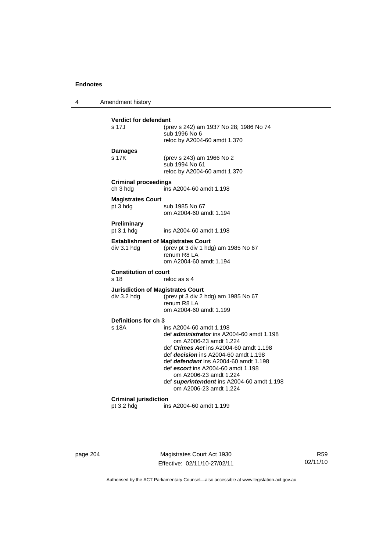4 Amendment history

| <b>Verdict for defendant</b><br>s 17J                    | (prev s 242) am 1937 No 28; 1986 No 74<br>sub 1996 No 6<br>reloc by A2004-60 amdt 1.370                                                                                                                                                                                                                                                                                         |
|----------------------------------------------------------|---------------------------------------------------------------------------------------------------------------------------------------------------------------------------------------------------------------------------------------------------------------------------------------------------------------------------------------------------------------------------------|
| <b>Damages</b><br>s 17K                                  | (prev s 243) am 1966 No 2<br>sub 1994 No 61<br>reloc by A2004-60 amdt 1.370                                                                                                                                                                                                                                                                                                     |
| <b>Criminal proceedings</b><br>ch 3 hdg                  | ins A2004-60 amdt 1.198                                                                                                                                                                                                                                                                                                                                                         |
| <b>Magistrates Court</b><br>pt 3 hdg                     | sub 1985 No 67<br>om A2004-60 amdt 1.194                                                                                                                                                                                                                                                                                                                                        |
| Preliminary<br>pt $3.1$ hdg                              | ins A2004-60 amdt 1.198                                                                                                                                                                                                                                                                                                                                                         |
| <b>Establishment of Magistrates Court</b><br>div 3.1 hdg | (prev pt 3 div 1 hdg) am 1985 No 67<br>renum R8 LA<br>om A2004-60 amdt 1.194                                                                                                                                                                                                                                                                                                    |
| <b>Constitution of court</b><br>s 18                     | reloc as s 4                                                                                                                                                                                                                                                                                                                                                                    |
| <b>Jurisdiction of Magistrates Court</b><br>div 3.2 hdg  | (prev pt 3 div 2 hdg) am 1985 No 67<br>renum R8 LA<br>om A2004-60 amdt 1.199                                                                                                                                                                                                                                                                                                    |
| Definitions for ch 3<br>s 18A                            | ins A2004-60 amdt 1.198<br>def administrator ins A2004-60 amdt 1.198<br>om A2006-23 amdt 1.224<br>def <i>Crimes Act</i> ins A2004-60 amdt 1.198<br>def <i>decision</i> ins A2004-60 amdt 1.198<br>def defendant ins A2004-60 amdt 1.198<br>def escort ins A2004-60 amdt 1.198<br>om A2006-23 amdt 1.224<br>def superintendent ins A2004-60 amdt 1.198<br>om A2006-23 amdt 1.224 |
| <b>Criminal jurisdiction</b><br>pt $3.2$ hdg             | ins A2004-60 amdt 1.199                                                                                                                                                                                                                                                                                                                                                         |

page 204 Magistrates Court Act 1930 Effective: 02/11/10-27/02/11

R59 02/11/10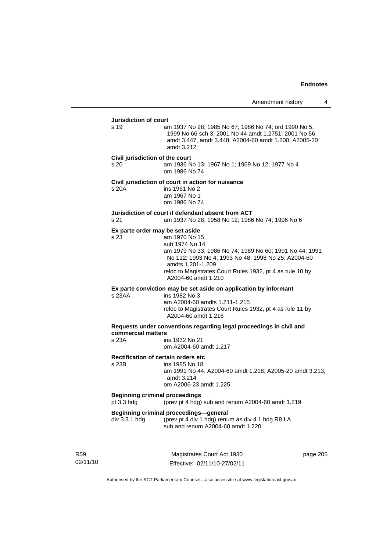# **Jurisdiction of court**  s 19 am 1937 No 28; 1985 No 67; 1986 No 74; ord 1990 No 5; 1999 No 66 sch 3; 2001 No 44 amdt 1.2751; 2001 No 56 amdt 3.447, amdt 3.448; A2004-60 amdt 1.200; A2005-20 amdt 3.212 **Civil jurisdiction of the court**  s 20 am 1936 No 13; 1967 No 1; 1969 No 12; 1977 No 4 om 1986 No 74 **Civil jurisdiction of court in action for nuisance**  s 20A ins 1961 No 2 am 1967 No 1 om 1986 No 74 **Jurisdiction of court if defendant absent from ACT**  s 21 am 1937 No 28; 1958 No 12; 1986 No 74; 1996 No 6 **Ex parte order may be set aside**  s 23 am 1970 No 15 sub 1974 No 14 am 1979 No 33; 1986 No 74; 1989 No 60; 1991 No 44; 1991 No 112; 1993 No 4; 1993 No 48; 1998 No 25; A2004-60 amdts 1.201-1.209 reloc to Magistrates Court Rules 1932, pt 4 as rule 10 by A2004-60 amdt 1.210 **Ex parte conviction may be set aside on application by informant**  s 23AA ins 1982 No 3 am A2004-60 amdts 1.211-1.215 reloc to Magistrates Court Rules 1932, pt 4 as rule 11 by A2004-60 amdt 1.216 **Requests under conventions regarding legal proceedings in civil and commercial matters**  ins 1932 No 21 om A2004-60 amdt 1.217 **Rectification of certain orders etc**<br>s 23B ins 1985 No 18 ins 1985 No 18 am 1991 No 44; A2004-60 amdt 1.218; A2005-20 amdt 3.213, amdt 3.214 om A2006-23 amdt 1.225 **Beginning criminal proceedings**  pt 3.3 hdg (prev pt 4 hdg) sub and renum A2004-60 amdt 1.219 **Beginning criminal proceedings—general div 3.3.1 hdg (prev pt 4 div 1 hdg) renu** (prev pt 4 div 1 hdg) renum as div 4.1 hdg R8 LA sub and renum A2004-60 amdt 1.220

R59 02/11/10

Magistrates Court Act 1930 Effective: 02/11/10-27/02/11 page 205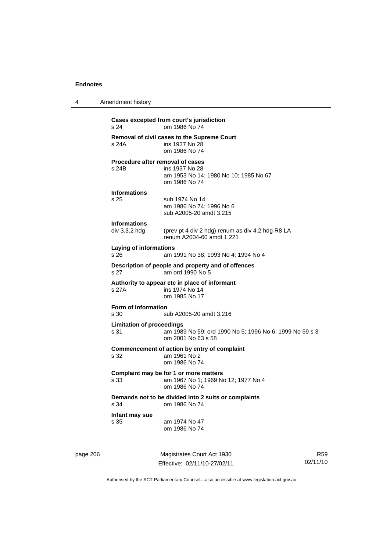| 4 | Amendment history                                                                                                         |
|---|---------------------------------------------------------------------------------------------------------------------------|
|   | Cases excepted from court's jurisdiction<br>om 1986 No 74<br>s 24                                                         |
|   | <b>Removal of civil cases to the Supreme Court</b><br>s 24A<br>ins 1937 No 28<br>om 1986 No 74                            |
|   | Procedure after removal of cases<br>s 24B<br>ins 1937 No 28<br>am 1953 No 14; 1980 No 10; 1985 No 67<br>om 1986 No 74     |
|   | <b>Informations</b><br>s 25<br>sub 1974 No 14<br>am 1986 No 74; 1996 No 6<br>sub A2005-20 amdt 3.215                      |
|   | <b>Informations</b><br>div 3.3.2 hdg<br>(prev pt 4 div 2 hdg) renum as div 4.2 hdg R8 LA<br>renum A2004-60 amdt 1.221     |
|   | <b>Laying of informations</b><br>s 26<br>am 1991 No 38; 1993 No 4; 1994 No 4                                              |
|   | Description of people and property and of offences<br>s <sub>27</sub><br>am ord 1990 No 5                                 |
|   | Authority to appear etc in place of informant<br>s 27A<br>ins 1974 No 14<br>om 1985 No 17                                 |
|   | Form of information<br>s 30<br>sub A2005-20 amdt 3.216                                                                    |
|   | <b>Limitation of proceedings</b><br>s 31<br>am 1989 No 59; ord 1990 No 5; 1996 No 6; 1999 No 59 s 3<br>om 2001 No 63 s 58 |
|   | Commencement of action by entry of complaint<br>s 32<br>am 1961 No 2<br>om 1986 No 74                                     |
|   | Complaint may be for 1 or more matters<br>am 1967 No 1; 1969 No 12; 1977 No 4<br>s 33<br>om 1986 No 74                    |
|   | Demands not to be divided into 2 suits or complaints<br>s 34<br>om 1986 No 74                                             |
|   | Infant may sue<br>s 35<br>am 1974 No 47<br>om 1986 No 74                                                                  |
|   |                                                                                                                           |

page 206 Magistrates Court Act 1930 Effective: 02/11/10-27/02/11

R59 02/11/10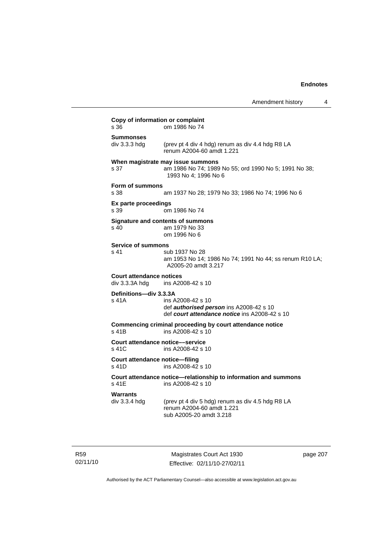|                                                   | Amendment history                                                                                                    | 4 |
|---------------------------------------------------|----------------------------------------------------------------------------------------------------------------------|---|
| Copy of information or complaint<br>s 36          | om 1986 No 74                                                                                                        |   |
| Summonses<br>div 3.3.3 hda                        | (prev pt 4 div 4 hdg) renum as div 4.4 hdg R8 LA<br>renum A2004-60 amdt 1.221                                        |   |
| s 37                                              | When magistrate may issue summons<br>am 1986 No 74; 1989 No 55; ord 1990 No 5; 1991 No 38;<br>1993 No 4; 1996 No 6   |   |
| Form of summons<br>s 38                           | am 1937 No 28; 1979 No 33; 1986 No 74; 1996 No 6                                                                     |   |
| Ex parte proceedings<br>s 39                      | om 1986 No 74                                                                                                        |   |
| s 40                                              | Signature and contents of summons<br>am 1979 No 33<br>om 1996 No 6                                                   |   |
| <b>Service of summons</b><br>s 41                 | sub 1937 No 28<br>am 1953 No 14; 1986 No 74; 1991 No 44; ss renum R10 LA;<br>A2005-20 amdt 3.217                     |   |
| <b>Court attendance notices</b><br>div 3.3.3A hdg | ins A2008-42 s 10                                                                                                    |   |
| Definitions-div 3.3.3A<br>s 41A                   | ins A2008-42 s 10<br>def <b>authorised person</b> ins A2008-42 s 10<br>def court attendance notice ins A2008-42 s 10 |   |
| s 41B                                             | Commencing criminal proceeding by court attendance notice<br>ins A2008-42 s 10                                       |   |
| Court attendance notice—service<br>s 41C          | ins A2008-42 s 10                                                                                                    |   |
| Court attendance notice—filing<br>s 41D           | ins A2008-42 s 10                                                                                                    |   |
| s 41E                                             | Court attendance notice—relationship to information and summons<br>ins A2008-42 s 10                                 |   |
| Warrants<br>div 3.3.4 hdg                         | (prev pt 4 div 5 hdg) renum as div 4.5 hdg R8 LA<br>renum A2004-60 amdt 1.221<br>sub A2005-20 amdt 3.218             |   |
|                                                   |                                                                                                                      |   |

R59 02/11/10

Magistrates Court Act 1930 Effective: 02/11/10-27/02/11 page 207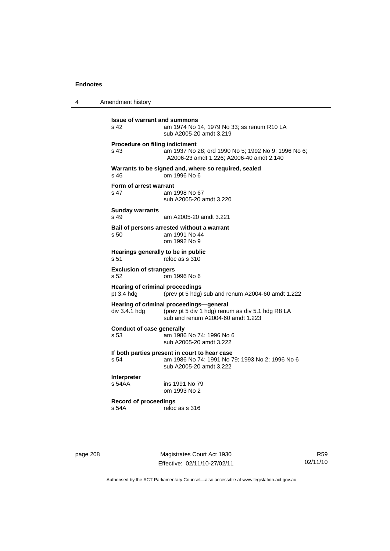4 Amendment history

**Issue of warrant and summons**<br>s 42 am 1974 No am 1974 No 14, 1979 No 33; ss renum R10 LA sub A2005-20 amdt 3.219 **Procedure on filing indictment**  s 43 am 1937 No 28; ord 1990 No 5; 1992 No 9; 1996 No 6; A2006-23 amdt 1.226; A2006-40 amdt 2.140 **Warrants to be signed and, where so required, sealed**  s 46 om 1996 No 6 **Form of arrest warrant**  s 47 am 1998 No 67 sub A2005-20 amdt 3.220 **Sunday warrants**  s 49 am A2005-20 amdt 3.221 **Bail of persons arrested without a warrant**  s 50 am 1991 No 44 om 1992 No 9 **Hearings generally to be in public**  s 51 reloc as s 310 **Exclusion of strangers**<br>s 52 om 1 om 1996 No 6 **Hearing of criminal proceedings**  pt 3.4 hdg (prev pt 5 hdg) sub and renum A2004-60 amdt 1.222 **Hearing of criminal proceedings—general**  div 3.4.1 hdg (prev pt 5 div 1 hdg) renum as div 5.1 hdg R8 LA sub and renum A2004-60 amdt 1.223 **Conduct of case generally**  s 53 am 1986 No 74; 1996 No 6 sub A2005-20 amdt 3.222 **If both parties present in court to hear case**  s 54 am 1986 No 74; 1991 No 79; 1993 No 2; 1996 No 6 sub A2005-20 amdt 3.222 **Interpreter**  ins 1991 No 79 om 1993 No 2 **Record of proceedings**   $reloc$  as s 316

page 208 Magistrates Court Act 1930 Effective: 02/11/10-27/02/11

R59 02/11/10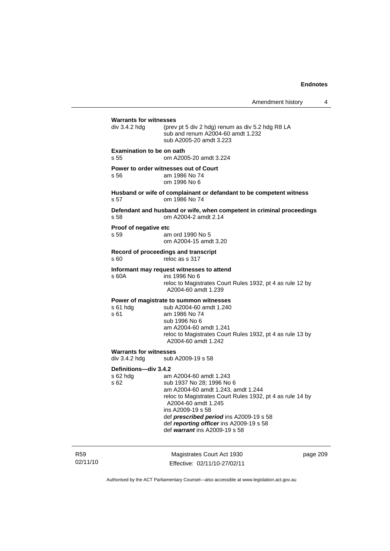Amendment history 4

| <b>Warrants for witnesses</b>                        |                                                                                                                                                                                                                                                                                                                           |
|------------------------------------------------------|---------------------------------------------------------------------------------------------------------------------------------------------------------------------------------------------------------------------------------------------------------------------------------------------------------------------------|
| div 3.4.2 hdg                                        | (prev pt 5 div 2 hdg) renum as div 5.2 hdg R8 LA<br>sub and renum A2004-60 amdt 1.232<br>sub A2005-20 amdt 3.223                                                                                                                                                                                                          |
| <b>Examination to be on oath</b><br>s 55             | om A2005-20 amdt 3.224                                                                                                                                                                                                                                                                                                    |
| s 56                                                 | Power to order witnesses out of Court<br>am 1986 No 74<br>om 1996 No 6                                                                                                                                                                                                                                                    |
| s 57                                                 | Husband or wife of complainant or defandant to be competent witness<br>om 1986 No 74                                                                                                                                                                                                                                      |
| s 58                                                 | Defendant and husband or wife, when competent in criminal proceedings<br>om A2004-2 amdt 2.14                                                                                                                                                                                                                             |
| Proof of negative etc<br>s 59                        | am ord 1990 No 5<br>om A2004-15 amdt 3.20                                                                                                                                                                                                                                                                                 |
| s 60                                                 | Record of proceedings and transcript<br>reloc as s 317                                                                                                                                                                                                                                                                    |
| s 60A                                                | Informant may request witnesses to attend<br>ins 1996 No 6<br>reloc to Magistrates Court Rules 1932, pt 4 as rule 12 by<br>A2004-60 amdt 1.239                                                                                                                                                                            |
| s 61 hdg<br>s 61                                     | Power of magistrate to summon witnesses<br>sub A2004-60 amdt 1.240<br>am 1986 No 74<br>sub 1996 No 6<br>am A2004-60 amdt 1.241<br>reloc to Magistrates Court Rules 1932, pt 4 as rule 13 by<br>A2004-60 amdt 1.242                                                                                                        |
| <b>Warrants for witnesses</b><br>div 3.4.2 hdg       | sub A2009-19 s 58                                                                                                                                                                                                                                                                                                         |
| Definitions-div 3.4.2<br>s 62 hdg<br>s <sub>62</sub> | am A2004-60 amdt 1.243<br>sub 1937 No 28; 1996 No 6<br>am A2004-60 amdt 1.243, amdt 1.244<br>reloc to Magistrates Court Rules 1932, pt 4 as rule 14 by<br>A2004-60 amdt 1.245<br>ins A2009-19 s 58<br>def prescribed period ins A2009-19 s 58<br>def reporting officer ins A2009-19 s 58<br>def warrant ins A2009-19 s 58 |
|                                                      |                                                                                                                                                                                                                                                                                                                           |

R59 02/11/10

Magistrates Court Act 1930 Effective: 02/11/10-27/02/11 page 209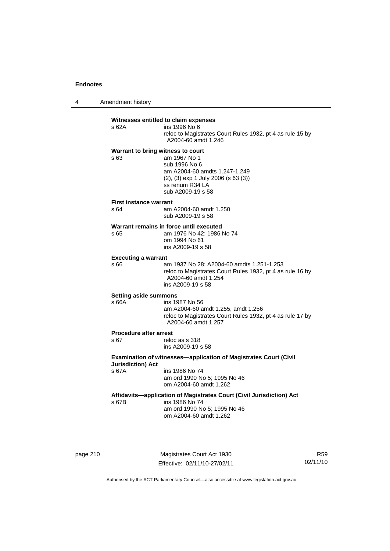4 Amendment history

#### **Witnesses entitled to claim expenses**

| s 62A | ins 1996 No 6                                             |
|-------|-----------------------------------------------------------|
|       | reloc to Magistrates Court Rules 1932, pt 4 as rule 15 by |
|       | A2004-60 amdt 1.246                                       |

# **Warrant to bring witness to court**

s 63 am 1967 No 1 sub 1996 No 6 am A2004-60 amdts 1.247-1.249 (2), (3) exp 1 July 2006 (s 63 (3)) ss renum R34 LA sub A2009-19 s 58

#### **First instance warrant**

| s 64 | am A2004-60 amdt 1.250 |
|------|------------------------|
|      | sub A2009-19 s 58      |

# **Warrant remains in force until executed**<br>s 65 am 1976 No 42; 1986

am 1976 No 42; 1986 No 74 om 1994 No 61 ins A2009-19 s 58

#### **Executing a warrant**

s 66 am 1937 No 28; A2004-60 amdts 1.251-1.253 reloc to Magistrates Court Rules 1932, pt 4 as rule 16 by A2004-60 amdt 1.254 ins A2009-19 s 58

#### **Setting aside summons**

# s 66A ins 1987 No 56

 am A2004-60 amdt 1.255, amdt 1.256 reloc to Magistrates Court Rules 1932, pt 4 as rule 17 by A2004-60 amdt 1.257

# **Procedure after arrest**<br>s 67 relow

reloc as s 318 ins A2009-19 s 58

#### **Examination of witnesses—application of Magistrates Court (Civil Jurisdiction) Act**  s 67A ins 1986 No 74

 am ord 1990 No 5; 1995 No 46 om A2004-60 amdt 1.262

### **Affidavits—application of Magistrates Court (Civil Jurisdiction) Act**

s 67B ins 1986 No 74 am ord 1990 No 5; 1995 No 46

om A2004-60 amdt 1.262

page 210 Magistrates Court Act 1930 Effective: 02/11/10-27/02/11

R59 02/11/10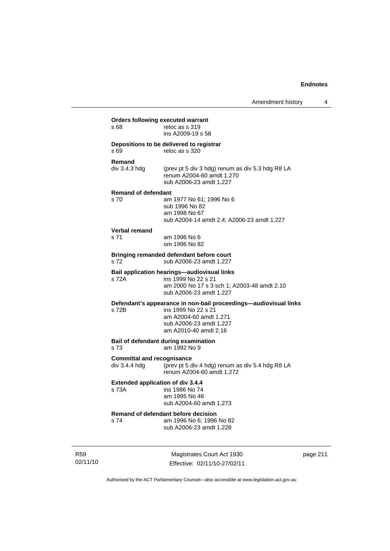|            | s 68                                               | Orders following executed warrant<br>reloc as s 319<br>ins A2009-19 s 58                                                                                              |          |
|------------|----------------------------------------------------|-----------------------------------------------------------------------------------------------------------------------------------------------------------------------|----------|
|            | s 69                                               | Depositions to be delivered to registrar<br>reloc as s 320                                                                                                            |          |
|            | Remand<br>div 3.4.3 hdg                            | (prev pt 5 div 3 hdg) renum as div 5.3 hdg R8 LA<br>renum A2004-60 amdt 1.270<br>sub A2006-23 amdt 1.227                                                              |          |
|            | <b>Remand of defendant</b><br>s 70                 | am 1977 No 61; 1996 No 6<br>sub 1996 No 82<br>am 1998 No 67<br>sub A2004-14 amdt 2.4; A2006-23 amdt 1.227                                                             |          |
|            | Verbal remand<br>s 71                              | am 1996 No 6<br>om 1996 No 82                                                                                                                                         |          |
|            | s 72                                               | Bringing remanded defendant before court<br>sub A2006-23 amdt 1.227                                                                                                   |          |
|            | s 72A                                              | <b>Bail application hearings—audiovisual links</b><br>ins 1999 No 22 s 21<br>am 2000 No 17 s 3 sch 1; A2003-48 amdt 2.10<br>sub A2006-23 amdt 1.227                   |          |
|            | s 72B                                              | Defendant's appearance in non-bail proceedings—audiovisual links<br>ins 1999 No 22 s 21<br>am A2004-60 amdt 1.271<br>sub A2006-23 amdt 1.227<br>am A2010-40 amdt 2.16 |          |
|            | s 73                                               | Bail of defendant during examination<br>am 1992 No 9                                                                                                                  |          |
|            | <b>Committal and recognisance</b><br>div 3.4.4 hdg | (prev pt 5 div 4 hdg) renum as div 5.4 hdg R8 LA<br>renum A2004-60 amdt 1.272                                                                                         |          |
|            | <b>Extended application of div 3.4.4</b><br>s 73A  | ins 1986 No 74<br>am 1995 No 46<br>sub A2004-60 amdt 1.273                                                                                                            |          |
|            | s 74                                               | Remand of defendant before decision<br>am 1996 No 6; 1996 No 82<br>sub A2006-23 amdt 1.228                                                                            |          |
| <b>R59</b> |                                                    | Magistrates Court Act 1930                                                                                                                                            | page 211 |

Authorised by the ACT Parliamentary Counsel—also accessible at www.legislation.act.gov.au

Effective: 02/11/10-27/02/11

02/11/10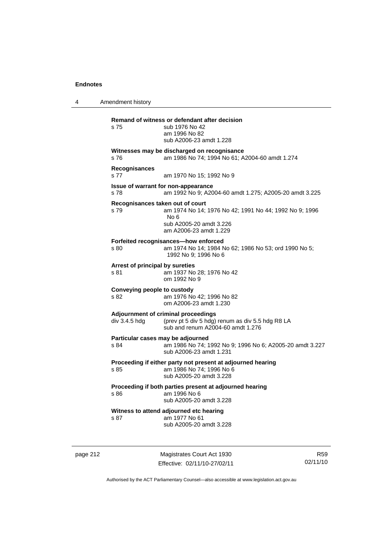4 Amendment history **Remand of witness or defendant after decision**  s 75 sub 1976 No 42 am 1996 No 82 sub A2006-23 amdt 1.228 **Witnesses may be discharged on recognisance**  s 76 am 1986 No 74; 1994 No 61; A2004-60 amdt 1.274 **Recognisances**  s 77 am 1970 No 15; 1992 No 9 **Issue of warrant for non-appearance**  s 78 am 1992 No 9; A2004-60 amdt 1.275; A2005-20 amdt 3.225 **Recognisances taken out of court**  s 79 am 1974 No 14; 1976 No 42; 1991 No 44; 1992 No 9; 1996 No 6 sub A2005-20 amdt 3.226 am A2006-23 amdt 1.229 **Forfeited recognisances—how enforced**  s 80 am 1974 No 14; 1984 No 62; 1986 No 53; ord 1990 No 5; 1992 No 9; 1996 No 6 **Arrest of principal by sureties**  s 81 am 1937 No 28; 1976 No 42 om 1992 No 9 **Conveying people to custody**  s 82 am 1976 No 42; 1996 No 82 om A2006-23 amdt 1.230 **Adjournment of criminal proceedings**  div 3.4.5 hdg (prev pt 5 div 5 hdg) renum as div 5.5 hdg R8 LA sub and renum A2004-60 amdt 1.276 **Particular cases may be adjourned**  s 84 am 1986 No 74; 1992 No 9; 1996 No 6; A2005-20 amdt 3.227 sub A2006-23 amdt 1.231 **Proceeding if either party not present at adjourned hearing**  s 85 am 1986 No 74; 1996 No 6 sub A2005-20 amdt 3.228 **Proceeding if both parties present at adjourned hearing**  s 86 am 1996 No 6 sub A2005-20 amdt 3.228 **Witness to attend adjourned etc hearing**  s 87 am 1977 No 61 sub A2005-20 amdt 3.228

page 212 Magistrates Court Act 1930 Effective: 02/11/10-27/02/11

R59 02/11/10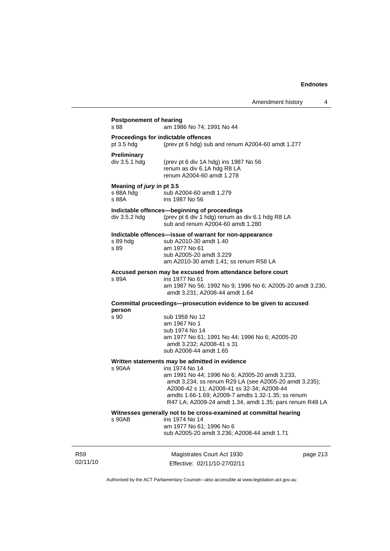| s 88                                            | am 1986 No 74; 1991 No 44                                                                                                                                                                                                                                                                                                                    |
|-------------------------------------------------|----------------------------------------------------------------------------------------------------------------------------------------------------------------------------------------------------------------------------------------------------------------------------------------------------------------------------------------------|
| pt $3.5$ hdg                                    | Proceedings for indictable offences<br>(prev pt 6 hdg) sub and renum A2004-60 amdt 1.277                                                                                                                                                                                                                                                     |
| <b>Preliminary</b><br>div 3.5.1 hdg             | (prev pt 6 div 1A hdg) ins 1987 No 56<br>renum as div 6.1A hdg R8 LA<br>renum A2004-60 amdt 1.278                                                                                                                                                                                                                                            |
| Meaning of jury in pt 3.5<br>s 88A hdg<br>s 88A | sub A2004-60 amdt 1.279<br>ins 1987 No 56                                                                                                                                                                                                                                                                                                    |
| div 3.5.2 hdg                                   | Indictable offences-beginning of proceedings<br>(prev pt 6 div 1 hdg) renum as div 6.1 hdg R8 LA<br>sub and renum A2004-60 amdt 1.280                                                                                                                                                                                                        |
| s 89 hdg<br>s 89                                | Indictable offences-issue of warrant for non-appearance<br>sub A2010-30 amdt 1.40<br>am 1977 No 61<br>sub A2005-20 amdt 3.229<br>am A2010-30 amdt 1.41; ss renum R58 LA                                                                                                                                                                      |
| s 89A                                           | Accused person may be excused from attendance before court<br>ins 1977 No 61<br>am 1987 No 56; 1992 No 9; 1996 No 6; A2005-20 amdt 3.230,<br>amdt 3.231; A2008-44 amdt 1.64                                                                                                                                                                  |
|                                                 | Committal proceedings--prosecution evidence to be given to accused                                                                                                                                                                                                                                                                           |
| person<br>s 90                                  | sub 1958 No 12<br>am 1967 No 1<br>sub 1974 No 14<br>am 1977 No 61; 1991 No 44; 1996 No 6; A2005-20<br>amdt 3.232; A2008-41 s 31<br>sub A2008-44 amdt 1.65                                                                                                                                                                                    |
| s 90AA                                          | Written statements may be admitted in evidence<br>ins 1974 No 14<br>am 1991 No 44; 1996 No 6; A2005-20 amdt 3.233,<br>amdt 3.234; ss renum R29 LA (see A2005-20 amdt 3.235);<br>A2008-42 s 11; A2008-41 ss 32-34; A2008-44<br>amdts 1.66-1.69; A2009-7 amdts 1.32-1.35; ss renum<br>R47 LA; A2009-24 amdt 1.34, amdt 1.35; pars renum R48 LA |
| s 90AB                                          | Witnesses generally not to be cross-examined at committal hearing<br>ins 1974 No 14<br>am 1977 No 61; 1996 No 6<br>sub A2005-20 amdt 3.236; A2008-44 amdt 1.71                                                                                                                                                                               |

R59 02/11/10

Magistrates Court Act 1930 Effective: 02/11/10-27/02/11 page 213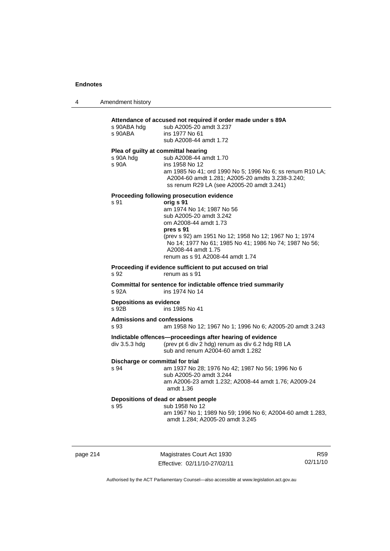|  | Amendment history |
|--|-------------------|
|--|-------------------|

| s 90ABA hdg<br>s 90ABA                    | sub A2005-20 amdt 3.237<br>ins 1977 No 61<br>sub A2008-44 amdt 1.72                                                                                                                                                                                                                   |
|-------------------------------------------|---------------------------------------------------------------------------------------------------------------------------------------------------------------------------------------------------------------------------------------------------------------------------------------|
| s 90A hdg<br>s 90A                        | Plea of guilty at committal hearing<br>sub A2008-44 amdt 1.70<br>ins 1958 No 12<br>am 1985 No 41; ord 1990 No 5; 1996 No 6; ss renum R10 LA;<br>A2004-60 amdt 1.281; A2005-20 amdts 3.238-3.240;<br>ss renum R29 LA (see A2005-20 amdt 3.241)                                         |
|                                           | Proceeding following prosecution evidence                                                                                                                                                                                                                                             |
| s 91                                      | orig s 91<br>am 1974 No 14; 1987 No 56<br>sub A2005-20 amdt 3.242<br>om A2008-44 amdt 1.73<br>pres s 91<br>(prev s 92) am 1951 No 12; 1958 No 12; 1967 No 1; 1974<br>No 14; 1977 No 61; 1985 No 41; 1986 No 74; 1987 No 56;<br>A2008-44 amdt 1.75<br>renum as s 91 A2008-44 amdt 1.74 |
| s 92                                      | Proceeding if evidence sufficient to put accused on trial<br>renum as s 91                                                                                                                                                                                                            |
| s 92A                                     | Committal for sentence for indictable offence tried summarily<br>ins 1974 No 14                                                                                                                                                                                                       |
| <b>Depositions as evidence</b><br>s 92B   | ins 1985 No 41                                                                                                                                                                                                                                                                        |
| <b>Admissions and confessions</b><br>s 93 | am 1958 No 12; 1967 No 1; 1996 No 6; A2005-20 amdt 3.243                                                                                                                                                                                                                              |
| div 3.5.3 hdg                             | Indictable offences-proceedings after hearing of evidence<br>(prev pt 6 div 2 hdg) renum as div 6.2 hdg R8 LA<br>sub and renum A2004-60 amdt 1.282                                                                                                                                    |
| s 94                                      | Discharge or committal for trial<br>am 1937 No 28; 1976 No 42; 1987 No 56; 1996 No 6<br>sub A2005-20 amdt 3.244                                                                                                                                                                       |
|                                           | am A2006-23 amdt 1.232; A2008-44 amdt 1.76; A2009-24<br>amdt 1.36                                                                                                                                                                                                                     |

page 214 Magistrates Court Act 1930 Effective: 02/11/10-27/02/11

R59 02/11/10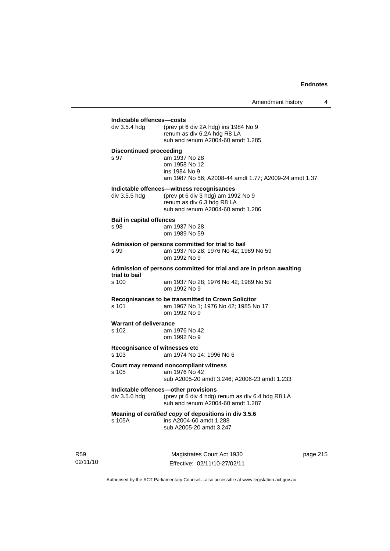| div 3.5.4 hdg                   | (prev pt 6 div 2A hdg) ins 1984 No 9<br>renum as div 6.2A hdg R8 LA<br>sub and renum A2004-60 amdt 1.285   |
|---------------------------------|------------------------------------------------------------------------------------------------------------|
| <b>Discontinued proceeding</b>  |                                                                                                            |
| s 97                            | am 1937 No 28<br>om 1958 No 12<br>ins 1984 No 9<br>am 1987 No 56; A2008-44 amdt 1.77; A2009-24 amdt 1.37   |
|                                 | Indictable offences-witness recognisances                                                                  |
| div 3.5.5 hdg                   | (prev pt 6 div 3 hdg) am 1992 No 9<br>renum as div 6.3 hdg R8 LA<br>sub and renum A2004-60 amdt 1.286      |
| <b>Bail in capital offences</b> |                                                                                                            |
| s 98                            | am 1937 No 28<br>om 1989 No 59                                                                             |
| s 99                            | Admission of persons committed for trial to bail<br>am 1937 No 28; 1976 No 42; 1989 No 59<br>om 1992 No 9  |
| trial to bail                   | Admission of persons committed for trial and are in prison awaiting                                        |
| s 100                           | am 1937 No 28; 1976 No 42; 1989 No 59<br>om 1992 No 9                                                      |
| s 101                           | Recognisances to be transmitted to Crown Solicitor<br>am 1967 No 1; 1976 No 42; 1985 No 17<br>om 1992 No 9 |
| <b>Warrant of deliverance</b>   |                                                                                                            |
| s 102                           | am 1976 No 42<br>om 1992 No 9                                                                              |
| $s$ 103                         | Recognisance of witnesses etc<br>am 1974 No 14; 1996 No 6                                                  |
| s 105                           | Court may remand noncompliant witness<br>am 1976 No 42                                                     |
|                                 | sub A2005-20 amdt 3.246; A2006-23 amdt 1.233                                                               |
|                                 | Indictable offences-other provisions                                                                       |
|                                 | (prev pt 6 div 4 hdg) renum as div 6.4 hdg R8 LA                                                           |
| div 3.5.6 hdg                   | sub and renum A2004-60 amdt 1.287                                                                          |

R59 02/11/10

Magistrates Court Act 1930 Effective: 02/11/10-27/02/11 page 215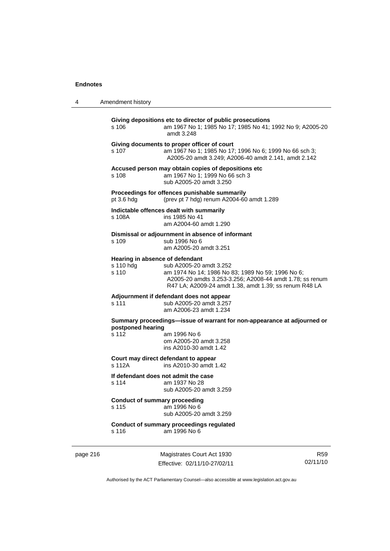| 4 | Amendment history                                     |                                                                                                                                                                                                    |
|---|-------------------------------------------------------|----------------------------------------------------------------------------------------------------------------------------------------------------------------------------------------------------|
|   | s 106                                                 | Giving depositions etc to director of public prosecutions<br>am 1967 No 1; 1985 No 17; 1985 No 41; 1992 No 9; A2005-20<br>amdt 3.248                                                               |
|   | s 107                                                 | Giving documents to proper officer of court<br>am 1967 No 1; 1985 No 17; 1996 No 6; 1999 No 66 sch 3;<br>A2005-20 amdt 3.249; A2006-40 amdt 2.141, amdt 2.142                                      |
|   | s 108                                                 | Accused person may obtain copies of depositions etc<br>am 1967 No 1; 1999 No 66 sch 3<br>sub A2005-20 amdt 3.250                                                                                   |
|   | pt 3.6 hdg                                            | Proceedings for offences punishable summarily<br>(prev pt 7 hdg) renum A2004-60 amdt 1.289                                                                                                         |
|   | s 108A                                                | Indictable offences dealt with summarily<br>ins 1985 No 41<br>am A2004-60 amdt 1.290                                                                                                               |
|   | s 109                                                 | Dismissal or adjournment in absence of informant<br>sub 1996 No 6<br>am A2005-20 amdt 3.251                                                                                                        |
|   | Hearing in absence of defendant<br>s 110 hdg<br>s 110 | sub A2005-20 amdt 3.252<br>am 1974 No 14; 1986 No 83; 1989 No 59; 1996 No 6;<br>A2005-20 amdts 3.253-3.256; A2008-44 amdt 1.78; ss renum<br>R47 LA; A2009-24 amdt 1.38, amdt 1.39; ss renum R48 LA |
|   | s 111                                                 | Adjournment if defendant does not appear<br>sub A2005-20 amdt 3.257<br>am A2006-23 amdt 1.234                                                                                                      |
|   | postponed hearing<br>s 112                            | Summary proceedings—issue of warrant for non-appearance at adjourned or<br>am 1996 No 6<br>om A2005-20 amdt 3.258<br>ins A2010-30 amdt 1.42                                                        |
|   | s 112A                                                | Court may direct defendant to appear<br>ins A2010-30 amdt 1.42                                                                                                                                     |
|   | If defendant does not admit the case<br>s 114         | am 1937 No 28<br>sub A2005-20 amdt 3.259                                                                                                                                                           |
|   | <b>Conduct of summary proceeding</b><br>s 115         | am 1996 No 6<br>sub A2005-20 amdt 3.259                                                                                                                                                            |
|   | s 116                                                 | Conduct of summary proceedings regulated<br>am 1996 No 6                                                                                                                                           |

page 216 Magistrates Court Act 1930 Effective: 02/11/10-27/02/11

R59 02/11/10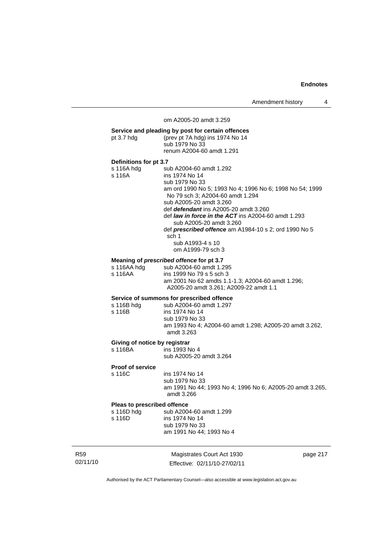Amendment history 4

# Magistrates Court Act 1930 om A2005-20 amdt 3.259 **Service and pleading by post for certain offences**  pt 3.7 hdg (prev pt 7A hdg) ins 1974 No 14 sub 1979 No 33 renum A2004-60 amdt 1.291 **Definitions for pt 3.7**  s 116A hdg sub A2004-60 amdt 1.292 s 116A ins 1974 No 14 sub 1979 No 33 am ord 1990 No 5; 1993 No 4; 1996 No 6; 1998 No 54; 1999 No 79 sch 3; A2004-60 amdt 1.294 sub A2005-20 amdt 3.260 def *defendant* ins A2005-20 amdt 3.260 def *law in force in the ACT* ins A2004-60 amdt 1.293 sub A2005-20 amdt 3.260 def *prescribed offence* am A1984-10 s 2; ord 1990 No 5 sch 1 sub A1993-4 s 10 om A1999-79 sch 3 **Meaning of** *prescribed offence* **for pt 3.7**  s 116AA hdg sub A2004-60 amdt 1.295<br>s 116AA ins 1999 No 79 s 5 sch 3 ins 1999 No 79 s 5 sch 3 am 2001 No 62 amdts 1.1-1.3; A2004-60 amdt 1.296; A2005-20 amdt 3.261; A2009-22 amdt 1.1 **Service of summons for prescribed offence**  sub A2004-60 amdt 1.297 s 116B ins 1974 No 14 sub 1979 No 33 am 1993 No 4; A2004-60 amdt 1.298; A2005-20 amdt 3.262, amdt 3.263 **Giving of notice by registrar**<br>s 116BA ins 1993 N ins 1993 No 4 sub A2005-20 amdt 3.264 **Proof of service**  s 116C ins 1974 No 14 sub 1979 No 33 am 1991 No 44; 1993 No 4; 1996 No 6; A2005-20 amdt 3.265, amdt 3.266 **Pleas to prescribed offence**<br>s 116D hdg sub A200 sub A2004-60 amdt 1.299 s 116D ins 1974 No 14 sub 1979 No 33 am 1991 No 44; 1993 No 4

02/11/10

R59

Effective: 02/11/10-27/02/11

page 217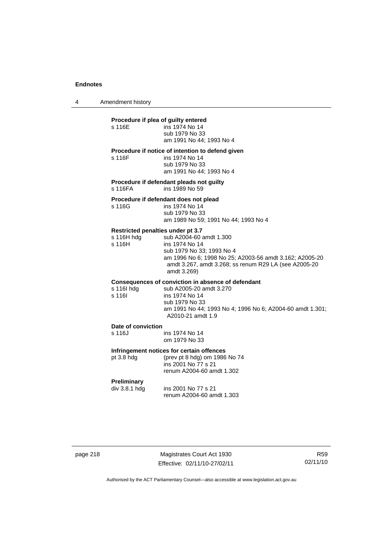4 Amendment history

#### **Procedure if plea of guilty entered**

| s 116E | ins 1974 No 14           |
|--------|--------------------------|
|        | sub 1979 No 33           |
|        | am 1991 No 44; 1993 No 4 |

#### **Procedure if notice of intention to defend given**

s 116F ins 1974 No 14

 sub 1979 No 33 am 1991 No 44; 1993 No 4

**Procedure if defendant pleads not guilty**  s 116FA ins 1989 No 59

#### **Procedure if defendant does not plead**

| s 116G | ins 1974 No 14                       |
|--------|--------------------------------------|
|        | sub 1979 No 33                       |
|        | am 1989 No 59; 1991 No 44; 1993 No 4 |

### **Restricted penalties under pt 3.7**

| s 116H hda | sub A2004-60 amdt 1.300                                 |
|------------|---------------------------------------------------------|
| s 116H     | ins 1974 No 14                                          |
|            | sub 1979 No 33: 1993 No 4                               |
|            | am 1996 No 6: 1998 No 25: A2003-56 amdt 3.162: A2005-20 |
|            | amdt 3.267, amdt 3.268; ss renum R29 LA (see A2005-20)  |
|            | amdt 3.269)                                             |
|            |                                                         |

### **Consequences of conviction in absence of defendant**

| sub A2005-20 amdt 3.270                                   |
|-----------------------------------------------------------|
| ins 1974 No 14                                            |
| sub 1979 No 33                                            |
| am 1991 No 44; 1993 No 4; 1996 No 6; A2004-60 amdt 1.301; |
| A2010-21 amdt 1.9                                         |
|                                                           |

#### **Date of conviction**

| s 116J | ins 1974 No 14 |
|--------|----------------|
|        | om 1979 No 33  |

#### **Infringement notices for certain offences**

| pt 3.8 hdg | (prev pt 8 hdg) om 1986 No 74 |
|------------|-------------------------------|
|            | ins 2001 No 77 s 21           |
|            | renum A2004-60 amdt 1.302     |

# **Preliminary**

ins 2001 No 77 s 21 renum A2004-60 amdt 1.303

page 218 Magistrates Court Act 1930 Effective: 02/11/10-27/02/11

R59 02/11/10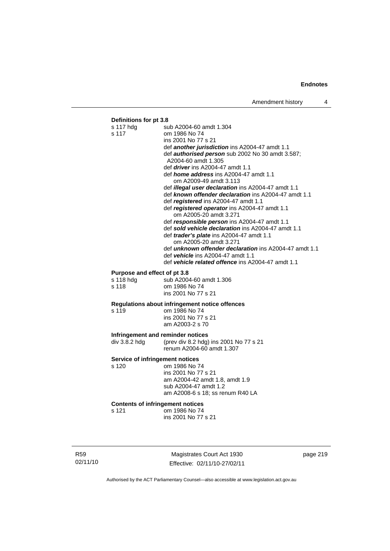# **Definitions for pt 3.8**

|                                                | s 117 hdg<br>s 117                      | sub A2004-60 amdt 1.304<br>om 1986 No 74                      |
|------------------------------------------------|-----------------------------------------|---------------------------------------------------------------|
|                                                |                                         | ins 2001 No 77 s 21                                           |
|                                                |                                         | def another jurisdiction ins A2004-47 amdt 1.1                |
|                                                |                                         | def <b>authorised person</b> sub 2002 No 30 amdt 3.587;       |
|                                                |                                         | A2004-60 amdt 1.305                                           |
|                                                |                                         | def <i>driver</i> ins A2004-47 amdt 1.1                       |
|                                                |                                         | def <i>home address</i> ins A2004-47 amdt 1.1                 |
|                                                |                                         | om A2009-49 amdt 3.113                                        |
|                                                |                                         | def illegal user declaration ins A2004-47 amdt 1.1            |
|                                                |                                         | def known offender declaration ins A2004-47 amdt 1.1          |
|                                                |                                         | def registered ins A2004-47 amdt 1.1                          |
|                                                |                                         | def registered operator ins A2004-47 amdt 1.1                 |
|                                                |                                         | om A2005-20 amdt 3.271                                        |
|                                                |                                         | def responsible person ins A2004-47 amdt 1.1                  |
|                                                |                                         | def sold vehicle declaration ins A2004-47 amdt 1.1            |
|                                                |                                         | def <i>trader's plate</i> ins A2004-47 amdt 1.1               |
|                                                |                                         | om A2005-20 amdt 3.271                                        |
|                                                |                                         | def <b>unknown offender declaration</b> ins A2004-47 amdt 1.1 |
|                                                |                                         | def <i>vehicle</i> ins A2004-47 amdt 1.1                      |
|                                                |                                         | def vehicle related offence ins A2004-47 amdt 1.1             |
|                                                |                                         |                                                               |
|                                                | Purpose and effect of pt 3.8            |                                                               |
|                                                | s 118 hdg<br>s 118                      | sub A2004-60 amdt 1.306                                       |
|                                                |                                         | om 1986 No 74<br>ins 2001 No 77 s 21                          |
|                                                |                                         |                                                               |
| Regulations about infringement notice offences |                                         |                                                               |
|                                                | s 119                                   | om 1986 No 74                                                 |
|                                                |                                         | ins 2001 No 77 s 21                                           |
|                                                |                                         | am A2003-2 s 70                                               |
|                                                | Infringement and reminder notices       |                                                               |
|                                                | div 3.8.2 hdg                           | (prev div 8.2 hdg) ins 2001 No 77 s 21                        |
|                                                |                                         | renum A2004-60 amdt 1.307                                     |
|                                                |                                         |                                                               |
|                                                | Service of infringement notices         |                                                               |
|                                                | s 120                                   | om 1986 No 74                                                 |
|                                                |                                         | ins 2001 No 77 s 21                                           |
|                                                |                                         | am A2004-42 amdt 1.8, amdt 1.9                                |
|                                                |                                         | sub A2004-47 amdt 1.2                                         |
|                                                |                                         | am A2008-6 s 18; ss renum R40 LA                              |
|                                                | <b>Contents of infringement notices</b> |                                                               |
|                                                | s 121                                   | om 1986 No 74                                                 |
|                                                |                                         | ins 2001 No 77 s 21                                           |
|                                                |                                         |                                                               |
|                                                |                                         |                                                               |

R59 02/11/10

Magistrates Court Act 1930 Effective: 02/11/10-27/02/11 page 219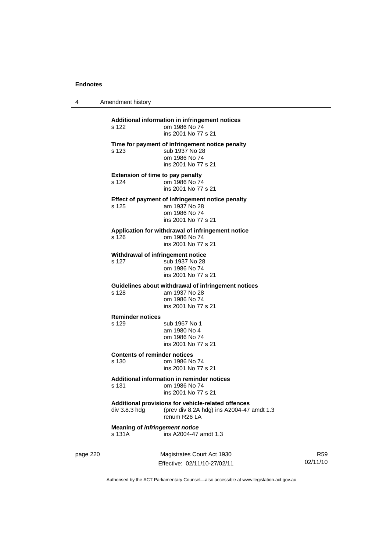4 Amendment history

page 220 Magistrates Court Act 1930 **Additional information in infringement notices**  s 122 om 1986 No 74 ins 2001 No 77 s 21 **Time for payment of infringement notice penalty**  s 123 sub 1937 No 28 om 1986 No 74 ins 2001 No 77 s 21 **Extension of time to pay penalty**  s 124 om 1986 No 74 ins 2001 No 77 s 21 **Effect of payment of infringement notice penalty**<br>s 125 am 1937 No 28 am 1937 No 28 om 1986 No 74 ins 2001 No 77 s 21 **Application for withdrawal of infringement notice**  s 126 om 1986 No 74 ins 2001 No 77 s 21 **Withdrawal of infringement notice**<br>s 127 sub 1937 No 28 sub 1937 No 28 om 1986 No 74 ins 2001 No 77 s 21 **Guidelines about withdrawal of infringement notices**  s 128 am 1937 No 28 om 1986 No 74 ins 2001 No 77 s 21 **Reminder notices**  s 129 sub 1967 No 1 am 1980 No 4 om 1986 No 74 ins 2001 No 77 s 21 **Contents of reminder notices**  s 130 om 1986 No 74 ins 2001 No 77 s 21 **Additional information in reminder notices**  s 131 om 1986 No 74 ins 2001 No 77 s 21 **Additional provisions for vehicle-related offences**  div 3.8.3 hdg (prev div 8.2A hdg) ins A2004-47 amdt 1.3 renum R26 LA **Meaning of** *infringement notice*<br>s 131A ins A2004-47 ins A2004-47 amdt 1.3

R59 02/11/10

Authorised by the ACT Parliamentary Counsel—also accessible at www.legislation.act.gov.au

Effective: 02/11/10-27/02/11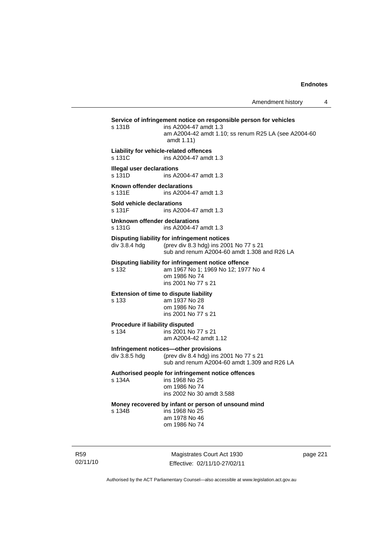| s 131B                                     | Service of infringement notice on responsible person for vehicles<br>ins A2004-47 amdt 1.3<br>am A2004-42 amdt 1.10; ss renum R25 LA (see A2004-60<br>amdt 1.11) |          |
|--------------------------------------------|------------------------------------------------------------------------------------------------------------------------------------------------------------------|----------|
| s 131C                                     | Liability for vehicle-related offences<br>ins A2004-47 amdt 1.3                                                                                                  |          |
| <b>Illegal user declarations</b><br>s 131D | ins A2004-47 amdt 1.3                                                                                                                                            |          |
| Known offender declarations<br>s 131E      | ins A2004-47 amdt 1.3                                                                                                                                            |          |
| Sold vehicle declarations<br>s 131F        | ins A2004-47 amdt 1.3                                                                                                                                            |          |
| Unknown offender declarations<br>s 131G    | ins A2004-47 amdt 1.3                                                                                                                                            |          |
| div 3.8.4 hdg                              | Disputing liability for infringement notices<br>(prev div 8.3 hdg) ins 2001 No 77 s 21<br>sub and renum A2004-60 amdt 1,308 and R26 LA                           |          |
| s 132                                      | Disputing liability for infringement notice offence<br>am 1967 No 1; 1969 No 12; 1977 No 4<br>om 1986 No 74<br>ins 2001 No 77 s 21                               |          |
| s 133                                      | <b>Extension of time to dispute liability</b><br>am 1937 No 28<br>om 1986 No 74<br>ins 2001 No 77 s 21                                                           |          |
| Procedure if liability disputed<br>s 134   | ins 2001 No 77 s 21<br>am A2004-42 amdt 1.12                                                                                                                     |          |
| div 3.8.5 hdg                              | Infringement notices-other provisions<br>(prev div 8.4 hdg) ins 2001 No 77 s 21<br>sub and renum A2004-60 amdt 1.309 and R26 LA                                  |          |
| s 134A                                     | Authorised people for infringement notice offences<br>ins 1968 No 25<br>om 1986 No 74<br>ins 2002 No 30 amdt 3.588                                               |          |
| s 134B                                     | Money recovered by infant or person of unsound mind<br>ins 1968 No 25<br>am 1978 No 46<br>om 1986 No 74                                                          |          |
|                                            | Magistrates Court Act 1930                                                                                                                                       | page 221 |

02/11/10

R59

Magistrates Court Act 1930 Effective: 02/11/10-27/02/11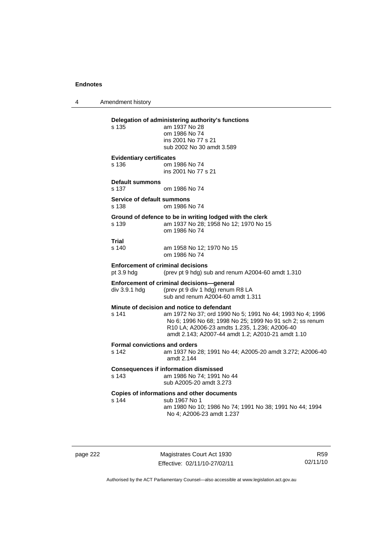4 Amendment history

| s 135                                         | Delegation of administering authority's functions<br>am 1937 No 28<br>om 1986 No 74<br>ins 2001 No 77 s 21<br>sub 2002 No 30 amdt 3.589                                                                                                                                   |
|-----------------------------------------------|---------------------------------------------------------------------------------------------------------------------------------------------------------------------------------------------------------------------------------------------------------------------------|
| <b>Evidentiary certificates</b><br>s 136      | om 1986 No 74<br>ins 2001 No 77 s 21                                                                                                                                                                                                                                      |
| <b>Default summons</b><br>s 137               | om 1986 No 74                                                                                                                                                                                                                                                             |
| Service of default summons<br>s 138           | om 1986 No 74                                                                                                                                                                                                                                                             |
| s 139                                         | Ground of defence to be in writing lodged with the clerk<br>am 1937 No 28; 1958 No 12; 1970 No 15<br>om 1986 No 74                                                                                                                                                        |
| Trial<br>s 140                                | am 1958 No 12; 1970 No 15<br>om 1986 No 74                                                                                                                                                                                                                                |
| pt 3.9 hdg                                    | <b>Enforcement of criminal decisions</b><br>(prev pt 9 hdg) sub and renum A2004-60 amdt 1.310                                                                                                                                                                             |
| div 3.9.1 hdg                                 | Enforcement of criminal decisions-general<br>(prev pt 9 div 1 hdg) renum R8 LA<br>sub and renum A2004-60 amdt 1.311                                                                                                                                                       |
| s 141                                         | Minute of decision and notice to defendant<br>am 1972 No 37; ord 1990 No 5; 1991 No 44; 1993 No 4; 1996<br>No 6; 1996 No 68; 1998 No 25; 1999 No 91 sch 2; ss renum<br>R10 LA; A2006-23 amdts 1.235, 1.236; A2006-40<br>amdt 2.143; A2007-44 amdt 1.2; A2010-21 amdt 1.10 |
| <b>Formal convictions and orders</b><br>s 142 | am 1937 No 28; 1991 No 44; A2005-20 amdt 3.272; A2006-40<br>amdt 2.144                                                                                                                                                                                                    |
| s 143                                         | <b>Consequences if information dismissed</b><br>am 1986 No 74: 1991 No 44<br>sub A2005-20 amdt 3.273                                                                                                                                                                      |
| s 144                                         | Copies of informations and other documents<br>sub 1967 No 1<br>am 1980 No 10; 1986 No 74; 1991 No 38; 1991 No 44; 1994<br>No 4; A2006-23 amdt 1.237                                                                                                                       |

page 222 Magistrates Court Act 1930 Effective: 02/11/10-27/02/11

R59 02/11/10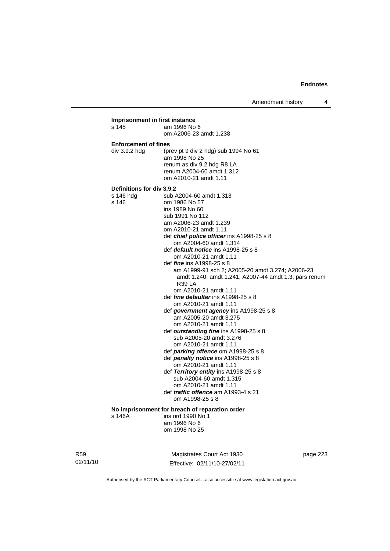Amendment history 4

### **Imprisonment in first instance**  s 145 am 1996 No 6 om A2006-23 amdt 1.238 **Enforcement of fines**  div 3.9.2 hdg (prev pt 9 div 2 hdg) sub 1994 No 61 am 1998 No 25 renum as div 9.2 hdg R8 LA renum A2004-60 amdt 1.312 om A2010-21 amdt 1.11 **Definitions for div 3.9.2**  sub A2004-60 amdt 1.313 s 146 om 1986 No 57 ins 1989 No 60 sub 1991 No 112 am A2006-23 amdt 1.239 om A2010-21 amdt 1.11 def *chief police officer* ins A1998-25 s 8 om A2004-60 amdt 1.314 def *default notice* ins A1998-25 s 8 om A2010-21 amdt 1.11 def *fine* ins A1998-25 s 8 am A1999-91 sch 2; A2005-20 amdt 3.274; A2006-23 amdt 1.240, amdt 1.241; A2007-44 amdt 1.3; pars renum R39 LA om A2010-21 amdt 1.11 def *fine defaulter* ins A1998-25 s 8 om A2010-21 amdt 1.11 def *government agency* ins A1998-25 s 8 am A2005-20 amdt 3.275 om A2010-21 amdt 1.11 def *outstanding fine* ins A1998-25 s 8 sub A2005-20 amdt 3.276 om A2010-21 amdt 1.11 def *parking offence* om A1998-25 s 8 def *penalty notice* ins A1998-25 s 8 om A2010-21 amdt 1.11 def *Territory entity* ins A1998-25 s 8 sub A2004-60 amdt 1.315 om A2010-21 amdt 1.11 def *traffic offence* am A1993-4 s 21 om A1998-25 s 8 **No imprisonment for breach of reparation order**  s 146A ins ord 1990 No 1 am 1996 No 6 om 1998 No 25

R59 02/11/10

Magistrates Court Act 1930 Effective: 02/11/10-27/02/11 page 223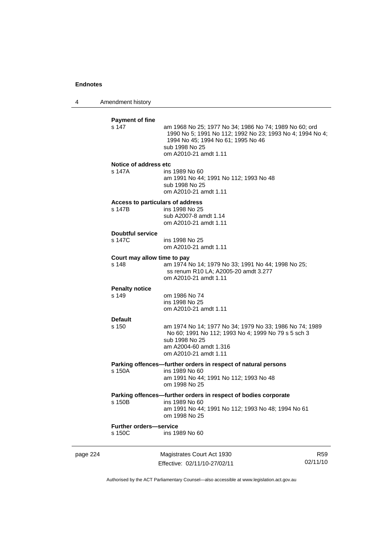4 Amendment history

|          | <b>Payment of fine</b><br>s 147            | am 1968 No 25; 1977 No 34; 1986 No 74; 1989 No 60; ord<br>1990 No 5; 1991 No 112; 1992 No 23; 1993 No 4; 1994 No 4;<br>1994 No 45; 1994 No 61; 1995 No 46<br>sub 1998 No 25<br>om A2010-21 amdt 1.11 |                             |
|----------|--------------------------------------------|------------------------------------------------------------------------------------------------------------------------------------------------------------------------------------------------------|-----------------------------|
|          | Notice of address etc<br>s 147A            | ins 1989 No 60<br>am 1991 No 44; 1991 No 112; 1993 No 48<br>sub 1998 No 25<br>om A2010-21 amdt 1.11                                                                                                  |                             |
|          | Access to particulars of address<br>s 147B | ins 1998 No 25<br>sub A2007-8 amdt 1.14<br>om A2010-21 amdt 1.11                                                                                                                                     |                             |
|          | <b>Doubtful service</b><br>s 147C          | ins 1998 No 25<br>om A2010-21 amdt 1.11                                                                                                                                                              |                             |
|          | Court may allow time to pay<br>s 148       | am 1974 No 14; 1979 No 33; 1991 No 44; 1998 No 25;<br>ss renum R10 LA; A2005-20 amdt 3.277<br>om A2010-21 amdt 1.11                                                                                  |                             |
|          | <b>Penalty notice</b><br>s 149             | om 1986 No 74<br>ins 1998 No 25<br>om A2010-21 amdt 1.11                                                                                                                                             |                             |
|          | <b>Default</b><br>s 150                    | am 1974 No 14; 1977 No 34; 1979 No 33; 1986 No 74; 1989<br>No 60; 1991 No 112; 1993 No 4; 1999 No 79 s 5 sch 3<br>sub 1998 No 25<br>am A2004-60 amdt 1.316<br>om A2010-21 amdt 1.11                  |                             |
|          | s 150A                                     | Parking offences-further orders in respect of natural persons<br>ins 1989 No 60<br>am 1991 No 44; 1991 No 112; 1993 No 48<br>om 1998 No 25                                                           |                             |
|          | s 150B                                     | Parking offences-further orders in respect of bodies corporate<br>ins 1989 No 60<br>am 1991 No 44; 1991 No 112; 1993 No 48; 1994 No 61<br>om 1998 No 25                                              |                             |
|          | <b>Further orders-service</b><br>s 150C    | ins 1989 No 60                                                                                                                                                                                       |                             |
| page 224 |                                            | Magistrates Court Act 1930<br>Effective: 02/11/10-27/02/11                                                                                                                                           | R <sub>59</sub><br>02/11/10 |

Authorised by the ACT Parliamentary Counsel—also accessible at www.legislation.act.gov.au

Effective: 02/11/10-27/02/11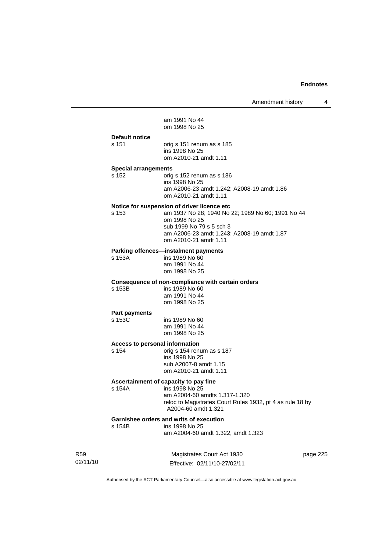am 1991 No 44 om 1998 No 25

#### **Default notice**

s 151 orig s 151 renum as s 185 ins 1998 No 25 om A2010-21 amdt 1.11

#### **Special arrangements**

s 152 orig s 152 renum as s 186 ins 1998 No 25 am A2006-23 amdt 1.242; A2008-19 amdt 1.86 om A2010-21 amdt 1.11

#### **Notice for suspension of driver licence etc**

s 153 am 1937 No 28; 1940 No 22; 1989 No 60; 1991 No 44 om 1998 No 25 sub 1999 No 79 s 5 sch 3 am A2006-23 amdt 1.243; A2008-19 amdt 1.87 om A2010-21 amdt 1.11

#### **Parking offences—instalment payments**

s 153A ins 1989 No 60 am 1991 No 44 om 1998 No 25

### **Consequence of non-compliance with certain orders**

s 153B ins 1989 No 60 am 1991 No 44 om 1998 No 25

#### **Part payments**

| <b>TWILDWAILD</b> |                |
|-------------------|----------------|
| s 153C            | ins 1989 No 60 |
|                   | am 1991 No 44  |
|                   | om 1998 No 25  |
|                   |                |

#### **Access to personal information**

s 154 orig s 154 renum as s 187 ins 1998 No 25 sub A2007-8 amdt 1.15 om A2010-21 amdt 1.11

#### **Ascertainment of capacity to pay fine**

s 154A ins 1998 No 25 am A2004-60 amdts 1.317-1.320 reloc to Magistrates Court Rules 1932, pt 4 as rule 18 by A2004-60 amdt 1.321

# **Garnishee orders and writs of execution**<br>s 154B ins 1998 No 25

ins 1998 No 25

am A2004-60 amdt 1.322, amdt 1.323

R59 02/11/10

Magistrates Court Act 1930 Effective: 02/11/10-27/02/11 page 225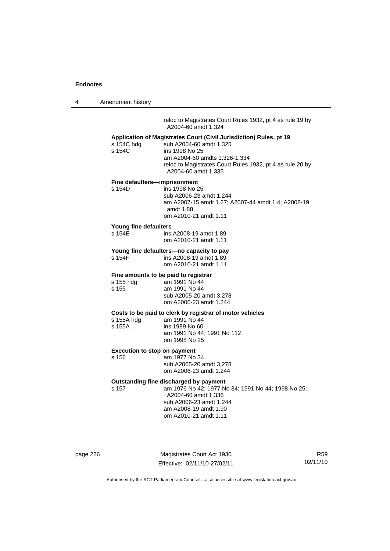4 Amendment history

 reloc to Magistrates Court Rules 1932, pt 4 as rule 19 by A2004-60 amdt 1.324

#### **Application of Magistrates Court (Civil Jurisdiction) Rules, pt 19**

| s 154C hdq | sub A2004-60 amdt 1.325                                                          |
|------------|----------------------------------------------------------------------------------|
| s 154C     | ins 1998 No 25                                                                   |
|            | am A2004-60 amdts 1.326-1.334                                                    |
|            | reloc to Magistrates Court Rules 1932, pt 4 as rule 20 by<br>A2004-60 amdt 1.335 |
|            |                                                                                  |

### **Fine defaulters—imprisonment**

s 154D ins 1998 No 25 sub A2006-23 amdt 1.244 am A2007-15 amdt 1.27; A2007-44 amdt 1.4; A2008-19 amdt 1.88 om A2010-21 amdt 1.11

#### **Young fine defaulters**

| s 154E | ins A2008-19 amdt 1.89 |
|--------|------------------------|
|        | om A2010-21 amdt 1.11  |

# **Young fine defaulters—no capacity to pay**

ins A2008-19 amdt 1.89 om A2010-21 amdt 1.11

#### **Fine amounts to be paid to registrar**

| s 155 hdg | am 1991 No 44           |
|-----------|-------------------------|
| s 155     | am 1991 No 44           |
|           | sub A2005-20 amdt 3.278 |
|           | om A2006-23 amdt 1.244  |

#### **Costs to be paid to clerk by registrar of motor vehicles**

| s 155A hdg | am 1991 No 44              |
|------------|----------------------------|
| s 155A     | ins 1989 No 60             |
|            | am 1991 No 44: 1991 No 112 |
|            | om 1998 No 25              |

#### **Execution to stop on payment**

s 156 am 1977 No 34 sub A2005-20 amdt 3.278 om A2006-23 amdt 1.244

#### **Outstanding fine discharged by payment**

s 157 am 1976 No 42; 1977 No 34; 1991 No 44; 1998 No 25; A2004-60 amdt 1.336 sub A2006-23 amdt 1.244 am A2008-19 amdt 1.90 om A2010-21 amdt 1.11

page 226 Magistrates Court Act 1930 Effective: 02/11/10-27/02/11

R59 02/11/10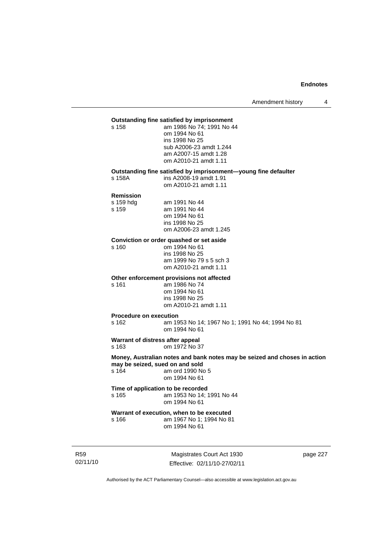#### **Outstanding fine satisfied by imprisonment**

s 158 am 1986 No 74; 1991 No 44 om 1994 No 61 ins 1998 No 25 sub A2006-23 amdt 1.244 am A2007-15 amdt 1.28 om A2010-21 amdt 1.11

#### **Outstanding fine satisfied by imprisonment—young fine defaulter**

s 158A ins A2008-19 amdt 1.91

om A2010-21 amdt 1.11

#### **Remission**

| s 159 hdg | am 1991 No 44          |
|-----------|------------------------|
| s 159     | am 1991 No 44          |
|           | om 1994 No 61          |
|           | ins 1998 No 25         |
|           | om A2006-23 amdt 1.245 |

# **Conviction or order quashed or set aside**

om 1994 No 61 ins 1998 No 25 am 1999 No 79 s 5 sch 3 om A2010-21 amdt 1.11

#### **Other enforcement provisions not affected**

s 161 am 1986 No 74 om 1994 No 61 ins 1998 No 25 om A2010-21 amdt 1.11

#### **Procedure on execution**

s 162 am 1953 No 14; 1967 No 1; 1991 No 44; 1994 No 81 om 1994 No 61

#### **Warrant of distress after appeal**

s 163 om 1972 No 37

**Money, Australian notes and bank notes may be seized and choses in action may be seized, sued on and sold**  s 164 am ord 1990 No 5 om 1994 No 61

#### **Time of application to be recorded**  s 165 am 1953 No 14; 1991 No 44 om 1994 No 61

**Warrant of execution, when to be executed**<br>s 166 **am 1967** No 1: 1994 No 8 am 1967 No 1: 1994 No 81 om 1994 No 61

R59 02/11/10

Magistrates Court Act 1930 Effective: 02/11/10-27/02/11 page 227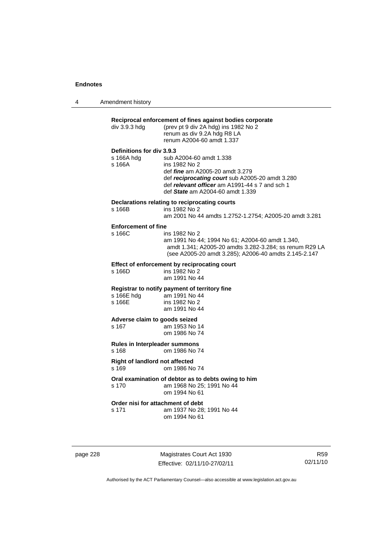| 4 | Amendment history |
|---|-------------------|
|---|-------------------|

| div 3.9.3 hdg                           | Reciprocal enforcement of fines against bodies corporate<br>(prev pt 9 div 2A hdg) ins 1982 No 2<br>renum as div 9.2A hdg R8 LA<br>renum A2004-60 amdt 1.337 |
|-----------------------------------------|--------------------------------------------------------------------------------------------------------------------------------------------------------------|
| Definitions for div 3.9.3               |                                                                                                                                                              |
| s 166A hda                              | sub A2004-60 amdt 1.338                                                                                                                                      |
| s 166A                                  | ins 1982 No 2                                                                                                                                                |
|                                         | def <i>fine</i> am A2005-20 amdt 3.279                                                                                                                       |
|                                         | def reciprocating court sub A2005-20 amdt 3.280                                                                                                              |
|                                         | def relevant officer am A1991-44 s 7 and sch 1                                                                                                               |
|                                         | def State am A2004-60 amdt 1.339                                                                                                                             |
|                                         | Declarations relating to reciprocating courts                                                                                                                |
| s 166B                                  | ins 1982 No 2                                                                                                                                                |
|                                         | am 2001 No 44 amdts 1.2752-1.2754; A2005-20 amdt 3.281                                                                                                       |
| <b>Enforcement of fine</b>              |                                                                                                                                                              |
| s 166C                                  | ins 1982 No 2                                                                                                                                                |
|                                         | am 1991 No 44; 1994 No 61; A2004-60 amdt 1.340,                                                                                                              |
|                                         | amdt 1.341; A2005-20 amdts 3.282-3.284; ss renum R29 LA                                                                                                      |
|                                         | (see A2005-20 amdt 3.285); A2006-40 amdts 2.145-2.147                                                                                                        |
|                                         | Effect of enforcement by reciprocating court                                                                                                                 |
| s 166D                                  | ins 1982 No 2                                                                                                                                                |
|                                         | am 1991 No 44                                                                                                                                                |
|                                         | Registrar to notify payment of territory fine                                                                                                                |
| s 166E hdg am 1991 No 44                |                                                                                                                                                              |
| s 166E                                  | ins 1982 No 2                                                                                                                                                |
|                                         | am 1991 No 44                                                                                                                                                |
| Adverse claim to goods seized           |                                                                                                                                                              |
| s 167                                   | am 1953 No 14                                                                                                                                                |
|                                         | om 1986 No 74                                                                                                                                                |
| Rules in Interpleader summons           |                                                                                                                                                              |
| s 168                                   | om 1986 No 74                                                                                                                                                |
|                                         |                                                                                                                                                              |
| Right of landlord not affected<br>s 169 | om 1986 No 74                                                                                                                                                |
|                                         |                                                                                                                                                              |
|                                         | Oral examination of debtor as to debts owing to him                                                                                                          |
| s 170                                   | am 1968 No 25; 1991 No 44                                                                                                                                    |
|                                         | om 1994 No 61                                                                                                                                                |
| Order nisi for attachment of debt       |                                                                                                                                                              |
| s 171                                   | am 1937 No 28; 1991 No 44                                                                                                                                    |
|                                         | om 1994 No 61                                                                                                                                                |

page 228 Magistrates Court Act 1930 Effective: 02/11/10-27/02/11

R59 02/11/10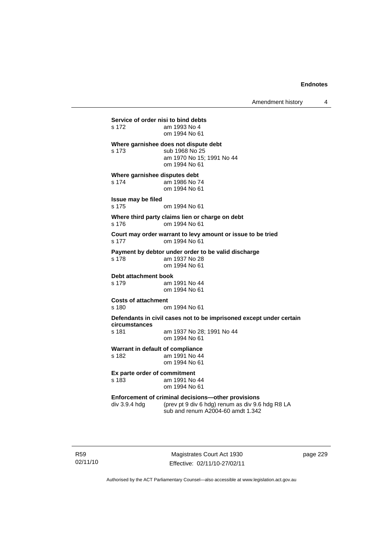**Service of order nisi to bind debts**  s 172 am 1993 No 4 om 1994 No 61 **Where garnishee does not dispute debt**  s 173 sub 1968 No 25 am 1970 No 15; 1991 No 44 om 1994 No 61 **Where garnishee disputes debt**  s 174 am 1986 No 74 om 1994 No 61 **Issue may be filed**  s 175 om 1994 No 61 **Where third party claims lien or charge on debt**  s 176 om 1994 No 61 **Court may order warrant to levy amount or issue to be tried**  s 177 om 1994 No 61 **Payment by debtor under order to be valid discharge**  s 178 am 1937 No 28 om 1994 No 61 **Debt attachment book**<br>s 179 am am 1991 No 44 om 1994 No 61 **Costs of attachment**  s 180 om 1994 No 61 **Defendants in civil cases not to be imprisoned except under certain circumstances**  s 181 am 1937 No 28; 1991 No 44 om 1994 No 61 **Warrant in default of compliance**  s 182 am 1991 No 44 om 1994 No 61 **Ex parte order of commitment**  s 183 am 1991 No 44 om 1994 No 61 **Enforcement of criminal decisions—other provisions**<br>div 3.9.4 hdg (prev pt 9 div 6 hdg) renum as div 9.6 (prev pt 9 div 6 hdg) renum as div 9.6 hdg R8 LA sub and renum A2004-60 amdt 1.342

R59 02/11/10

Magistrates Court Act 1930 Effective: 02/11/10-27/02/11 page 229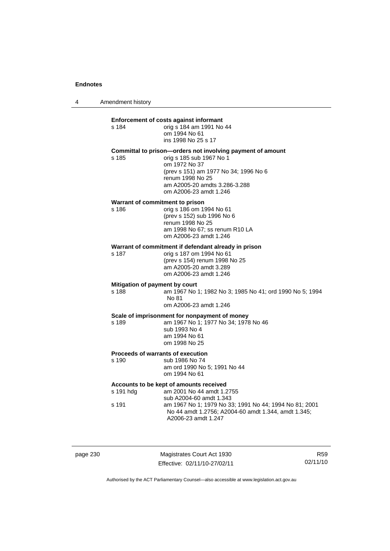| Amendment history<br>4 |  |
|------------------------|--|
|------------------------|--|

s 184

#### **Enforcement of costs against informant**

| s 184 | orig s 184 am 1991 No 44 |
|-------|--------------------------|
|       | om 1994 No 61            |
|       | ins 1998 No 25 s 17      |

#### **Committal to prison—orders not involving payment of amount**

s 185 orig s 185 sub 1967 No 1 om 1972 No 37 (prev s 151) am 1977 No 34; 1996 No 6 renum 1998 No 25 am A2005-20 amdts 3.286-3.288 om A2006-23 amdt 1.246

#### **Warrant of commitment to prison**

s 186 orig s 186 om 1994 No 61 (prev s 152) sub 1996 No 6 renum 1998 No 25 am 1998 No 67; ss renum R10 LA om A2006-23 amdt 1.246

# **Warrant of commitment if defendant already in prison**  $\frac{187}{187}$  orig s 187 om 1994 No 61

s 187 orig s 187 om 1994 No 61 (prev s 154) renum 1998 No 25 am A2005-20 amdt 3.289 om A2006-23 amdt 1.246

#### **Mitigation of payment by court**

s 188 am 1967 No 1; 1982 No 3; 1985 No 41; ord 1990 No 5; 1994 No 81 om A2006-23 amdt 1.246

#### **Scale of imprisonment for nonpayment of money**

s 189 am 1967 No 1; 1977 No 34; 1978 No 46 sub 1993 No 4

 am 1994 No 61 om 1998 No 25

#### **Proceeds of warrants of execution**

s 190 sub 1986 No 74 am ord 1990 No 5; 1991 No 44 om 1994 No 61

### **Accounts to be kept of amounts received**

| s 191 hdq | am 2001 No 44 amdt 1.2755                              |
|-----------|--------------------------------------------------------|
|           | sub A2004-60 amdt 1.343                                |
| s 191     | am 1967 No 1: 1979 No 33: 1991 No 44: 1994 No 81: 2001 |
|           | No 44 amdt 1.2756; A2004-60 amdt 1.344, amdt 1.345;    |
|           | A2006-23 amdt 1.247                                    |

page 230 Magistrates Court Act 1930 Effective: 02/11/10-27/02/11

R59 02/11/10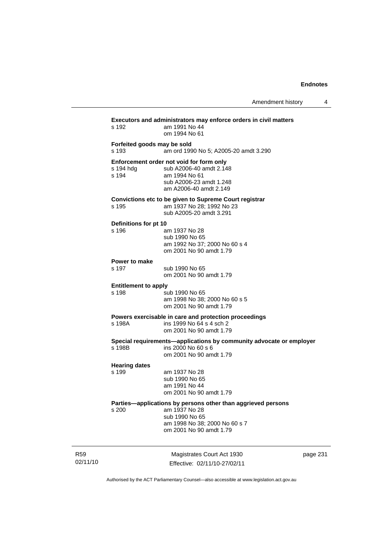| Amendment history |  |
|-------------------|--|
|-------------------|--|

| s 192                                | Executors and administrators may enforce orders in civil matters<br>am 1991 No 44<br>om 1994 No 61                                                          |      |
|--------------------------------------|-------------------------------------------------------------------------------------------------------------------------------------------------------------|------|
| Forfeited goods may be sold<br>s 193 | am ord 1990 No 5; A2005-20 amdt 3.290                                                                                                                       |      |
| s 194 hdg<br>s 194                   | Enforcement order not void for form only<br>sub A2006-40 amdt 2.148<br>am 1994 No 61<br>sub A2006-23 amdt 1.248<br>am A2006-40 amdt 2.149                   |      |
| s 195                                | Convictions etc to be given to Supreme Court registrar<br>am 1937 No 28; 1992 No 23<br>sub A2005-20 amdt 3.291                                              |      |
| Definitions for pt 10<br>s 196       | am 1937 No 28<br>sub 1990 No 65<br>am 1992 No 37; 2000 No 60 s 4<br>om 2001 No 90 amdt 1.79                                                                 |      |
| Power to make<br>s 197               | sub 1990 No 65<br>om 2001 No 90 amdt 1.79                                                                                                                   |      |
| <b>Entitlement to apply</b><br>s 198 | sub 1990 No 65<br>am 1998 No 38; 2000 No 60 s 5<br>om 2001 No 90 amdt 1.79                                                                                  |      |
| s 198A                               | Powers exercisable in care and protection proceedings<br>ins 1999 No 64 s 4 sch 2<br>om 2001 No 90 amdt 1.79                                                |      |
| s 198B                               | Special requirements-applications by community advocate or employer<br>ins 2000 No 60 s 6<br>om 2001 No 90 amdt 1.79                                        |      |
| <b>Hearing dates</b><br>s 199        | am 1937 No 28<br>sub 1990 No 65<br>am 1991 No 44<br>om 2001 No 90 amdt 1.79                                                                                 |      |
| s 200                                | Parties-applications by persons other than aggrieved persons<br>am 1937 No 28<br>sub 1990 No 65<br>am 1998 No 38; 2000 No 60 s 7<br>om 2001 No 90 amdt 1.79 |      |
|                                      | Magistrates Court Act 1930<br>Effective: 02/11/10-27/02/11                                                                                                  | page |

page 231

Authorised by the ACT Parliamentary Counsel—also accessible at www.legislation.act.gov.au

R59 02/11/10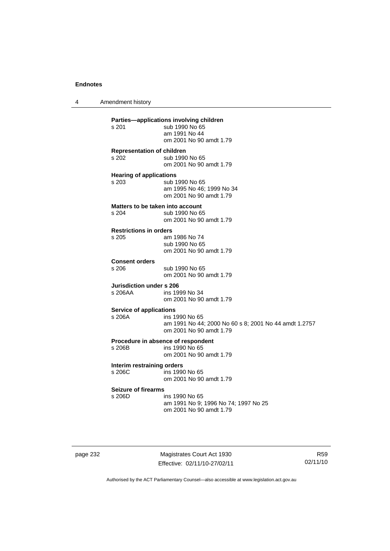4 Amendment history **Parties—applications involving children**  sub 1990 No 65 am 1991 No 44 om 2001 No 90 amdt 1.79 **Representation of children**  s 202 sub 1990 No 65 om 2001 No 90 amdt 1.79 **Hearing of applications**  s 203 sub 1990 No 65 am 1995 No 46; 1999 No 34 om 2001 No 90 amdt 1.79 **Matters to be taken into account**<br>s 204 sub 1990 No 6 sub 1990 No 65 om 2001 No 90 amdt 1.79 **Restrictions in orders**  am 1986 No 74 sub 1990 No 65 om 2001 No 90 amdt 1.79 **Consent orders**  sub 1990 No 65 om 2001 No 90 amdt 1.79 **Jurisdiction under s 206**<br>s 206AA ins 19 ins 1999 No 34 om 2001 No 90 amdt 1.79 **Service of applications**  s 206A ins 1990 No 65 am 1991 No 44; 2000 No 60 s 8; 2001 No 44 amdt 1.2757 om 2001 No 90 amdt 1.79 **Procedure in absence of respondent**  ins 1990 No 65 om 2001 No 90 amdt 1.79 **Interim restraining orders**  s 206C ins 1990 No 65 om 2001 No 90 amdt 1.79 **Seizure of firearms**  s 206D ins 1990 No 65 am 1991 No 9; 1996 No 74; 1997 No 25 om 2001 No 90 amdt 1.79

page 232 Magistrates Court Act 1930 Effective: 02/11/10-27/02/11

R59 02/11/10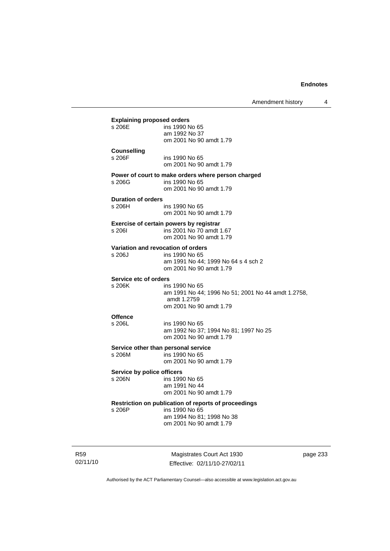|                                               | Amendment history                                                                                                              | 4 |
|-----------------------------------------------|--------------------------------------------------------------------------------------------------------------------------------|---|
| <b>Explaining proposed orders</b><br>s 206E   | ins 1990 No 65<br>am 1992 No 37<br>om 2001 No 90 amdt 1.79                                                                     |   |
| <b>Counselling</b><br>s 206F                  | ins 1990 No 65<br>om 2001 No 90 amdt 1.79                                                                                      |   |
| s 206G                                        | Power of court to make orders where person charged<br>ins 1990 No 65<br>om 2001 No 90 amdt 1.79                                |   |
| <b>Duration of orders</b><br>s 206H           | ins 1990 No 65<br>om 2001 No 90 amdt 1.79                                                                                      |   |
| s 2061                                        | Exercise of certain powers by registrar<br>ins 2001 No 70 amdt 1.67<br>om 2001 No 90 amdt 1.79                                 |   |
| Variation and revocation of orders<br>s 206J  | ins 1990 No 65<br>am 1991 No 44; 1999 No 64 s 4 sch 2<br>om 2001 No 90 amdt 1.79                                               |   |
| Service etc of orders<br>s 206K               | ins 1990 No 65<br>am 1991 No 44; 1996 No 51; 2001 No 44 amdt 1.2758,<br>amdt 1.2759<br>om 2001 No 90 amdt 1.79                 |   |
| <b>Offence</b><br>s 206L                      | ins 1990 No 65<br>am 1992 No 37; 1994 No 81; 1997 No 25<br>om 2001 No 90 amdt 1.79                                             |   |
| Service other than personal service<br>s 206M | ins 1990 No 65<br>om 2001 No 90 amdt 1.79                                                                                      |   |
| Service by police officers<br>s 206N          | ins 1990 No 65<br>am 1991 No 44<br>om 2001 No 90 amdt 1.79                                                                     |   |
| s 206P                                        | Restriction on publication of reports of proceedings<br>ins 1990 No 65<br>am 1994 No 81; 1998 No 38<br>om 2001 No 90 amdt 1.79 |   |

R59 02/11/10

Magistrates Court Act 1930 Effective: 02/11/10-27/02/11 page 233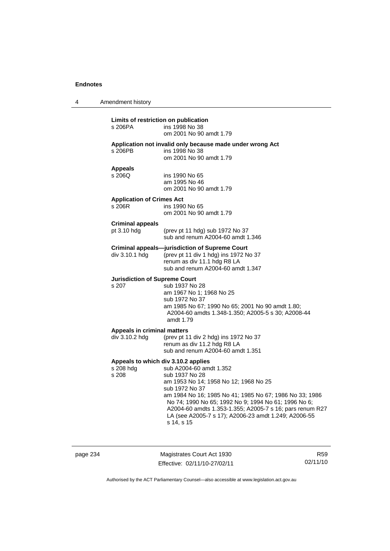| 4 | Amendment history                               |                                                                                                                                                                                                                                                                                                                                                                                                  |
|---|-------------------------------------------------|--------------------------------------------------------------------------------------------------------------------------------------------------------------------------------------------------------------------------------------------------------------------------------------------------------------------------------------------------------------------------------------------------|
|   | Limits of restriction on publication<br>s 206PA | ins 1998 No 38<br>om 2001 No 90 amdt 1.79                                                                                                                                                                                                                                                                                                                                                        |
|   | s 206PB                                         | Application not invalid only because made under wrong Act<br>ins 1998 No 38<br>om 2001 No 90 amdt 1.79                                                                                                                                                                                                                                                                                           |
|   | <b>Appeals</b><br>s 206Q                        | ins 1990 No 65<br>am 1995 No 46<br>om 2001 No 90 amdt 1.79                                                                                                                                                                                                                                                                                                                                       |
|   | <b>Application of Crimes Act</b><br>s 206R      | ins 1990 No 65<br>om 2001 No 90 amdt 1.79                                                                                                                                                                                                                                                                                                                                                        |
|   | <b>Criminal appeals</b><br>pt $3.10$ hdg        | (prev pt 11 hdg) sub 1972 No 37<br>sub and renum A2004-60 amdt 1.346                                                                                                                                                                                                                                                                                                                             |
|   | div 3.10.1 hdg                                  | <b>Criminal appeals-jurisdiction of Supreme Court</b><br>(prev pt 11 div 1 hdg) ins 1972 No 37<br>renum as div 11.1 hdg R8 LA<br>sub and renum A2004-60 amdt 1.347                                                                                                                                                                                                                               |
|   | <b>Jurisdiction of Supreme Court</b><br>s 207   | sub 1937 No 28<br>am 1967 No 1; 1968 No 25<br>sub 1972 No 37<br>am 1985 No 67; 1990 No 65; 2001 No 90 amdt 1.80;<br>A2004-60 amdts 1.348-1.350; A2005-5 s 30; A2008-44<br>amdt 1.79                                                                                                                                                                                                              |
|   | Appeals in criminal matters<br>div 3.10.2 hdg   | (prev pt 11 div 2 hdg) ins 1972 No 37<br>renum as div 11.2 hdg R8 LA<br>sub and renum A2004-60 amdt 1.351                                                                                                                                                                                                                                                                                        |
|   | s 208 hdg<br>s 208                              | Appeals to which div 3.10.2 applies<br>sub A2004-60 amdt 1.352<br>sub 1937 No 28<br>am 1953 No 14; 1958 No 12; 1968 No 25<br>sub 1972 No 37<br>am 1984 No 16; 1985 No 41; 1985 No 67; 1986 No 33; 1986<br>No 74; 1990 No 65; 1992 No 9; 1994 No 61; 1996 No 6;<br>A2004-60 amdts 1.353-1.355; A2005-7 s 16; pars renum R27<br>LA (see A2005-7 s 17); A2006-23 amdt 1.249; A2006-55<br>s 14, s 15 |

page 234 Magistrates Court Act 1930 Effective: 02/11/10-27/02/11

R59 02/11/10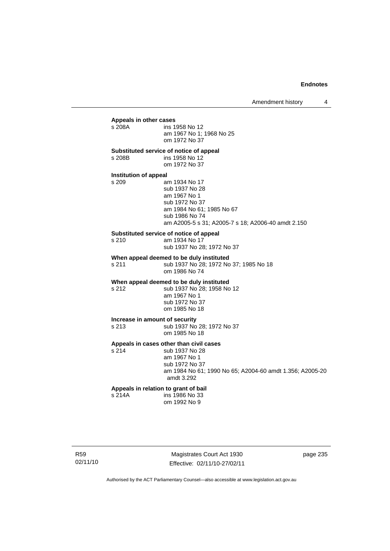# **Appeals in other cases**  ins 1958 No 12 am 1967 No 1; 1968 No 25 om 1972 No 37 **Substituted service of notice of appeal**  s 208B ins 1958 No 12 om 1972 No 37 **Institution of appeal**<br>s 209 a am 1934 No 17 sub 1937 No 28 am 1967 No 1 sub 1972 No 37 am 1984 No 61; 1985 No 67 sub 1986 No 74 am A2005-5 s 31; A2005-7 s 18; A2006-40 amdt 2.150 **Substituted service of notice of appeal**  s 210 am 1934 No 17 sub 1937 No 28; 1972 No 37 **When appeal deemed to be duly instituted**  s 211 sub 1937 No 28; 1972 No 37; 1985 No 18 om 1986 No 74 **When appeal deemed to be duly instituted**  s 212 sub 1937 No 28; 1958 No 12 am 1967 No 1 sub 1972 No 37 om 1985 No 18 **Increase in amount of security**  s 213 sub 1937 No 28; 1972 No 37 om 1985 No 18 **Appeals in cases other than civil cases**  s 214 sub 1937 No 28 am 1967 No 1 sub 1972 No 37 am 1984 No 61; 1990 No 65; A2004-60 amdt 1.356; A2005-20 amdt 3.292 **Appeals in relation to grant of bail**  s 214A ins 1986 No 33

om 1992 No 9

R59 02/11/10

Magistrates Court Act 1930 Effective: 02/11/10-27/02/11 page 235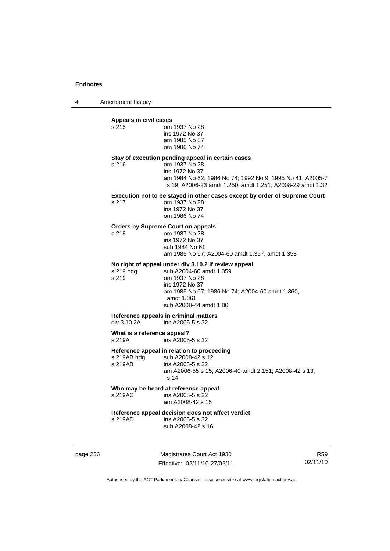4 Amendment history

# **Appeals in civil cases**

|          | Tippoulo III vitil vuovo<br>s 215                         | om 1937 No 28<br>ins 1972 No 37<br>am 1985 No 67<br>om 1986 No 74                                                                                                                                              |                             |  |
|----------|-----------------------------------------------------------|----------------------------------------------------------------------------------------------------------------------------------------------------------------------------------------------------------------|-----------------------------|--|
|          | s 216                                                     | Stay of execution pending appeal in certain cases<br>om 1937 No 28<br>ins 1972 No 37<br>am 1984 No 62; 1986 No 74; 1992 No 9; 1995 No 41; A2005-7<br>s 19; A2006-23 amdt 1.250, amdt 1.251; A2008-29 amdt 1.32 |                             |  |
|          | s 217                                                     | Execution not to be stayed in other cases except by order of Supreme Court<br>om 1937 No 28<br>ins 1972 No 37<br>om 1986 No 74                                                                                 |                             |  |
|          | s 218                                                     | <b>Orders by Supreme Court on appeals</b><br>om 1937 No 28<br>ins 1972 No 37<br>sub 1984 No 61<br>am 1985 No 67; A2004-60 amdt 1.357, amdt 1.358                                                               |                             |  |
|          | s 219 hdg<br>s 219                                        | No right of appeal under div 3.10.2 if review appeal<br>sub A2004-60 amdt 1.359<br>om 1937 No 28<br>ins 1972 No 37<br>am 1985 No 67; 1986 No 74; A2004-60 amdt 1.360,<br>amdt 1.361<br>sub A2008-44 amdt 1.80  |                             |  |
|          | div 3.10.2A                                               | Reference appeals in criminal matters<br>ins A2005-5 s 32                                                                                                                                                      |                             |  |
|          | What is a reference appeal?<br>s 219A<br>ins A2005-5 s 32 |                                                                                                                                                                                                                |                             |  |
|          | s 219AB hdg<br>s 219AB                                    | Reference appeal in relation to proceeding<br>sub A2008-42 s 12<br>ins A2005-5 s 32<br>am A2006-55 s 15; A2006-40 amdt 2.151; A2008-42 s 13,<br>s 14                                                           |                             |  |
|          | s 219AC                                                   | Who may be heard at reference appeal<br>ins A2005-5 s 32<br>am A2008-42 s 15                                                                                                                                   |                             |  |
|          | s 219AD                                                   | Reference appeal decision does not affect verdict<br>ins A2005-5 s 32<br>sub A2008-42 s 16                                                                                                                     |                             |  |
| page 236 |                                                           | Magistrates Court Act 1930<br>Effective: 02/11/10-27/02/11                                                                                                                                                     | R <sub>59</sub><br>02/11/10 |  |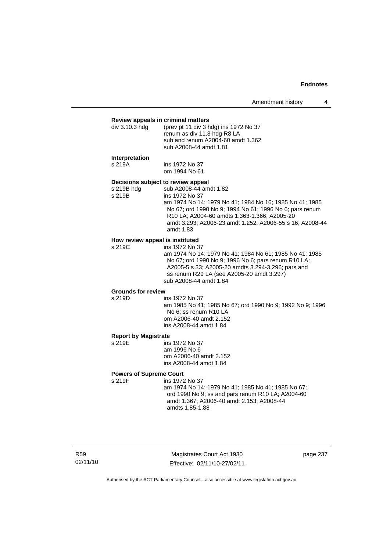#### **Review appeals in criminal matters**

| div 3.10.3 hdq | (prev pt 11 div 3 hdg) ins 1972 No 37<br>renum as div 11.3 hdg R8 LA<br>sub and renum A2004-60 amdt 1.362<br>sub A2008-44 amdt 1.81 |
|----------------|-------------------------------------------------------------------------------------------------------------------------------------|
|                |                                                                                                                                     |
|                |                                                                                                                                     |

#### **Interpretation**

s 219A ins 1972 No 37

om 1994 No 61

## **Decisions subject to review appeal**

s 219B hdg sub A2008-44 amdt 1.82

s 219B ins 1972 No 37 am 1974 No 14; 1979 No 41; 1984 No 16; 1985 No 41; 1985 No 67; ord 1990 No 9; 1994 No 61; 1996 No 6; pars renum R10 LA; A2004-60 amdts 1.363-1.366; A2005-20 amdt 3.293; A2006-23 amdt 1.252; A2006-55 s 16; A2008-44 amdt 1.83

## **How review appeal is instituted**

s 219C ins 1972 No 37 am 1974 No 14; 1979 No 41; 1984 No 61; 1985 No 41; 1985 No 67; ord 1990 No 9; 1996 No 6; pars renum R10 LA; A2005-5 s 33; A2005-20 amdts 3.294-3.296; pars and ss renum R29 LA (see A2005-20 amdt 3.297) sub A2008-44 amdt 1.84

# **Grounds for review**

ins 1972 No 37 am 1985 No 41; 1985 No 67; ord 1990 No 9; 1992 No 9; 1996 No 6; ss renum R10 LA om A2006-40 amdt 2.152 ins A2008-44 amdt 1.84

#### **Report by Magistrate**

s 219E ins 1972 No 37 am 1996 No 6 om A2006-40 amdt 2.152 ins A2008-44 amdt 1.84

#### **Powers of Supreme Court**

s 219F ins 1972 No 37 am 1974 No 14; 1979 No 41; 1985 No 41; 1985 No 67; ord 1990 No 9; ss and pars renum R10 LA; A2004-60 amdt 1.367; A2006-40 amdt 2.153; A2008-44 amdts 1.85-1.88

R59 02/11/10

Magistrates Court Act 1930 Effective: 02/11/10-27/02/11 page 237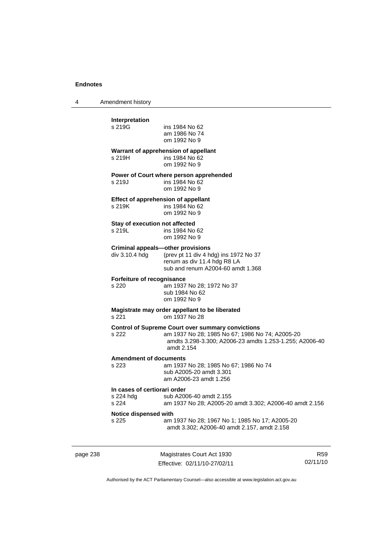4 Amendment history

| page 238 |                                                    | Magistrates Court Act 1930                                                                                                                                                           | R <sub>5</sub> |
|----------|----------------------------------------------------|--------------------------------------------------------------------------------------------------------------------------------------------------------------------------------------|----------------|
|          | Notice dispensed with<br>s 225                     | am 1937 No 28; 1967 No 1; 1985 No 17; A2005-20<br>amdt 3.302; A2006-40 amdt 2.157, amdt 2.158                                                                                        |                |
|          | In cases of certiorari order<br>s 224 hdg<br>s 224 | sub A2006-40 amdt 2.155<br>am 1937 No 28; A2005-20 amdt 3.302; A2006-40 amdt 2.156                                                                                                   |                |
|          | <b>Amendment of documents</b><br>s 223             | am 1937 No 28; 1985 No 67; 1986 No 74<br>sub A2005-20 amdt 3.301<br>am A2006-23 amdt 1.256                                                                                           |                |
|          | s 222                                              | <b>Control of Supreme Court over summary convictions</b><br>am 1937 No 28; 1985 No 67; 1986 No 74; A2005-20<br>amdts 3.298-3.300; A2006-23 amdts 1.253-1.255; A2006-40<br>amdt 2.154 |                |
|          | s 221                                              | Magistrate may order appellant to be liberated<br>om 1937 No 28                                                                                                                      |                |
|          | Forfeiture of recognisance<br>s 220                | am 1937 No 28; 1972 No 37<br>sub 1984 No 62<br>om 1992 No 9                                                                                                                          |                |
|          | div 3.10.4 hdg                                     | <b>Criminal appeals-other provisions</b><br>(prev pt 11 div 4 hdg) ins 1972 No 37<br>renum as div 11.4 hdg R8 LA<br>sub and renum A2004-60 amdt 1.368                                |                |
|          | Stay of execution not affected<br>s 219L           | ins 1984 No 62<br>om 1992 No 9                                                                                                                                                       |                |
|          | s 219K                                             | Effect of apprehension of appellant<br>ins 1984 No 62<br>om 1992 No 9                                                                                                                |                |
|          | s 219J                                             | Power of Court where person apprehended<br>ins 1984 No 62<br>om 1992 No 9                                                                                                            |                |
|          | s 219H                                             | Warrant of apprehension of appellant<br>ins 1984 No 62<br>om 1992 No 9                                                                                                               |                |
|          | Interpretation<br>s 219G                           | ins 1984 No 62<br>am 1986 No 74<br>om 1992 No 9                                                                                                                                      |                |
|          |                                                    |                                                                                                                                                                                      |                |

Effective: 02/11/10-27/02/11

R59 02/11/10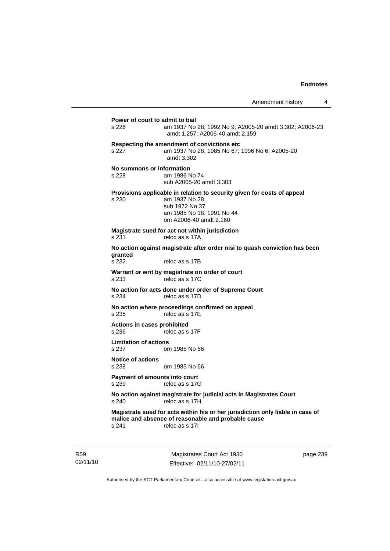# Magistrates Court Act 1930 **Power of court to admit to bail**  s 226 am 1937 No 28; 1992 No 9; A2005-20 amdt 3.302; A2006-23 amdt 1.257; A2006-40 amdt 2.159 **Respecting the amendment of convictions etc**  s 227 am 1937 No 28; 1985 No 67; 1996 No 6; A2005-20 amdt 3.302 **No summons or information**  s 228 am 1986 No 74 sub A2005-20 amdt 3.303 **Provisions applicable in relation to security given for costs of appeal**  s 230 am 1937 No 28 sub 1972 No 37 am 1985 No 18; 1991 No 44 om A2006-40 amdt 2.160 **Magistrate sued for act not within jurisdiction**  s 231 reloc as s 17A **No action against magistrate after order nisi to quash conviction has been**  granted<br>s 232 reloc as s 17B **Warrant or writ by magistrate on order of court**  s 233 reloc as s 17C **No action for acts done under order of Supreme Court**  s 234 reloc as s 17D **No action where proceedings confirmed on appeal**  s 235 reloc as s 17E **Actions in cases prohibited**  s 236 reloc as s 17F **Limitation of actions**  s 237 om 1985 No 66 **Notice of actions**  om 1985 No 66 **Payment of amounts into court**  s 239 reloc as s 17G **No action against magistrate for judicial acts in Magistrates Court**  s 240 reloc as s 17H **Magistrate sued for acts within his or her jurisdiction only liable in case of malice and absence of reasonable and probable cause**  s 241 reloc as s 17I

02/11/10

R59

Effective: 02/11/10-27/02/11

page 239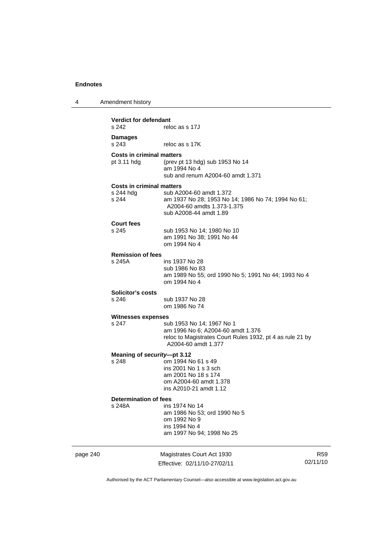4 Amendment history

| <b>Verdict for defendant</b><br>s 242                  | reloc as s 17J                                                                                                                                     |                 |
|--------------------------------------------------------|----------------------------------------------------------------------------------------------------------------------------------------------------|-----------------|
| <b>Damages</b><br>s 243                                | reloc as s 17K                                                                                                                                     |                 |
| <b>Costs in criminal matters</b><br>pt 3.11 hdg        | (prev pt 13 hdg) sub 1953 No 14<br>am 1994 No 4<br>sub and renum A2004-60 amdt 1.371                                                               |                 |
| <b>Costs in criminal matters</b><br>s 244 hdg<br>s 244 | sub A2004-60 amdt 1.372<br>am 1937 No 28; 1953 No 14; 1986 No 74; 1994 No 61;<br>A2004-60 amdts 1.373-1.375<br>sub A2008-44 amdt 1.89              |                 |
| <b>Court fees</b><br>s 245                             | sub 1953 No 14; 1980 No 10<br>am 1991 No 38; 1991 No 44<br>om 1994 No 4                                                                            |                 |
| <b>Remission of fees</b><br>s 245A                     | ins 1937 No 28<br>sub 1986 No 83<br>am 1989 No 55; ord 1990 No 5; 1991 No 44; 1993 No 4<br>om 1994 No 4                                            |                 |
| Solicitor's costs                                      |                                                                                                                                                    |                 |
| s 246                                                  | sub 1937 No 28<br>om 1986 No 74                                                                                                                    |                 |
| <b>Witnesses expenses</b><br>s 247                     | sub 1953 No 14; 1967 No 1<br>am 1996 No 6; A2004-60 amdt 1.376<br>reloc to Magistrates Court Rules 1932, pt 4 as rule 21 by<br>A2004-60 amdt 1.377 |                 |
|                                                        | Meaning of security-pt 3.12                                                                                                                        |                 |
| s 248                                                  | om 1994 No 61 s 49<br>ins 2001 No 1 s 3 sch<br>am 2001 No 18 s 174<br>om A2004-60 amdt 1.378<br>ins A2010-21 amdt 1.12                             |                 |
| <b>Determination of fees</b>                           |                                                                                                                                                    |                 |
|                                                        | s 248A ins 1974 No 14<br>am 1986 No 53; ord 1990 No 5<br>om 1992 No 9<br>ins 1994 No 4<br>am 1997 No 94; 1998 No 25                                |                 |
| page 240                                               | Magistrates Court Act 1930<br>Effective: 02/11/10-27/02/11                                                                                         | R59<br>02/11/10 |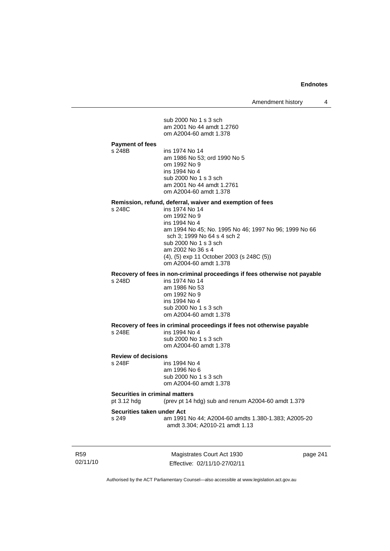Amendment history 4

02/11/10 Magistrates Court Act 1930 page 241 sub 2000 No 1 s 3 sch am 2001 No 44 amdt 1.2760 om A2004-60 amdt 1.378 **Payment of fees**  ins 1974 No 14 am 1986 No 53; ord 1990 No 5 om 1992 No 9 ins 1994 No 4 sub 2000 No 1 s 3 sch am 2001 No 44 amdt 1.2761 om A2004-60 amdt 1.378 **Remission, refund, deferral, waiver and exemption of fees**  s 248C ins 1974 No 14 om 1992 No 9 ins 1994 No 4 am 1994 No 45; No. 1995 No 46; 1997 No 96; 1999 No 66 sch 3; 1999 No 64 s 4 sch 2 sub 2000 No 1 s 3 sch am 2002 No 36 s 4 (4), (5) exp 11 October 2003 (s 248C (5)) om A2004-60 amdt 1.378 **Recovery of fees in non-criminal proceedings if fees otherwise not payable**  s 248D ins 1974 No 14 am 1986 No 53 om 1992 No 9 ins 1994 No 4 sub 2000 No 1 s 3 sch om A2004-60 amdt 1.378 **Recovery of fees in criminal proceedings if fees not otherwise payable**  s 248E ins 1994 No 4 sub 2000 No 1 s 3 sch om A2004-60 amdt 1.378 **Review of decisions**  s 248F ins 1994 No 4 am 1996 No 6 sub 2000 No 1 s 3 sch om A2004-60 amdt 1.378 **Securities in criminal matters**<br>pt 3.12 hdg (prev pt 14) (prev pt 14 hdg) sub and renum A2004-60 amdt  $1.379$ **Securities taken under Act**  s 249 am 1991 No 44; A2004-60 amdts 1.380-1.383; A2005-20 amdt 3.304; A2010-21 amdt 1.13

Authorised by the ACT Parliamentary Counsel—also accessible at www.legislation.act.gov.au

Effective: 02/11/10-27/02/11

R59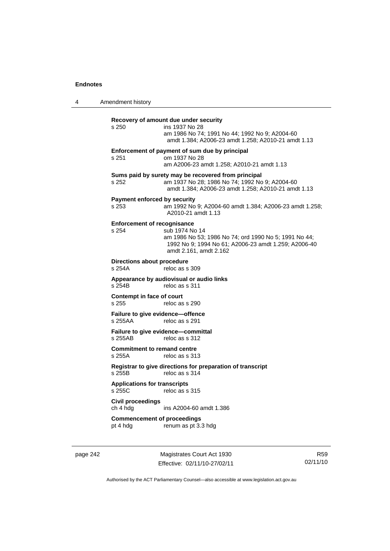4 Amendment history **Recovery of amount due under security**  s 250 ins 1937 No 28 am 1986 No 74; 1991 No 44; 1992 No 9; A2004-60 amdt 1.384; A2006-23 amdt 1.258; A2010-21 amdt 1.13 **Enforcement of payment of sum due by principal**  s 251 om 1937 No 28 am A2006-23 amdt 1.258; A2010-21 amdt 1.13 **Sums paid by surety may be recovered from principal**  s 252 am 1937 No 28; 1986 No 74; 1992 No 9; A2004-60 amdt 1.384; A2006-23 amdt 1.258; A2010-21 amdt 1.13 **Payment enforced by security**  s 253 am 1992 No 9; A2004-60 amdt 1.384; A2006-23 amdt 1.258; A2010-21 amdt 1.13 **Enforcement of recognisance**  s 254 sub 1974 No 14 am 1986 No 53; 1986 No 74; ord 1990 No 5; 1991 No 44; 1992 No 9; 1994 No 61; A2006-23 amdt 1.259; A2006-40 amdt 2.161, amdt 2.162 **Directions about procedure**<br>s 254A reloc as s reloc as s 309 **Appearance by audiovisual or audio links**  s 254B reloc as s 311 **Contempt in face of court**  s 255 reloc as s 290 **Failure to give evidence—offence**  s 255AA reloc as s 291 **Failure to give evidence—committal**  s 255AB reloc as s 312 **Commitment to remand centre**  s 255A reloc as s 313 **Registrar to give directions for preparation of transcript**  s 255B reloc as s 314 **Applications for transcripts**  s 255C reloc as s 315 **Civil proceedings**  ch 4 hdg ins A2004-60 amdt 1.386 **Commencement of proceedings**  pt 4 hdg renum as pt 3.3 hdg

page 242 Magistrates Court Act 1930 Effective: 02/11/10-27/02/11

R59 02/11/10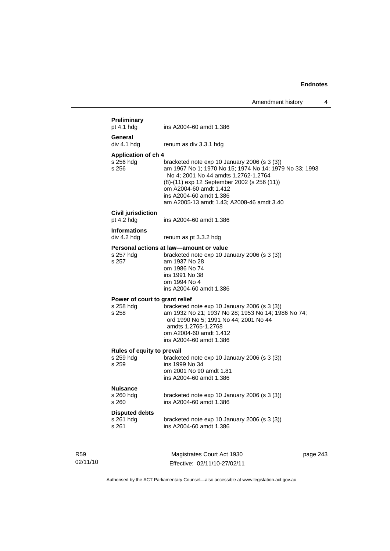|                                                      | Amendment history                                                                                                                                                                                                                                                                                 |  |
|------------------------------------------------------|---------------------------------------------------------------------------------------------------------------------------------------------------------------------------------------------------------------------------------------------------------------------------------------------------|--|
| Preliminary<br>pt $4.1$ hdg                          | ins A2004-60 amdt 1.386                                                                                                                                                                                                                                                                           |  |
| General<br>div 4.1 hdg                               | renum as div 3.3.1 hdg                                                                                                                                                                                                                                                                            |  |
| <b>Application of ch 4</b><br>s 256 hdg<br>s 256     | bracketed note $exp 10$ January 2006 (s 3 (3))<br>am 1967 No 1; 1970 No 15; 1974 No 14; 1979 No 33; 1993<br>No 4; 2001 No 44 amdts 1.2762-1.2764<br>(8)-(11) exp 12 September 2002 (s 256 (11))<br>om A2004-60 amdt 1.412<br>ins A2004-60 amdt 1.386<br>am A2005-13 amdt 1.43; A2008-46 amdt 3.40 |  |
| <b>Civil jurisdiction</b><br>pt 4.2 hdg              | ins A2004-60 amdt 1.386                                                                                                                                                                                                                                                                           |  |
| <b>Informations</b><br>div 4.2 hdg                   | renum as pt 3.3.2 hdg                                                                                                                                                                                                                                                                             |  |
| s 257 hdg<br>s 257                                   | Personal actions at law-amount or value<br>bracketed note exp 10 January 2006 (s 3 (3))<br>am 1937 No 28<br>om 1986 No 74<br>ins 1991 No 38<br>om 1994 No 4<br>ins A2004-60 amdt 1.386                                                                                                            |  |
| Power of court to grant relief<br>s 258 hdg<br>s 258 | bracketed note exp 10 January 2006 (s 3 (3))<br>am 1932 No 21; 1937 No 28; 1953 No 14; 1986 No 74;<br>ord 1990 No 5; 1991 No 44; 2001 No 44<br>amdts 1.2765-1.2768<br>om A2004-60 amdt 1.412<br>ins A2004-60 amdt 1.386                                                                           |  |
| Rules of equity to prevail<br>s 259 hdg<br>s 259     | bracketed note exp 10 January 2006 (s 3 (3))<br>ins 1999 No 34<br>om 2001 No 90 amdt 1.81<br>ins A2004-60 amdt 1.386                                                                                                                                                                              |  |
| Nuisance<br>s 260 hdg<br>s 260                       | bracketed note exp 10 January 2006 (s 3 (3))<br>ins A2004-60 amdt 1.386                                                                                                                                                                                                                           |  |
| <b>Disputed debts</b><br>s 261 hdg<br>s 261          | bracketed note exp 10 January 2006 (s 3 (3))<br>ins A2004-60 amdt 1.386                                                                                                                                                                                                                           |  |
|                                                      | $C_{i}$                                                                                                                                                                                                                                                                                           |  |

R59 02/11/10

Magistrates Court Act 1930 Effective: 02/11/10-27/02/11 page 243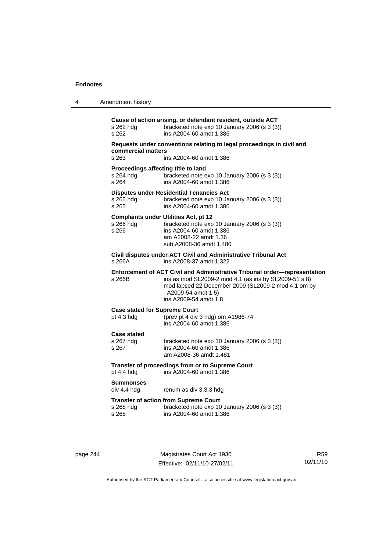| Amendment history |  |
|-------------------|--|
|                   |  |

| s 262 hdq<br>s 262                                          | Cause of action arising, or defendant resident, outside ACT<br>bracketed note exp 10 January 2006 (s 3 (3))<br>ins A2004-60 amdt 1.386                                                                                                   |
|-------------------------------------------------------------|------------------------------------------------------------------------------------------------------------------------------------------------------------------------------------------------------------------------------------------|
| commercial matters                                          | Requests under conventions relating to legal proceedings in civil and                                                                                                                                                                    |
| s 263                                                       | ins A2004-60 amdt 1.386                                                                                                                                                                                                                  |
| Proceedings affecting title to land<br>s 264 hdg<br>$s$ 264 | bracketed note exp 10 January 2006 (s 3 (3))<br>ins A2004-60 amdt 1.386                                                                                                                                                                  |
| s 265 hdg<br>s 265                                          | <b>Disputes under Residential Tenancies Act</b><br>bracketed note exp 10 January 2006 (s 3 (3))<br>ins A2004-60 amdt 1.386                                                                                                               |
| s 266 hdg<br>s 266                                          | <b>Complaints under Utilities Act, pt 12</b><br>bracketed note exp 10 January 2006 (s 3 (3))<br>ins A2004-60 amdt 1.386<br>am A2008-22 amdt 1.36<br>sub A2008-36 amdt 1.480                                                              |
| s 266A                                                      | Civil disputes under ACT Civil and Administrative Tribunal Act<br>ins A2008-37 amdt 1.322                                                                                                                                                |
| s 266B                                                      | Enforcement of ACT Civil and Administrative Tribunal order-representation<br>ins as mod SL2009-2 mod 4.1 (as ins by SL2009-51 s 8)<br>mod lapsed 22 December 2009 (SL2009-2 mod 4.1 om by<br>A2009-54 amdt 1.5)<br>ins A2009-54 amdt 1.8 |
| <b>Case stated for Supreme Court</b><br>pt $4.3$ hdg        | (prev pt 4 div 3 hdg) om A1986-74<br>ins A2004-60 amdt 1.386                                                                                                                                                                             |
| <b>Case stated</b><br>s 267 hdg<br>s 267                    | bracketed note exp 10 January 2006 (s 3 (3))<br>ins A2004-60 amdt 1.386<br>am A2008-36 amdt 1.481                                                                                                                                        |
| pt 4.4 hdg                                                  | Transfer of proceedings from or to Supreme Court<br>ins A2004-60 amdt 1.386                                                                                                                                                              |
| <b>Summonses</b><br>div 4.4 hdg                             | renum as div 3.3.3 hdg                                                                                                                                                                                                                   |
| s 268 hdg<br>s 268                                          | <b>Transfer of action from Supreme Court</b><br>bracketed note exp 10 January 2006 (s 3 (3))<br>ins A2004-60 amdt 1.386                                                                                                                  |
|                                                             |                                                                                                                                                                                                                                          |

page 244 Magistrates Court Act 1930 Effective: 02/11/10-27/02/11

R59 02/11/10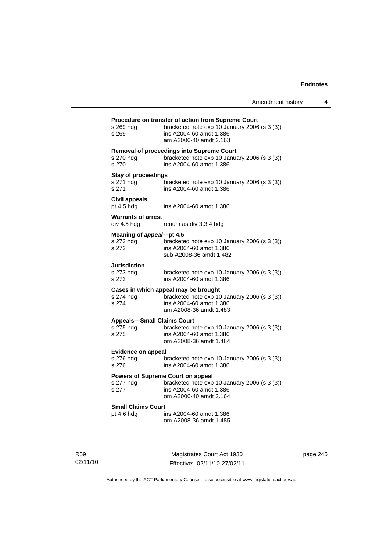| s 269 hdg<br>s 269                                      | Procedure on transfer of action from Supreme Court<br>bracketed note exp 10 January 2006 (s 3 (3))<br>ins A2004-60 amdt 1.386<br>am A2006-40 amdt 2.163 |
|---------------------------------------------------------|---------------------------------------------------------------------------------------------------------------------------------------------------------|
| s 270 hdg<br>s 270                                      | <b>Removal of proceedings into Supreme Court</b><br>bracketed note exp 10 January 2006 (s 3 (3))<br>ins A2004-60 amdt 1.386                             |
| <b>Stay of proceedings</b><br>s 271 hdg<br>s 271        | bracketed note exp 10 January 2006 (s 3 (3))<br>ins A2004-60 amdt 1.386                                                                                 |
| Civil appeals<br>pt 4.5 hdg                             | ins A2004-60 amdt 1.386                                                                                                                                 |
| <b>Warrants of arrest</b><br>div 4.5 hdg                | renum as div 3.3.4 hdg                                                                                                                                  |
|                                                         |                                                                                                                                                         |
| Meaning of appeal-pt 4.5<br>s 272 hdg<br>s 272          | bracketed note exp 10 January 2006 (s 3 (3))<br>ins A2004-60 amdt 1.386<br>sub A2008-36 amdt 1.482                                                      |
| Jurisdiction<br>s 273 hdg<br>s 273                      | bracketed note exp 10 January 2006 (s 3 (3))<br>ins A2004-60 amdt 1.386                                                                                 |
| s 274 hdg<br>s 274                                      | Cases in which appeal may be brought<br>bracketed note exp 10 January 2006 (s 3 (3))<br>ins A2004-60 amdt 1.386<br>am A2008-36 amdt 1.483               |
| <b>Appeals-Small Claims Court</b><br>s 275 hdg<br>s 275 | bracketed note exp 10 January 2006 (s 3 (3))<br>ins A2004-60 amdt 1.386<br>om A2008-36 amdt 1.484                                                       |
| <b>Evidence on appeal</b><br>s 276 hdg<br>s 276         | bracketed note exp 10 January 2006 (s 3 (3))<br>ins A2004-60 amdt 1.386                                                                                 |
| s 277 hdg<br>s 277                                      | Powers of Supreme Court on appeal<br>bracketed note exp 10 January 2006 (s 3 (3))<br>ins A2004-60 amdt 1.386<br>om A2006-40 amdt 2.164                  |
| <b>Small Claims Court</b>                               |                                                                                                                                                         |
| pt 4.6 hdg                                              | ins A2004-60 amdt 1.386<br>om A2008-36 amdt 1.485                                                                                                       |
|                                                         |                                                                                                                                                         |

R59 02/11/10

Magistrates Court Act 1930 Effective: 02/11/10-27/02/11 page 245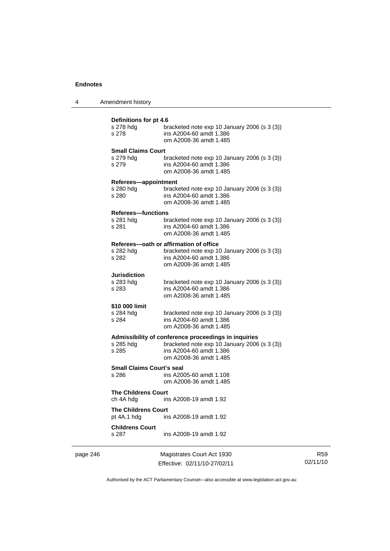| 4 | Amendment history |
|---|-------------------|
|---|-------------------|

|          | Definitions for pt 4.6<br>s 278 hdg<br>s 278    | bracketed note $exp 10$ January 2006 (s 3 (3))<br>ins A2004-60 amdt 1.386<br>om A2008-36 amdt 1.485                                                       |
|----------|-------------------------------------------------|-----------------------------------------------------------------------------------------------------------------------------------------------------------|
|          | <b>Small Claims Court</b><br>s 279 hdg<br>s 279 | bracketed note $exp 10$ January 2006 (s 3 (3))<br>ins A2004-60 amdt 1.386<br>om A2008-36 amdt 1.485                                                       |
|          | Referees-appointment<br>s 280 hdg<br>s 280      | bracketed note $exp 10$ January 2006 (s 3 (3))<br>ins A2004-60 amdt 1.386<br>om A2008-36 amdt 1.485                                                       |
|          | <b>Referees-functions</b><br>s 281 hdg<br>s 281 | bracketed note $exp 10$ January 2006 (s 3 (3))<br>ins A2004-60 amdt 1.386<br>om A2008-36 amdt 1.485                                                       |
|          | s 282 hdg<br>s 282                              | Referees-oath or affirmation of office<br>bracketed note $exp 10$ January 2006 (s 3 (3))<br>ins A2004-60 amdt 1.386<br>om A2008-36 amdt 1.485             |
|          | <b>Jurisdiction</b><br>s 283 hdg<br>s 283       | bracketed note $exp 10$ January 2006 (s 3 (3))<br>ins A2004-60 amdt 1.386<br>om A2008-36 amdt 1.485                                                       |
|          | \$10 000 limit<br>s 284 hdg<br>s 284            | bracketed note $exp 10$ January 2006 (s 3 (3))<br>ins A2004-60 amdt 1.386<br>om A2008-36 amdt 1.485                                                       |
|          | s 285 hdg<br>s 285                              | Admissibility of conference proceedings in inquiries<br>bracketed note exp 10 January 2006 (s 3 (3))<br>ins A2004-60 amdt 1.386<br>om A2008-36 amdt 1.485 |
|          | <b>Small Claims Court's seal</b><br>s 286       | ins A2005-60 amdt 1.108<br>om A2008-36 amdt 1.485                                                                                                         |
|          | <b>The Childrens Court</b><br>ch 4A hdg         | ins A2008-19 amdt 1.92                                                                                                                                    |
|          | <b>The Childrens Court</b><br>pt 4A.1 hdg       | ins A2008-19 amdt 1.92                                                                                                                                    |
|          | <b>Childrens Court</b><br>s 287                 | ins A2008-19 amdt 1.92                                                                                                                                    |
| page 246 |                                                 | Magistrates Court Act 1930                                                                                                                                |

Effective: 02/11/10-27/02/11

R59 02/11/10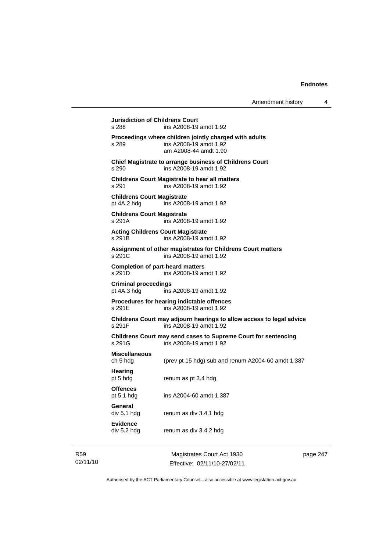| Amendment history |  |  |
|-------------------|--|--|
|-------------------|--|--|

**Jurisdiction of Childrens Court**  s 288 ins A2008-19 amdt 1.92 **Proceedings where children jointly charged with adults**  s 289 ins A2008-19 amdt 1.92 am A2008-44 amdt 1.90 **Chief Magistrate to arrange business of Childrens Court**  s 290 ins A2008-19 amdt 1.92 **Childrens Court Magistrate to hear all matters**  s 291 ins A2008-19 amdt 1.92 **Childrens Court Magistrate**  pt 4A.2 hdg ins A2008-19 amdt 1.92 **Childrens Court Magistrate**  s 291A ins A2008-19 amdt 1.92 **Acting Childrens Court Magistrate**  s 291B ins A2008-19 amdt 1.92 **Assignment of other magistrates for Childrens Court matters**  s 291C ins A2008-19 amdt 1.92 **Completion of part-heard matters**  s 291D ins A2008-19 amdt 1.92 **Criminal proceedings**  pt 4A.3 hdg ins A2008-19 amdt 1.92 **Procedures for hearing indictable offences**  s 291E ins A2008-19 amdt 1.92 **Childrens Court may adjourn hearings to allow access to legal advice**  ins A2008-19 amdt 1.92 **Childrens Court may send cases to Supreme Court for sentencing**  s 291G ins A2008-19 amdt 1.92 **Miscellaneous**  ch 5 hdg (prev pt 15 hdg) sub and renum A2004-60 amdt 1.387 **Hearing**  pt 5 hdg renum as pt 3.4 hdg **Offences**  pt 5.1 hdg ins A2004-60 amdt 1.387 **General**  div 5.1 hdg renum as div 3.4.1 hdg **Evidence**  div 5.2 hdg renum as div 3.4.2 hdg

R59 02/11/10

Magistrates Court Act 1930 Effective: 02/11/10-27/02/11 page 247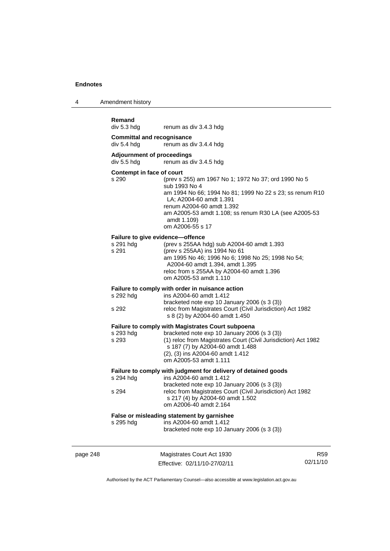4 Amendment history

| Amendment history                                |                                                                                                                                                                                                                                                                                       |  |
|--------------------------------------------------|---------------------------------------------------------------------------------------------------------------------------------------------------------------------------------------------------------------------------------------------------------------------------------------|--|
| Remand<br>div 5.3 hdg                            | renum as div 3.4.3 hdg                                                                                                                                                                                                                                                                |  |
| <b>Committal and recognisance</b><br>div 5.4 hdg | renum as div 3.4.4 hdg                                                                                                                                                                                                                                                                |  |
| <b>Adjournment of proceedings</b><br>div 5.5 hdg | renum as div 3.4.5 hdg                                                                                                                                                                                                                                                                |  |
| Contempt in face of court<br>s 290               | (prev s 255) am 1967 No 1; 1972 No 37; ord 1990 No 5<br>sub 1993 No 4<br>am 1994 No 66; 1994 No 81; 1999 No 22 s 23; ss renum R10<br>LA; A2004-60 amdt 1.391<br>renum A2004-60 amdt 1.392<br>am A2005-53 amdt 1.108; ss renum R30 LA (see A2005-53<br>amdt 1.109)<br>om A2006-55 s 17 |  |
| s 291 hdg<br>s 291                               | <b>Failure to give evidence-offence</b><br>(prev s 255AA hdg) sub A2004-60 amdt 1.393<br>(prev s 255AA) ins 1994 No 61<br>am 1995 No 46; 1996 No 6; 1998 No 25; 1998 No 54;<br>A2004-60 amdt 1.394, amdt 1.395<br>reloc from s 255AA by A2004-60 amdt 1.396<br>om A2005-53 amdt 1.110 |  |
| s 292 hdg<br>s 292                               | Failure to comply with order in nuisance action<br>ins A2004-60 amdt 1.412<br>bracketed note exp 10 January 2006 (s 3 (3))<br>reloc from Magistrates Court (Civil Jurisdiction) Act 1982<br>s 8 (2) by A2004-60 amdt 1.450                                                            |  |
| s 293 hdg<br>s 293                               | Failure to comply with Magistrates Court subpoena<br>bracketed note exp 10 January 2006 (s 3 (3))<br>(1) reloc from Magistrates Court (Civil Jurisdiction) Act 1982<br>s 187 (7) by A2004-60 amdt 1.488<br>(2), (3) ins A2004-60 amdt 1.412<br>om A2005-53 amdt 1.111                 |  |
| s 294 hdg<br>s 294                               | Failure to comply with judgment for delivery of detained goods<br>ins A2004-60 amdt 1.412<br>bracketed note exp 10 January 2006 (s 3 (3))<br>reloc from Magistrates Court (Civil Jurisdiction) Act 1982<br>s 217 (4) by A2004-60 amdt 1.502<br>om A2006-40 amdt 2.164                 |  |
| s 295 hdg                                        | False or misleading statement by garnishee<br>ins A2004-60 amdt 1.412<br>bracketed note exp 10 January 2006 (s 3 (3))                                                                                                                                                                 |  |

| page 248 | Magistrates Court Act 1930   | R59      |
|----------|------------------------------|----------|
|          | Effective: 02/11/10-27/02/11 | 02/11/10 |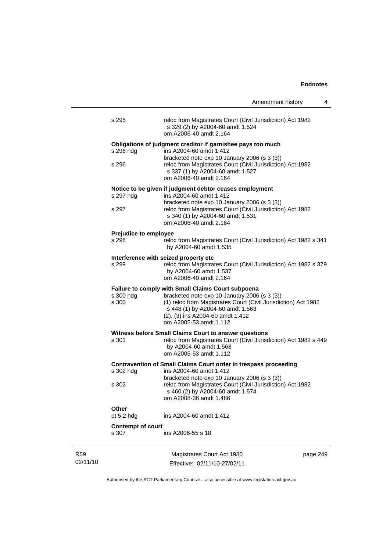|                                       | 4<br>Amendment history                                                                                                                                                                                                                                                        |
|---------------------------------------|-------------------------------------------------------------------------------------------------------------------------------------------------------------------------------------------------------------------------------------------------------------------------------|
| s 295                                 | reloc from Magistrates Court (Civil Jurisdiction) Act 1982<br>s 329 (2) by A2004-60 amdt 1.524<br>om A2006-40 amdt 2.164                                                                                                                                                      |
| s 296 hdg<br>s 296                    | Obligations of judgment creditor if garnishee pays too much<br>ins A2004-60 amdt 1.412<br>bracketed note exp 10 January 2006 (s 3 (3))<br>reloc from Magistrates Court (Civil Jurisdiction) Act 1982<br>s 337 (1) by A2004-60 amdt 1.527<br>om A2006-40 amdt 2.164            |
| s 297 hdg<br>s 297                    | Notice to be given if judgment debtor ceases employment<br>ins A2004-60 amdt 1.412<br>bracketed note exp 10 January 2006 (s 3 (3))<br>reloc from Magistrates Court (Civil Jurisdiction) Act 1982<br>s 340 (1) by A2004-60 amdt 1.531<br>om A2006-40 amdt 2.164                |
| <b>Prejudice to employee</b><br>s 298 | reloc from Magistrates Court (Civil Jurisdiction) Act 1982 s 341<br>by A2004-60 amdt 1.535                                                                                                                                                                                    |
| s 299                                 | Interference with seized property etc<br>reloc from Magistrates Court (Civil Jurisdiction) Act 1982 s 379<br>by A2004-60 amdt 1.537<br>om A2006-40 amdt 2.164                                                                                                                 |
| s 300 hdg<br>s 300                    | <b>Failure to comply with Small Claims Court subpoena</b><br>bracketed note exp 10 January 2006 (s 3 (3))<br>(1) reloc from Magistrates Court (Civil Jurisdiction) Act 1982<br>s 448 (1) by A2004-60 amdt 1.563<br>(2), (3) ins A2004-60 amdt 1.412<br>om A2005-53 amdt 1.112 |
| s 301                                 | Witness before Small Claims Court to answer questions<br>reloc from Magistrates Court (Civil Jurisdiction) Act 1982 s 449<br>by A2004-60 amdt 1.568<br>om A2005-53 amdt 1.112                                                                                                 |
| s 302 hdg<br>s 302                    | Contravention of Small Claims Court order in trespass proceeding<br>ins A2004-60 amdt 1.412<br>bracketed note exp 10 January 2006 (s 3 (3))<br>reloc from Magistrates Court (Civil Jurisdiction) Act 1982<br>s 460 (2) by A2004-60 amdt 1.574<br>om A2008-36 amdt 1.486       |
| <b>Other</b><br>pt $5.2$ hdg          | ins A2004-60 amdt 1.412                                                                                                                                                                                                                                                       |
| <b>Contempt of court</b><br>s 307     | ins A2006-55 s 18                                                                                                                                                                                                                                                             |

R59 02/11/10

Magistrates Court Act 1930 Effective: 02/11/10-27/02/11 page 249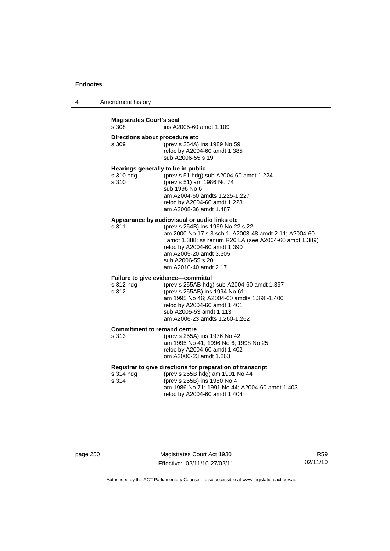| Amendment history<br>4 |  |
|------------------------|--|
|------------------------|--|

## **Magistrates Court's seal**  ins A2005-60 amdt 1.109 **Directions about procedure etc**<br>s 309 (prev s 254A) (prev s 254A) ins 1989 No 59 reloc by A2004-60 amdt 1.385 sub A2006-55 s 19 **Hearings generally to be in public**  s 310 hdg (prev s 51 hdg) sub A2004-60 amdt 1.224<br>s 310 (prev s 51) am 1986 No 74 s 310 (prev s 51) am 1986 No 74 sub 1996 No 6 am A2004-60 amdts 1.225-1.227 reloc by A2004-60 amdt 1.228 am A2008-36 amdt 1.487 **Appearance by audiovisual or audio links etc**  s 311 (prev s 254B) ins 1999 No 22 s 22 am 2000 No 17 s 3 sch 1; A2003-48 amdt 2.11; A2004-60 amdt 1.388; ss renum R26 LA (see A2004-60 amdt 1.389) reloc by A2004-60 amdt 1.390 am A2005-20 amdt 3.305 sub A2006-55 s 20 am A2010-40 amdt 2.17 **Failure to give evidence—committal**  s 312 hdg (prev s 255AB hdg) sub A2004-60 amdt 1.397 s 312 (prev s 255AB) ins 1994 No 61 am 1995 No 46; A2004-60 amdts 1.398-1.400 reloc by A2004-60 amdt 1.401 sub A2005-53 amdt 1.113 am A2006-23 amdts 1.260-1.262 **Commitment to remand centre**  s 313 (prev s 255A) ins 1976 No 42 am 1995 No 41; 1996 No 6; 1998 No 25 reloc by A2004-60 amdt 1.402 om A2006-23 amdt 1.263 **Registrar to give directions for preparation of transcript**  s 314 hdg (prev s 255B hdg) am 1991 No 44<br>s 314 (prev s 255B) ins 1980 No 4 (prev s 255B) ins 1980 No 4 am 1986 No 71; 1991 No 44; A2004-60 amdt 1.403

| page 250 |  |
|----------|--|
|----------|--|

Magistrates Court Act 1930 Effective: 02/11/10-27/02/11

R59 02/11/10

Authorised by the ACT Parliamentary Counsel—also accessible at www.legislation.act.gov.au

reloc by A2004-60 amdt 1.404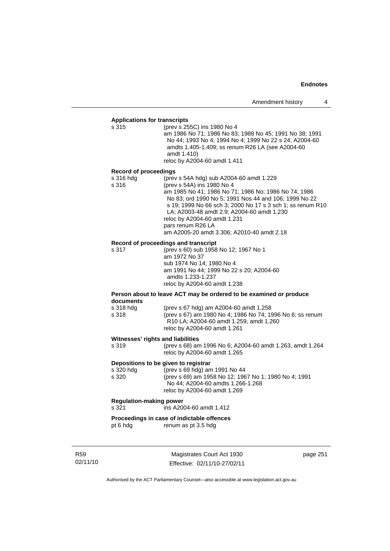# **Applications for transcripts**

s 315 (prev s 255C) ins 1980 No 4 am 1986 No 71; 1986 No 83; 1988 No 45; 1991 No 38; 1991 No 44; 1993 No 4; 1994 No 4; 1999 No 22 s 24; A2004-60 amdts 1.405-1.409; ss renum R26 LA (see A2004-60 amdt 1.410) reloc by A2004-60 amdt 1.411 **Record of proceedings** 

s 316 hdg (prev s 54A hdg) sub A2004-60 amdt 1.229<br>s 316 (prev s 54A) ins 1980 No 4 s 316 (prev s 54A) ins 1980 No 4 am 1985 No 41; 1986 No 71; 1986 No; 1986 No 74; 1986 No 83; ord 1990 No 5; 1991 Nos 44 and 106; 1999 No 22 s 19; 1999 No 66 sch 3; 2000 No 17 s 3 sch 1; ss renum R10 LA; A2003-48 amdt 2.9; A2004-60 amdt 1.230 reloc by A2004-60 amdt 1.231 pars renum R26 LA am A2005-20 amdt 3.306; A2010-40 amdt 2.18

#### **Record of proceedings and transcript**

s 317 (prev s 60) sub 1958 No 12; 1967 No 1 am 1972 No 37 sub 1974 No 14; 1980 No 4 am 1991 No 44; 1999 No 22 s 20; A2004-60 amdts 1.233-1.237 reloc by A2004-60 amdt 1.238

#### **Person about to leave ACT may be ordered to be examined or produce documents**

| s 318 hda | (prev s 67 hdg) am A2004-60 amdt 1.258                           |
|-----------|------------------------------------------------------------------|
| s 318     | (prev s 67) am 1980 No 4; 1986 No 74; 1996 No 6; ss renum        |
|           | R <sub>10</sub> LA; A <sub>2004</sub> -60 amdt 1.259, amdt 1.260 |
|           | reloc by A2004-60 amdt 1.261                                     |

#### **Witnesses' rights and liabilities**

| s 319 | (prev s 68) am 1996 No 6; A2004-60 amdt 1.263, amdt 1.264 |
|-------|-----------------------------------------------------------|
|       | reloc by A2004-60 amdt 1.265                              |

### **Depositions to be given to registrar**

| s 320 hda | (prev s 69 hdg) am 1991 No 44                         |
|-----------|-------------------------------------------------------|
| s 320     | (prev s 69) am 1958 No 12; 1967 No 1; 1980 No 4; 1991 |
|           | No 44; A2004-60 amdts 1.266-1.268                     |
|           | reloc by A2004-60 amdt 1.269                          |

### **Regulation-making power**

s 321 ins A2004-60 amdt 1.412

#### **Proceedings in case of indictable offences**

pt 6 hdg renum as pt 3.5 hdg

R59 02/11/10

Magistrates Court Act 1930 Effective: 02/11/10-27/02/11 page 251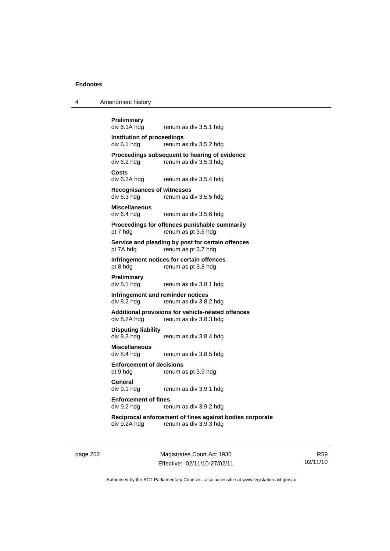| Amendment history<br>4 |  |
|------------------------|--|
|------------------------|--|

**Preliminary**  renum as div 3.5.1 hdg **Institution of proceedings**  div 6.1 hdg renum as div 3.5.2 hdg **Proceedings subsequent to hearing of evidence**<br>div 6.2 hdg renum as div 3.5.3 hdg renum as div 3.5.3 hdg **Costs**  div 6.2A hdg renum as div 3.5.4 hdg **Recognisances of witnesses**  renum as div 3.5.5 hdg **Miscellaneous**  div 6.4 hdg renum as div 3.5.6 hdg **Proceedings for offences punishable summarily**  pt 7 hdg renum as pt 3.6 hdg **Service and pleading by post for certain offences**  pt 7A hdg renum as pt 3.7 hdg **Infringement notices for certain offences**  pt 8 hdg renum as pt 3.8 hdg **Preliminary**  div 8.1 hdg renum as div 3.8.1 hdg **Infringement and reminder notices**  div 8.2 hdg renum as div 3.8.2 hdg **Additional provisions for vehicle-related offences**  div 8.2A hdg renum as div 3.8.3 hdg **Disputing liability**  renum as div 3.8.4 hdg **Miscellaneous**  div 8.4 hdg renum as div 3.8.5 hdg **Enforcement of decisions**  pt 9 hdg renum as pt 3.9 hdg **General**  div 9.1 hdg renum as div 3.9.1 hdg **Enforcement of fines**  div 9.2 hdg renum as div 3.9.2 hdg **Reciprocal enforcement of fines against bodies corporate**  div 9.2A hdg renum as div 3.9.3 hdg

page 252 Magistrates Court Act 1930 Effective: 02/11/10-27/02/11

R59 02/11/10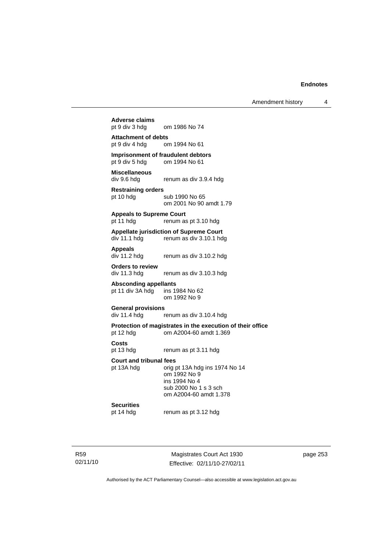Amendment history 4

# **Adverse claims**

om 1986 No 74

### **Attachment of debts**  pt 9 div 4 hdg om 1994 No 61

**Imprisonment of fraudulent debtors**<br>
pt 9 div 5 hdg om 1994 No 61 om 1994 No 61

# **Miscellaneous**

div 9.6 hdg renum as div 3.9.4 hdg

#### **Restraining orders**  pt 10 hdg sub 1990 No 65

om 2001 No 90 amdt 1.79

#### **Appeals to Supreme Court**

pt 11 hdg renum as pt 3.10 hdg

#### **Appellate jurisdiction of Supreme Court**  div 11.1 hdg renum as div 3.10.1 hdg

**Appeals** 

renum as div 3.10.2 hdg

**Orders to review**  div 11.3 hdg renum as div 3.10.3 hdg

**Absconding appellants**<br>
pt 11 div 3A hdg ins 1984 No 62 pt 11 div  $3A$  hdg om 1992 No 9

#### **General provisions**

div 11.4 hdg renum as div 3.10.4 hdg

# **Protection of magistrates in the execution of their office**

pt 12 hdg om A2004-60 amdt 1.369

**Costs** 

pt 13 hdg renum as pt 3.11 hdg

#### **Court and tribunal fees**

pt 13A hdg orig pt 13A hdg ins 1974 No 14 om 1992 No 9 ins 1994 No 4 sub 2000 No 1 s 3 sch om A2004-60 amdt 1.378

# **Securities**<br>pt 14 hdg

renum as pt 3.12 hdg

R59 02/11/10

Magistrates Court Act 1930 Effective: 02/11/10-27/02/11 page 253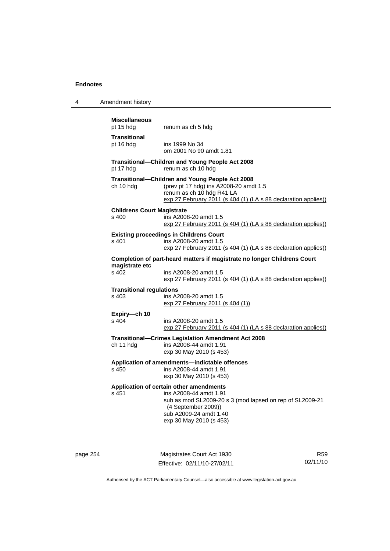| 4 | Amendment history |
|---|-------------------|
|---|-------------------|

| <b>Miscellaneous</b><br>pt 15 hdg          | renum as ch 5 hdg                                                                                                                                                                                         |
|--------------------------------------------|-----------------------------------------------------------------------------------------------------------------------------------------------------------------------------------------------------------|
| <b>Transitional</b><br>pt 16 hdg           | ins 1999 No 34<br>om 2001 No 90 amdt 1.81                                                                                                                                                                 |
| pt 17 hdg                                  | Transitional-Children and Young People Act 2008<br>renum as ch 10 hdg                                                                                                                                     |
| ch 10 hdg                                  | Transitional-Children and Young People Act 2008<br>(prev pt 17 hdg) ins A2008-20 amdt 1.5<br>renum as ch 10 hdg R41 LA<br>exp 27 February 2011 (s 404 (1) (LA s 88 declaration applies))                  |
| <b>Childrens Court Magistrate</b><br>s 400 | ins A2008-20 amdt 1.5<br>exp 27 February 2011 (s 404 (1) (LA s 88 declaration applies))                                                                                                                   |
| s 401                                      | <b>Existing proceedings in Childrens Court</b><br>ins A2008-20 amdt 1.5<br>exp 27 February 2011 (s 404 (1) (LA s 88 declaration applies))                                                                 |
|                                            | Completion of part-heard matters if magistrate no longer Childrens Court                                                                                                                                  |
| magistrate etc<br>$s$ 402                  | ins A2008-20 amdt 1.5<br>exp 27 February 2011 (s 404 (1) (LA s 88 declaration applies))                                                                                                                   |
| <b>Transitional regulations</b><br>s 403   | ins A2008-20 amdt 1.5<br>exp 27 February 2011 (s 404 (1))                                                                                                                                                 |
| Expiry-ch 10<br>s 404                      | ins A2008-20 amdt 1.5<br>exp 27 February 2011 (s 404 (1) (LA s 88 declaration applies))                                                                                                                   |
| ch 11 hdg                                  | Transitional-Crimes Legislation Amendment Act 2008<br>ins A2008-44 amdt 1.91<br>exp 30 May 2010 (s 453)                                                                                                   |
| s, 450                                     | Application of amendments-indictable offences<br>ins A2008-44 amdt 1.91<br>exp 30 May 2010 (s 453)                                                                                                        |
| s 451                                      | Application of certain other amendments<br>ins A2008-44 amdt 1.91<br>sub as mod SL2009-20 s 3 (mod lapsed on rep of SL2009-21<br>(4 September 2009))<br>sub A2009-24 amdt 1.40<br>exp 30 May 2010 (s 453) |

page 254 Magistrates Court Act 1930 Effective: 02/11/10-27/02/11

R59 02/11/10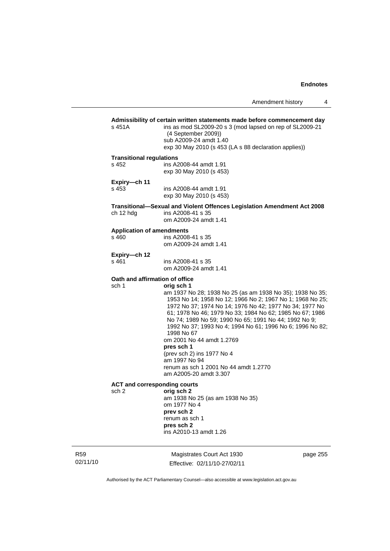Amendment history 4

# **Admissibility of certain written statements made before commencement day**  s 451A ins as mod SL2009-20 s 3 (mod lapsed on rep of SL2009-21 (4 September 2009)) sub A2009-24 amdt 1.40 exp 30 May 2010 (s 453 (LA s 88 declaration applies)) **Transitional regulations**  s 452 ins A2008-44 amdt 1.91 exp 30 May 2010 (s 453) **Expiry—ch 11**  s 453 ins A2008-44 amdt 1.91 exp 30 May 2010 (s 453) **Transitional—Sexual and Violent Offences Legislation Amendment Act 2008**  ch 12 hdg ins A2008-41 s 35 om A2009-24 amdt 1.41 **Application of amendments**  s 460 ins A2008-41 s 35 om A2009-24 amdt 1.41 **Expiry—ch 12**  ins A2008-41 s 35 om A2009-24 amdt 1.41 **Oath and affirmation of office**  sch 1 **orig sch 1**  am 1937 No 28; 1938 No 25 (as am 1938 No 35); 1938 No 35; 1953 No 14; 1958 No 12; 1966 No 2; 1967 No 1; 1968 No 25; 1972 No 37; 1974 No 14; 1976 No 42; 1977 No 34; 1977 No 61; 1978 No 46; 1979 No 33; 1984 No 62; 1985 No 67; 1986 No 74; 1989 No 59; 1990 No 65; 1991 No 44; 1992 No 9; 1992 No 37; 1993 No 4; 1994 No 61; 1996 No 6; 1996 No 82; 1998 No 67 om 2001 No 44 amdt 1.2769 **pres sch 1** (prev sch 2) ins 1977 No 4 am 1997 No 94 renum as sch 1 2001 No 44 amdt 1.2770 am A2005-20 amdt 3.307 **ACT and corresponding courts**  sch 2 **orig sch 2** am 1938 No 25 (as am 1938 No 35) om 1977 No 4 **prev sch 2**  renum as sch 1 **pres sch 2**  ins A2010-13 amdt 1.26

02/11/10

R59

Magistrates Court Act 1930 Effective: 02/11/10-27/02/11 page 255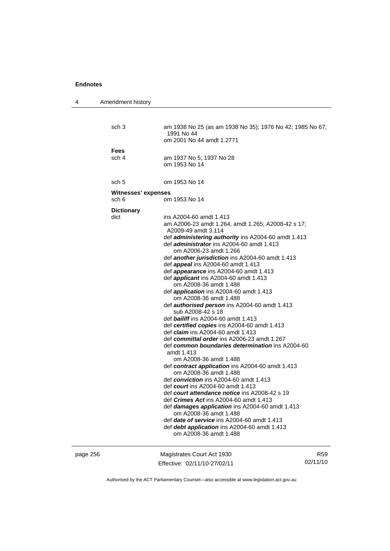| 4        | Amendment history   |                                                                                                |                 |
|----------|---------------------|------------------------------------------------------------------------------------------------|-----------------|
|          |                     |                                                                                                |                 |
|          | sch <sub>3</sub>    | am 1938 No 25 (as am 1938 No 35); 1976 No 42; 1985 No 67;<br>1991 No 44                        |                 |
|          |                     | om 2001 No 44 amdt 1.2771                                                                      |                 |
|          | Fees                |                                                                                                |                 |
|          | sch 4               | am 1937 No 5; 1937 No 28                                                                       |                 |
|          |                     | om 1953 No 14                                                                                  |                 |
|          |                     |                                                                                                |                 |
|          | sch 5               | om 1953 No 14                                                                                  |                 |
|          | Witnesses' expenses |                                                                                                |                 |
|          | sch 6               | om 1953 No 14                                                                                  |                 |
|          | <b>Dictionary</b>   |                                                                                                |                 |
|          | dict                | ins A2004-60 amdt 1.413                                                                        |                 |
|          |                     | am A2006-23 amdt 1.264, amdt 1.265; A2008-42 s 17;<br>A2009-49 amdt 3.114                      |                 |
|          |                     | def <i>administering authority</i> ins A2004-60 amdt 1.413                                     |                 |
|          |                     | def <i>administrator</i> ins A2004-60 amdt 1.413                                               |                 |
|          |                     | om A2006-23 amdt 1.266                                                                         |                 |
|          |                     | def <b>another jurisdiction</b> ins A2004-60 amdt 1.413                                        |                 |
|          |                     | def <b>appeal</b> ins A2004-60 amdt 1.413<br>def <i>appearance</i> ins A2004-60 amdt 1.413     |                 |
|          |                     | def <i>applicant</i> ins A2004-60 amdt 1.413                                                   |                 |
|          |                     | om A2008-36 amdt 1.488                                                                         |                 |
|          |                     | def <i>application</i> ins A2004-60 amdt 1.413                                                 |                 |
|          |                     | om A2008-36 amdt 1.488                                                                         |                 |
|          |                     | def <b>authorised person</b> ins A2004-60 amdt 1.413                                           |                 |
|          |                     | sub A2008-42 s 18<br>def <b>bailiff</b> ins A2004-60 amdt 1.413                                |                 |
|          |                     | def certified copies ins A2004-60 amdt 1.413                                                   |                 |
|          |                     | def <i>claim</i> ins A2004-60 amdt 1.413                                                       |                 |
|          |                     | def committal order ins A2006-23 amdt 1.267                                                    |                 |
|          |                     | def common boundaries determination ins A2004-60<br>amdt 1.413                                 |                 |
|          |                     | om A2008-36 amdt 1.488                                                                         |                 |
|          |                     | def contract application ins A2004-60 amdt 1.413                                               |                 |
|          |                     | om A2008-36 amdt 1.488                                                                         |                 |
|          |                     | def conviction ins $A2004-60$ amdt 1.413                                                       |                 |
|          |                     | def court ins A2004-60 amdt 1.413                                                              |                 |
|          |                     | def court attendance notice ins A2008-42 s 19<br>def <i>Crimes Act</i> ins A2004-60 amdt 1.413 |                 |
|          |                     | def damages application ins A2004-60 amdt 1.413                                                |                 |
|          |                     | om A2008-36 amdt 1.488                                                                         |                 |
|          |                     | def date of service ins A2004-60 amdt 1.413                                                    |                 |
|          |                     | def debt application ins A2004-60 amdt 1.413                                                   |                 |
|          |                     | om A2008-36 amdt 1.488                                                                         |                 |
|          |                     |                                                                                                |                 |
| page 256 |                     | Magistrates Court Act 1930                                                                     | R <sub>59</sub> |
|          |                     | Effective: 02/11/10-27/02/11                                                                   | 02/11/10        |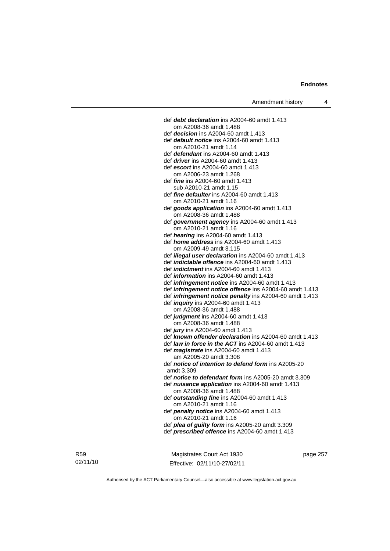def *debt declaration* ins A2004-60 amdt 1.413 om A2008-36 amdt 1.488 def *decision* ins A2004-60 amdt 1.413 def *default notice* ins A2004-60 amdt 1.413 om A2010-21 amdt 1.14 def *defendant* ins A2004-60 amdt 1.413 def *driver* ins A2004-60 amdt 1.413 def *escort* ins A2004-60 amdt 1.413 om A2006-23 amdt 1.268 def *fine* ins A2004-60 amdt 1.413 sub A2010-21 amdt 1.15 def *fine defaulter* ins A2004-60 amdt 1.413 om A2010-21 amdt 1.16 def *goods application* ins A2004-60 amdt 1.413 om A2008-36 amdt 1.488 def *government agency* ins A2004-60 amdt 1.413 om A2010-21 amdt 1.16 def *hearing* ins A2004-60 amdt 1.413 def *home address* ins A2004-60 amdt 1.413 om A2009-49 amdt 3.115 def *illegal user declaration* ins A2004-60 amdt 1.413 def *indictable offence* ins A2004-60 amdt 1.413 def *indictment* ins A2004-60 amdt 1.413 def *information* ins A2004-60 amdt 1.413 def *infringement notice* ins A2004-60 amdt 1.413 def *infringement notice offence* ins A2004-60 amdt 1.413 def *infringement notice penalty* ins A2004-60 amdt 1.413 def *inquiry* ins A2004-60 amdt 1.413 om A2008-36 amdt 1.488 def *judgment* ins A2004-60 amdt 1.413 om A2008-36 amdt 1.488 def *jury* ins A2004-60 amdt 1.413 def *known offender declaration* ins A2004-60 amdt 1.413 def *law in force in the ACT* ins A2004-60 amdt 1.413 def *magistrate* ins A2004-60 amdt 1.413 am A2005-20 amdt 3.308 def *notice of intention to defend form* ins A2005-20 amdt 3.309 def *notice to defendant form* ins A2005-20 amdt 3.309 def *nuisance application* ins A2004-60 amdt 1.413 om A2008-36 amdt 1.488 def *outstanding fine* ins A2004-60 amdt 1.413 om A2010-21 amdt 1.16 def *penalty notice* ins A2004-60 amdt 1.413 om A2010-21 amdt 1.16 def *plea of guilty form* ins A2005-20 amdt 3.309 def *prescribed offence* ins A2004-60 amdt 1.413

R59 02/11/10

Magistrates Court Act 1930 Effective: 02/11/10-27/02/11 page 257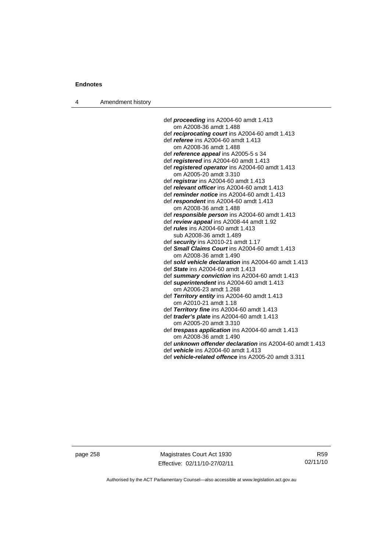4 Amendment history

 def *proceeding* ins A2004-60 amdt 1.413 om A2008-36 amdt 1.488 def *reciprocating court* ins A2004-60 amdt 1.413 def *referee* ins A2004-60 amdt 1.413 om A2008-36 amdt 1.488 def *reference appeal* ins A2005-5 s 34 def *registered* ins A2004-60 amdt 1.413 def *registered operator* ins A2004-60 amdt 1.413 om A2005-20 amdt 3.310 def *registrar* ins A2004-60 amdt 1.413 def *relevant officer* ins A2004-60 amdt 1.413 def *reminder notice* ins A2004-60 amdt 1.413 def *respondent* ins A2004-60 amdt 1.413 om A2008-36 amdt 1.488 def *responsible person* ins A2004-60 amdt 1.413 def *review appeal* ins A2008-44 amdt 1.92 def *rules* ins A2004-60 amdt 1.413 sub A2008-36 amdt 1.489 def *security* ins A2010-21 amdt 1.17 def *Small Claims Court* ins A2004-60 amdt 1.413 om A2008-36 amdt 1.490 def *sold vehicle declaration* ins A2004-60 amdt 1.413 def *State* ins A2004-60 amdt 1.413 def *summary conviction* ins A2004-60 amdt 1.413 def *superintendent* ins A2004-60 amdt 1.413 om A2006-23 amdt 1.268 def *Territory entity* ins A2004-60 amdt 1.413 om A2010-21 amdt 1.18 def *Territory fine* ins A2004-60 amdt 1.413 def *trader's plate* ins A2004-60 amdt 1.413 om A2005-20 amdt 3.310 def *trespass application* ins A2004-60 amdt 1.413 om A2008-36 amdt 1.490 def *unknown offender declaration* ins A2004-60 amdt 1.413 def *vehicle* ins A2004-60 amdt 1.413 def *vehicle-related offence* ins A2005-20 amdt 3.311

page 258 Magistrates Court Act 1930 Effective: 02/11/10-27/02/11

R59 02/11/10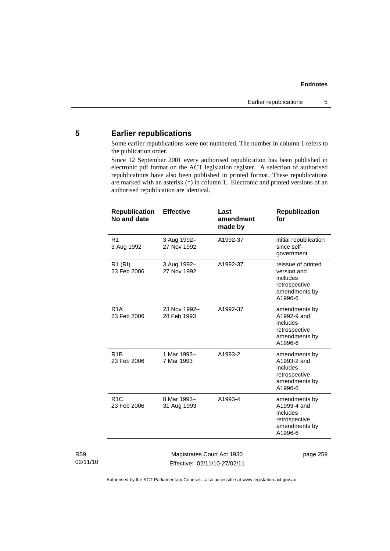# **5 Earlier republications**

Some earlier republications were not numbered. The number in column 1 refers to the publication order.

Since 12 September 2001 every authorised republication has been published in electronic pdf format on the ACT legislation register. A selection of authorised republications have also been published in printed format. These republications are marked with an asterisk (\*) in column 1. Electronic and printed versions of an authorised republication are identical.

| <b>Republication</b><br>No and date | <b>Effective</b>            | Last<br>amendment<br>made by | <b>Republication</b><br>for                                                                |
|-------------------------------------|-----------------------------|------------------------------|--------------------------------------------------------------------------------------------|
| R <sub>1</sub><br>3 Aug 1992        | 3 Aug 1992-<br>27 Nov 1992  | A1992-37                     | initial republication<br>since self-<br>government                                         |
| R <sub>1</sub> (RI)<br>23 Feb 2006  | 3 Aug 1992-<br>27 Nov 1992  | A1992-37                     | reissue of printed<br>version and<br>includes<br>retrospective<br>amendments by<br>A1996-6 |
| R <sub>1</sub> A<br>23 Feb 2006     | 23 Nov 1992-<br>28 Feb 1993 | A1992-37                     | amendments by<br>A1992-9 and<br>includes<br>retrospective<br>amendments by<br>A1996-6      |
| R <sub>1</sub> B<br>23 Feb 2006     | 1 Mar 1993-<br>7 Mar 1993   | A1993-2                      | amendments by<br>A1993-2 and<br>includes<br>retrospective<br>amendments by<br>A1996-6      |
| R1C<br>23 Feb 2006                  | 8 Mar 1993-<br>31 Aug 1993  | A1993-4                      | amendments by<br>A1993-4 and<br>includes<br>retrospective<br>amendments by<br>A1996-6      |

R59 02/11/10

Magistrates Court Act 1930 Effective: 02/11/10-27/02/11 page 259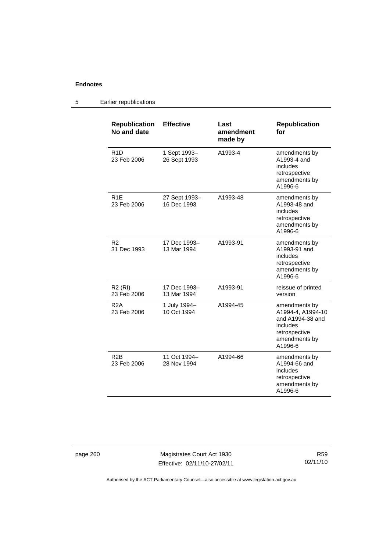#### **Republication No and date Effective Last amendment made by Republication for**  R1D 23 Feb 2006 1 Sept 1993– 26 Sept 1993 A1993-4 amendments by A1993-4 and includes retrospective amendments by A1996-6 R1E 23 Feb 2006 27 Sept 1993– 16 Dec 1993 A1993-48 amendments by A1993-48 and includes retrospective amendments by A1996-6 R2 31 Dec 1993 17 Dec 1993– 13 Mar 1994 A1993-91 amendments by A1993-91 and includes retrospective amendments by A1996-6 R2 (RI) 23 Feb 2006 17 Dec 1993– 13 Mar 1994 A1993-91 reissue of printed version R2A 23 Feb 2006 1 July 1994– 10 Oct 1994 A1994-45 amendments by A1994-4, A1994-10 and A1994-38 and includes retrospective amendments by A1996-6 R2B 23 Feb 2006 11 Oct 1994– 28 Nov 1994 A1994-66 amendments by A1994-66 and includes retrospective amendments by A1996-6

## 5 Earlier republications

page 260 Magistrates Court Act 1930 Effective: 02/11/10-27/02/11

R59 02/11/10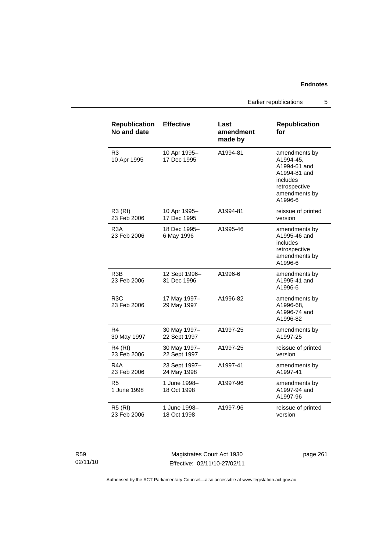Earlier republications 5

| <b>Republication</b><br>No and date | <b>Effective</b>             | Last<br>amendment<br>made by | <b>Republication</b><br>for                                                                                         |
|-------------------------------------|------------------------------|------------------------------|---------------------------------------------------------------------------------------------------------------------|
| R <sub>3</sub><br>10 Apr 1995       | 10 Apr 1995-<br>17 Dec 1995  | A1994-81                     | amendments by<br>A1994-45,<br>A1994-61 and<br>A1994-81 and<br>includes<br>retrospective<br>amendments by<br>A1996-6 |
| <b>R3 (RI)</b><br>23 Feb 2006       | 10 Apr 1995-<br>17 Dec 1995  | A1994-81                     | reissue of printed<br>version                                                                                       |
| R <sub>3</sub> A<br>23 Feb 2006     | 18 Dec 1995-<br>6 May 1996   | A1995-46                     | amendments by<br>A1995-46 and<br>includes<br>retrospective<br>amendments by<br>A1996-6                              |
| R <sub>3</sub> B<br>23 Feb 2006     | 12 Sept 1996-<br>31 Dec 1996 | A1996-6                      | amendments by<br>A1995-41 and<br>A1996-6                                                                            |
| R <sub>3</sub> C<br>23 Feb 2006     | 17 May 1997-<br>29 May 1997  | A1996-82                     | amendments by<br>A1996-68,<br>A1996-74 and<br>A1996-82                                                              |
| R4<br>30 May 1997                   | 30 May 1997-<br>22 Sept 1997 | A1997-25                     | amendments by<br>A1997-25                                                                                           |
| <b>R4 (RI)</b><br>23 Feb 2006       | 30 May 1997-<br>22 Sept 1997 | A1997-25                     | reissue of printed<br>version                                                                                       |
| R <sub>4</sub> A<br>23 Feb 2006     | 23 Sept 1997-<br>24 May 1998 | A1997-41                     | amendments by<br>A1997-41                                                                                           |
| R5<br>1 June 1998                   | 1 June 1998-<br>18 Oct 1998  | A1997-96                     | amendments by<br>A1997-94 and<br>A1997-96                                                                           |
| <b>R5 (RI)</b><br>23 Feb 2006       | 1 June 1998-<br>18 Oct 1998  | A1997-96                     | reissue of printed<br>version                                                                                       |

R59 02/11/10

Magistrates Court Act 1930 Effective: 02/11/10-27/02/11 page 261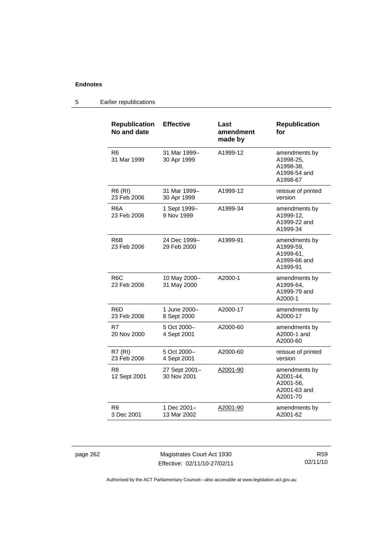# 5 Earlier republications

| <b>Republication</b><br>No and date | <b>Effective</b>             | Last<br>amendment<br>made by | <b>Republication</b><br>for                                         |
|-------------------------------------|------------------------------|------------------------------|---------------------------------------------------------------------|
| R6<br>31 Mar 1999                   | 31 Mar 1999-<br>30 Apr 1999  | A1999-12                     | amendments by<br>A1998-25,<br>A1998-38.<br>A1998-54 and<br>A1998-67 |
| <b>R6 (RI)</b><br>23 Feb 2006       | 31 Mar 1999-<br>30 Apr 1999  | A1999-12                     | reissue of printed<br>version                                       |
| R6A<br>23 Feb 2006                  | 1 Sept 1999-<br>9 Nov 1999   | A1999-34                     | amendments by<br>A1999-12,<br>A1999-22 and<br>A1999-34              |
| R <sub>6</sub> B<br>23 Feb 2006     | 24 Dec 1999-<br>29 Feb 2000  | A1999-91                     | amendments by<br>A1999-59,<br>A1999-61,<br>A1999-66 and<br>A1999-91 |
| R <sub>6</sub> C<br>23 Feb 2006     | 10 May 2000-<br>31 May 2000  | A2000-1                      | amendments by<br>A1999-64,<br>A1999-79 and<br>A2000-1               |
| R <sub>6</sub> D<br>23 Feb 2006     | 1 June 2000-<br>8 Sept 2000  | A2000-17                     | amendments by<br>A2000-17                                           |
| R7<br>20 Nov 2000                   | 5 Oct 2000-<br>4 Sept 2001   | A2000-60                     | amendments by<br>A2000-1 and<br>A2000-60                            |
| <b>R7 (RI)</b><br>23 Feb 2006       | 5 Oct 2000-<br>4 Sept 2001   | A2000-60                     | reissue of printed<br>version                                       |
| R <sub>8</sub><br>12 Sept 2001      | 27 Sept 2001-<br>30 Nov 2001 | A2001-90                     | amendments by<br>A2001-44,<br>A2001-56,<br>A2001-63 and<br>A2001-70 |
| R9<br>3 Dec 2001                    | 1 Dec 2001-<br>13 Mar 2002   | A2001-90                     | amendments by<br>A2001-62                                           |

page 262 Magistrates Court Act 1930 Effective: 02/11/10-27/02/11

R59 02/11/10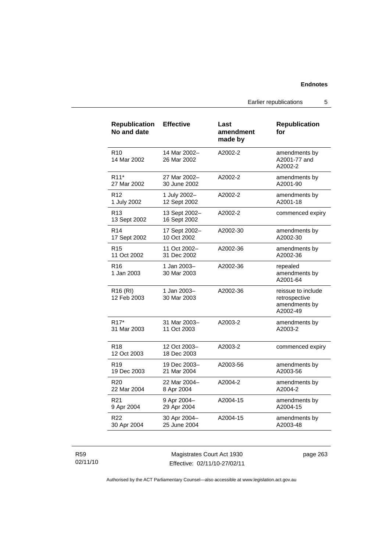Earlier republications 5

| <b>Republication</b><br>No and date | <b>Effective</b>              | Last<br>amendment<br>made by | <b>Republication</b><br>for                                      |
|-------------------------------------|-------------------------------|------------------------------|------------------------------------------------------------------|
| R <sub>10</sub><br>14 Mar 2002      | 14 Mar 2002-<br>26 Mar 2002   | A2002-2                      | amendments by<br>A2001-77 and<br>A2002-2                         |
| R <sub>11</sub> *                   | 27 Mar 2002-                  | A2002-2                      | amendments by                                                    |
| 27 Mar 2002                         | 30 June 2002                  |                              | A2001-90                                                         |
| R <sub>12</sub>                     | 1 July 2002-                  | A2002-2                      | amendments by                                                    |
| 1 July 2002                         | 12 Sept 2002                  |                              | A2001-18                                                         |
| R <sub>13</sub><br>13 Sept 2002     | 13 Sept 2002-<br>16 Sept 2002 | A2002-2                      | commenced expiry                                                 |
| R <sub>14</sub>                     | 17 Sept 2002-                 | A2002-30                     | amendments by                                                    |
| 17 Sept 2002                        | 10 Oct 2002                   |                              | A2002-30                                                         |
| R <sub>15</sub>                     | 11 Oct 2002-                  | A2002-36                     | amendments by                                                    |
| 11 Oct 2002                         | 31 Dec 2002                   |                              | A2002-36                                                         |
| R16<br>1 Jan 2003                   | 1 Jan 2003-<br>30 Mar 2003    | A2002-36                     | repealed<br>amendments by<br>A2001-64                            |
| R <sub>16</sub> (RI)<br>12 Feb 2003 | 1 Jan 2003-<br>30 Mar 2003    | A2002-36                     | reissue to include<br>retrospective<br>amendments by<br>A2002-49 |
| R <sub>17</sub> *                   | 31 Mar 2003-                  | A2003-2                      | amendments by                                                    |
| 31 Mar 2003                         | 11 Oct 2003                   |                              | A2003-2                                                          |
| R <sub>18</sub><br>12 Oct 2003      | 12 Oct 2003-<br>18 Dec 2003   | A2003-2                      | commenced expiry                                                 |
| R <sub>19</sub>                     | 19 Dec 2003-                  | A2003-56                     | amendments by                                                    |
| 19 Dec 2003                         | 21 Mar 2004                   |                              | A2003-56                                                         |
| R <sub>20</sub>                     | 22 Mar 2004-                  | A2004-2                      | amendments by                                                    |
| 22 Mar 2004                         | 8 Apr 2004                    |                              | A2004-2                                                          |
| R <sub>21</sub>                     | 9 Apr 2004-                   | A2004-15                     | amendments by                                                    |
| 9 Apr 2004                          | 29 Apr 2004                   |                              | A2004-15                                                         |
| R22                                 | 30 Apr 2004-                  | A2004-15                     | amendments by                                                    |
| 30 Apr 2004                         | 25 June 2004                  |                              | A2003-48                                                         |

R59 02/11/10

Magistrates Court Act 1930 Effective: 02/11/10-27/02/11 page 263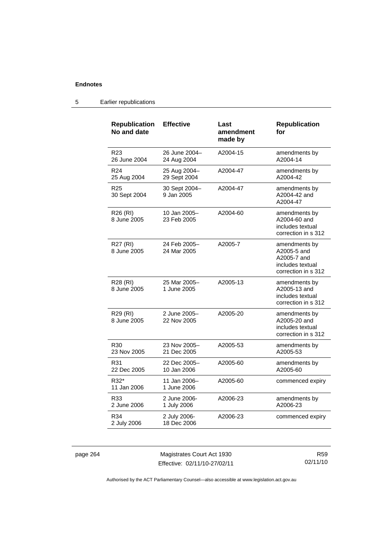| <b>Republication</b><br>No and date | <b>Effective</b>             | Last<br>amendment<br>made by | <b>Republication</b><br>for                                                            |
|-------------------------------------|------------------------------|------------------------------|----------------------------------------------------------------------------------------|
| R <sub>23</sub><br>26 June 2004     | 26 June 2004-<br>24 Aug 2004 | A2004-15                     | amendments by<br>A2004-14                                                              |
| R <sub>24</sub><br>25 Aug 2004      | 25 Aug 2004-<br>29 Sept 2004 | A2004-47                     | amendments by<br>A2004-42                                                              |
| R <sub>25</sub><br>30 Sept 2004     | 30 Sept 2004-<br>9 Jan 2005  | A2004-47                     | amendments by<br>A2004-42 and<br>A2004-47                                              |
| R <sub>26</sub> (RI)<br>8 June 2005 | 10 Jan 2005-<br>23 Feb 2005  | A2004-60                     | amendments by<br>A2004-60 and<br>includes textual<br>correction in s 312               |
| R27 (RI)<br>8 June 2005             | 24 Feb 2005-<br>24 Mar 2005  | A2005-7                      | amendments by<br>A2005-5 and<br>A2005-7 and<br>includes textual<br>correction in s 312 |
| R28 (RI)<br>8 June 2005             | 25 Mar 2005-<br>1 June 2005  | A2005-13                     | amendments by<br>A2005-13 and<br>includes textual<br>correction in s 312               |
| R29 (RI)<br>8 June 2005             | 2 June 2005-<br>22 Nov 2005  | A2005-20                     | amendments by<br>A2005-20 and<br>includes textual<br>correction in s 312               |
| R <sub>30</sub><br>23 Nov 2005      | 23 Nov 2005-<br>21 Dec 2005  | A2005-53                     | amendments by<br>A2005-53                                                              |
| R31<br>22 Dec 2005                  | 22 Dec 2005-<br>10 Jan 2006  | A2005-60                     | amendments by<br>A2005-60                                                              |
| R32*<br>11 Jan 2006                 | 11 Jan 2006-<br>1 June 2006  | A2005-60                     | commenced expiry                                                                       |
| R33<br>2 June 2006                  | 2 June 2006-<br>1 July 2006  | A2006-23                     | amendments by<br>A2006-23                                                              |
| R34<br>2 July 2006                  | 2 July 2006-<br>18 Dec 2006  | A2006-23                     | commenced expiry                                                                       |

5 Earlier republications

page 264 Magistrates Court Act 1930 Effective: 02/11/10-27/02/11

R59 02/11/10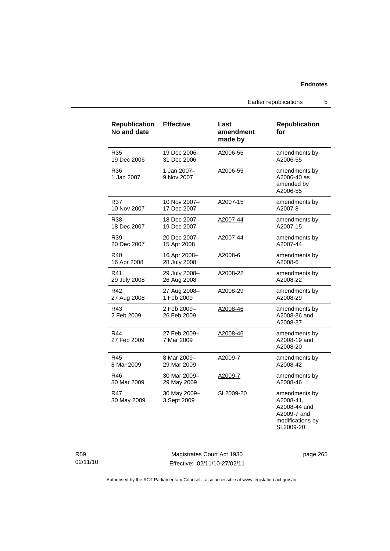Earlier republications 5

| <b>Republication</b><br>No and date | <b>Effective</b>            | Last<br>amendment<br>made by | <b>Republication</b><br>for                                                                |
|-------------------------------------|-----------------------------|------------------------------|--------------------------------------------------------------------------------------------|
| R35                                 | 19 Dec 2006-                | A2006-55                     | amendments by                                                                              |
| 19 Dec 2006                         | 31 Dec 2006                 |                              | A2006-55                                                                                   |
| R36<br>1 Jan 2007                   | 1 Jan 2007-<br>9 Nov 2007   | A2006-55                     | amendments by<br>A2006-40 as<br>amended by<br>A2006-55                                     |
| R37                                 | 10 Nov 2007-                | A2007-15                     | amendments by                                                                              |
| 10 Nov 2007                         | 17 Dec 2007                 |                              | A2007-8                                                                                    |
| R38                                 | 18 Dec 2007-                | A2007-44                     | amendments by                                                                              |
| 18 Dec 2007                         | 19 Dec 2007                 |                              | A2007-15                                                                                   |
| R39                                 | 20 Dec 2007-                | A2007-44                     | amendments by                                                                              |
| 20 Dec 2007                         | 15 Apr 2008                 |                              | A2007-44                                                                                   |
| R40                                 | 16 Apr 2008-                | A2008-6                      | amendments by                                                                              |
| 16 Apr 2008                         | 28 July 2008                |                              | A2008-6                                                                                    |
| R41                                 | 29 July 2008-               | A2008-22                     | amendments by                                                                              |
| 29 July 2008                        | 26 Aug 2008                 |                              | A2008-22                                                                                   |
| R42                                 | 27 Aug 2008-                | A2008-29                     | amendments by                                                                              |
| 27 Aug 2008                         | 1 Feb 2009                  |                              | A2008-29                                                                                   |
| R43<br>2 Feb 2009                   | 2 Feb 2009-<br>26 Feb 2009  | A2008-46                     | amendments by<br>A2008-36 and<br>A2008-37                                                  |
| R44<br>27 Feb 2009                  | 27 Feb 2009-<br>7 Mar 2009  | A2008-46                     | amendments by<br>A2008-19 and<br>A2008-20                                                  |
| R45                                 | 8 Mar 2009-                 | A2009-7                      | amendments by                                                                              |
| 8 Mar 2009                          | 29 Mar 2009                 |                              | A2008-42                                                                                   |
| R46                                 | 30 Mar 2009-                | <u>A2009-7</u>               | amendments by                                                                              |
| 30 Mar 2009                         | 29 May 2009                 |                              | A2008-46                                                                                   |
| R47<br>30 May 2009                  | 30 May 2009-<br>3 Sept 2009 | SL2009-20                    | amendments by<br>A2008-41,<br>A2008-44 and<br>A2009-7 and<br>modifications by<br>SL2009-20 |

R59 02/11/10

Magistrates Court Act 1930 Effective: 02/11/10-27/02/11 page 265